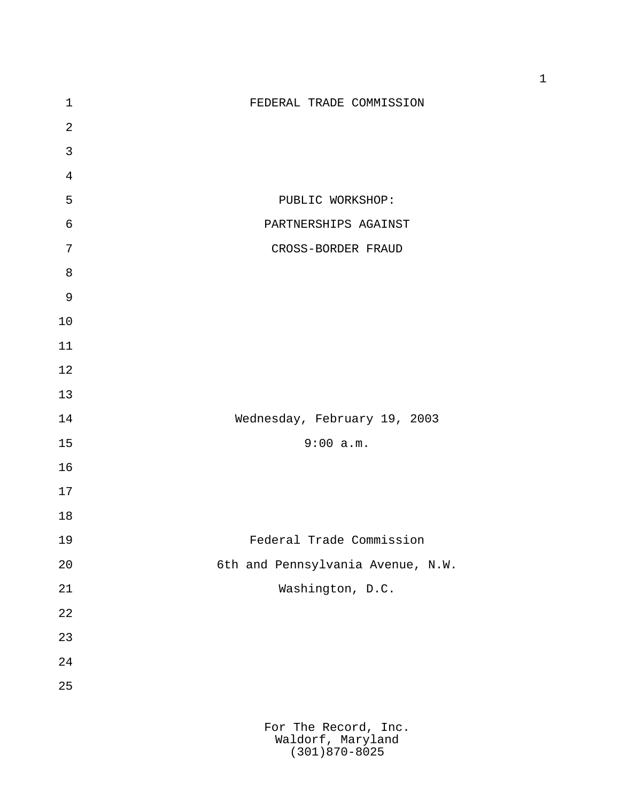| $\mathbf 1$    | FEDERAL TRADE COMMISSION                  |
|----------------|-------------------------------------------|
| $\overline{2}$ |                                           |
| $\mathbf{3}$   |                                           |
| $\overline{4}$ |                                           |
| 5              | PUBLIC WORKSHOP:                          |
| $\epsilon$     | PARTNERSHIPS AGAINST                      |
| 7              | CROSS-BORDER FRAUD                        |
| $\, 8$         |                                           |
| $\mathsf 9$    |                                           |
| 10             |                                           |
| 11             |                                           |
| 12             |                                           |
| 13             |                                           |
| 14             | Wednesday, February 19, 2003              |
| 15             | 9:00 a.m.                                 |
| 16             |                                           |
| 17             |                                           |
| 18             |                                           |
| 19             | Federal Trade Commission                  |
| 20             | 6th and Pennsylvania Avenue, N.W.         |
| 21             | Washington, D.C.                          |
| 22             |                                           |
| 23             |                                           |
| 24             |                                           |
| 25             |                                           |
|                |                                           |
|                | For The Record, Inc.<br>Waldorf, Maryland |

(301)870-8025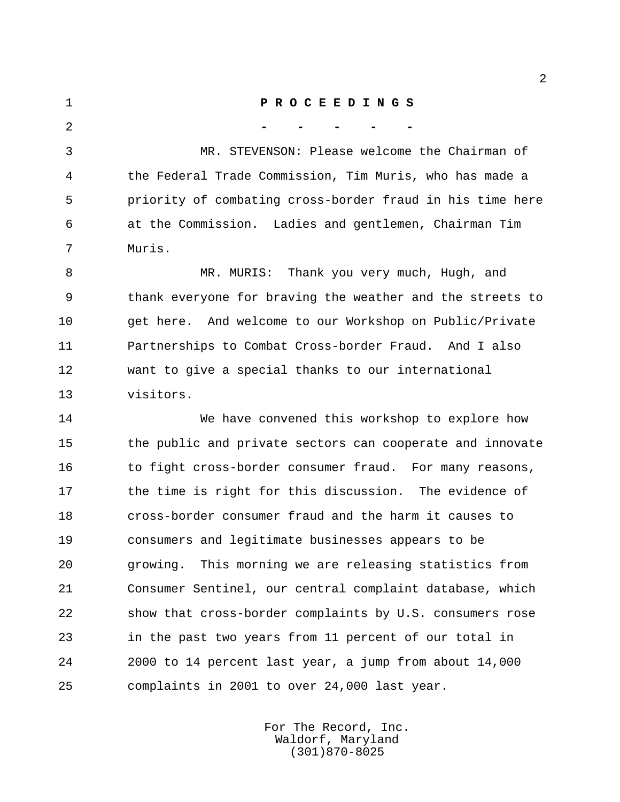**P R O C E E D I N G S - - - - -** MR. STEVENSON: Please welcome the Chairman of the Federal Trade Commission, Tim Muris, who has made a priority of combating cross-border fraud in his time here at the Commission. Ladies and gentlemen, Chairman Tim Muris. MR. MURIS: Thank you very much, Hugh, and

 thank everyone for braving the weather and the streets to get here. And welcome to our Workshop on Public/Private Partnerships to Combat Cross-border Fraud. And I also want to give a special thanks to our international visitors.

 We have convened this workshop to explore how the public and private sectors can cooperate and innovate 16 to fight cross-border consumer fraud. For many reasons, 17 the time is right for this discussion. The evidence of cross-border consumer fraud and the harm it causes to consumers and legitimate businesses appears to be growing. This morning we are releasing statistics from Consumer Sentinel, our central complaint database, which show that cross-border complaints by U.S. consumers rose in the past two years from 11 percent of our total in 2000 to 14 percent last year, a jump from about 14,000 complaints in 2001 to over 24,000 last year.

> For The Record, Inc. Waldorf, Maryland (301)870-8025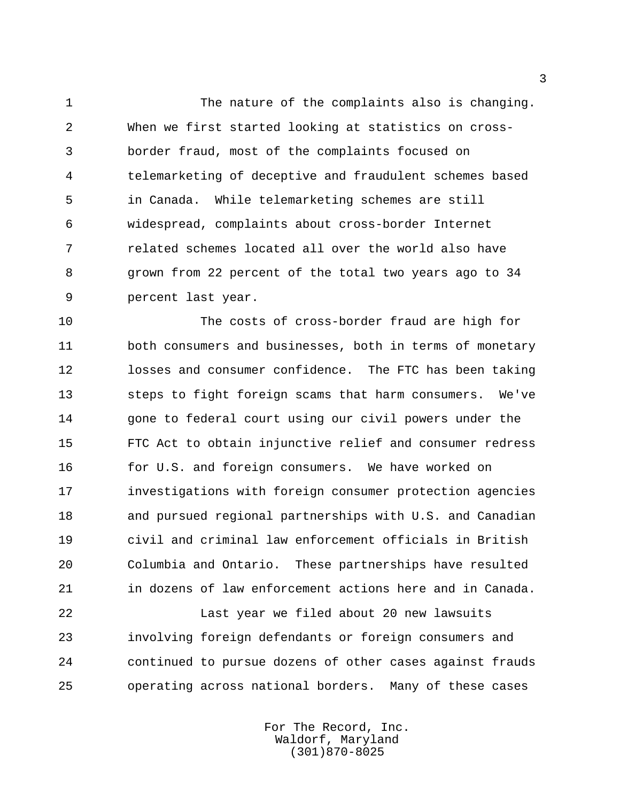The nature of the complaints also is changing. When we first started looking at statistics on cross- border fraud, most of the complaints focused on telemarketing of deceptive and fraudulent schemes based in Canada. While telemarketing schemes are still widespread, complaints about cross-border Internet related schemes located all over the world also have grown from 22 percent of the total two years ago to 34 percent last year.

 The costs of cross-border fraud are high for both consumers and businesses, both in terms of monetary losses and consumer confidence. The FTC has been taking steps to fight foreign scams that harm consumers. We've gone to federal court using our civil powers under the FTC Act to obtain injunctive relief and consumer redress for U.S. and foreign consumers. We have worked on investigations with foreign consumer protection agencies and pursued regional partnerships with U.S. and Canadian civil and criminal law enforcement officials in British Columbia and Ontario. These partnerships have resulted in dozens of law enforcement actions here and in Canada.

 Last year we filed about 20 new lawsuits involving foreign defendants or foreign consumers and continued to pursue dozens of other cases against frauds operating across national borders. Many of these cases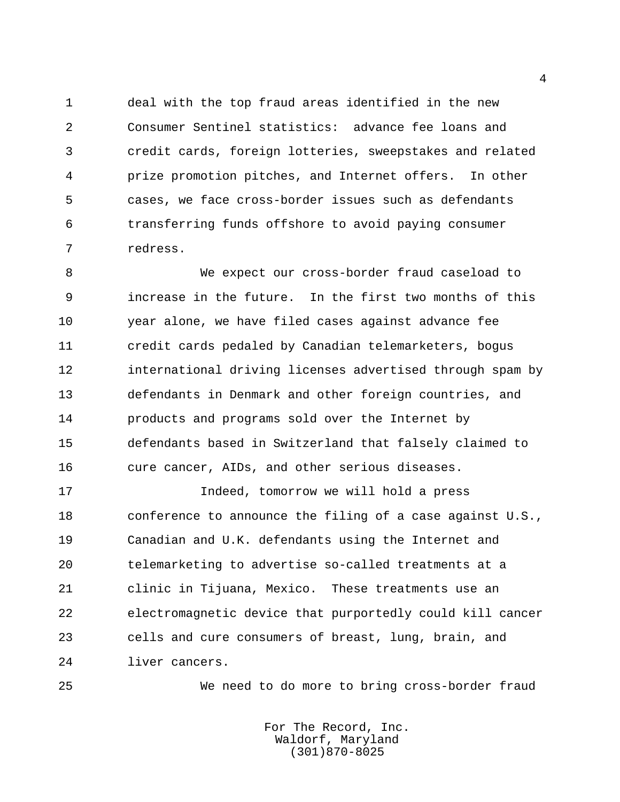deal with the top fraud areas identified in the new Consumer Sentinel statistics: advance fee loans and credit cards, foreign lotteries, sweepstakes and related prize promotion pitches, and Internet offers. In other cases, we face cross-border issues such as defendants transferring funds offshore to avoid paying consumer redress.

 We expect our cross-border fraud caseload to increase in the future. In the first two months of this year alone, we have filed cases against advance fee credit cards pedaled by Canadian telemarketers, bogus international driving licenses advertised through spam by defendants in Denmark and other foreign countries, and products and programs sold over the Internet by defendants based in Switzerland that falsely claimed to cure cancer, AIDs, and other serious diseases.

 Indeed, tomorrow we will hold a press conference to announce the filing of a case against U.S., Canadian and U.K. defendants using the Internet and telemarketing to advertise so-called treatments at a clinic in Tijuana, Mexico. These treatments use an electromagnetic device that purportedly could kill cancer cells and cure consumers of breast, lung, brain, and liver cancers.

We need to do more to bring cross-border fraud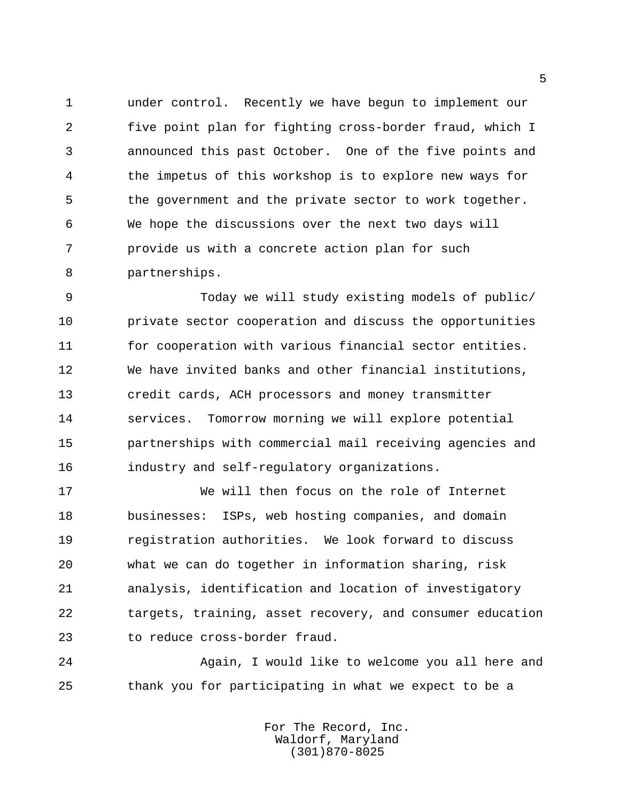under control. Recently we have begun to implement our five point plan for fighting cross-border fraud, which I announced this past October. One of the five points and the impetus of this workshop is to explore new ways for the government and the private sector to work together. We hope the discussions over the next two days will provide us with a concrete action plan for such partnerships.

 Today we will study existing models of public/ private sector cooperation and discuss the opportunities for cooperation with various financial sector entities. We have invited banks and other financial institutions, credit cards, ACH processors and money transmitter services. Tomorrow morning we will explore potential partnerships with commercial mail receiving agencies and industry and self-regulatory organizations.

 We will then focus on the role of Internet businesses: ISPs, web hosting companies, and domain registration authorities. We look forward to discuss what we can do together in information sharing, risk analysis, identification and location of investigatory targets, training, asset recovery, and consumer education to reduce cross-border fraud.

 Again, I would like to welcome you all here and thank you for participating in what we expect to be a

> For The Record, Inc. Waldorf, Maryland (301)870-8025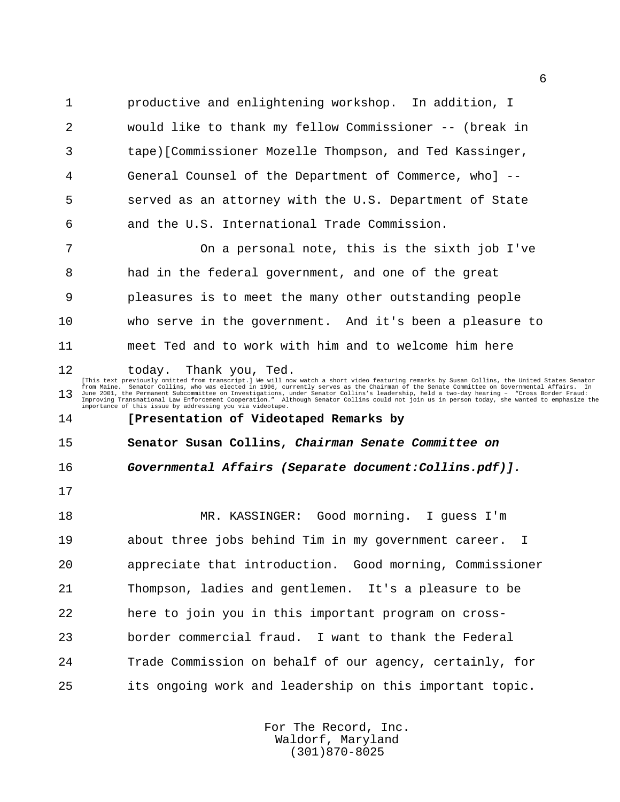productive and enlightening workshop. In addition, I would like to thank my fellow Commissioner -- (break in tape)[Commissioner Mozelle Thompson, and Ted Kassinger, General Counsel of the Department of Commerce, who] -- served as an attorney with the U.S. Department of State and the U.S. International Trade Commission. On a personal note, this is the sixth job I've had in the federal government, and one of the great pleasures is to meet the many other outstanding people who serve in the government. And it's been a pleasure to meet Ted and to work with him and to welcome him here

12 today. Thank you, Ted.<br>
This text previously omitted from transcript.) We will now watch a short video featuring remarks by Susan Collins, the United States Senator<br>
from Maine. Senator Collins, who was elected in 1996, 

## **[Presentation of Videotaped Remarks by**

**Senator Susan Collins, Chairman Senate Committee on**

**Governmental Affairs (Separate document:Collins.pdf)].**

 MR. KASSINGER: Good morning. I guess I'm about three jobs behind Tim in my government career. I appreciate that introduction. Good morning, Commissioner Thompson, ladies and gentlemen. It's a pleasure to be here to join you in this important program on cross- border commercial fraud. I want to thank the Federal Trade Commission on behalf of our agency, certainly, for its ongoing work and leadership on this important topic.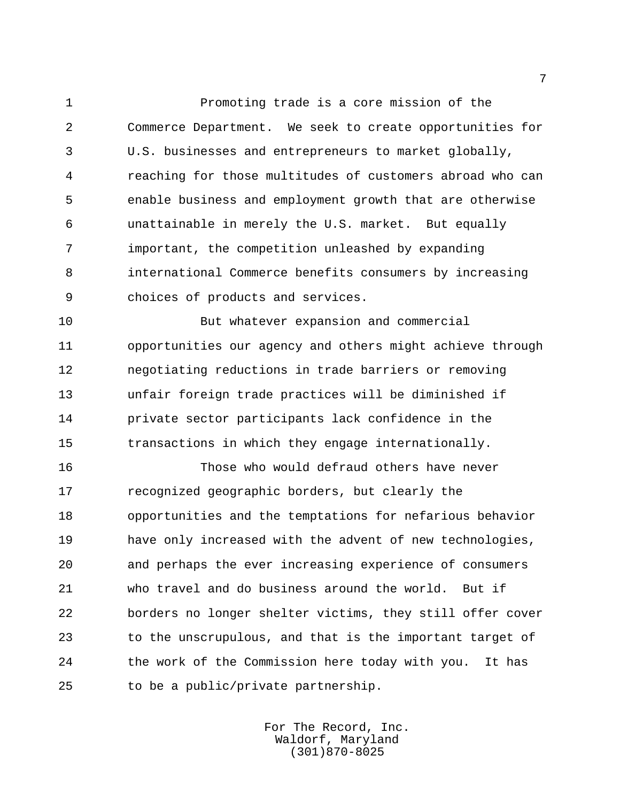Promoting trade is a core mission of the Commerce Department. We seek to create opportunities for U.S. businesses and entrepreneurs to market globally, reaching for those multitudes of customers abroad who can enable business and employment growth that are otherwise unattainable in merely the U.S. market. But equally important, the competition unleashed by expanding international Commerce benefits consumers by increasing choices of products and services.

 But whatever expansion and commercial opportunities our agency and others might achieve through negotiating reductions in trade barriers or removing unfair foreign trade practices will be diminished if private sector participants lack confidence in the transactions in which they engage internationally.

 Those who would defraud others have never recognized geographic borders, but clearly the opportunities and the temptations for nefarious behavior have only increased with the advent of new technologies, and perhaps the ever increasing experience of consumers who travel and do business around the world. But if borders no longer shelter victims, they still offer cover to the unscrupulous, and that is the important target of the work of the Commission here today with you. It has to be a public/private partnership.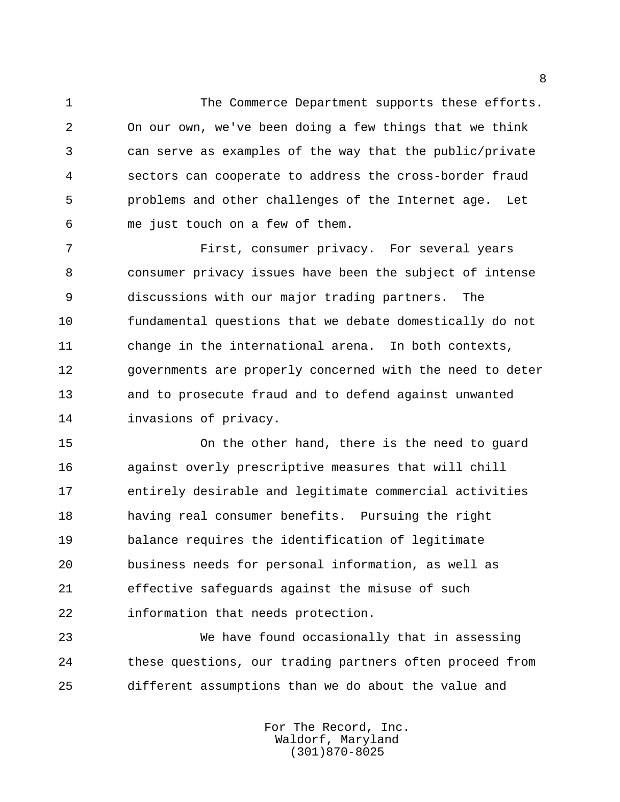The Commerce Department supports these efforts. On our own, we've been doing a few things that we think can serve as examples of the way that the public/private sectors can cooperate to address the cross-border fraud problems and other challenges of the Internet age. Let me just touch on a few of them.

 First, consumer privacy. For several years consumer privacy issues have been the subject of intense discussions with our major trading partners. The fundamental questions that we debate domestically do not change in the international arena. In both contexts, governments are properly concerned with the need to deter and to prosecute fraud and to defend against unwanted invasions of privacy.

 On the other hand, there is the need to guard against overly prescriptive measures that will chill entirely desirable and legitimate commercial activities having real consumer benefits. Pursuing the right balance requires the identification of legitimate business needs for personal information, as well as effective safeguards against the misuse of such information that needs protection.

 We have found occasionally that in assessing these questions, our trading partners often proceed from different assumptions than we do about the value and

> For The Record, Inc. Waldorf, Maryland (301)870-8025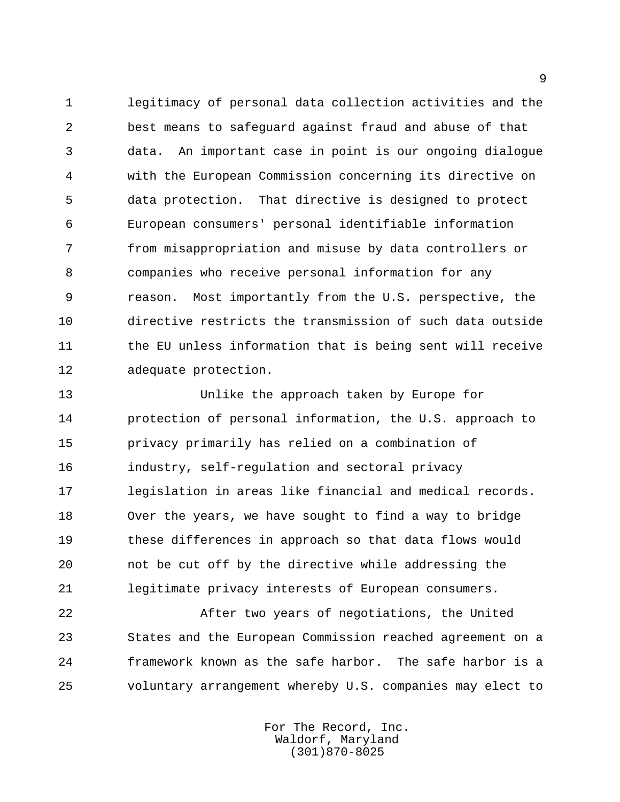legitimacy of personal data collection activities and the best means to safeguard against fraud and abuse of that data. An important case in point is our ongoing dialogue with the European Commission concerning its directive on data protection. That directive is designed to protect European consumers' personal identifiable information from misappropriation and misuse by data controllers or companies who receive personal information for any reason. Most importantly from the U.S. perspective, the directive restricts the transmission of such data outside 11 the EU unless information that is being sent will receive adequate protection.

 Unlike the approach taken by Europe for protection of personal information, the U.S. approach to privacy primarily has relied on a combination of industry, self-regulation and sectoral privacy legislation in areas like financial and medical records. Over the years, we have sought to find a way to bridge these differences in approach so that data flows would not be cut off by the directive while addressing the legitimate privacy interests of European consumers.

 After two years of negotiations, the United States and the European Commission reached agreement on a framework known as the safe harbor. The safe harbor is a voluntary arrangement whereby U.S. companies may elect to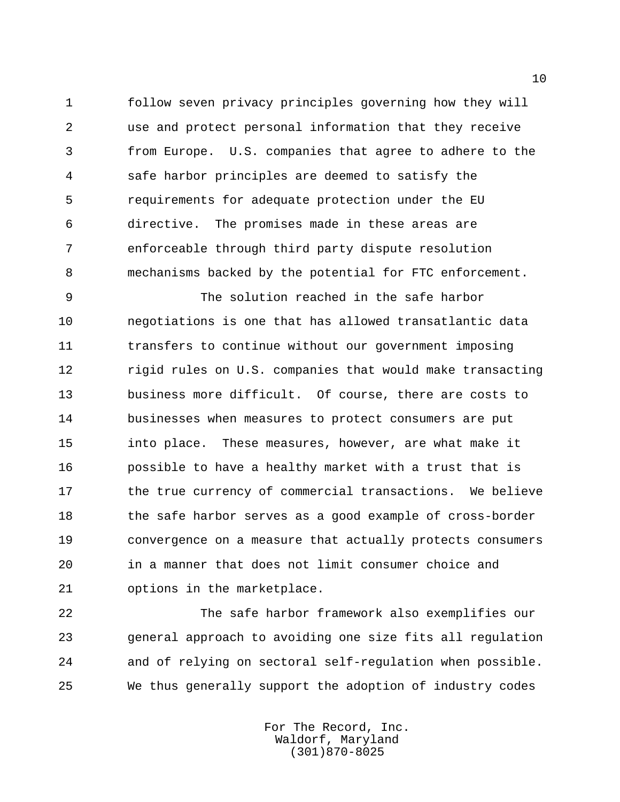follow seven privacy principles governing how they will use and protect personal information that they receive from Europe. U.S. companies that agree to adhere to the safe harbor principles are deemed to satisfy the requirements for adequate protection under the EU directive. The promises made in these areas are enforceable through third party dispute resolution mechanisms backed by the potential for FTC enforcement.

 The solution reached in the safe harbor negotiations is one that has allowed transatlantic data transfers to continue without our government imposing rigid rules on U.S. companies that would make transacting business more difficult. Of course, there are costs to businesses when measures to protect consumers are put into place. These measures, however, are what make it possible to have a healthy market with a trust that is 17 the true currency of commercial transactions. We believe 18 the safe harbor serves as a good example of cross-border convergence on a measure that actually protects consumers in a manner that does not limit consumer choice and options in the marketplace.

 The safe harbor framework also exemplifies our general approach to avoiding one size fits all regulation and of relying on sectoral self-regulation when possible. We thus generally support the adoption of industry codes

> For The Record, Inc. Waldorf, Maryland (301)870-8025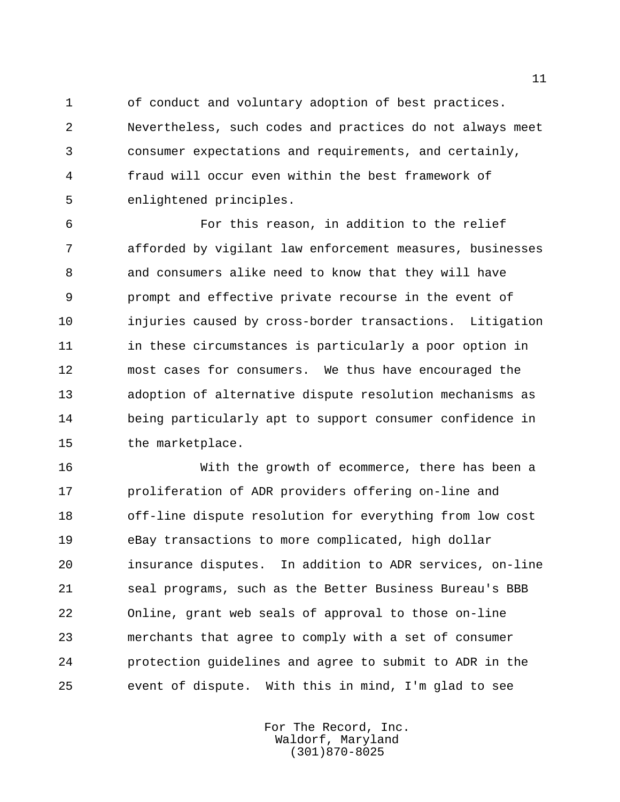of conduct and voluntary adoption of best practices. Nevertheless, such codes and practices do not always meet consumer expectations and requirements, and certainly, fraud will occur even within the best framework of enlightened principles.

 For this reason, in addition to the relief afforded by vigilant law enforcement measures, businesses and consumers alike need to know that they will have prompt and effective private recourse in the event of injuries caused by cross-border transactions. Litigation 11 in these circumstances is particularly a poor option in most cases for consumers. We thus have encouraged the adoption of alternative dispute resolution mechanisms as being particularly apt to support consumer confidence in the marketplace.

 With the growth of ecommerce, there has been a proliferation of ADR providers offering on-line and off-line dispute resolution for everything from low cost eBay transactions to more complicated, high dollar insurance disputes. In addition to ADR services, on-line seal programs, such as the Better Business Bureau's BBB Online, grant web seals of approval to those on-line merchants that agree to comply with a set of consumer protection guidelines and agree to submit to ADR in the event of dispute. With this in mind, I'm glad to see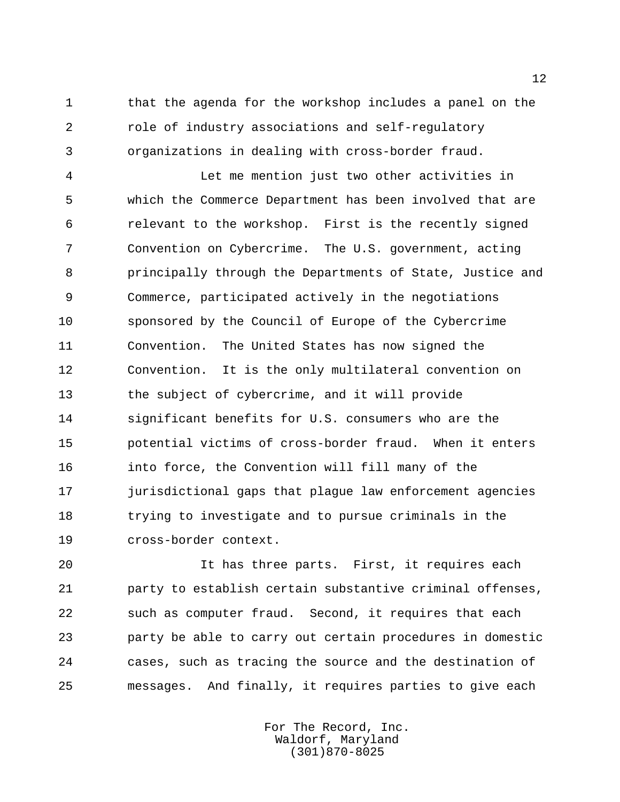that the agenda for the workshop includes a panel on the role of industry associations and self-regulatory organizations in dealing with cross-border fraud.

 Let me mention just two other activities in which the Commerce Department has been involved that are relevant to the workshop. First is the recently signed Convention on Cybercrime. The U.S. government, acting principally through the Departments of State, Justice and Commerce, participated actively in the negotiations sponsored by the Council of Europe of the Cybercrime Convention. The United States has now signed the Convention. It is the only multilateral convention on the subject of cybercrime, and it will provide significant benefits for U.S. consumers who are the potential victims of cross-border fraud. When it enters into force, the Convention will fill many of the jurisdictional gaps that plague law enforcement agencies trying to investigate and to pursue criminals in the cross-border context.

 It has three parts. First, it requires each party to establish certain substantive criminal offenses, such as computer fraud. Second, it requires that each party be able to carry out certain procedures in domestic cases, such as tracing the source and the destination of messages. And finally, it requires parties to give each

> For The Record, Inc. Waldorf, Maryland (301)870-8025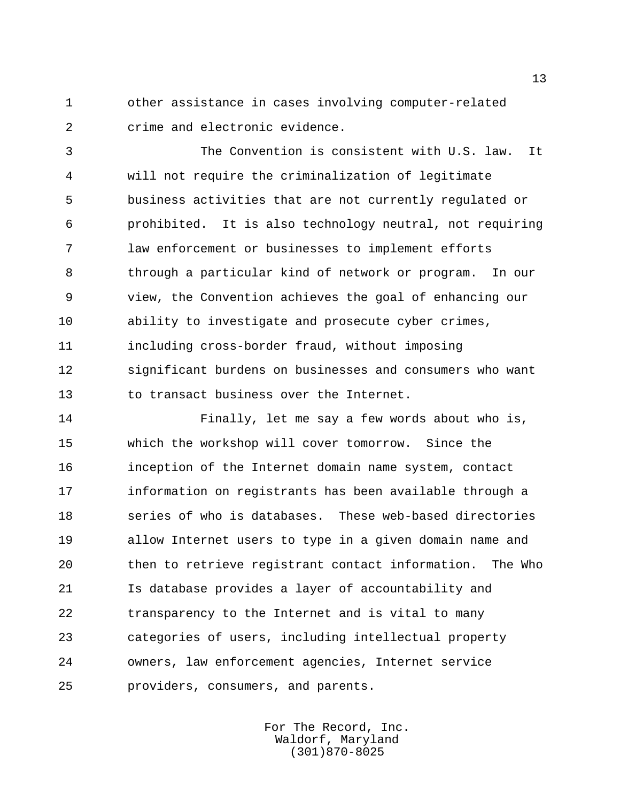other assistance in cases involving computer-related crime and electronic evidence.

 The Convention is consistent with U.S. law. It will not require the criminalization of legitimate business activities that are not currently regulated or prohibited. It is also technology neutral, not requiring law enforcement or businesses to implement efforts through a particular kind of network or program. In our view, the Convention achieves the goal of enhancing our ability to investigate and prosecute cyber crimes, including cross-border fraud, without imposing significant burdens on businesses and consumers who want to transact business over the Internet.

 Finally, let me say a few words about who is, which the workshop will cover tomorrow. Since the inception of the Internet domain name system, contact information on registrants has been available through a series of who is databases. These web-based directories allow Internet users to type in a given domain name and then to retrieve registrant contact information. The Who Is database provides a layer of accountability and transparency to the Internet and is vital to many categories of users, including intellectual property owners, law enforcement agencies, Internet service providers, consumers, and parents.

> For The Record, Inc. Waldorf, Maryland (301)870-8025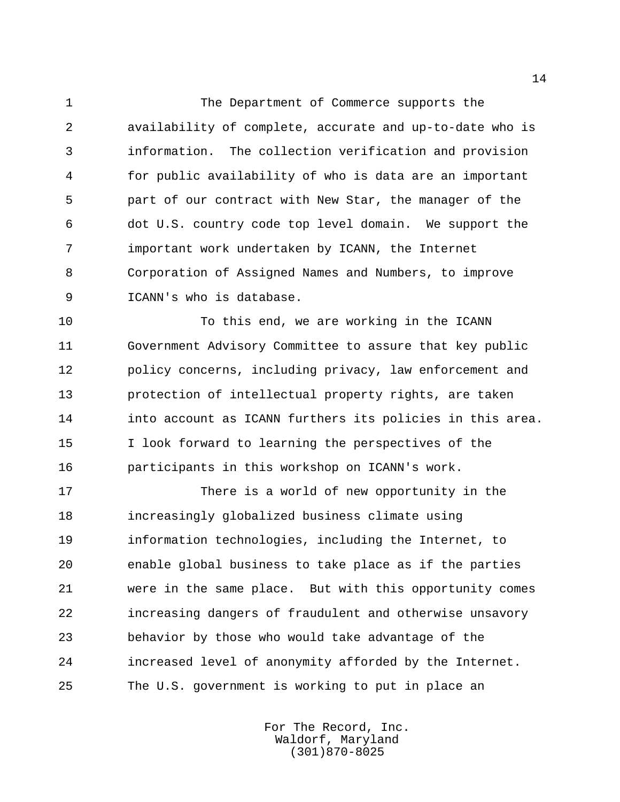The Department of Commerce supports the availability of complete, accurate and up-to-date who is information. The collection verification and provision for public availability of who is data are an important part of our contract with New Star, the manager of the dot U.S. country code top level domain. We support the important work undertaken by ICANN, the Internet Corporation of Assigned Names and Numbers, to improve ICANN's who is database.

 To this end, we are working in the ICANN Government Advisory Committee to assure that key public policy concerns, including privacy, law enforcement and protection of intellectual property rights, are taken into account as ICANN furthers its policies in this area. I look forward to learning the perspectives of the participants in this workshop on ICANN's work.

 There is a world of new opportunity in the increasingly globalized business climate using information technologies, including the Internet, to enable global business to take place as if the parties were in the same place. But with this opportunity comes increasing dangers of fraudulent and otherwise unsavory behavior by those who would take advantage of the increased level of anonymity afforded by the Internet. The U.S. government is working to put in place an

> For The Record, Inc. Waldorf, Maryland (301)870-8025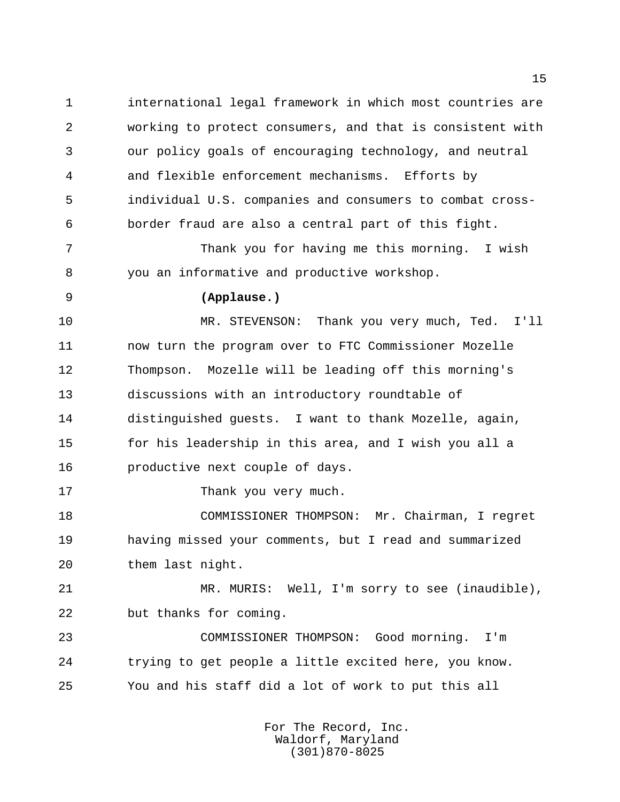international legal framework in which most countries are working to protect consumers, and that is consistent with our policy goals of encouraging technology, and neutral and flexible enforcement mechanisms. Efforts by individual U.S. companies and consumers to combat cross-border fraud are also a central part of this fight.

 Thank you for having me this morning. I wish you an informative and productive workshop.

## **(Applause.)**

 MR. STEVENSON: Thank you very much, Ted. I'll now turn the program over to FTC Commissioner Mozelle Thompson. Mozelle will be leading off this morning's discussions with an introductory roundtable of distinguished guests. I want to thank Mozelle, again, for his leadership in this area, and I wish you all a productive next couple of days.

17 Thank you very much.

 COMMISSIONER THOMPSON: Mr. Chairman, I regret having missed your comments, but I read and summarized them last night.

 MR. MURIS: Well, I'm sorry to see (inaudible), but thanks for coming.

 COMMISSIONER THOMPSON: Good morning. I'm trying to get people a little excited here, you know. You and his staff did a lot of work to put this all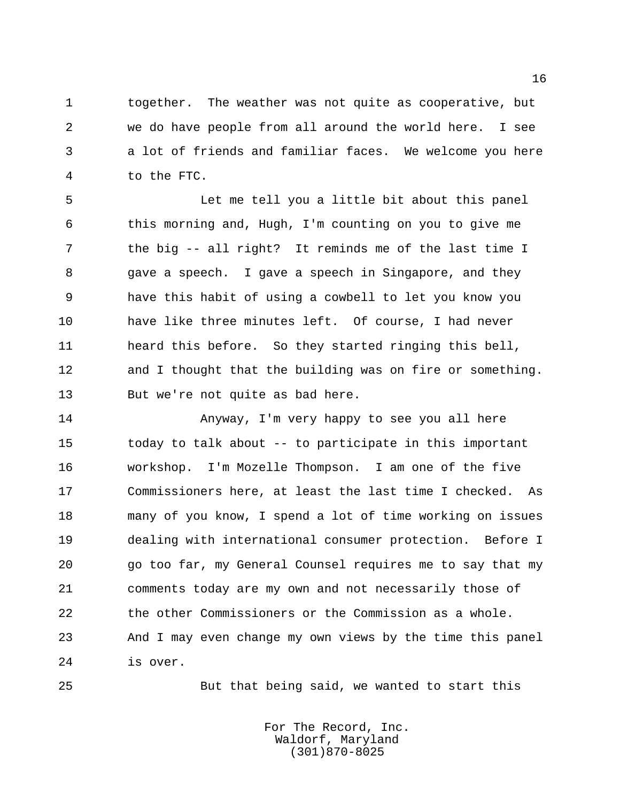together. The weather was not quite as cooperative, but we do have people from all around the world here. I see a lot of friends and familiar faces. We welcome you here to the FTC.

 Let me tell you a little bit about this panel this morning and, Hugh, I'm counting on you to give me the big -- all right? It reminds me of the last time I gave a speech. I gave a speech in Singapore, and they have this habit of using a cowbell to let you know you have like three minutes left. Of course, I had never heard this before. So they started ringing this bell, and I thought that the building was on fire or something. But we're not quite as bad here.

 Anyway, I'm very happy to see you all here today to talk about -- to participate in this important workshop. I'm Mozelle Thompson. I am one of the five Commissioners here, at least the last time I checked. As many of you know, I spend a lot of time working on issues dealing with international consumer protection. Before I go too far, my General Counsel requires me to say that my comments today are my own and not necessarily those of the other Commissioners or the Commission as a whole. And I may even change my own views by the time this panel is over.

But that being said, we wanted to start this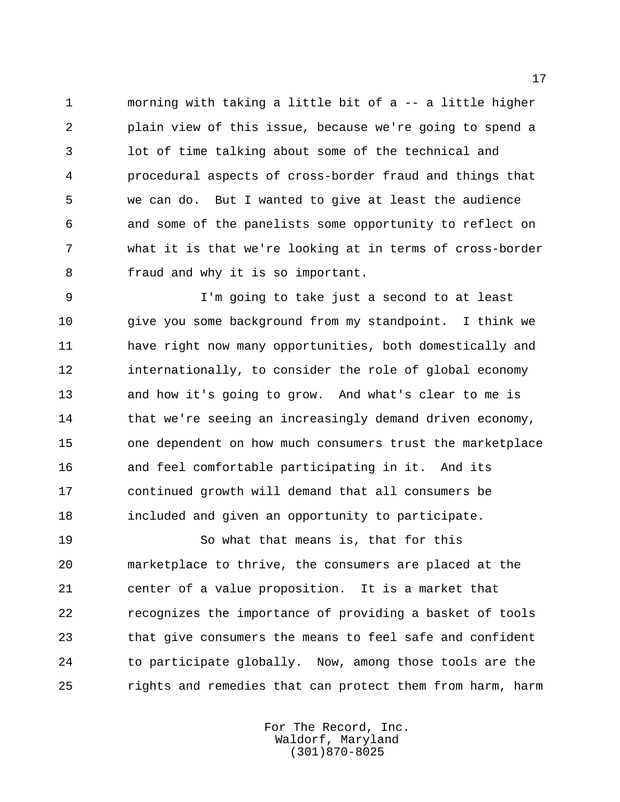morning with taking a little bit of a -- a little higher plain view of this issue, because we're going to spend a lot of time talking about some of the technical and procedural aspects of cross-border fraud and things that we can do. But I wanted to give at least the audience and some of the panelists some opportunity to reflect on what it is that we're looking at in terms of cross-border fraud and why it is so important.

 I'm going to take just a second to at least give you some background from my standpoint. I think we have right now many opportunities, both domestically and internationally, to consider the role of global economy and how it's going to grow. And what's clear to me is 14 that we're seeing an increasingly demand driven economy, one dependent on how much consumers trust the marketplace and feel comfortable participating in it. And its continued growth will demand that all consumers be included and given an opportunity to participate.

 So what that means is, that for this marketplace to thrive, the consumers are placed at the center of a value proposition. It is a market that recognizes the importance of providing a basket of tools that give consumers the means to feel safe and confident to participate globally. Now, among those tools are the rights and remedies that can protect them from harm, harm

> For The Record, Inc. Waldorf, Maryland (301)870-8025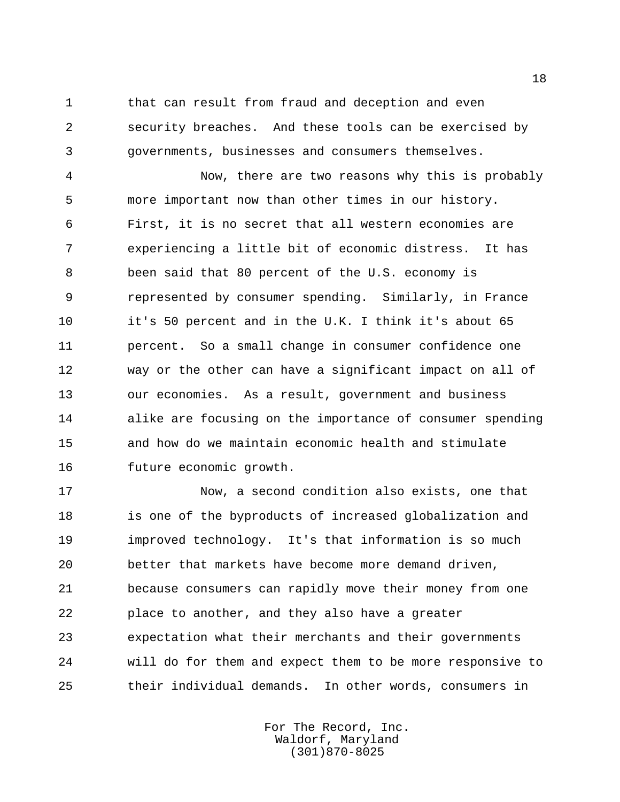that can result from fraud and deception and even security breaches. And these tools can be exercised by governments, businesses and consumers themselves.

 Now, there are two reasons why this is probably more important now than other times in our history. First, it is no secret that all western economies are experiencing a little bit of economic distress. It has been said that 80 percent of the U.S. economy is represented by consumer spending. Similarly, in France it's 50 percent and in the U.K. I think it's about 65 percent. So a small change in consumer confidence one way or the other can have a significant impact on all of our economies. As a result, government and business alike are focusing on the importance of consumer spending and how do we maintain economic health and stimulate future economic growth.

 Now, a second condition also exists, one that 18 is one of the byproducts of increased globalization and improved technology. It's that information is so much better that markets have become more demand driven, because consumers can rapidly move their money from one place to another, and they also have a greater expectation what their merchants and their governments will do for them and expect them to be more responsive to their individual demands. In other words, consumers in

> For The Record, Inc. Waldorf, Maryland (301)870-8025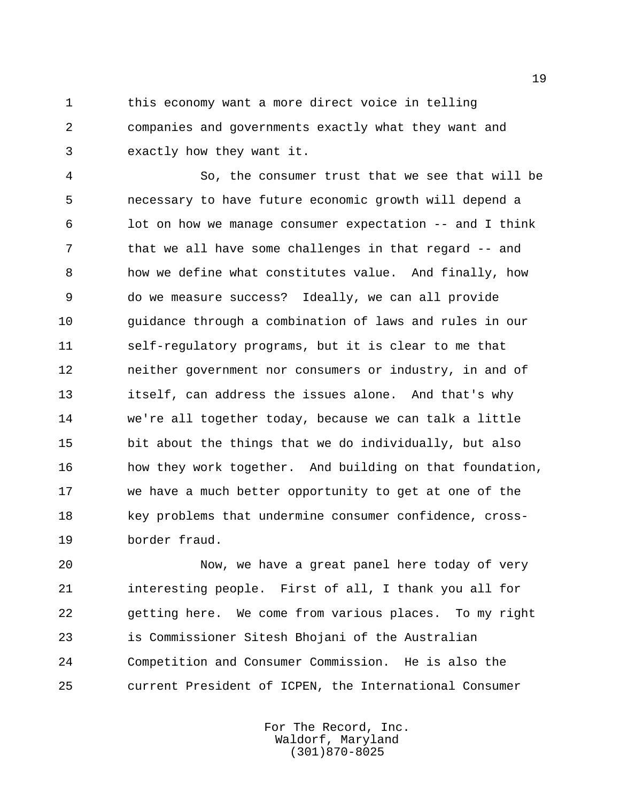1 this economy want a more direct voice in telling companies and governments exactly what they want and exactly how they want it.

 So, the consumer trust that we see that will be necessary to have future economic growth will depend a lot on how we manage consumer expectation -- and I think that we all have some challenges in that regard -- and how we define what constitutes value. And finally, how do we measure success? Ideally, we can all provide guidance through a combination of laws and rules in our self-regulatory programs, but it is clear to me that neither government nor consumers or industry, in and of itself, can address the issues alone. And that's why we're all together today, because we can talk a little bit about the things that we do individually, but also how they work together. And building on that foundation, we have a much better opportunity to get at one of the key problems that undermine consumer confidence, cross-border fraud.

 Now, we have a great panel here today of very interesting people. First of all, I thank you all for getting here. We come from various places. To my right is Commissioner Sitesh Bhojani of the Australian Competition and Consumer Commission. He is also the current President of ICPEN, the International Consumer

> For The Record, Inc. Waldorf, Maryland (301)870-8025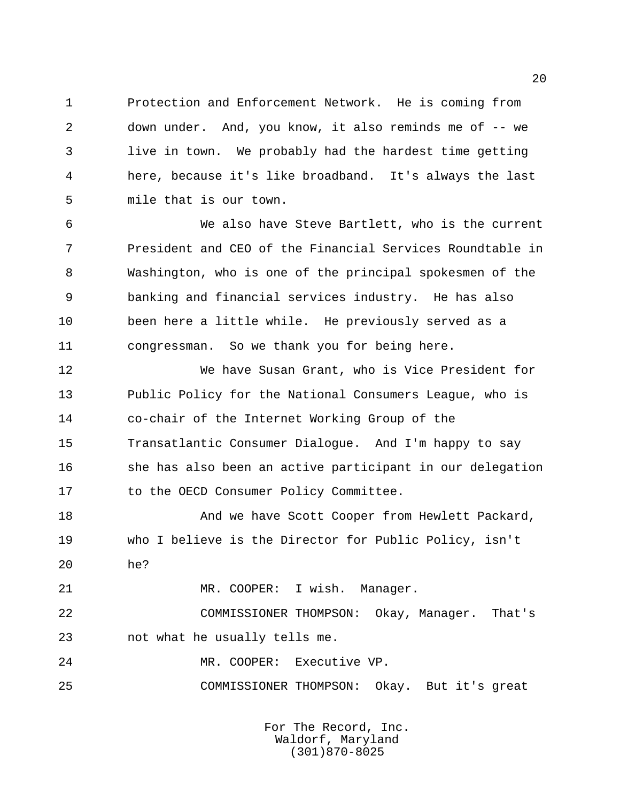Protection and Enforcement Network. He is coming from down under. And, you know, it also reminds me of -- we live in town. We probably had the hardest time getting here, because it's like broadband. It's always the last mile that is our town.

 We also have Steve Bartlett, who is the current President and CEO of the Financial Services Roundtable in Washington, who is one of the principal spokesmen of the banking and financial services industry. He has also been here a little while. He previously served as a congressman. So we thank you for being here.

 We have Susan Grant, who is Vice President for Public Policy for the National Consumers League, who is co-chair of the Internet Working Group of the Transatlantic Consumer Dialogue. And I'm happy to say she has also been an active participant in our delegation to the OECD Consumer Policy Committee.

18 And we have Scott Cooper from Hewlett Packard, who I believe is the Director for Public Policy, isn't he?

MR. COOPER: I wish. Manager.

 COMMISSIONER THOMPSON: Okay, Manager. That's not what he usually tells me.

MR. COOPER: Executive VP.

COMMISSIONER THOMPSON: Okay. But it's great

For The Record, Inc. Waldorf, Maryland (301)870-8025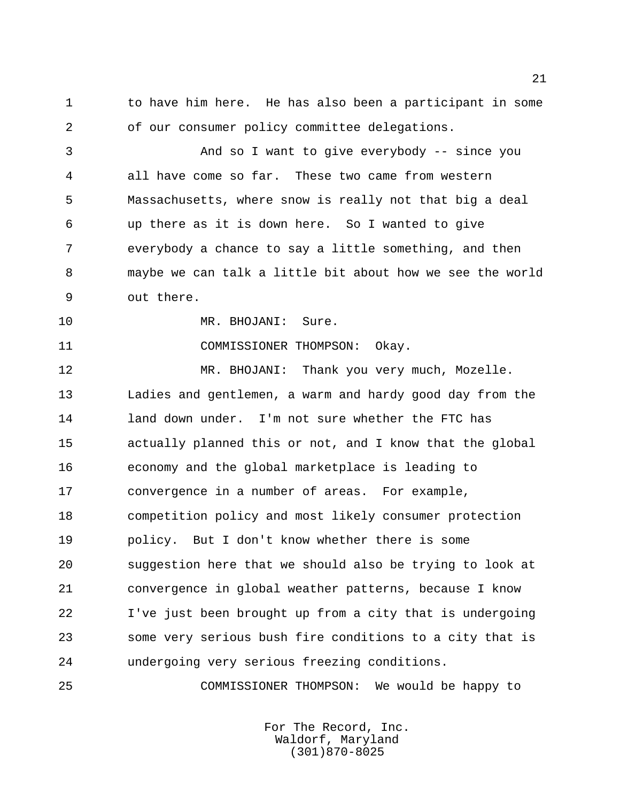to have him here. He has also been a participant in some of our consumer policy committee delegations.

 And so I want to give everybody -- since you all have come so far. These two came from western Massachusetts, where snow is really not that big a deal up there as it is down here. So I wanted to give everybody a chance to say a little something, and then maybe we can talk a little bit about how we see the world out there.

10 MR. BHOJANI: Sure.

COMMISSIONER THOMPSON: Okay.

 MR. BHOJANI: Thank you very much, Mozelle. Ladies and gentlemen, a warm and hardy good day from the land down under. I'm not sure whether the FTC has actually planned this or not, and I know that the global economy and the global marketplace is leading to convergence in a number of areas. For example, competition policy and most likely consumer protection policy. But I don't know whether there is some suggestion here that we should also be trying to look at convergence in global weather patterns, because I know I've just been brought up from a city that is undergoing some very serious bush fire conditions to a city that is undergoing very serious freezing conditions.

COMMISSIONER THOMPSON: We would be happy to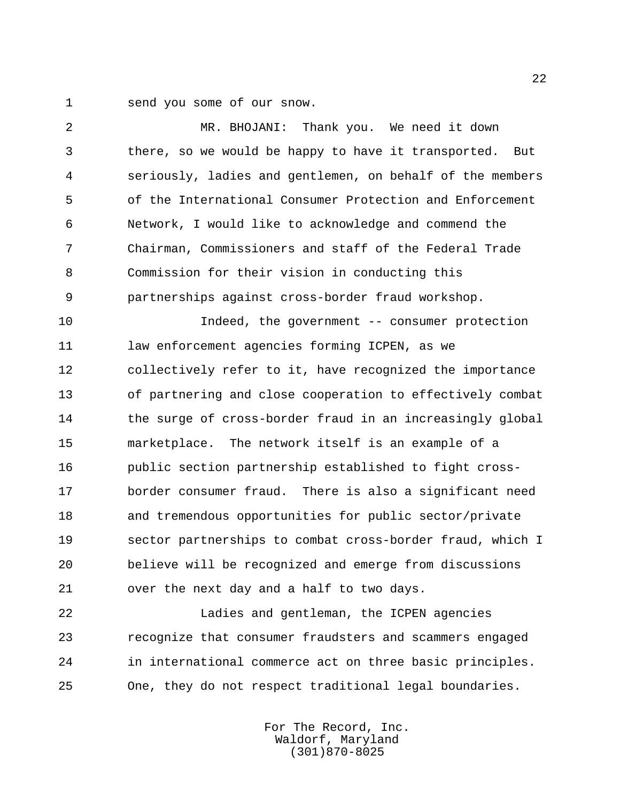send you some of our snow.

 MR. BHOJANI: Thank you. We need it down there, so we would be happy to have it transported. But seriously, ladies and gentlemen, on behalf of the members of the International Consumer Protection and Enforcement Network, I would like to acknowledge and commend the Chairman, Commissioners and staff of the Federal Trade Commission for their vision in conducting this partnerships against cross-border fraud workshop. Indeed, the government -- consumer protection law enforcement agencies forming ICPEN, as we collectively refer to it, have recognized the importance of partnering and close cooperation to effectively combat 14 the surge of cross-border fraud in an increasingly global marketplace. The network itself is an example of a public section partnership established to fight cross- border consumer fraud. There is also a significant need and tremendous opportunities for public sector/private sector partnerships to combat cross-border fraud, which I believe will be recognized and emerge from discussions over the next day and a half to two days. Ladies and gentleman, the ICPEN agencies

 recognize that consumer fraudsters and scammers engaged in international commerce act on three basic principles. One, they do not respect traditional legal boundaries.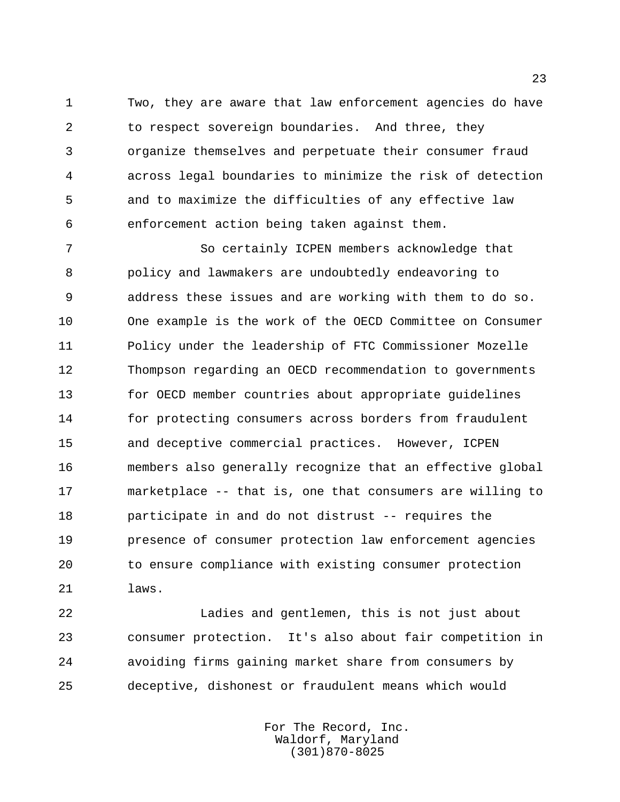Two, they are aware that law enforcement agencies do have to respect sovereign boundaries. And three, they organize themselves and perpetuate their consumer fraud across legal boundaries to minimize the risk of detection and to maximize the difficulties of any effective law enforcement action being taken against them.

 So certainly ICPEN members acknowledge that policy and lawmakers are undoubtedly endeavoring to address these issues and are working with them to do so. One example is the work of the OECD Committee on Consumer Policy under the leadership of FTC Commissioner Mozelle Thompson regarding an OECD recommendation to governments for OECD member countries about appropriate guidelines for protecting consumers across borders from fraudulent and deceptive commercial practices. However, ICPEN members also generally recognize that an effective global marketplace -- that is, one that consumers are willing to participate in and do not distrust -- requires the presence of consumer protection law enforcement agencies to ensure compliance with existing consumer protection laws.

 Ladies and gentlemen, this is not just about consumer protection. It's also about fair competition in avoiding firms gaining market share from consumers by deceptive, dishonest or fraudulent means which would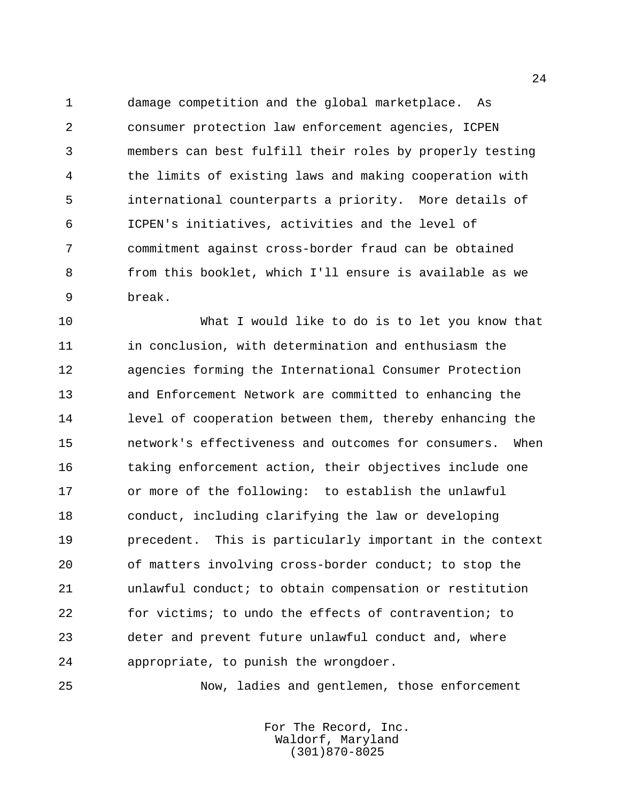damage competition and the global marketplace. As consumer protection law enforcement agencies, ICPEN members can best fulfill their roles by properly testing the limits of existing laws and making cooperation with international counterparts a priority. More details of ICPEN's initiatives, activities and the level of commitment against cross-border fraud can be obtained from this booklet, which I'll ensure is available as we break.

 What I would like to do is to let you know that in conclusion, with determination and enthusiasm the agencies forming the International Consumer Protection and Enforcement Network are committed to enhancing the level of cooperation between them, thereby enhancing the network's effectiveness and outcomes for consumers. When taking enforcement action, their objectives include one or more of the following: to establish the unlawful conduct, including clarifying the law or developing precedent. This is particularly important in the context of matters involving cross-border conduct; to stop the unlawful conduct; to obtain compensation or restitution for victims; to undo the effects of contravention; to deter and prevent future unlawful conduct and, where appropriate, to punish the wrongdoer.

Now, ladies and gentlemen, those enforcement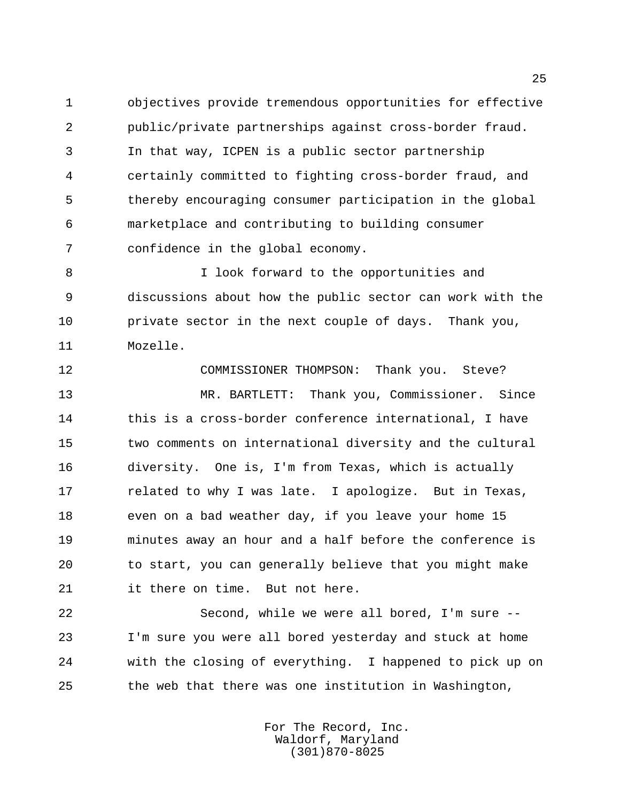objectives provide tremendous opportunities for effective public/private partnerships against cross-border fraud. In that way, ICPEN is a public sector partnership certainly committed to fighting cross-border fraud, and thereby encouraging consumer participation in the global marketplace and contributing to building consumer confidence in the global economy.

 I look forward to the opportunities and discussions about how the public sector can work with the private sector in the next couple of days. Thank you, Mozelle.

 COMMISSIONER THOMPSON: Thank you. Steve? MR. BARTLETT: Thank you, Commissioner. Since 14 this is a cross-border conference international, I have two comments on international diversity and the cultural diversity. One is, I'm from Texas, which is actually 17 related to why I was late. I apologize. But in Texas, even on a bad weather day, if you leave your home 15 minutes away an hour and a half before the conference is to start, you can generally believe that you might make it there on time. But not here.

 Second, while we were all bored, I'm sure -- I'm sure you were all bored yesterday and stuck at home with the closing of everything. I happened to pick up on the web that there was one institution in Washington,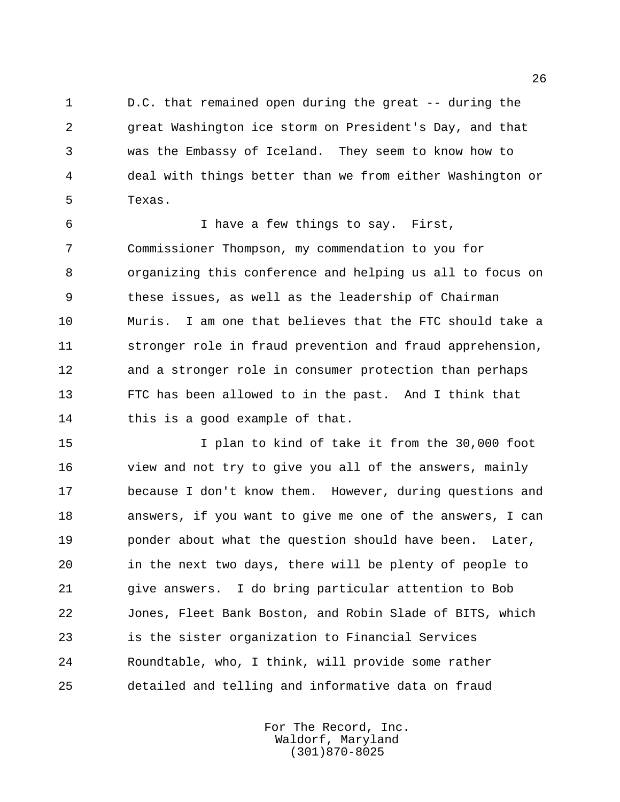D.C. that remained open during the great -- during the great Washington ice storm on President's Day, and that was the Embassy of Iceland. They seem to know how to deal with things better than we from either Washington or Texas.

 I have a few things to say. First, Commissioner Thompson, my commendation to you for organizing this conference and helping us all to focus on these issues, as well as the leadership of Chairman Muris. I am one that believes that the FTC should take a stronger role in fraud prevention and fraud apprehension, and a stronger role in consumer protection than perhaps FTC has been allowed to in the past. And I think that this is a good example of that.

 I plan to kind of take it from the 30,000 foot view and not try to give you all of the answers, mainly because I don't know them. However, during questions and answers, if you want to give me one of the answers, I can 19 bonder about what the question should have been. Later, in the next two days, there will be plenty of people to give answers. I do bring particular attention to Bob Jones, Fleet Bank Boston, and Robin Slade of BITS, which is the sister organization to Financial Services Roundtable, who, I think, will provide some rather detailed and telling and informative data on fraud

> For The Record, Inc. Waldorf, Maryland (301)870-8025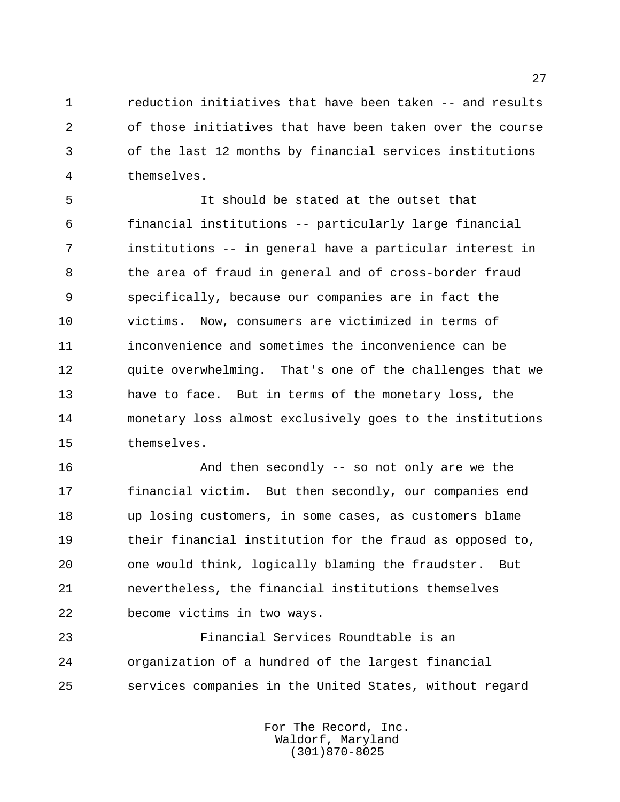reduction initiatives that have been taken -- and results of those initiatives that have been taken over the course of the last 12 months by financial services institutions themselves.

 It should be stated at the outset that financial institutions -- particularly large financial institutions -- in general have a particular interest in the area of fraud in general and of cross-border fraud specifically, because our companies are in fact the victims. Now, consumers are victimized in terms of inconvenience and sometimes the inconvenience can be quite overwhelming. That's one of the challenges that we have to face. But in terms of the monetary loss, the monetary loss almost exclusively goes to the institutions themselves.

 And then secondly -- so not only are we the financial victim. But then secondly, our companies end up losing customers, in some cases, as customers blame their financial institution for the fraud as opposed to, one would think, logically blaming the fraudster. But nevertheless, the financial institutions themselves become victims in two ways.

 Financial Services Roundtable is an organization of a hundred of the largest financial services companies in the United States, without regard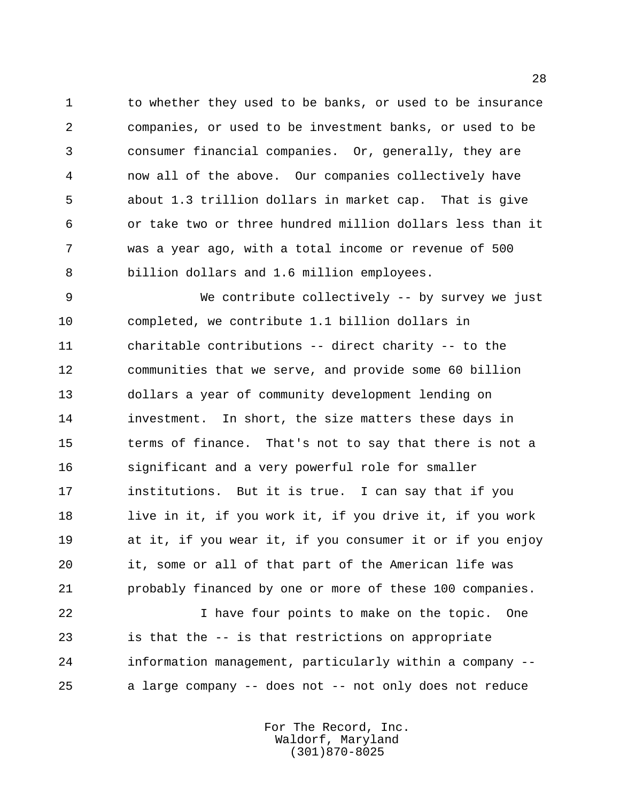to whether they used to be banks, or used to be insurance companies, or used to be investment banks, or used to be consumer financial companies. Or, generally, they are now all of the above. Our companies collectively have about 1.3 trillion dollars in market cap. That is give or take two or three hundred million dollars less than it was a year ago, with a total income or revenue of 500 billion dollars and 1.6 million employees.

 We contribute collectively -- by survey we just completed, we contribute 1.1 billion dollars in charitable contributions -- direct charity -- to the communities that we serve, and provide some 60 billion dollars a year of community development lending on investment. In short, the size matters these days in terms of finance. That's not to say that there is not a significant and a very powerful role for smaller institutions. But it is true. I can say that if you live in it, if you work it, if you drive it, if you work at it, if you wear it, if you consumer it or if you enjoy it, some or all of that part of the American life was probably financed by one or more of these 100 companies.

 I have four points to make on the topic. One is that the -- is that restrictions on appropriate information management, particularly within a company -- a large company -- does not -- not only does not reduce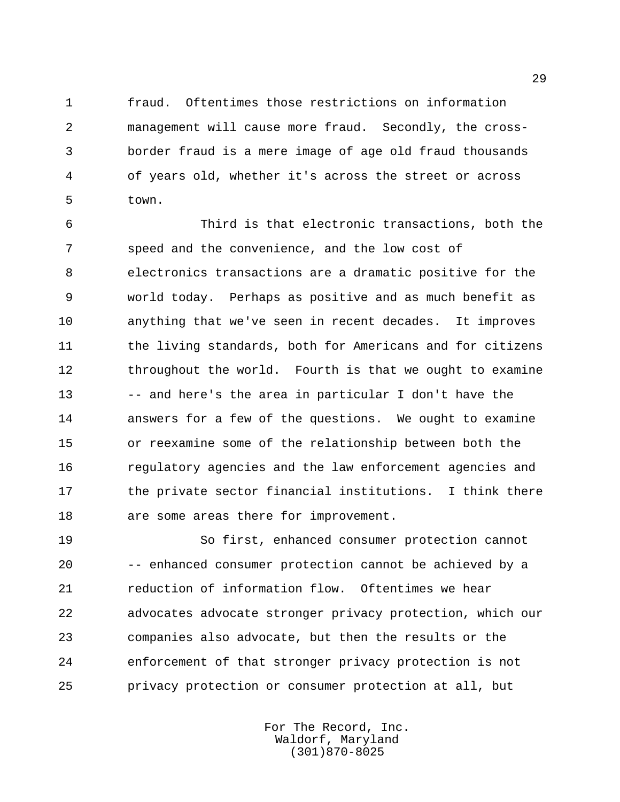fraud. Oftentimes those restrictions on information management will cause more fraud. Secondly, the cross- border fraud is a mere image of age old fraud thousands of years old, whether it's across the street or across town.

 Third is that electronic transactions, both the speed and the convenience, and the low cost of electronics transactions are a dramatic positive for the world today. Perhaps as positive and as much benefit as anything that we've seen in recent decades. It improves 11 the living standards, both for Americans and for citizens 12 throughout the world. Fourth is that we ought to examine -- and here's the area in particular I don't have the answers for a few of the questions. We ought to examine or reexamine some of the relationship between both the regulatory agencies and the law enforcement agencies and the private sector financial institutions. I think there are some areas there for improvement.

 So first, enhanced consumer protection cannot -- enhanced consumer protection cannot be achieved by a reduction of information flow. Oftentimes we hear advocates advocate stronger privacy protection, which our companies also advocate, but then the results or the enforcement of that stronger privacy protection is not privacy protection or consumer protection at all, but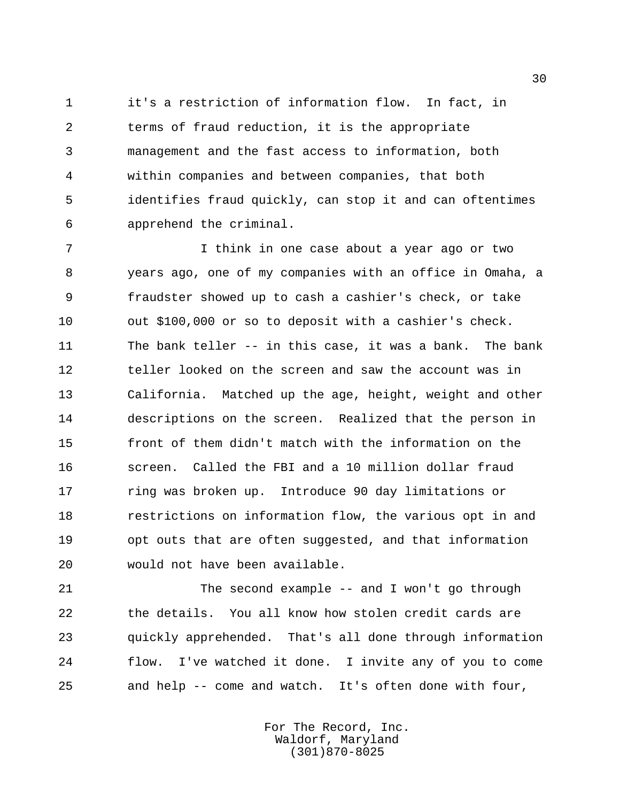it's a restriction of information flow. In fact, in terms of fraud reduction, it is the appropriate management and the fast access to information, both within companies and between companies, that both identifies fraud quickly, can stop it and can oftentimes apprehend the criminal.

 I think in one case about a year ago or two years ago, one of my companies with an office in Omaha, a fraudster showed up to cash a cashier's check, or take out \$100,000 or so to deposit with a cashier's check. The bank teller -- in this case, it was a bank. The bank teller looked on the screen and saw the account was in California. Matched up the age, height, weight and other descriptions on the screen. Realized that the person in front of them didn't match with the information on the screen. Called the FBI and a 10 million dollar fraud ring was broken up. Introduce 90 day limitations or restrictions on information flow, the various opt in and opt outs that are often suggested, and that information would not have been available.

 The second example -- and I won't go through the details. You all know how stolen credit cards are quickly apprehended. That's all done through information flow. I've watched it done. I invite any of you to come and help -- come and watch. It's often done with four,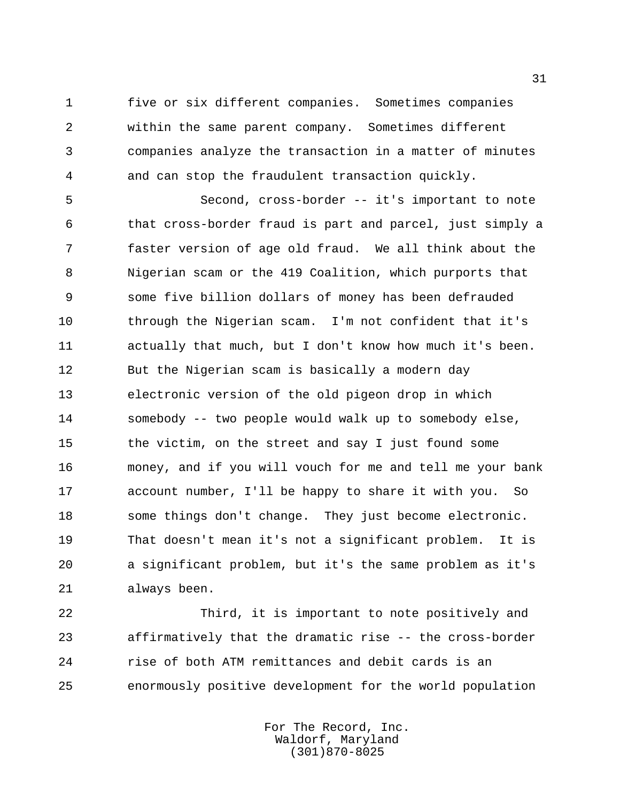five or six different companies. Sometimes companies within the same parent company. Sometimes different companies analyze the transaction in a matter of minutes and can stop the fraudulent transaction quickly.

 Second, cross-border -- it's important to note that cross-border fraud is part and parcel, just simply a faster version of age old fraud. We all think about the Nigerian scam or the 419 Coalition, which purports that some five billion dollars of money has been defrauded through the Nigerian scam. I'm not confident that it's actually that much, but I don't know how much it's been. But the Nigerian scam is basically a modern day electronic version of the old pigeon drop in which somebody -- two people would walk up to somebody else, the victim, on the street and say I just found some money, and if you will vouch for me and tell me your bank account number, I'll be happy to share it with you. So some things don't change. They just become electronic. That doesn't mean it's not a significant problem. It is a significant problem, but it's the same problem as it's always been.

 Third, it is important to note positively and affirmatively that the dramatic rise -- the cross-border rise of both ATM remittances and debit cards is an enormously positive development for the world population

> For The Record, Inc. Waldorf, Maryland (301)870-8025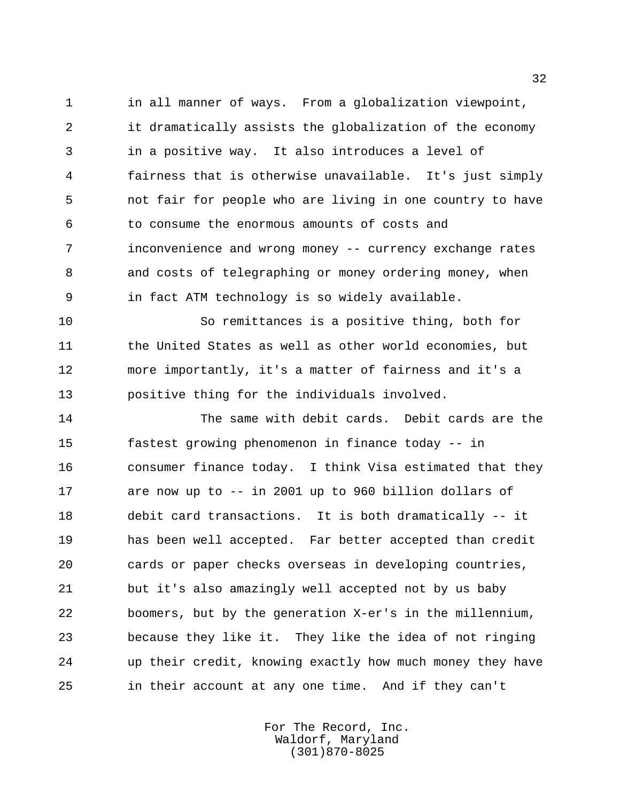in all manner of ways. From a globalization viewpoint, it dramatically assists the globalization of the economy in a positive way. It also introduces a level of fairness that is otherwise unavailable. It's just simply not fair for people who are living in one country to have to consume the enormous amounts of costs and inconvenience and wrong money -- currency exchange rates and costs of telegraphing or money ordering money, when in fact ATM technology is so widely available.

 So remittances is a positive thing, both for 11 the United States as well as other world economies, but more importantly, it's a matter of fairness and it's a positive thing for the individuals involved.

 The same with debit cards. Debit cards are the fastest growing phenomenon in finance today -- in consumer finance today. I think Visa estimated that they are now up to -- in 2001 up to 960 billion dollars of debit card transactions. It is both dramatically -- it has been well accepted. Far better accepted than credit cards or paper checks overseas in developing countries, but it's also amazingly well accepted not by us baby boomers, but by the generation X-er's in the millennium, because they like it. They like the idea of not ringing up their credit, knowing exactly how much money they have in their account at any one time. And if they can't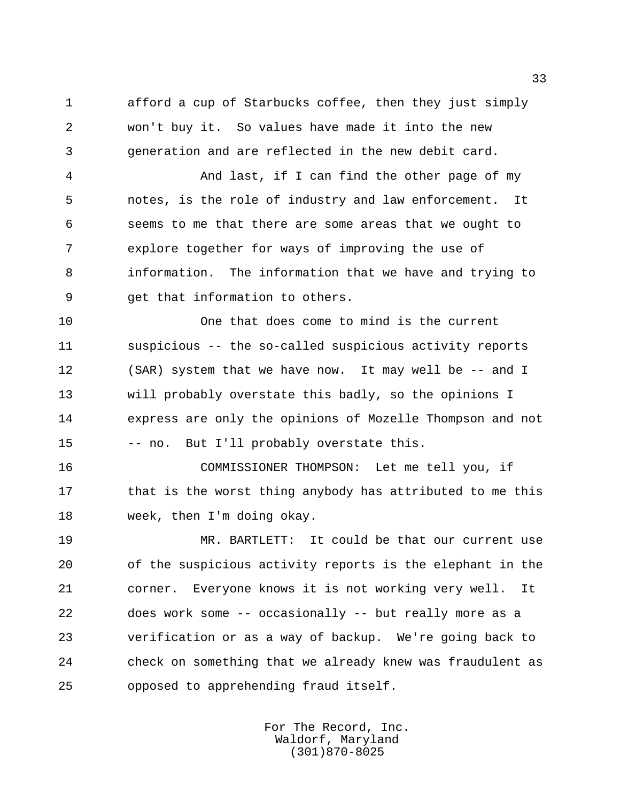afford a cup of Starbucks coffee, then they just simply won't buy it. So values have made it into the new generation and are reflected in the new debit card.

 And last, if I can find the other page of my notes, is the role of industry and law enforcement. It seems to me that there are some areas that we ought to explore together for ways of improving the use of information. The information that we have and trying to get that information to others.

 One that does come to mind is the current suspicious -- the so-called suspicious activity reports (SAR) system that we have now. It may well be -- and I will probably overstate this badly, so the opinions I express are only the opinions of Mozelle Thompson and not -- no. But I'll probably overstate this.

 COMMISSIONER THOMPSON: Let me tell you, if 17 that is the worst thing anybody has attributed to me this week, then I'm doing okay.

 MR. BARTLETT: It could be that our current use of the suspicious activity reports is the elephant in the corner. Everyone knows it is not working very well. It does work some -- occasionally -- but really more as a verification or as a way of backup. We're going back to check on something that we already knew was fraudulent as opposed to apprehending fraud itself.

> For The Record, Inc. Waldorf, Maryland (301)870-8025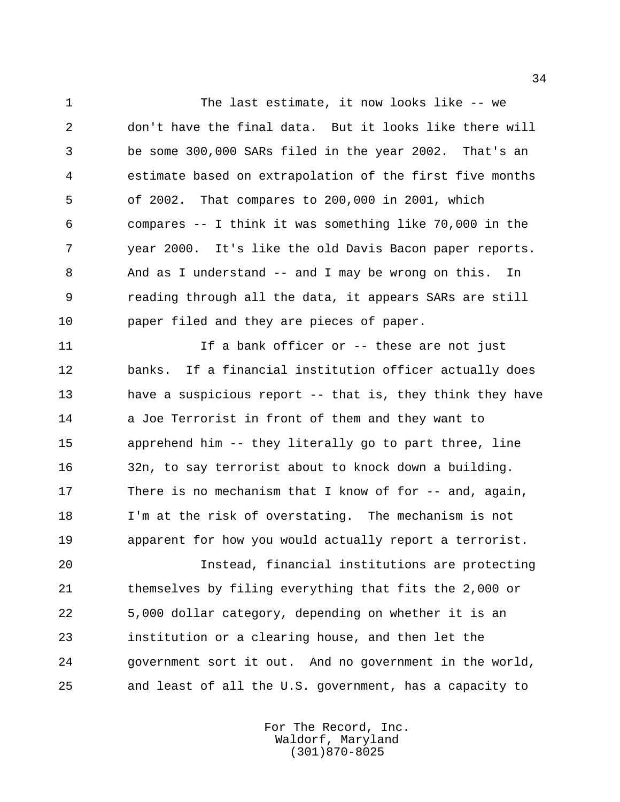The last estimate, it now looks like -- we don't have the final data. But it looks like there will be some 300,000 SARs filed in the year 2002. That's an estimate based on extrapolation of the first five months of 2002. That compares to 200,000 in 2001, which compares -- I think it was something like 70,000 in the year 2000. It's like the old Davis Bacon paper reports. And as I understand -- and I may be wrong on this. In reading through all the data, it appears SARs are still paper filed and they are pieces of paper.

11 11 If a bank officer or -- these are not just banks. If a financial institution officer actually does have a suspicious report -- that is, they think they have a Joe Terrorist in front of them and they want to apprehend him -- they literally go to part three, line 32n, to say terrorist about to knock down a building. There is no mechanism that I know of for -- and, again, I'm at the risk of overstating. The mechanism is not apparent for how you would actually report a terrorist.

 Instead, financial institutions are protecting themselves by filing everything that fits the 2,000 or 5,000 dollar category, depending on whether it is an institution or a clearing house, and then let the government sort it out. And no government in the world, and least of all the U.S. government, has a capacity to

> For The Record, Inc. Waldorf, Maryland (301)870-8025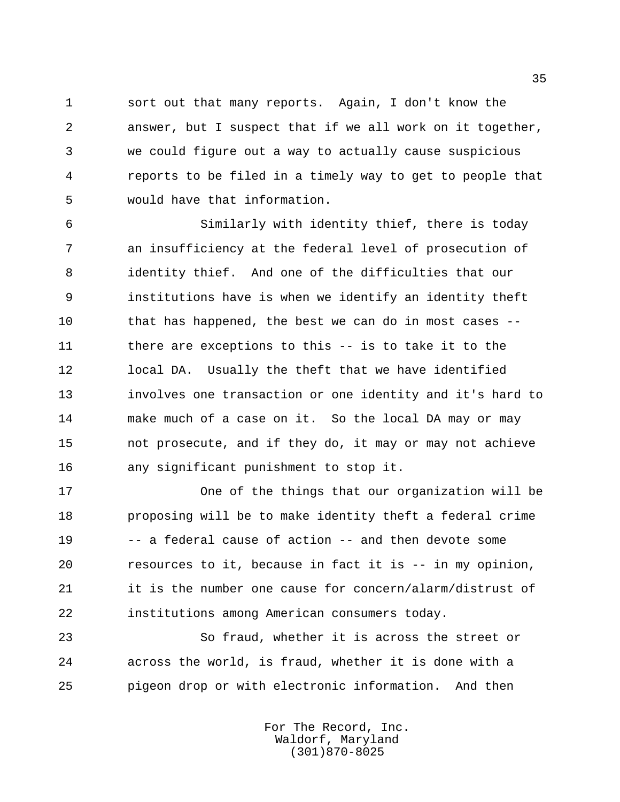sort out that many reports. Again, I don't know the answer, but I suspect that if we all work on it together, we could figure out a way to actually cause suspicious reports to be filed in a timely way to get to people that would have that information.

 Similarly with identity thief, there is today an insufficiency at the federal level of prosecution of identity thief. And one of the difficulties that our institutions have is when we identify an identity theft that has happened, the best we can do in most cases -- there are exceptions to this -- is to take it to the local DA. Usually the theft that we have identified involves one transaction or one identity and it's hard to make much of a case on it. So the local DA may or may not prosecute, and if they do, it may or may not achieve any significant punishment to stop it.

 One of the things that our organization will be proposing will be to make identity theft a federal crime -- a federal cause of action -- and then devote some resources to it, because in fact it is -- in my opinion, it is the number one cause for concern/alarm/distrust of institutions among American consumers today.

 So fraud, whether it is across the street or across the world, is fraud, whether it is done with a pigeon drop or with electronic information. And then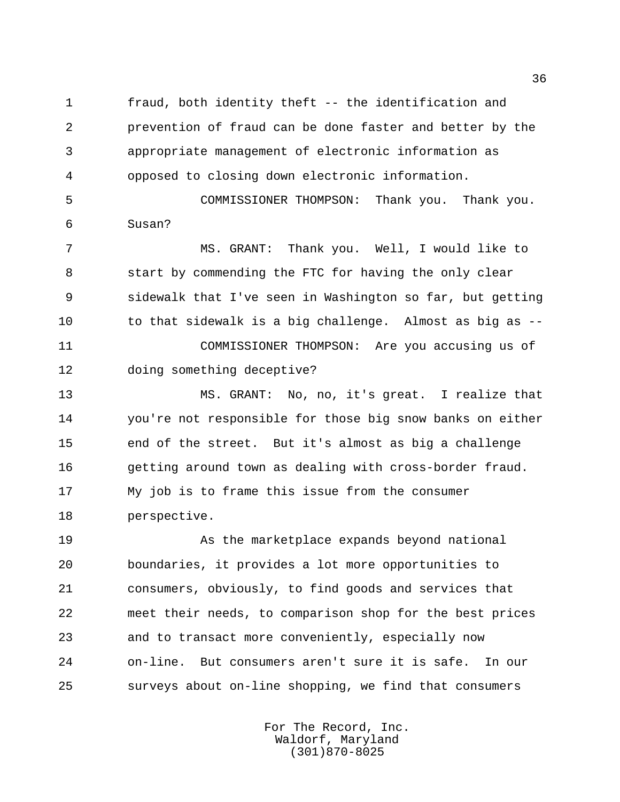fraud, both identity theft -- the identification and prevention of fraud can be done faster and better by the appropriate management of electronic information as opposed to closing down electronic information.

 COMMISSIONER THOMPSON: Thank you. Thank you. Susan?

 MS. GRANT: Thank you. Well, I would like to start by commending the FTC for having the only clear sidewalk that I've seen in Washington so far, but getting to that sidewalk is a big challenge. Almost as big as -- COMMISSIONER THOMPSON: Are you accusing us of doing something deceptive?

 MS. GRANT: No, no, it's great. I realize that you're not responsible for those big snow banks on either end of the street. But it's almost as big a challenge getting around town as dealing with cross-border fraud. My job is to frame this issue from the consumer perspective.

 As the marketplace expands beyond national boundaries, it provides a lot more opportunities to consumers, obviously, to find goods and services that meet their needs, to comparison shop for the best prices and to transact more conveniently, especially now on-line. But consumers aren't sure it is safe. In our surveys about on-line shopping, we find that consumers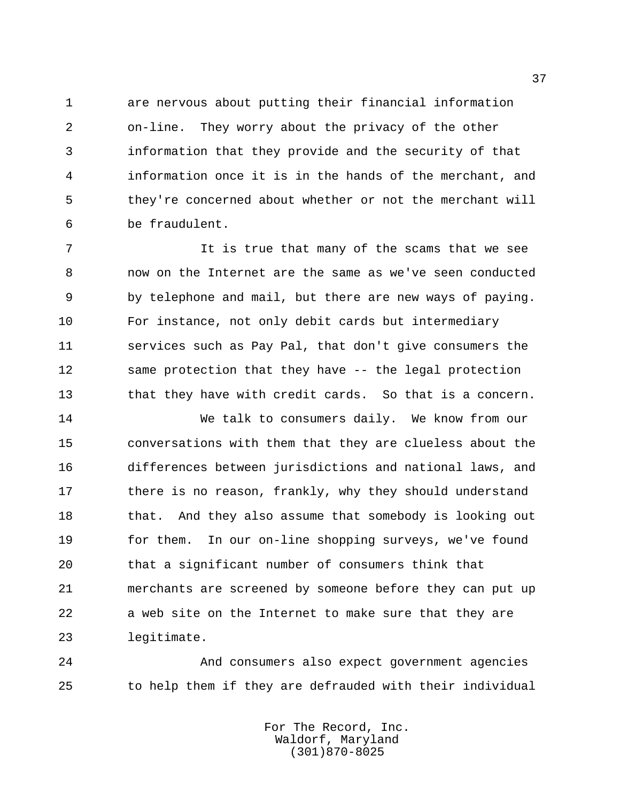are nervous about putting their financial information on-line. They worry about the privacy of the other information that they provide and the security of that information once it is in the hands of the merchant, and they're concerned about whether or not the merchant will be fraudulent.

 It is true that many of the scams that we see now on the Internet are the same as we've seen conducted by telephone and mail, but there are new ways of paying. For instance, not only debit cards but intermediary services such as Pay Pal, that don't give consumers the 12 same protection that they have -- the legal protection that they have with credit cards. So that is a concern.

 We talk to consumers daily. We know from our conversations with them that they are clueless about the differences between jurisdictions and national laws, and 17 there is no reason, frankly, why they should understand 18 that. And they also assume that somebody is looking out for them. In our on-line shopping surveys, we've found that a significant number of consumers think that merchants are screened by someone before they can put up a web site on the Internet to make sure that they are legitimate.

 And consumers also expect government agencies to help them if they are defrauded with their individual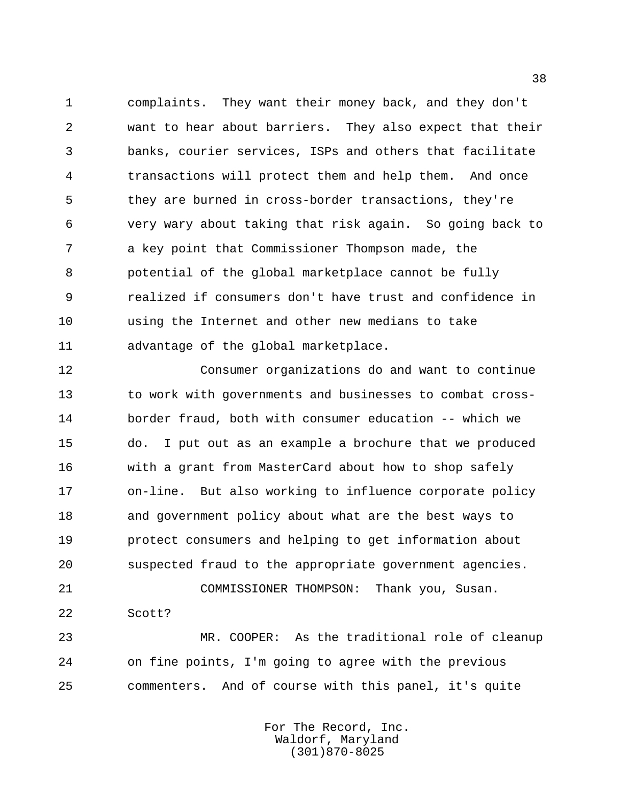complaints. They want their money back, and they don't want to hear about barriers. They also expect that their banks, courier services, ISPs and others that facilitate transactions will protect them and help them. And once they are burned in cross-border transactions, they're very wary about taking that risk again. So going back to a key point that Commissioner Thompson made, the potential of the global marketplace cannot be fully realized if consumers don't have trust and confidence in using the Internet and other new medians to take advantage of the global marketplace.

 Consumer organizations do and want to continue to work with governments and businesses to combat cross- border fraud, both with consumer education -- which we do. I put out as an example a brochure that we produced with a grant from MasterCard about how to shop safely on-line. But also working to influence corporate policy and government policy about what are the best ways to protect consumers and helping to get information about suspected fraud to the appropriate government agencies. COMMISSIONER THOMPSON: Thank you, Susan.

Scott?

 MR. COOPER: As the traditional role of cleanup on fine points, I'm going to agree with the previous commenters. And of course with this panel, it's quite

> For The Record, Inc. Waldorf, Maryland (301)870-8025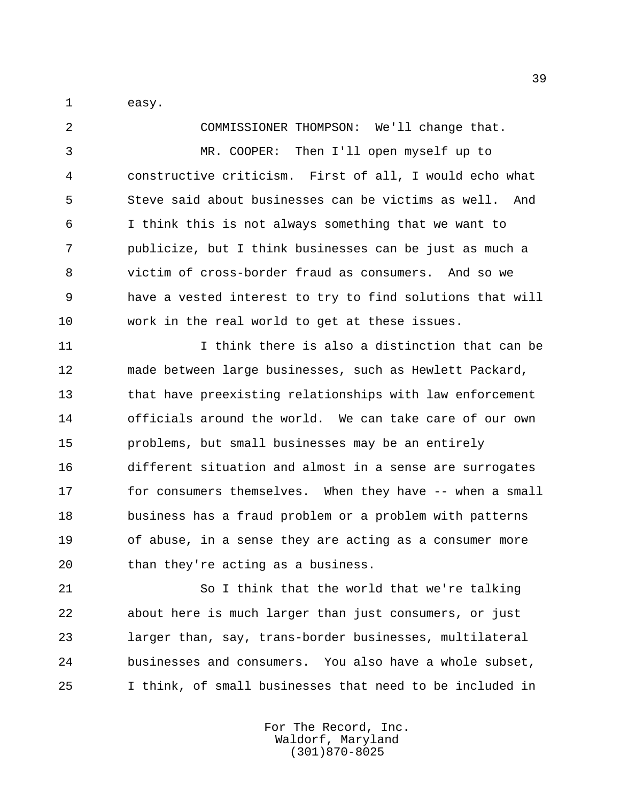easy.

 COMMISSIONER THOMPSON: We'll change that. MR. COOPER: Then I'll open myself up to constructive criticism. First of all, I would echo what Steve said about businesses can be victims as well. And I think this is not always something that we want to publicize, but I think businesses can be just as much a victim of cross-border fraud as consumers. And so we have a vested interest to try to find solutions that will work in the real world to get at these issues.

 I think there is also a distinction that can be made between large businesses, such as Hewlett Packard, that have preexisting relationships with law enforcement officials around the world. We can take care of our own problems, but small businesses may be an entirely different situation and almost in a sense are surrogates 17 for consumers themselves. When they have -- when a small business has a fraud problem or a problem with patterns of abuse, in a sense they are acting as a consumer more than they're acting as a business.

 So I think that the world that we're talking about here is much larger than just consumers, or just larger than, say, trans-border businesses, multilateral businesses and consumers. You also have a whole subset, I think, of small businesses that need to be included in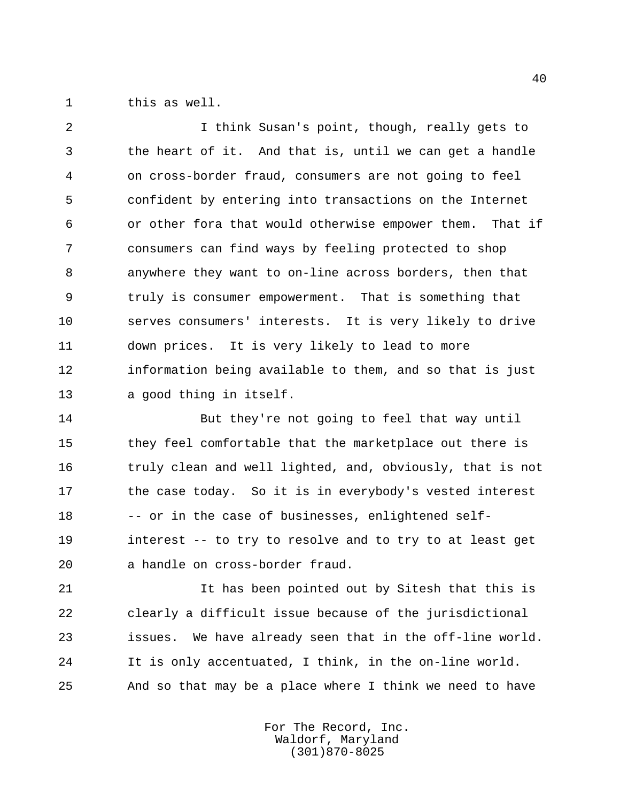this as well.

 I think Susan's point, though, really gets to the heart of it. And that is, until we can get a handle on cross-border fraud, consumers are not going to feel confident by entering into transactions on the Internet or other fora that would otherwise empower them. That if consumers can find ways by feeling protected to shop anywhere they want to on-line across borders, then that truly is consumer empowerment. That is something that serves consumers' interests. It is very likely to drive down prices. It is very likely to lead to more information being available to them, and so that is just a good thing in itself.

 But they're not going to feel that way until they feel comfortable that the marketplace out there is truly clean and well lighted, and, obviously, that is not 17 the case today. So it is in everybody's vested interest 18 -- or in the case of businesses, enlightened self- interest -- to try to resolve and to try to at least get a handle on cross-border fraud.

 It has been pointed out by Sitesh that this is clearly a difficult issue because of the jurisdictional issues. We have already seen that in the off-line world. It is only accentuated, I think, in the on-line world. And so that may be a place where I think we need to have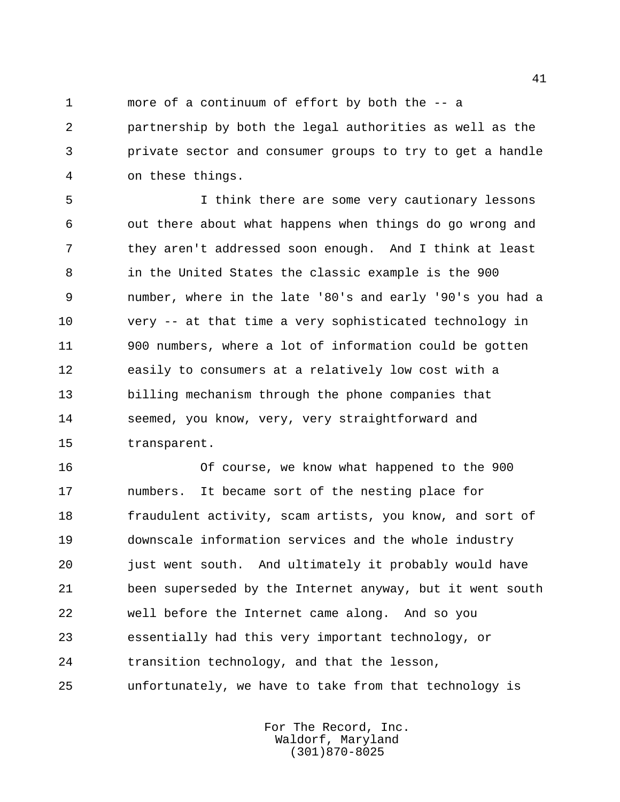more of a continuum of effort by both the -- a partnership by both the legal authorities as well as the private sector and consumer groups to try to get a handle on these things.

 I think there are some very cautionary lessons out there about what happens when things do go wrong and they aren't addressed soon enough. And I think at least in the United States the classic example is the 900 number, where in the late '80's and early '90's you had a very -- at that time a very sophisticated technology in 900 numbers, where a lot of information could be gotten easily to consumers at a relatively low cost with a billing mechanism through the phone companies that seemed, you know, very, very straightforward and transparent.

 Of course, we know what happened to the 900 numbers. It became sort of the nesting place for fraudulent activity, scam artists, you know, and sort of downscale information services and the whole industry just went south. And ultimately it probably would have been superseded by the Internet anyway, but it went south well before the Internet came along. And so you essentially had this very important technology, or transition technology, and that the lesson, unfortunately, we have to take from that technology is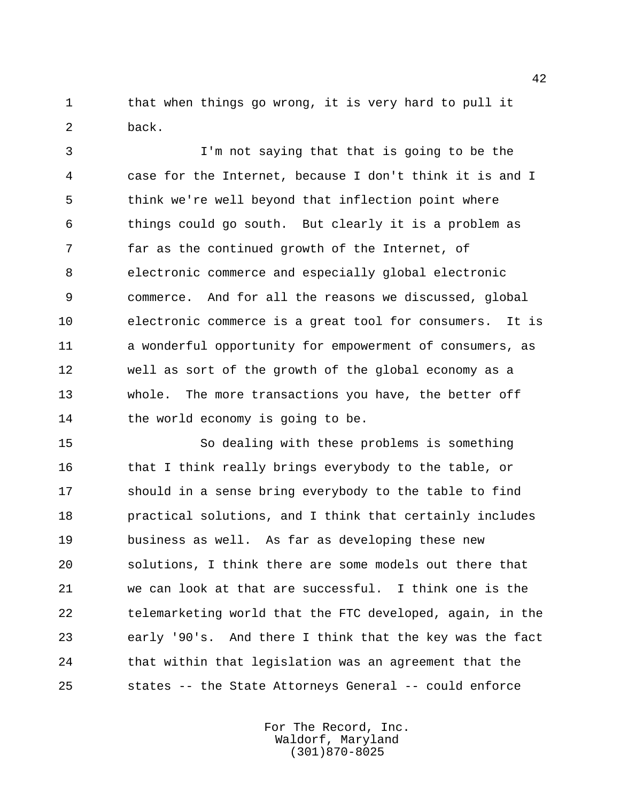1 that when things go wrong, it is very hard to pull it back.

 I'm not saying that that is going to be the case for the Internet, because I don't think it is and I think we're well beyond that inflection point where things could go south. But clearly it is a problem as far as the continued growth of the Internet, of electronic commerce and especially global electronic commerce. And for all the reasons we discussed, global electronic commerce is a great tool for consumers. It is a wonderful opportunity for empowerment of consumers, as well as sort of the growth of the global economy as a whole. The more transactions you have, the better off 14 the world economy is going to be.

 So dealing with these problems is something 16 that I think really brings everybody to the table, or should in a sense bring everybody to the table to find practical solutions, and I think that certainly includes business as well. As far as developing these new solutions, I think there are some models out there that we can look at that are successful. I think one is the telemarketing world that the FTC developed, again, in the early '90's. And there I think that the key was the fact that within that legislation was an agreement that the states -- the State Attorneys General -- could enforce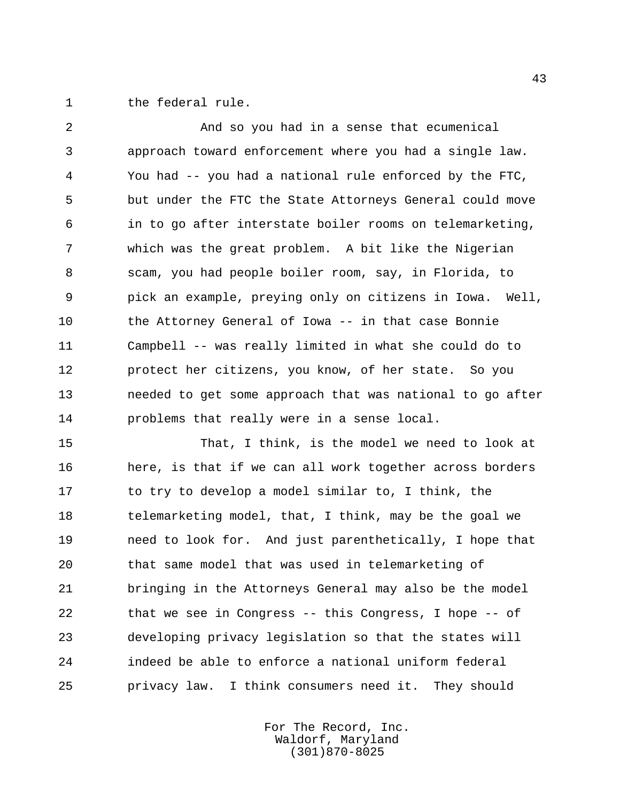the federal rule.

 And so you had in a sense that ecumenical approach toward enforcement where you had a single law. You had -- you had a national rule enforced by the FTC, but under the FTC the State Attorneys General could move in to go after interstate boiler rooms on telemarketing, which was the great problem. A bit like the Nigerian scam, you had people boiler room, say, in Florida, to pick an example, preying only on citizens in Iowa. Well, the Attorney General of Iowa -- in that case Bonnie Campbell -- was really limited in what she could do to protect her citizens, you know, of her state. So you needed to get some approach that was national to go after problems that really were in a sense local.

 That, I think, is the model we need to look at here, is that if we can all work together across borders 17 to try to develop a model similar to, I think, the telemarketing model, that, I think, may be the goal we need to look for. And just parenthetically, I hope that that same model that was used in telemarketing of bringing in the Attorneys General may also be the model that we see in Congress -- this Congress, I hope -- of developing privacy legislation so that the states will indeed be able to enforce a national uniform federal privacy law. I think consumers need it. They should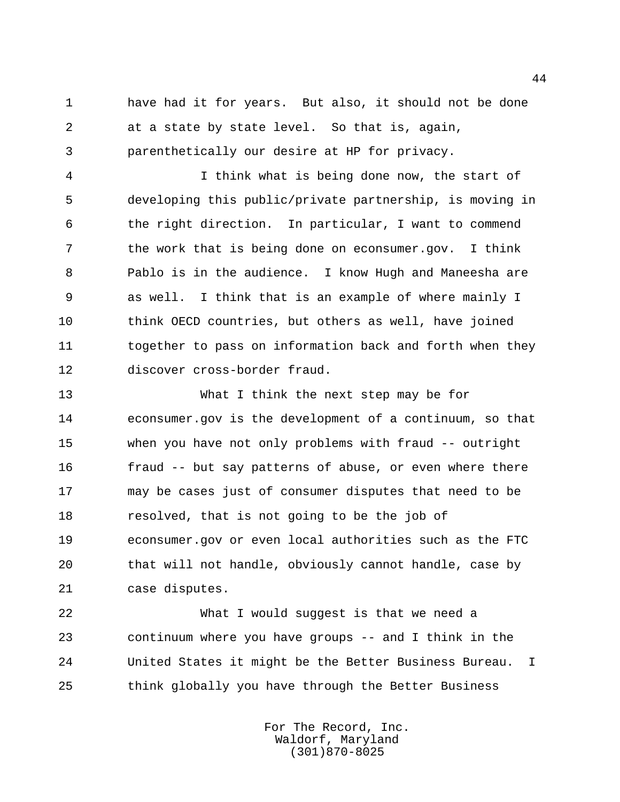have had it for years. But also, it should not be done at a state by state level. So that is, again, parenthetically our desire at HP for privacy.

 I think what is being done now, the start of developing this public/private partnership, is moving in the right direction. In particular, I want to commend the work that is being done on econsumer.gov. I think Pablo is in the audience. I know Hugh and Maneesha are as well. I think that is an example of where mainly I think OECD countries, but others as well, have joined together to pass on information back and forth when they discover cross-border fraud.

 What I think the next step may be for econsumer.gov is the development of a continuum, so that when you have not only problems with fraud -- outright fraud -- but say patterns of abuse, or even where there may be cases just of consumer disputes that need to be resolved, that is not going to be the job of econsumer.gov or even local authorities such as the FTC that will not handle, obviously cannot handle, case by case disputes.

 What I would suggest is that we need a continuum where you have groups -- and I think in the United States it might be the Better Business Bureau. I think globally you have through the Better Business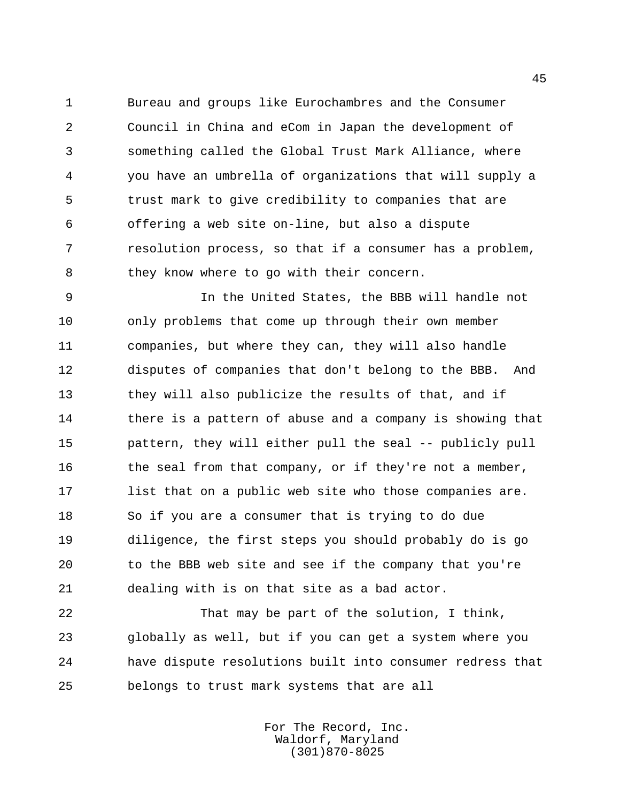Bureau and groups like Eurochambres and the Consumer Council in China and eCom in Japan the development of something called the Global Trust Mark Alliance, where you have an umbrella of organizations that will supply a trust mark to give credibility to companies that are offering a web site on-line, but also a dispute resolution process, so that if a consumer has a problem, 8 they know where to go with their concern.

 In the United States, the BBB will handle not only problems that come up through their own member companies, but where they can, they will also handle disputes of companies that don't belong to the BBB. And they will also publicize the results of that, and if 14 there is a pattern of abuse and a company is showing that pattern, they will either pull the seal -- publicly pull 16 the seal from that company, or if they're not a member, list that on a public web site who those companies are. So if you are a consumer that is trying to do due diligence, the first steps you should probably do is go to the BBB web site and see if the company that you're dealing with is on that site as a bad actor.

 That may be part of the solution, I think, globally as well, but if you can get a system where you have dispute resolutions built into consumer redress that belongs to trust mark systems that are all

> For The Record, Inc. Waldorf, Maryland (301)870-8025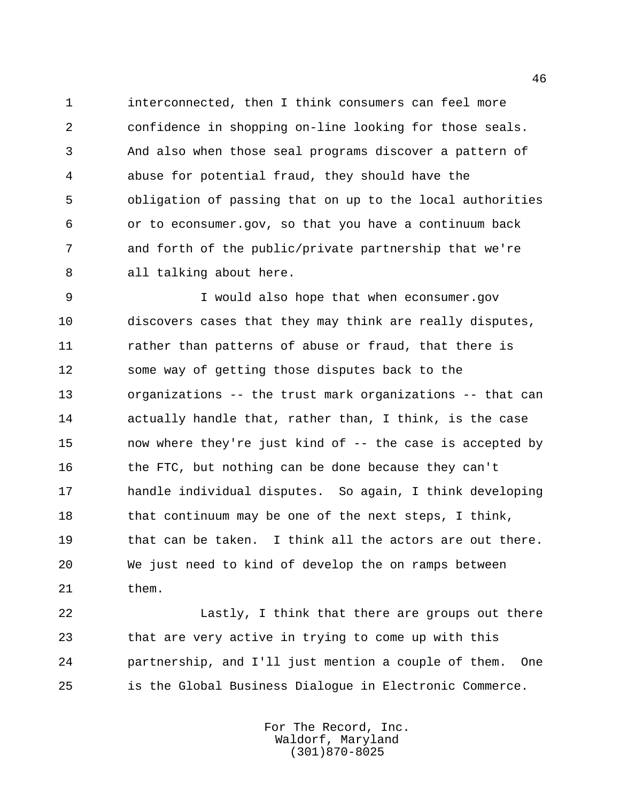interconnected, then I think consumers can feel more confidence in shopping on-line looking for those seals. And also when those seal programs discover a pattern of abuse for potential fraud, they should have the obligation of passing that on up to the local authorities or to econsumer.gov, so that you have a continuum back and forth of the public/private partnership that we're all talking about here.

 I would also hope that when econsumer.gov discovers cases that they may think are really disputes, 11 rather than patterns of abuse or fraud, that there is some way of getting those disputes back to the organizations -- the trust mark organizations -- that can actually handle that, rather than, I think, is the case now where they're just kind of -- the case is accepted by 16 the FTC, but nothing can be done because they can't handle individual disputes. So again, I think developing 18 that continuum may be one of the next steps, I think, 19 that can be taken. I think all the actors are out there. We just need to kind of develop the on ramps between them.

 Lastly, I think that there are groups out there that are very active in trying to come up with this partnership, and I'll just mention a couple of them. One is the Global Business Dialogue in Electronic Commerce.

> For The Record, Inc. Waldorf, Maryland (301)870-8025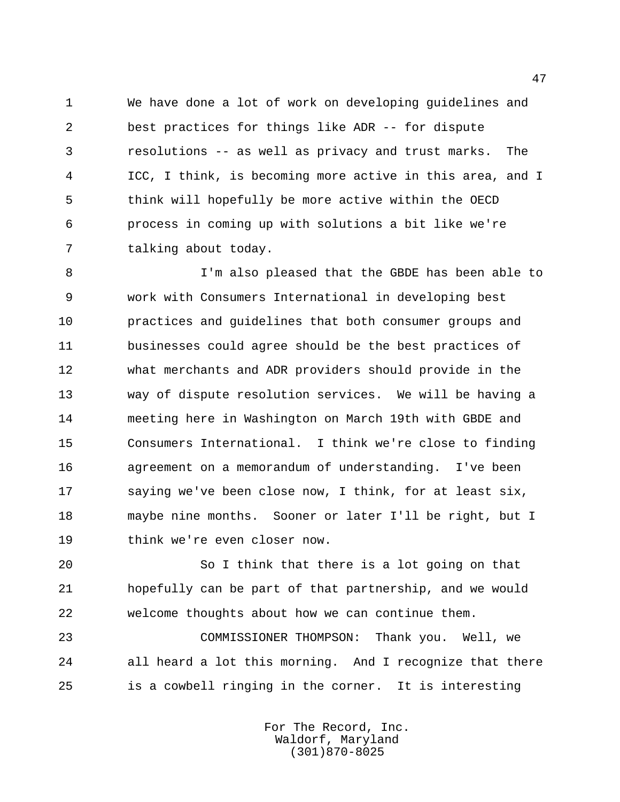We have done a lot of work on developing guidelines and best practices for things like ADR -- for dispute resolutions -- as well as privacy and trust marks. The ICC, I think, is becoming more active in this area, and I think will hopefully be more active within the OECD process in coming up with solutions a bit like we're talking about today.

 I'm also pleased that the GBDE has been able to work with Consumers International in developing best practices and guidelines that both consumer groups and businesses could agree should be the best practices of what merchants and ADR providers should provide in the way of dispute resolution services. We will be having a meeting here in Washington on March 19th with GBDE and Consumers International. I think we're close to finding agreement on a memorandum of understanding. I've been saying we've been close now, I think, for at least six, maybe nine months. Sooner or later I'll be right, but I think we're even closer now.

 So I think that there is a lot going on that hopefully can be part of that partnership, and we would welcome thoughts about how we can continue them.

 COMMISSIONER THOMPSON: Thank you. Well, we all heard a lot this morning. And I recognize that there is a cowbell ringing in the corner. It is interesting

> For The Record, Inc. Waldorf, Maryland (301)870-8025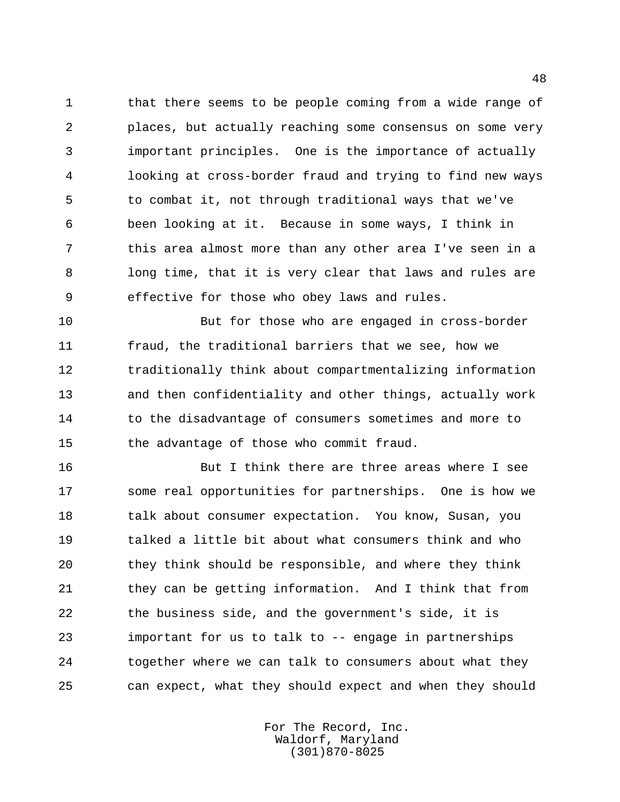that there seems to be people coming from a wide range of places, but actually reaching some consensus on some very important principles. One is the importance of actually looking at cross-border fraud and trying to find new ways to combat it, not through traditional ways that we've been looking at it. Because in some ways, I think in this area almost more than any other area I've seen in a long time, that it is very clear that laws and rules are effective for those who obey laws and rules.

 But for those who are engaged in cross-border fraud, the traditional barriers that we see, how we traditionally think about compartmentalizing information and then confidentiality and other things, actually work 14 to the disadvantage of consumers sometimes and more to the advantage of those who commit fraud.

 But I think there are three areas where I see some real opportunities for partnerships. One is how we talk about consumer expectation. You know, Susan, you talked a little bit about what consumers think and who they think should be responsible, and where they think 21 they can be getting information. And I think that from the business side, and the government's side, it is important for us to talk to -- engage in partnerships together where we can talk to consumers about what they can expect, what they should expect and when they should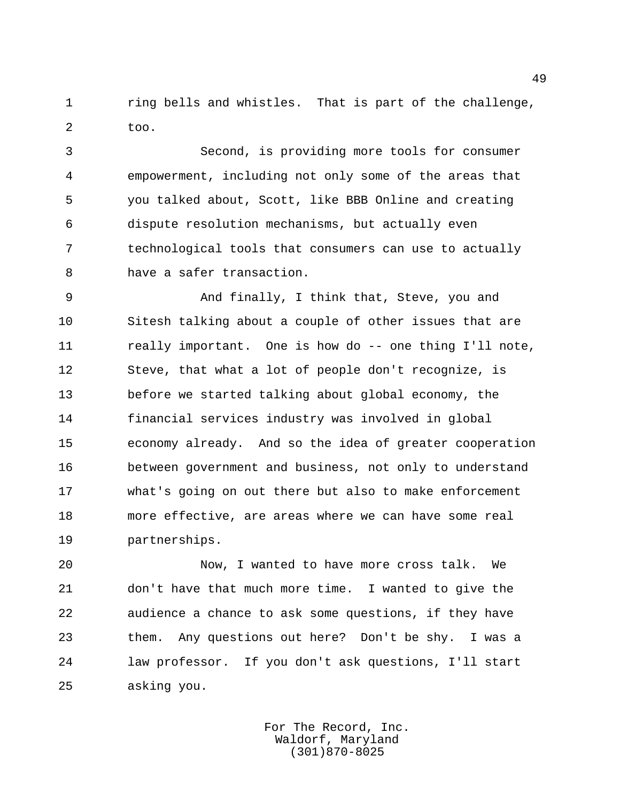ring bells and whistles. That is part of the challenge, too.

 Second, is providing more tools for consumer empowerment, including not only some of the areas that you talked about, Scott, like BBB Online and creating dispute resolution mechanisms, but actually even technological tools that consumers can use to actually have a safer transaction.

 And finally, I think that, Steve, you and Sitesh talking about a couple of other issues that are 11 really important. One is how do -- one thing I'll note, Steve, that what a lot of people don't recognize, is before we started talking about global economy, the financial services industry was involved in global economy already. And so the idea of greater cooperation between government and business, not only to understand what's going on out there but also to make enforcement more effective, are areas where we can have some real partnerships.

 Now, I wanted to have more cross talk. We don't have that much more time. I wanted to give the audience a chance to ask some questions, if they have them. Any questions out here? Don't be shy. I was a law professor. If you don't ask questions, I'll start asking you.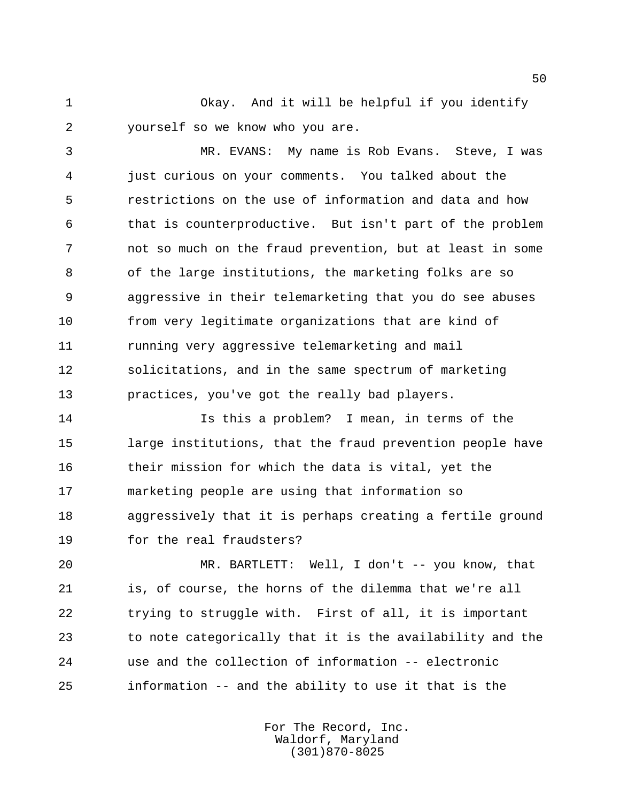Okay. And it will be helpful if you identify yourself so we know who you are.

 MR. EVANS: My name is Rob Evans. Steve, I was just curious on your comments. You talked about the restrictions on the use of information and data and how that is counterproductive. But isn't part of the problem not so much on the fraud prevention, but at least in some of the large institutions, the marketing folks are so aggressive in their telemarketing that you do see abuses from very legitimate organizations that are kind of running very aggressive telemarketing and mail solicitations, and in the same spectrum of marketing practices, you've got the really bad players.

 Is this a problem? I mean, in terms of the large institutions, that the fraud prevention people have their mission for which the data is vital, yet the marketing people are using that information so aggressively that it is perhaps creating a fertile ground for the real fraudsters?

 MR. BARTLETT: Well, I don't -- you know, that is, of course, the horns of the dilemma that we're all trying to struggle with. First of all, it is important to note categorically that it is the availability and the use and the collection of information -- electronic information -- and the ability to use it that is the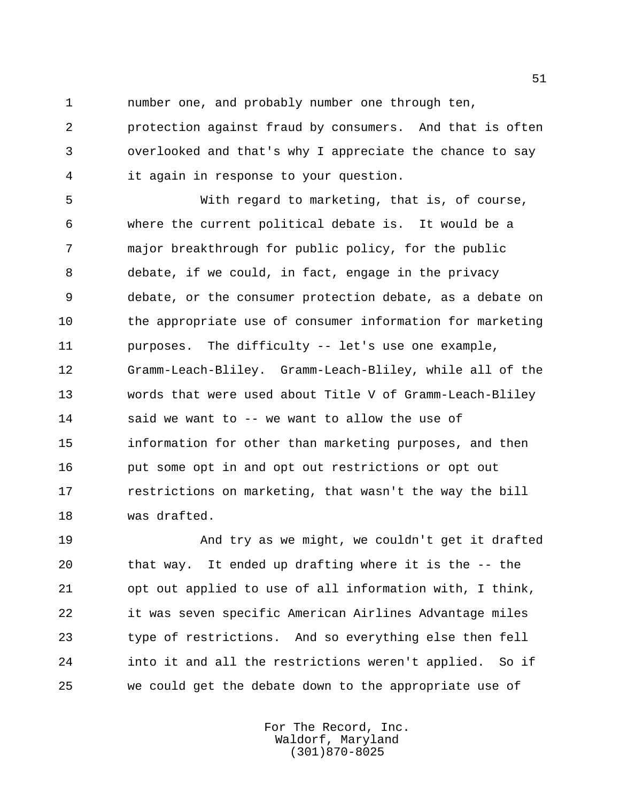number one, and probably number one through ten,

 protection against fraud by consumers. And that is often overlooked and that's why I appreciate the chance to say it again in response to your question.

 With regard to marketing, that is, of course, where the current political debate is. It would be a major breakthrough for public policy, for the public debate, if we could, in fact, engage in the privacy debate, or the consumer protection debate, as a debate on the appropriate use of consumer information for marketing purposes. The difficulty -- let's use one example, Gramm-Leach-Bliley. Gramm-Leach-Bliley, while all of the words that were used about Title V of Gramm-Leach-Bliley said we want to -- we want to allow the use of information for other than marketing purposes, and then put some opt in and opt out restrictions or opt out restrictions on marketing, that wasn't the way the bill was drafted.

 And try as we might, we couldn't get it drafted that way. It ended up drafting where it is the -- the opt out applied to use of all information with, I think, it was seven specific American Airlines Advantage miles type of restrictions. And so everything else then fell into it and all the restrictions weren't applied. So if we could get the debate down to the appropriate use of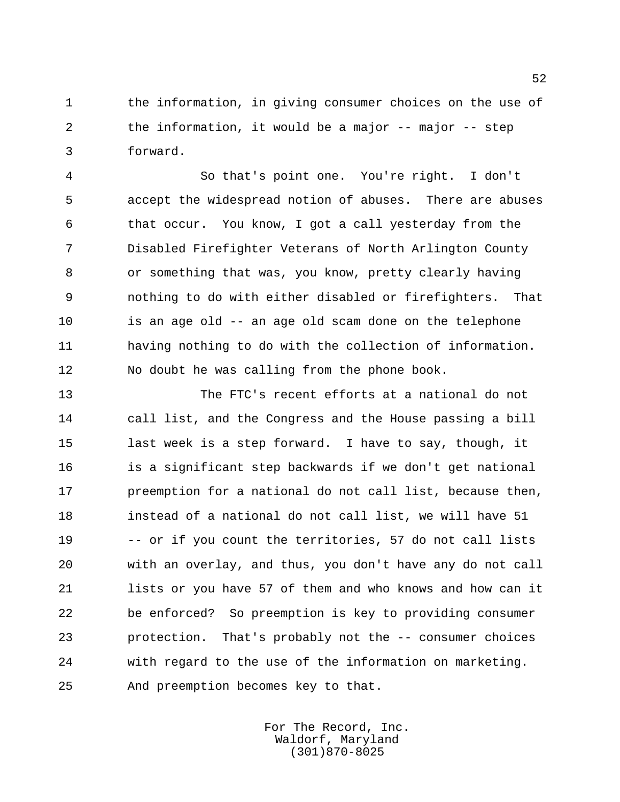the information, in giving consumer choices on the use of the information, it would be a major -- major -- step forward.

 So that's point one. You're right. I don't accept the widespread notion of abuses. There are abuses that occur. You know, I got a call yesterday from the Disabled Firefighter Veterans of North Arlington County or something that was, you know, pretty clearly having nothing to do with either disabled or firefighters. That is an age old -- an age old scam done on the telephone having nothing to do with the collection of information. No doubt he was calling from the phone book.

 The FTC's recent efforts at a national do not call list, and the Congress and the House passing a bill last week is a step forward. I have to say, though, it is a significant step backwards if we don't get national 17 preemption for a national do not call list, because then, instead of a national do not call list, we will have 51 -- or if you count the territories, 57 do not call lists with an overlay, and thus, you don't have any do not call lists or you have 57 of them and who knows and how can it be enforced? So preemption is key to providing consumer protection. That's probably not the -- consumer choices with regard to the use of the information on marketing. And preemption becomes key to that.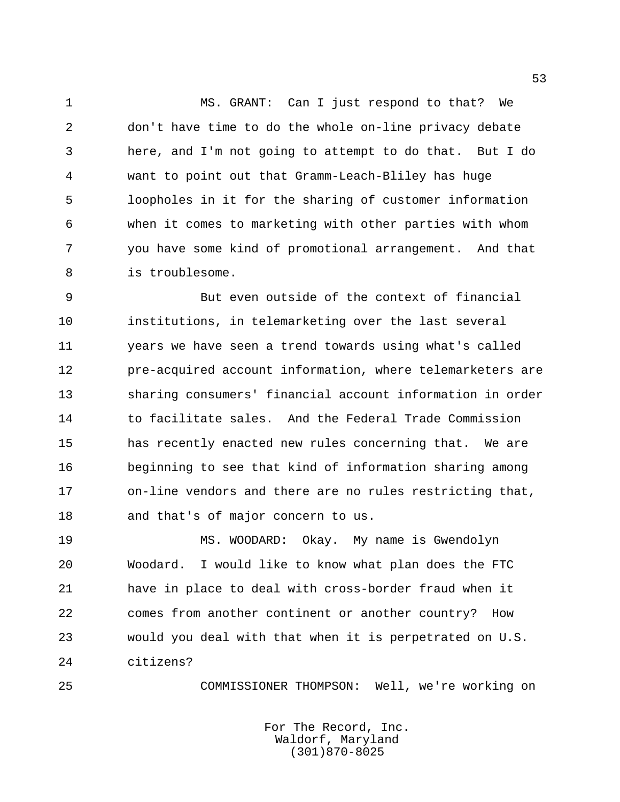MS. GRANT: Can I just respond to that? We don't have time to do the whole on-line privacy debate here, and I'm not going to attempt to do that. But I do want to point out that Gramm-Leach-Bliley has huge loopholes in it for the sharing of customer information when it comes to marketing with other parties with whom you have some kind of promotional arrangement. And that is troublesome.

 But even outside of the context of financial institutions, in telemarketing over the last several years we have seen a trend towards using what's called pre-acquired account information, where telemarketers are sharing consumers' financial account information in order 14 to facilitate sales. And the Federal Trade Commission has recently enacted new rules concerning that. We are beginning to see that kind of information sharing among on-line vendors and there are no rules restricting that, and that's of major concern to us.

 MS. WOODARD: Okay. My name is Gwendolyn Woodard. I would like to know what plan does the FTC have in place to deal with cross-border fraud when it comes from another continent or another country? How would you deal with that when it is perpetrated on U.S. citizens?

COMMISSIONER THOMPSON: Well, we're working on

For The Record, Inc. Waldorf, Maryland (301)870-8025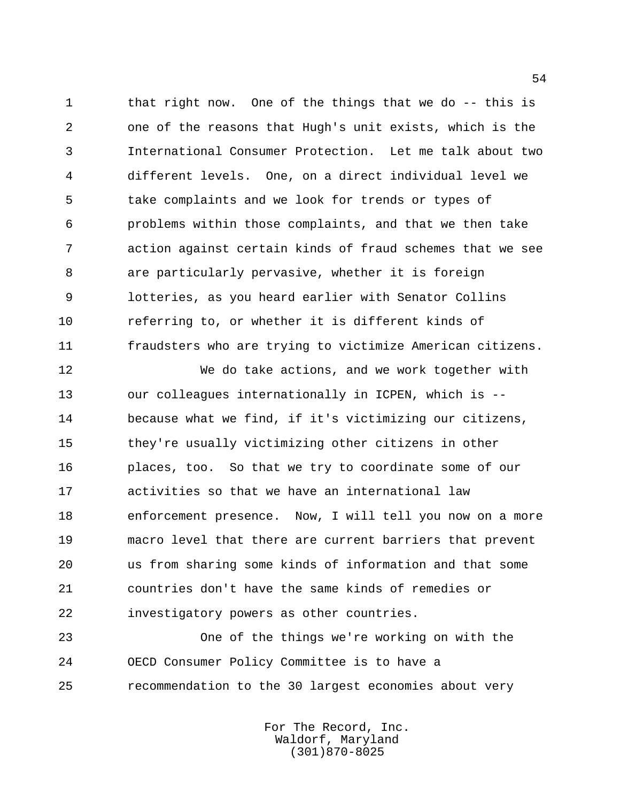that right now. One of the things that we do -- this is one of the reasons that Hugh's unit exists, which is the International Consumer Protection. Let me talk about two different levels. One, on a direct individual level we take complaints and we look for trends or types of problems within those complaints, and that we then take action against certain kinds of fraud schemes that we see are particularly pervasive, whether it is foreign lotteries, as you heard earlier with Senator Collins referring to, or whether it is different kinds of fraudsters who are trying to victimize American citizens.

 We do take actions, and we work together with our colleagues internationally in ICPEN, which is -- because what we find, if it's victimizing our citizens, they're usually victimizing other citizens in other places, too. So that we try to coordinate some of our activities so that we have an international law enforcement presence. Now, I will tell you now on a more macro level that there are current barriers that prevent us from sharing some kinds of information and that some countries don't have the same kinds of remedies or investigatory powers as other countries.

 One of the things we're working on with the OECD Consumer Policy Committee is to have a recommendation to the 30 largest economies about very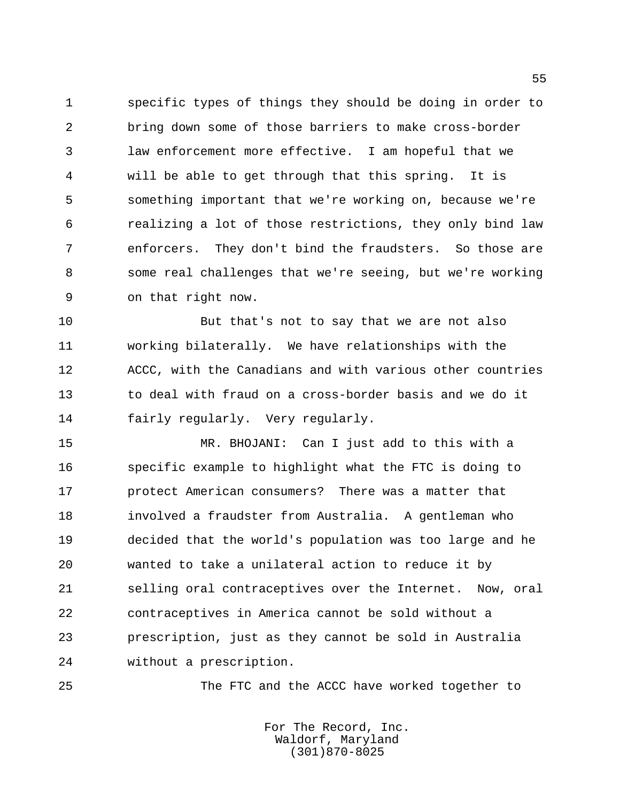specific types of things they should be doing in order to bring down some of those barriers to make cross-border law enforcement more effective. I am hopeful that we will be able to get through that this spring. It is something important that we're working on, because we're realizing a lot of those restrictions, they only bind law enforcers. They don't bind the fraudsters. So those are some real challenges that we're seeing, but we're working on that right now.

 But that's not to say that we are not also working bilaterally. We have relationships with the ACCC, with the Canadians and with various other countries to deal with fraud on a cross-border basis and we do it fairly regularly. Very regularly.

 MR. BHOJANI: Can I just add to this with a specific example to highlight what the FTC is doing to protect American consumers? There was a matter that involved a fraudster from Australia. A gentleman who decided that the world's population was too large and he wanted to take a unilateral action to reduce it by selling oral contraceptives over the Internet. Now, oral contraceptives in America cannot be sold without a prescription, just as they cannot be sold in Australia without a prescription.

The FTC and the ACCC have worked together to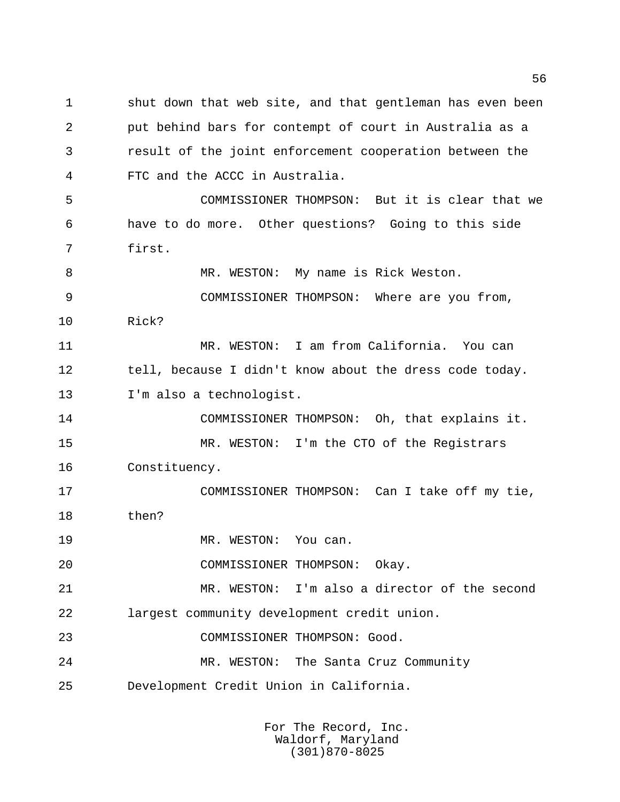shut down that web site, and that gentleman has even been put behind bars for contempt of court in Australia as a result of the joint enforcement cooperation between the FTC and the ACCC in Australia. COMMISSIONER THOMPSON: But it is clear that we have to do more. Other questions? Going to this side first. MR. WESTON: My name is Rick Weston. COMMISSIONER THOMPSON: Where are you from, Rick? MR. WESTON: I am from California. You can 12 tell, because I didn't know about the dress code today. I'm also a technologist. COMMISSIONER THOMPSON: Oh, that explains it. MR. WESTON: I'm the CTO of the Registrars Constituency. COMMISSIONER THOMPSON: Can I take off my tie, then? 19 MR. WESTON: You can. COMMISSIONER THOMPSON: Okay. MR. WESTON: I'm also a director of the second largest community development credit union. COMMISSIONER THOMPSON: Good. MR. WESTON: The Santa Cruz Community Development Credit Union in California.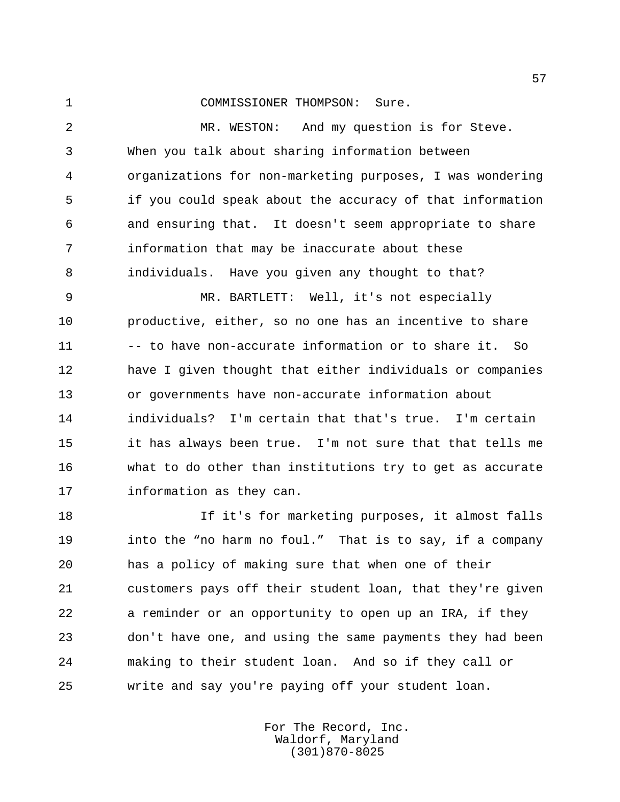COMMISSIONER THOMPSON: Sure.

 MR. WESTON: And my question is for Steve. When you talk about sharing information between organizations for non-marketing purposes, I was wondering if you could speak about the accuracy of that information and ensuring that. It doesn't seem appropriate to share information that may be inaccurate about these individuals. Have you given any thought to that?

 MR. BARTLETT: Well, it's not especially productive, either, so no one has an incentive to share 11 -- to have non-accurate information or to share it. So have I given thought that either individuals or companies or governments have non-accurate information about individuals? I'm certain that that's true. I'm certain it has always been true. I'm not sure that that tells me what to do other than institutions try to get as accurate information as they can.

 If it's for marketing purposes, it almost falls into the "no harm no foul." That is to say, if a company has a policy of making sure that when one of their customers pays off their student loan, that they're given a reminder or an opportunity to open up an IRA, if they don't have one, and using the same payments they had been making to their student loan. And so if they call or write and say you're paying off your student loan.

> For The Record, Inc. Waldorf, Maryland (301)870-8025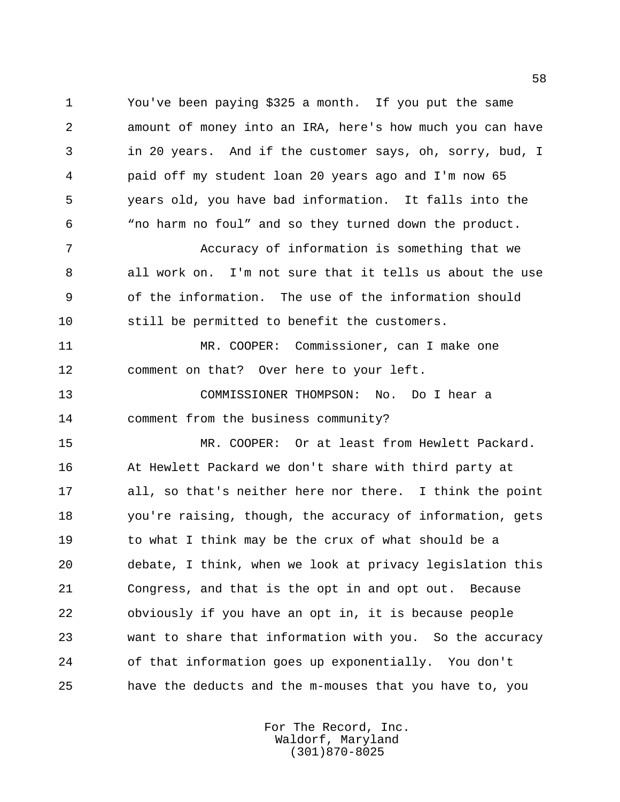You've been paying \$325 a month. If you put the same amount of money into an IRA, here's how much you can have in 20 years. And if the customer says, oh, sorry, bud, I paid off my student loan 20 years ago and I'm now 65 years old, you have bad information. It falls into the "no harm no foul" and so they turned down the product.

 Accuracy of information is something that we all work on. I'm not sure that it tells us about the use of the information. The use of the information should still be permitted to benefit the customers.

 MR. COOPER: Commissioner, can I make one comment on that? Over here to your left.

 COMMISSIONER THOMPSON: No. Do I hear a comment from the business community?

 MR. COOPER: Or at least from Hewlett Packard. At Hewlett Packard we don't share with third party at all, so that's neither here nor there. I think the point you're raising, though, the accuracy of information, gets to what I think may be the crux of what should be a debate, I think, when we look at privacy legislation this Congress, and that is the opt in and opt out. Because obviously if you have an opt in, it is because people want to share that information with you. So the accuracy of that information goes up exponentially. You don't have the deducts and the m-mouses that you have to, you

> For The Record, Inc. Waldorf, Maryland (301)870-8025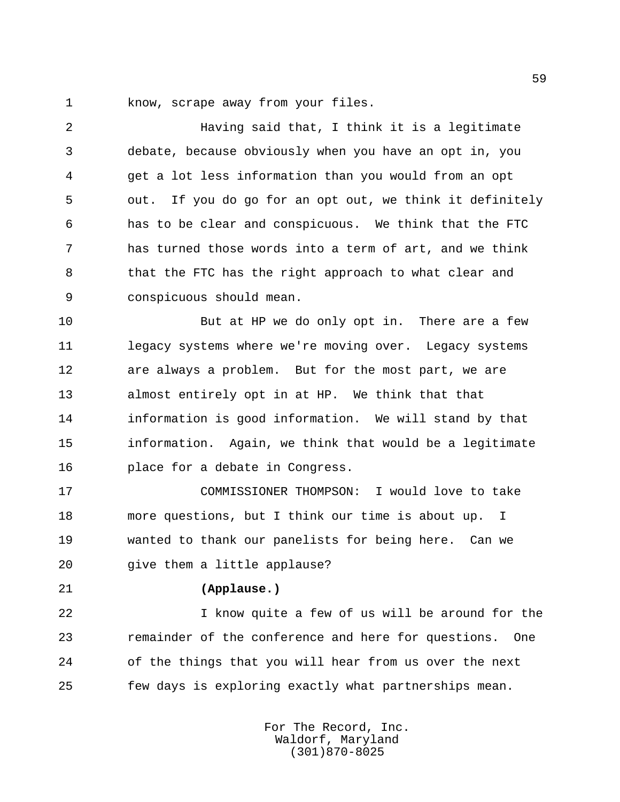know, scrape away from your files.

 Having said that, I think it is a legitimate debate, because obviously when you have an opt in, you get a lot less information than you would from an opt out. If you do go for an opt out, we think it definitely has to be clear and conspicuous. We think that the FTC has turned those words into a term of art, and we think that the FTC has the right approach to what clear and conspicuous should mean.

 But at HP we do only opt in. There are a few 11 legacy systems where we're moving over. Legacy systems are always a problem. But for the most part, we are almost entirely opt in at HP. We think that that information is good information. We will stand by that information. Again, we think that would be a legitimate place for a debate in Congress.

 COMMISSIONER THOMPSON: I would love to take more questions, but I think our time is about up. I wanted to thank our panelists for being here. Can we give them a little applause?

## **(Applause.)**

 I know quite a few of us will be around for the remainder of the conference and here for questions. One of the things that you will hear from us over the next few days is exploring exactly what partnerships mean.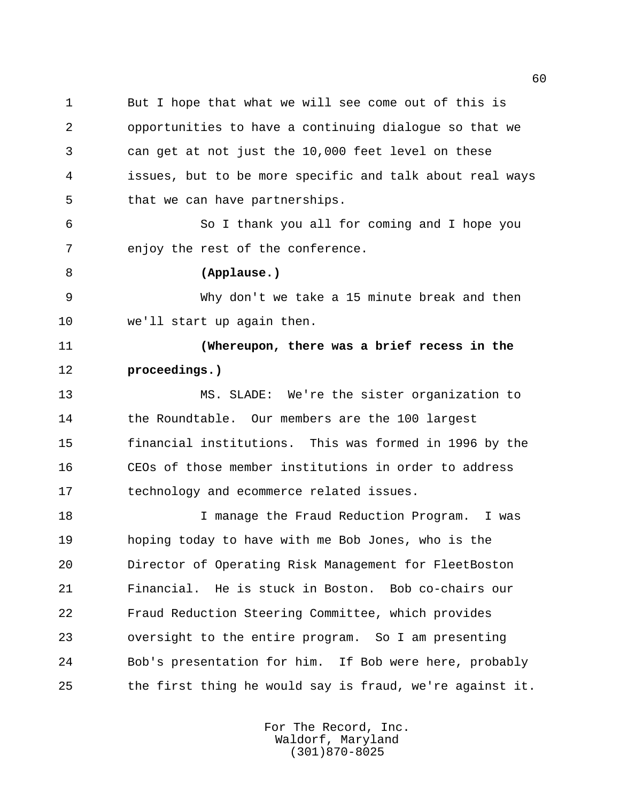But I hope that what we will see come out of this is opportunities to have a continuing dialogue so that we can get at not just the 10,000 feet level on these issues, but to be more specific and talk about real ways that we can have partnerships.

 So I thank you all for coming and I hope you enjoy the rest of the conference.

## **(Applause.)**

 Why don't we take a 15 minute break and then we'll start up again then.

 **(Whereupon, there was a brief recess in the proceedings.)**

 MS. SLADE: We're the sister organization to the Roundtable. Our members are the 100 largest financial institutions. This was formed in 1996 by the CEOs of those member institutions in order to address technology and ecommerce related issues.

 I manage the Fraud Reduction Program. I was hoping today to have with me Bob Jones, who is the Director of Operating Risk Management for FleetBoston Financial. He is stuck in Boston. Bob co-chairs our Fraud Reduction Steering Committee, which provides oversight to the entire program. So I am presenting Bob's presentation for him. If Bob were here, probably the first thing he would say is fraud, we're against it.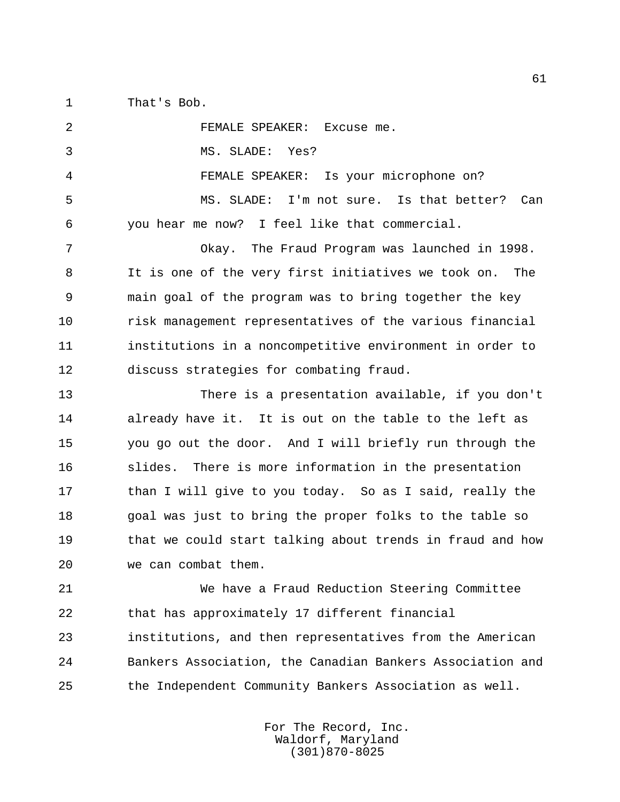That's Bob.

 FEMALE SPEAKER: Excuse me. MS. SLADE: Yes? FEMALE SPEAKER: Is your microphone on? MS. SLADE: I'm not sure. Is that better? Can you hear me now? I feel like that commercial. Okay. The Fraud Program was launched in 1998. It is one of the very first initiatives we took on. The main goal of the program was to bring together the key risk management representatives of the various financial institutions in a noncompetitive environment in order to discuss strategies for combating fraud. There is a presentation available, if you don't already have it. It is out on the table to the left as you go out the door. And I will briefly run through the 16 slides. There is more information in the presentation 17 than I will give to you today. So as I said, really the goal was just to bring the proper folks to the table so that we could start talking about trends in fraud and how we can combat them. We have a Fraud Reduction Steering Committee that has approximately 17 different financial institutions, and then representatives from the American Bankers Association, the Canadian Bankers Association and

the Independent Community Bankers Association as well.

For The Record, Inc. Waldorf, Maryland (301)870-8025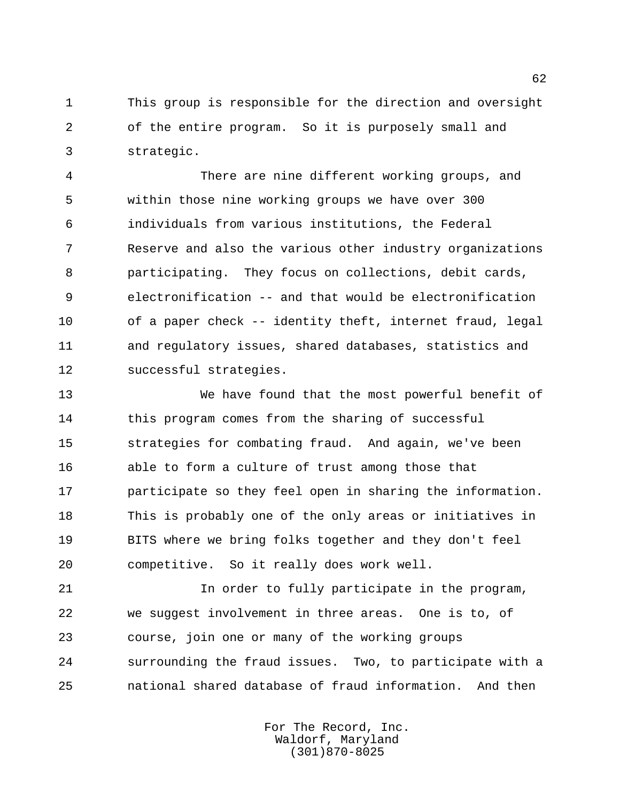This group is responsible for the direction and oversight of the entire program. So it is purposely small and strategic.

 There are nine different working groups, and within those nine working groups we have over 300 individuals from various institutions, the Federal Reserve and also the various other industry organizations participating. They focus on collections, debit cards, electronification -- and that would be electronification of a paper check -- identity theft, internet fraud, legal and regulatory issues, shared databases, statistics and successful strategies.

 We have found that the most powerful benefit of 14 this program comes from the sharing of successful strategies for combating fraud. And again, we've been able to form a culture of trust among those that participate so they feel open in sharing the information. This is probably one of the only areas or initiatives in BITS where we bring folks together and they don't feel competitive. So it really does work well.

 In order to fully participate in the program, we suggest involvement in three areas. One is to, of course, join one or many of the working groups surrounding the fraud issues. Two, to participate with a national shared database of fraud information. And then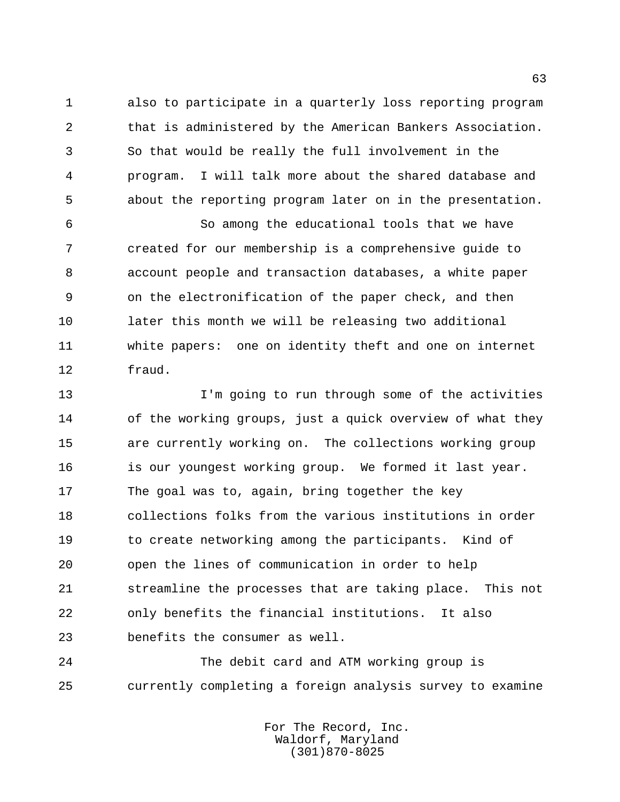also to participate in a quarterly loss reporting program that is administered by the American Bankers Association. So that would be really the full involvement in the program. I will talk more about the shared database and about the reporting program later on in the presentation.

 So among the educational tools that we have created for our membership is a comprehensive guide to account people and transaction databases, a white paper on the electronification of the paper check, and then later this month we will be releasing two additional white papers: one on identity theft and one on internet fraud.

 I'm going to run through some of the activities of the working groups, just a quick overview of what they are currently working on. The collections working group is our youngest working group. We formed it last year. The goal was to, again, bring together the key collections folks from the various institutions in order 19 to create networking among the participants. Kind of open the lines of communication in order to help streamline the processes that are taking place. This not only benefits the financial institutions. It also benefits the consumer as well.

 The debit card and ATM working group is currently completing a foreign analysis survey to examine

> For The Record, Inc. Waldorf, Maryland (301)870-8025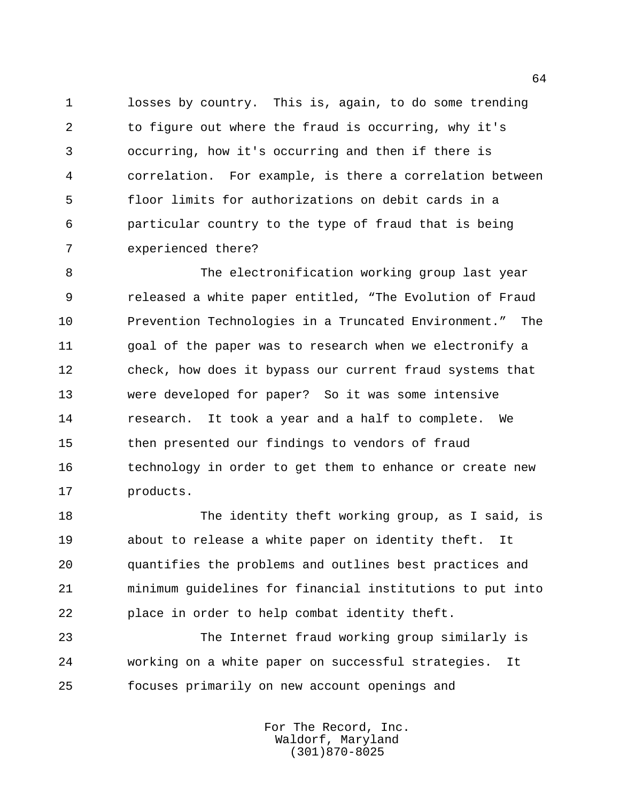losses by country. This is, again, to do some trending to figure out where the fraud is occurring, why it's occurring, how it's occurring and then if there is correlation. For example, is there a correlation between floor limits for authorizations on debit cards in a particular country to the type of fraud that is being experienced there?

 The electronification working group last year released a white paper entitled, "The Evolution of Fraud Prevention Technologies in a Truncated Environment." The goal of the paper was to research when we electronify a check, how does it bypass our current fraud systems that were developed for paper? So it was some intensive research. It took a year and a half to complete. We then presented our findings to vendors of fraud technology in order to get them to enhance or create new products.

18 The identity theft working group, as I said, is about to release a white paper on identity theft. It quantifies the problems and outlines best practices and minimum guidelines for financial institutions to put into place in order to help combat identity theft.

 The Internet fraud working group similarly is working on a white paper on successful strategies. It focuses primarily on new account openings and

> For The Record, Inc. Waldorf, Maryland (301)870-8025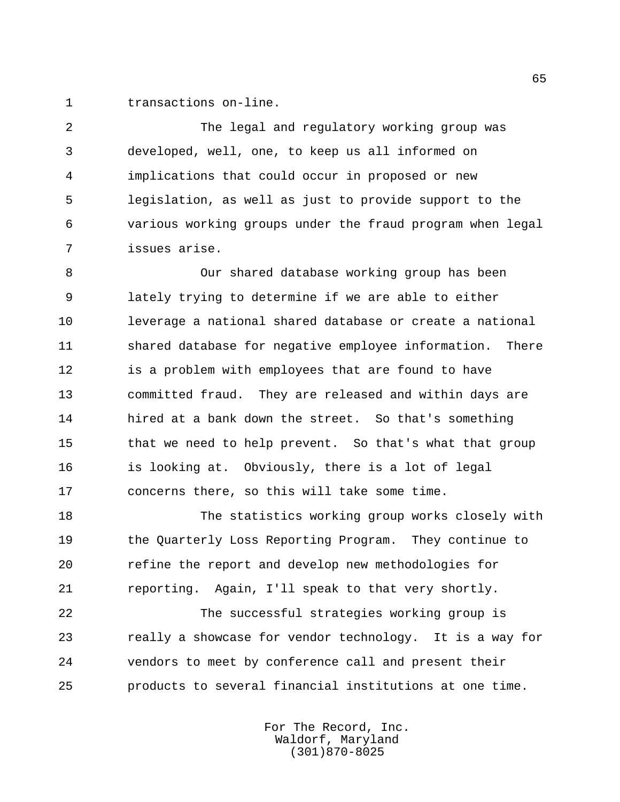transactions on-line.

 The legal and regulatory working group was developed, well, one, to keep us all informed on implications that could occur in proposed or new legislation, as well as just to provide support to the various working groups under the fraud program when legal issues arise.

 Our shared database working group has been lately trying to determine if we are able to either leverage a national shared database or create a national shared database for negative employee information. There 12 is a problem with employees that are found to have committed fraud. They are released and within days are hired at a bank down the street. So that's something that we need to help prevent. So that's what that group is looking at. Obviously, there is a lot of legal concerns there, so this will take some time.

 The statistics working group works closely with the Quarterly Loss Reporting Program. They continue to refine the report and develop new methodologies for reporting. Again, I'll speak to that very shortly.

 The successful strategies working group is really a showcase for vendor technology. It is a way for vendors to meet by conference call and present their products to several financial institutions at one time.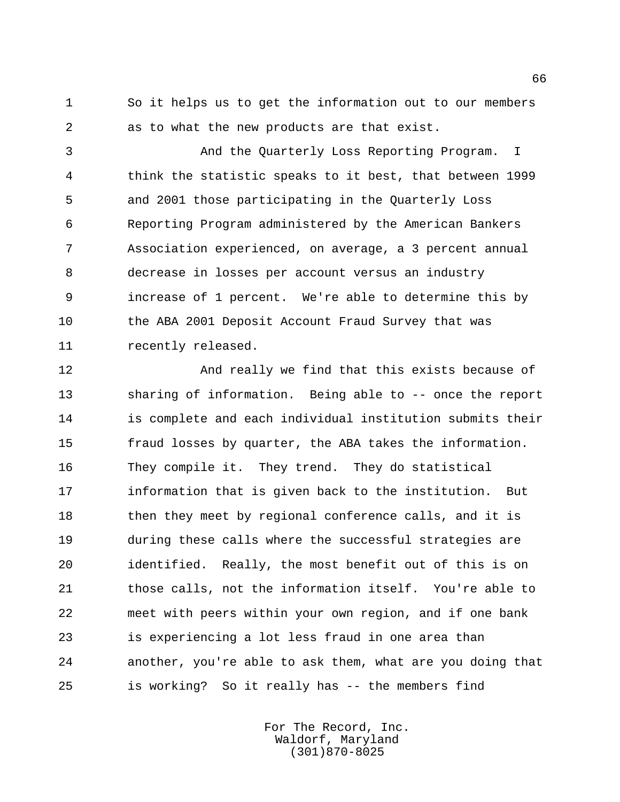So it helps us to get the information out to our members as to what the new products are that exist.

 And the Quarterly Loss Reporting Program. I think the statistic speaks to it best, that between 1999 and 2001 those participating in the Quarterly Loss Reporting Program administered by the American Bankers Association experienced, on average, a 3 percent annual decrease in losses per account versus an industry increase of 1 percent. We're able to determine this by the ABA 2001 Deposit Account Fraud Survey that was recently released.

 And really we find that this exists because of sharing of information. Being able to -- once the report is complete and each individual institution submits their fraud losses by quarter, the ABA takes the information. They compile it. They trend. They do statistical information that is given back to the institution. But 18 then they meet by regional conference calls, and it is during these calls where the successful strategies are identified. Really, the most benefit out of this is on those calls, not the information itself. You're able to meet with peers within your own region, and if one bank is experiencing a lot less fraud in one area than another, you're able to ask them, what are you doing that is working? So it really has -- the members find

> For The Record, Inc. Waldorf, Maryland (301)870-8025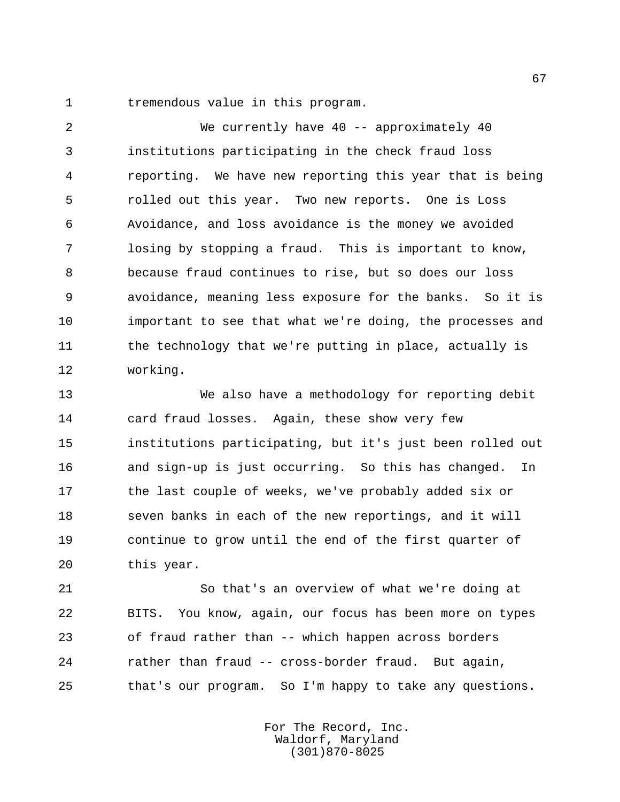1 tremendous value in this program.

 We currently have 40 -- approximately 40 institutions participating in the check fraud loss reporting. We have new reporting this year that is being rolled out this year. Two new reports. One is Loss Avoidance, and loss avoidance is the money we avoided losing by stopping a fraud. This is important to know, because fraud continues to rise, but so does our loss avoidance, meaning less exposure for the banks. So it is important to see that what we're doing, the processes and 11 the technology that we're putting in place, actually is working.

 We also have a methodology for reporting debit card fraud losses. Again, these show very few institutions participating, but it's just been rolled out and sign-up is just occurring. So this has changed. In the last couple of weeks, we've probably added six or seven banks in each of the new reportings, and it will continue to grow until the end of the first quarter of this year.

 So that's an overview of what we're doing at BITS. You know, again, our focus has been more on types of fraud rather than -- which happen across borders rather than fraud -- cross-border fraud. But again, that's our program. So I'm happy to take any questions.

> For The Record, Inc. Waldorf, Maryland (301)870-8025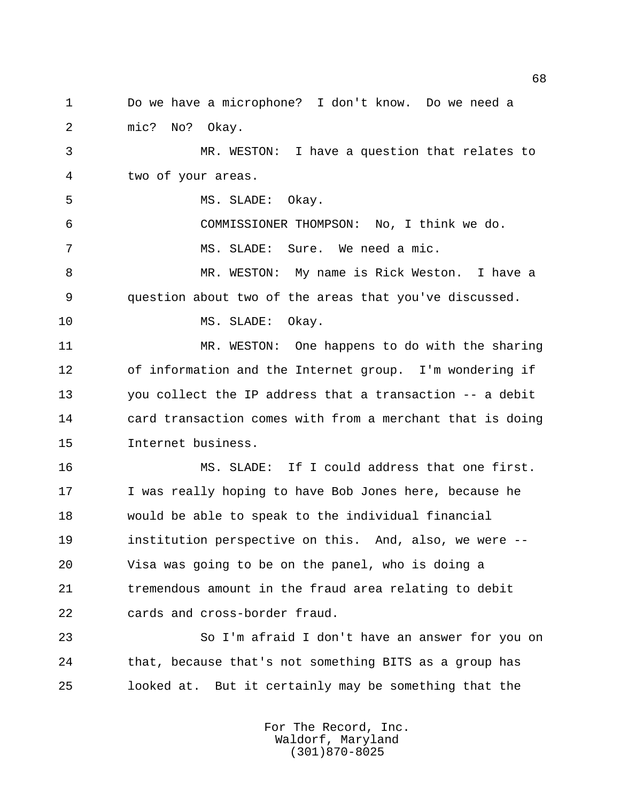Do we have a microphone? I don't know. Do we need a mic? No? Okay.

 MR. WESTON: I have a question that relates to two of your areas.

5 MS. SLADE: Okay.

 COMMISSIONER THOMPSON: No, I think we do. MS. SLADE: Sure. We need a mic.

 MR. WESTON: My name is Rick Weston. I have a question about two of the areas that you've discussed.

10 MS. SLADE: Okay.

 MR. WESTON: One happens to do with the sharing of information and the Internet group. I'm wondering if you collect the IP address that a transaction -- a debit card transaction comes with from a merchant that is doing Internet business.

 MS. SLADE: If I could address that one first. I was really hoping to have Bob Jones here, because he would be able to speak to the individual financial institution perspective on this. And, also, we were -- Visa was going to be on the panel, who is doing a tremendous amount in the fraud area relating to debit cards and cross-border fraud.

 So I'm afraid I don't have an answer for you on that, because that's not something BITS as a group has looked at. But it certainly may be something that the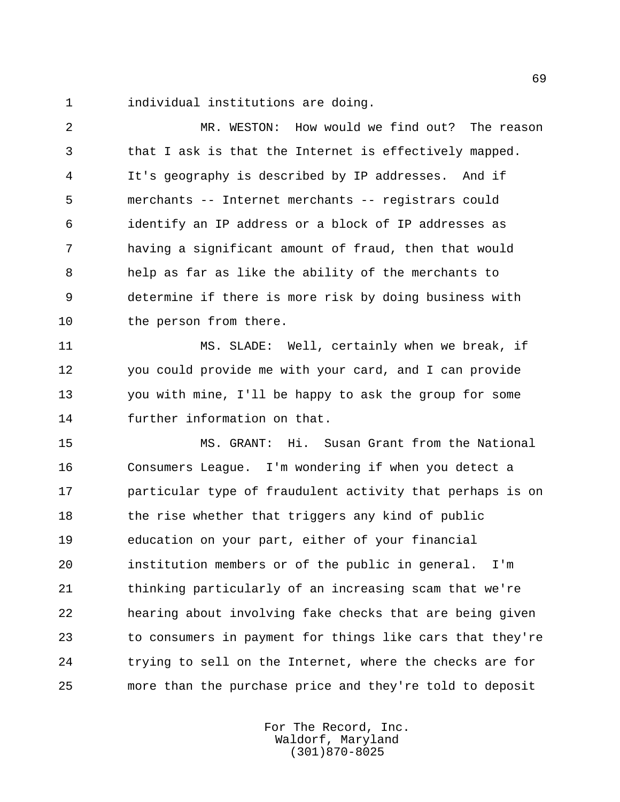individual institutions are doing.

 MR. WESTON: How would we find out? The reason that I ask is that the Internet is effectively mapped. It's geography is described by IP addresses. And if merchants -- Internet merchants -- registrars could identify an IP address or a block of IP addresses as having a significant amount of fraud, then that would help as far as like the ability of the merchants to determine if there is more risk by doing business with the person from there.

 MS. SLADE: Well, certainly when we break, if you could provide me with your card, and I can provide you with mine, I'll be happy to ask the group for some further information on that.

 MS. GRANT: Hi. Susan Grant from the National Consumers League. I'm wondering if when you detect a particular type of fraudulent activity that perhaps is on 18 the rise whether that triggers any kind of public education on your part, either of your financial institution members or of the public in general. I'm thinking particularly of an increasing scam that we're hearing about involving fake checks that are being given to consumers in payment for things like cars that they're trying to sell on the Internet, where the checks are for more than the purchase price and they're told to deposit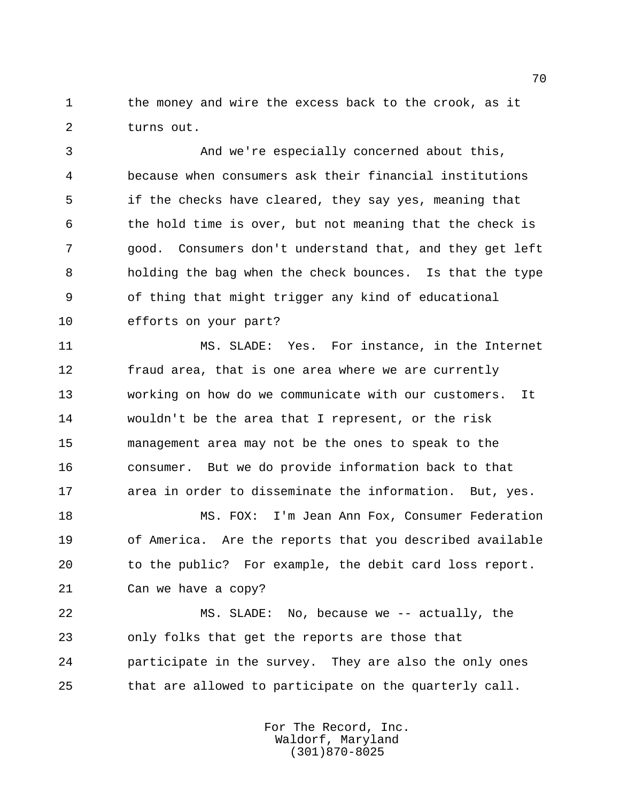1 the money and wire the excess back to the crook, as it turns out.

 And we're especially concerned about this, because when consumers ask their financial institutions if the checks have cleared, they say yes, meaning that the hold time is over, but not meaning that the check is good. Consumers don't understand that, and they get left holding the bag when the check bounces. Is that the type of thing that might trigger any kind of educational efforts on your part?

 MS. SLADE: Yes. For instance, in the Internet 12 fraud area, that is one area where we are currently working on how do we communicate with our customers. It wouldn't be the area that I represent, or the risk management area may not be the ones to speak to the consumer. But we do provide information back to that area in order to disseminate the information. But, yes.

 MS. FOX: I'm Jean Ann Fox, Consumer Federation of America. Are the reports that you described available to the public? For example, the debit card loss report. Can we have a copy?

 MS. SLADE: No, because we -- actually, the only folks that get the reports are those that participate in the survey. They are also the only ones that are allowed to participate on the quarterly call.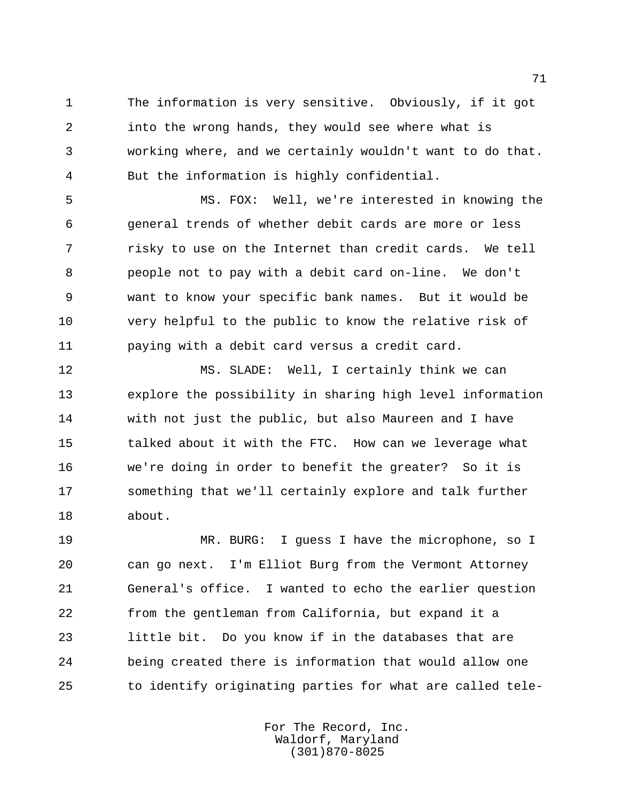The information is very sensitive. Obviously, if it got into the wrong hands, they would see where what is working where, and we certainly wouldn't want to do that. But the information is highly confidential.

 MS. FOX: Well, we're interested in knowing the general trends of whether debit cards are more or less risky to use on the Internet than credit cards. We tell people not to pay with a debit card on-line. We don't want to know your specific bank names. But it would be very helpful to the public to know the relative risk of paying with a debit card versus a credit card.

 MS. SLADE: Well, I certainly think we can explore the possibility in sharing high level information with not just the public, but also Maureen and I have talked about it with the FTC. How can we leverage what we're doing in order to benefit the greater? So it is something that we'll certainly explore and talk further about.

 MR. BURG: I guess I have the microphone, so I can go next. I'm Elliot Burg from the Vermont Attorney General's office. I wanted to echo the earlier question from the gentleman from California, but expand it a little bit. Do you know if in the databases that are being created there is information that would allow one to identify originating parties for what are called tele-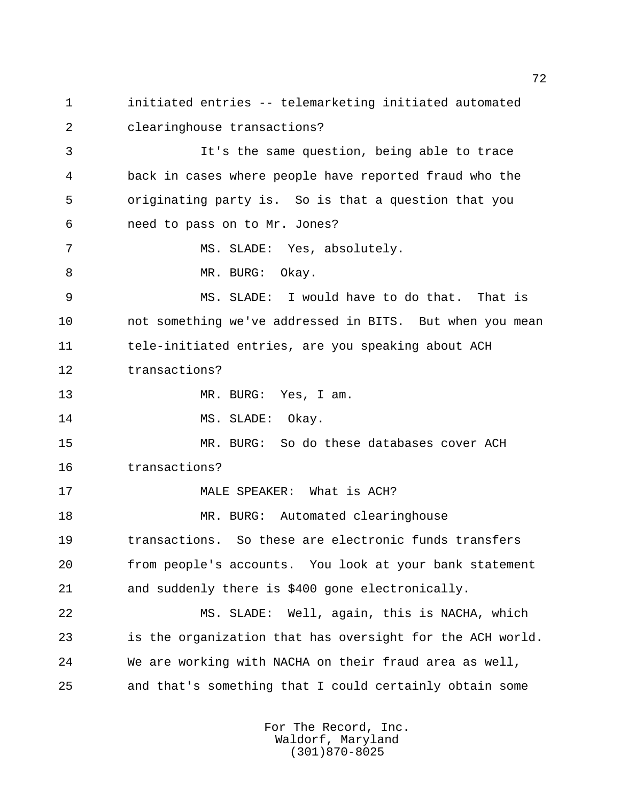initiated entries -- telemarketing initiated automated clearinghouse transactions? It's the same question, being able to trace back in cases where people have reported fraud who the originating party is. So is that a question that you need to pass on to Mr. Jones? MS. SLADE: Yes, absolutely. 8 MR. BURG: Okay. MS. SLADE: I would have to do that. That is not something we've addressed in BITS. But when you mean tele-initiated entries, are you speaking about ACH transactions? 13 MR. BURG: Yes, I am. 14 MS. SLADE: Okay. MR. BURG: So do these databases cover ACH transactions? MALE SPEAKER: What is ACH? MR. BURG: Automated clearinghouse transactions. So these are electronic funds transfers from people's accounts. You look at your bank statement and suddenly there is \$400 gone electronically. MS. SLADE: Well, again, this is NACHA, which is the organization that has oversight for the ACH world. We are working with NACHA on their fraud area as well, and that's something that I could certainly obtain some

> For The Record, Inc. Waldorf, Maryland (301)870-8025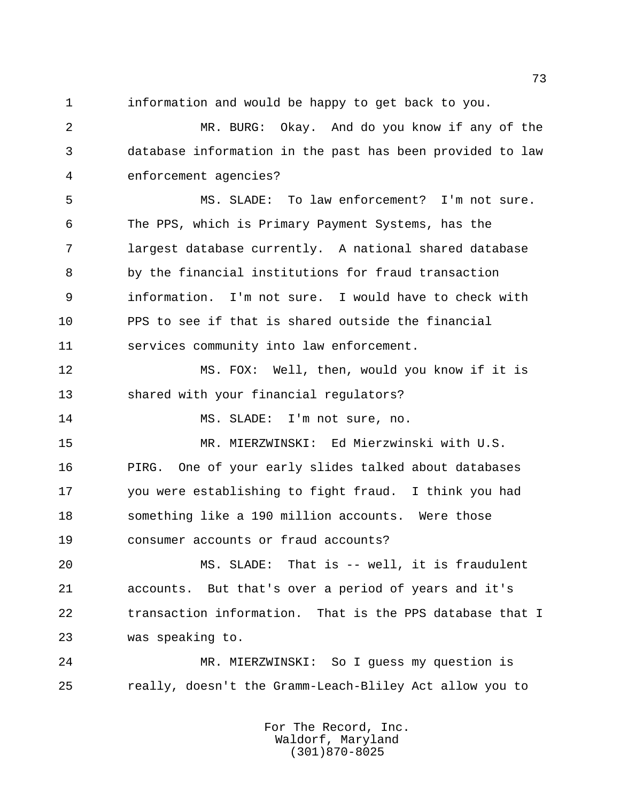information and would be happy to get back to you.

 MR. BURG: Okay. And do you know if any of the database information in the past has been provided to law enforcement agencies?

 MS. SLADE: To law enforcement? I'm not sure. The PPS, which is Primary Payment Systems, has the largest database currently. A national shared database by the financial institutions for fraud transaction information. I'm not sure. I would have to check with PPS to see if that is shared outside the financial services community into law enforcement.

 MS. FOX: Well, then, would you know if it is shared with your financial regulators?

MS. SLADE: I'm not sure, no.

 MR. MIERZWINSKI: Ed Mierzwinski with U.S. PIRG. One of your early slides talked about databases you were establishing to fight fraud. I think you had something like a 190 million accounts. Were those consumer accounts or fraud accounts?

 MS. SLADE: That is -- well, it is fraudulent accounts. But that's over a period of years and it's transaction information. That is the PPS database that I was speaking to.

 MR. MIERZWINSKI: So I guess my question is really, doesn't the Gramm-Leach-Bliley Act allow you to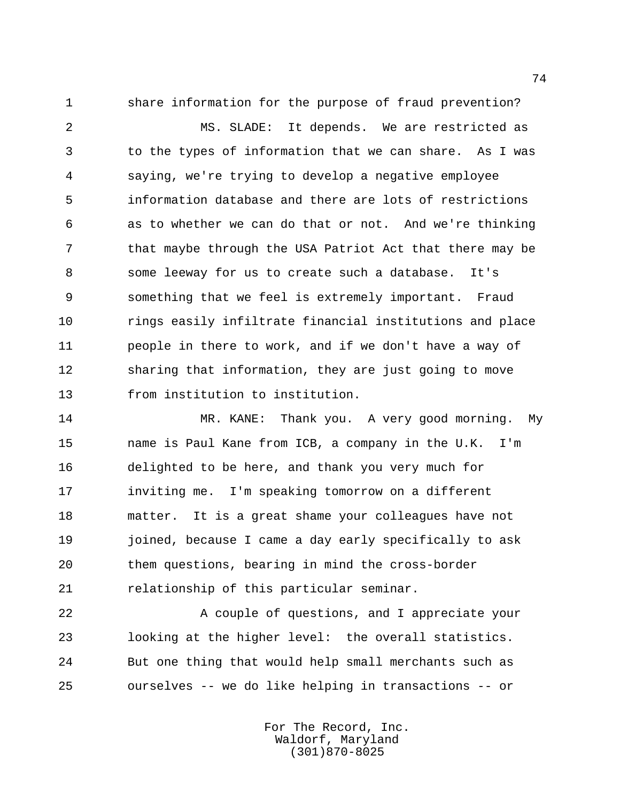share information for the purpose of fraud prevention?

 MS. SLADE: It depends. We are restricted as to the types of information that we can share. As I was saying, we're trying to develop a negative employee information database and there are lots of restrictions as to whether we can do that or not. And we're thinking that maybe through the USA Patriot Act that there may be some leeway for us to create such a database. It's something that we feel is extremely important. Fraud rings easily infiltrate financial institutions and place people in there to work, and if we don't have a way of sharing that information, they are just going to move from institution to institution.

 MR. KANE: Thank you. A very good morning. My name is Paul Kane from ICB, a company in the U.K. I'm delighted to be here, and thank you very much for inviting me. I'm speaking tomorrow on a different matter. It is a great shame your colleagues have not joined, because I came a day early specifically to ask them questions, bearing in mind the cross-border relationship of this particular seminar.

22 A couple of questions, and I appreciate your looking at the higher level: the overall statistics. But one thing that would help small merchants such as ourselves -- we do like helping in transactions -- or

> For The Record, Inc. Waldorf, Maryland (301)870-8025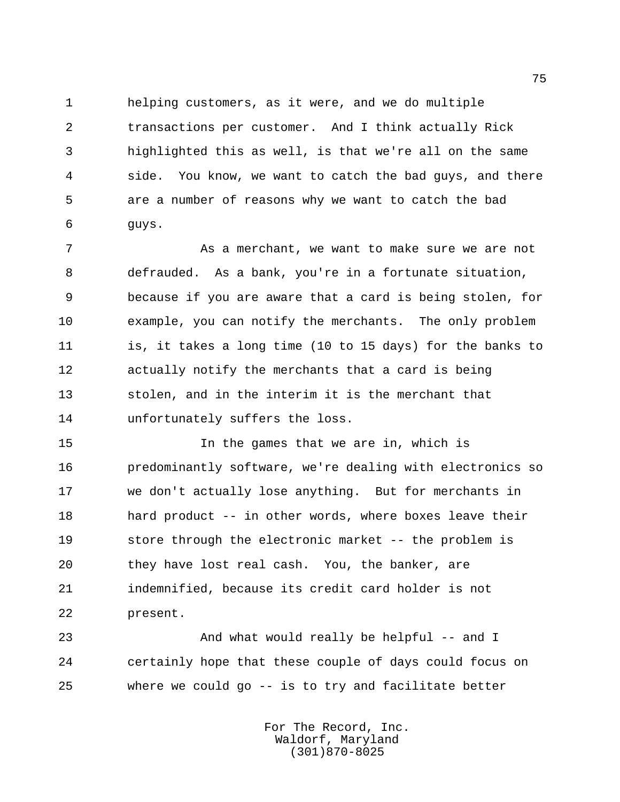helping customers, as it were, and we do multiple transactions per customer. And I think actually Rick highlighted this as well, is that we're all on the same side. You know, we want to catch the bad guys, and there are a number of reasons why we want to catch the bad guys.

7 The Mann and Mann and the want to make sure we are not defrauded. As a bank, you're in a fortunate situation, because if you are aware that a card is being stolen, for example, you can notify the merchants. The only problem is, it takes a long time (10 to 15 days) for the banks to actually notify the merchants that a card is being stolen, and in the interim it is the merchant that unfortunately suffers the loss.

 In the games that we are in, which is predominantly software, we're dealing with electronics so we don't actually lose anything. But for merchants in hard product -- in other words, where boxes leave their store through the electronic market -- the problem is they have lost real cash. You, the banker, are indemnified, because its credit card holder is not present.

23 And what would really be helpful -- and I certainly hope that these couple of days could focus on where we could go -- is to try and facilitate better

> For The Record, Inc. Waldorf, Maryland (301)870-8025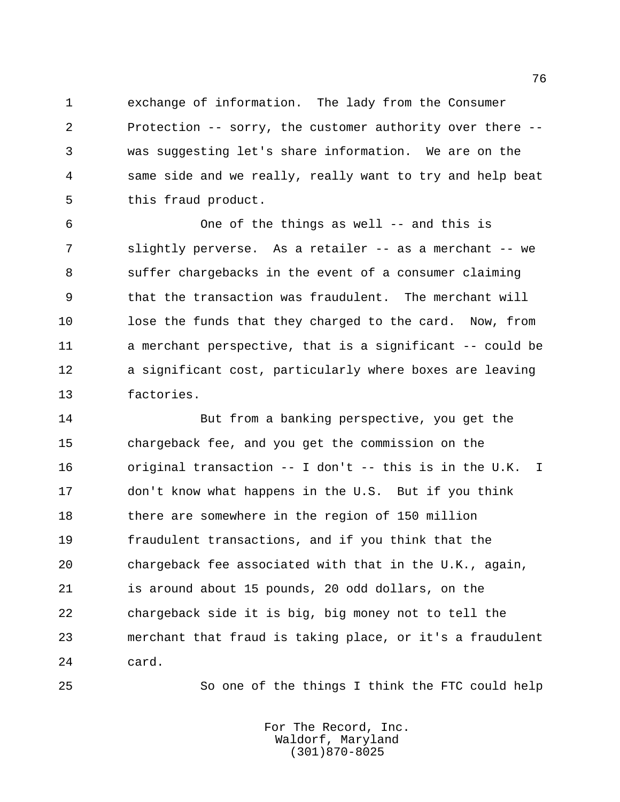exchange of information. The lady from the Consumer Protection -- sorry, the customer authority over there -- was suggesting let's share information. We are on the same side and we really, really want to try and help beat this fraud product.

 One of the things as well -- and this is slightly perverse. As a retailer -- as a merchant -- we suffer chargebacks in the event of a consumer claiming that the transaction was fraudulent. The merchant will lose the funds that they charged to the card. Now, from a merchant perspective, that is a significant -- could be a significant cost, particularly where boxes are leaving factories.

 But from a banking perspective, you get the chargeback fee, and you get the commission on the original transaction -- I don't -- this is in the U.K. I don't know what happens in the U.S. But if you think 18 there are somewhere in the region of 150 million fraudulent transactions, and if you think that the chargeback fee associated with that in the U.K., again, is around about 15 pounds, 20 odd dollars, on the chargeback side it is big, big money not to tell the merchant that fraud is taking place, or it's a fraudulent card.

So one of the things I think the FTC could help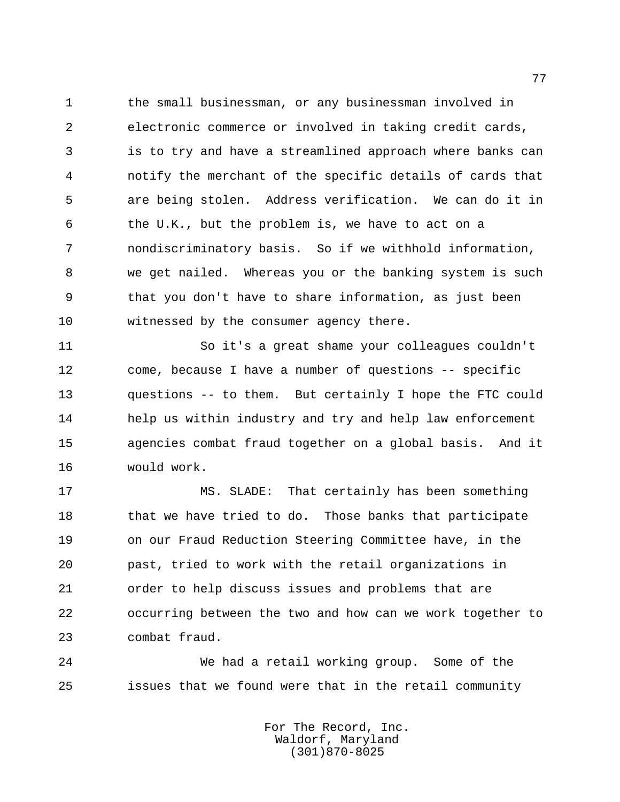the small businessman, or any businessman involved in electronic commerce or involved in taking credit cards, is to try and have a streamlined approach where banks can notify the merchant of the specific details of cards that are being stolen. Address verification. We can do it in the U.K., but the problem is, we have to act on a nondiscriminatory basis. So if we withhold information, we get nailed. Whereas you or the banking system is such that you don't have to share information, as just been witnessed by the consumer agency there.

 So it's a great shame your colleagues couldn't come, because I have a number of questions -- specific questions -- to them. But certainly I hope the FTC could help us within industry and try and help law enforcement agencies combat fraud together on a global basis. And it would work.

 MS. SLADE: That certainly has been something 18 that we have tried to do. Those banks that participate on our Fraud Reduction Steering Committee have, in the past, tried to work with the retail organizations in order to help discuss issues and problems that are occurring between the two and how can we work together to combat fraud.

 We had a retail working group. Some of the issues that we found were that in the retail community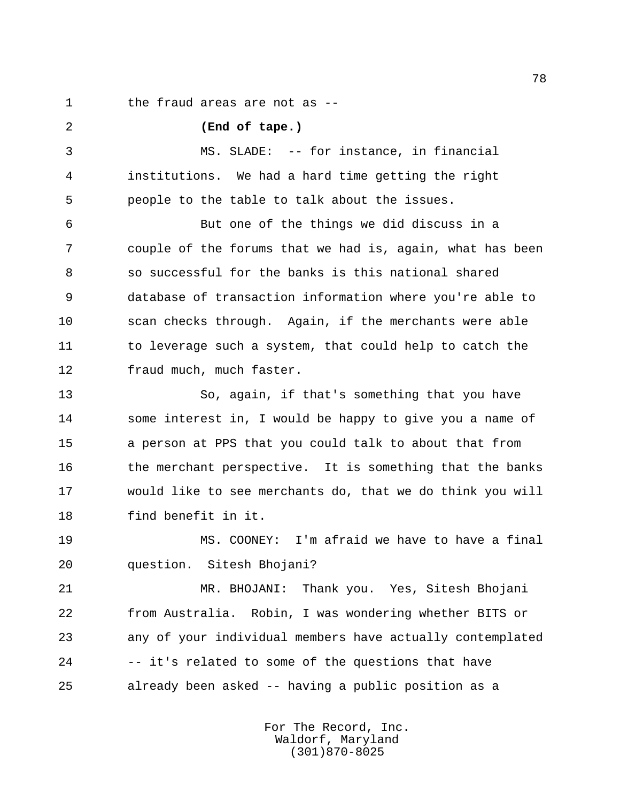the fraud areas are not as --

 **(End of tape.)** MS. SLADE: -- for instance, in financial institutions. We had a hard time getting the right people to the table to talk about the issues. But one of the things we did discuss in a couple of the forums that we had is, again, what has been so successful for the banks is this national shared database of transaction information where you're able to scan checks through. Again, if the merchants were able 11 to leverage such a system, that could help to catch the fraud much, much faster.

 So, again, if that's something that you have some interest in, I would be happy to give you a name of a person at PPS that you could talk to about that from 16 the merchant perspective. It is something that the banks would like to see merchants do, that we do think you will find benefit in it.

 MS. COONEY: I'm afraid we have to have a final question. Sitesh Bhojani?

 MR. BHOJANI: Thank you. Yes, Sitesh Bhojani from Australia. Robin, I was wondering whether BITS or any of your individual members have actually contemplated -- it's related to some of the questions that have already been asked -- having a public position as a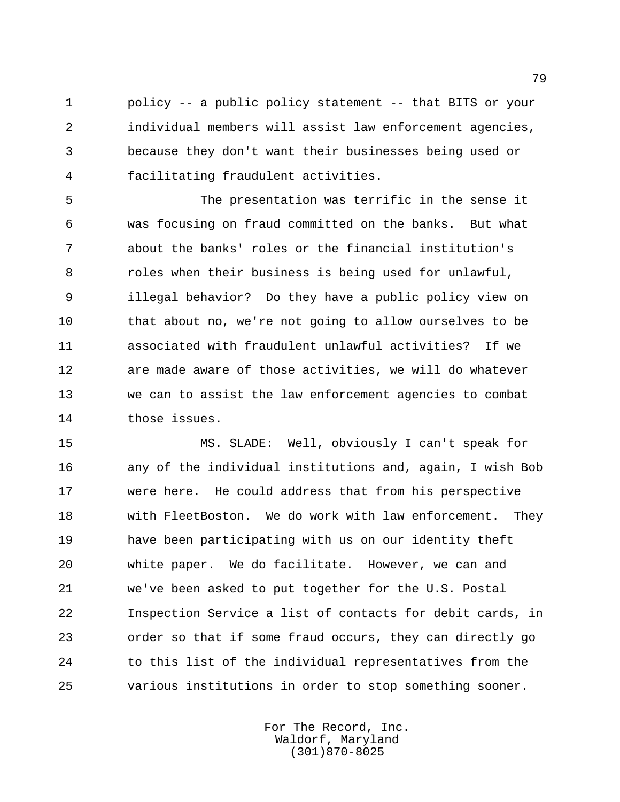policy -- a public policy statement -- that BITS or your individual members will assist law enforcement agencies, because they don't want their businesses being used or facilitating fraudulent activities.

 The presentation was terrific in the sense it was focusing on fraud committed on the banks. But what about the banks' roles or the financial institution's roles when their business is being used for unlawful, illegal behavior? Do they have a public policy view on that about no, we're not going to allow ourselves to be associated with fraudulent unlawful activities? If we are made aware of those activities, we will do whatever we can to assist the law enforcement agencies to combat those issues.

 MS. SLADE: Well, obviously I can't speak for any of the individual institutions and, again, I wish Bob were here. He could address that from his perspective with FleetBoston. We do work with law enforcement. They have been participating with us on our identity theft white paper. We do facilitate. However, we can and we've been asked to put together for the U.S. Postal Inspection Service a list of contacts for debit cards, in order so that if some fraud occurs, they can directly go to this list of the individual representatives from the various institutions in order to stop something sooner.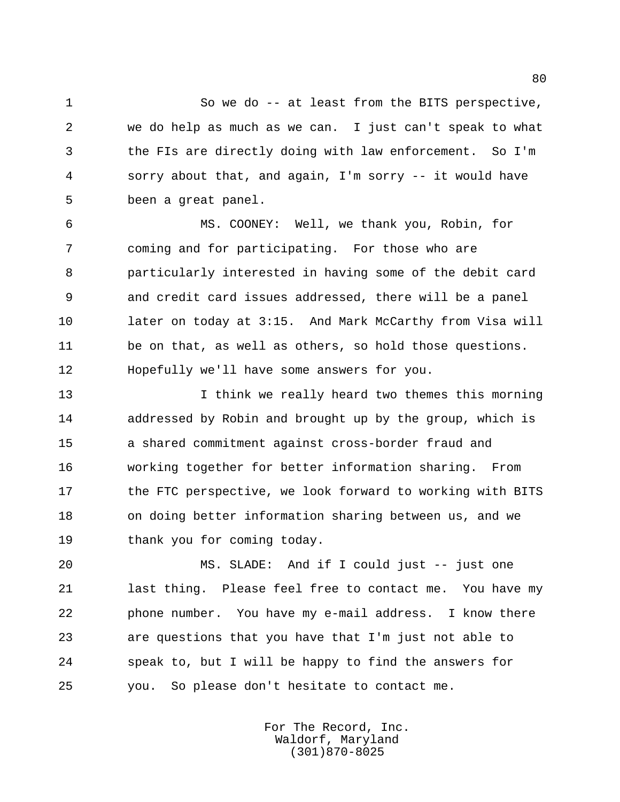So we do -- at least from the BITS perspective, we do help as much as we can. I just can't speak to what the FIs are directly doing with law enforcement. So I'm sorry about that, and again, I'm sorry -- it would have been a great panel.

 MS. COONEY: Well, we thank you, Robin, for coming and for participating. For those who are particularly interested in having some of the debit card and credit card issues addressed, there will be a panel later on today at 3:15. And Mark McCarthy from Visa will be on that, as well as others, so hold those questions. Hopefully we'll have some answers for you.

13 13 I think we really heard two themes this morning addressed by Robin and brought up by the group, which is a shared commitment against cross-border fraud and working together for better information sharing. From 17 the FTC perspective, we look forward to working with BITS on doing better information sharing between us, and we 19 thank you for coming today.

 MS. SLADE: And if I could just -- just one last thing. Please feel free to contact me. You have my phone number. You have my e-mail address. I know there are questions that you have that I'm just not able to speak to, but I will be happy to find the answers for you. So please don't hesitate to contact me.

> For The Record, Inc. Waldorf, Maryland (301)870-8025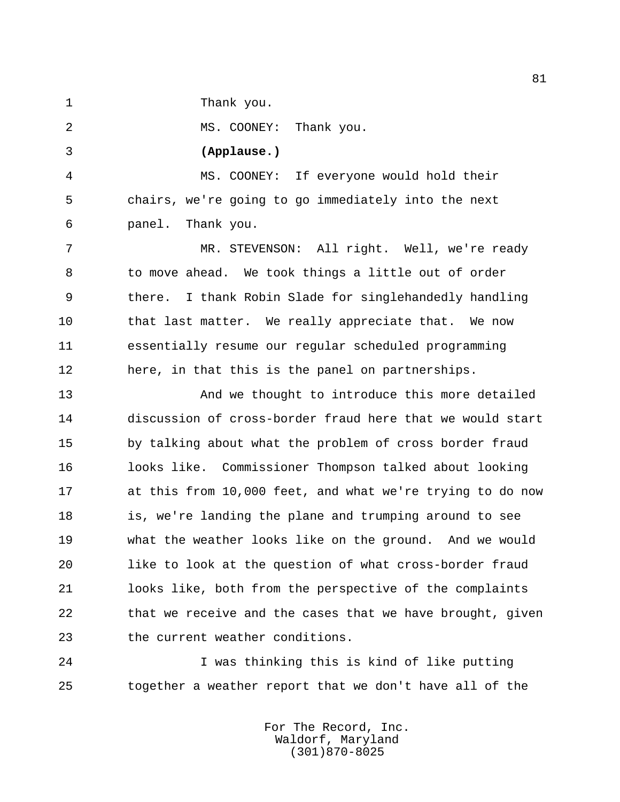Thank you.

2 MS. COONEY: Thank you.

## **(Applause.)**

 MS. COONEY: If everyone would hold their chairs, we're going to go immediately into the next panel. Thank you.

 MR. STEVENSON: All right. Well, we're ready to move ahead. We took things a little out of order there. I thank Robin Slade for singlehandedly handling 10 that last matter. We really appreciate that. We now essentially resume our regular scheduled programming here, in that this is the panel on partnerships.

 And we thought to introduce this more detailed discussion of cross-border fraud here that we would start by talking about what the problem of cross border fraud looks like. Commissioner Thompson talked about looking at this from 10,000 feet, and what we're trying to do now 18 is, we're landing the plane and trumping around to see what the weather looks like on the ground. And we would like to look at the question of what cross-border fraud looks like, both from the perspective of the complaints that we receive and the cases that we have brought, given the current weather conditions.

 I was thinking this is kind of like putting together a weather report that we don't have all of the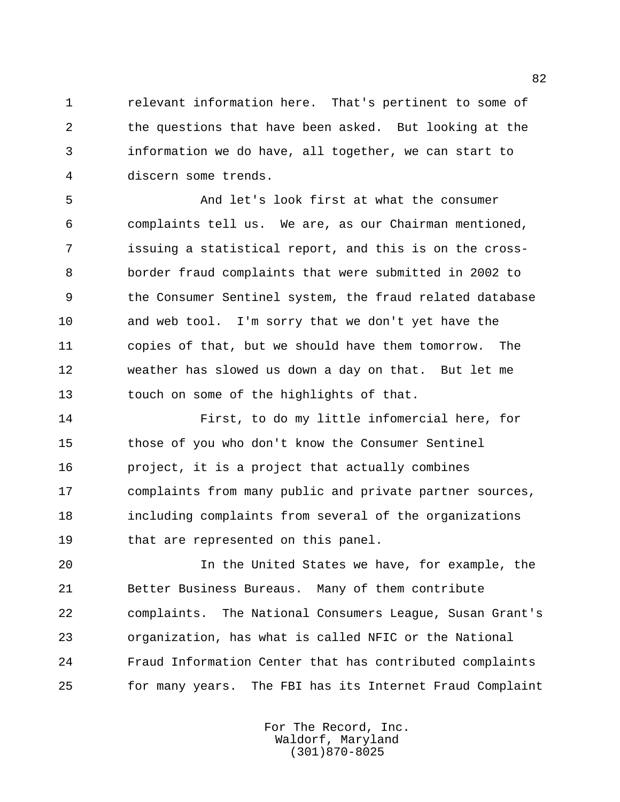relevant information here. That's pertinent to some of the questions that have been asked. But looking at the information we do have, all together, we can start to discern some trends.

 And let's look first at what the consumer complaints tell us. We are, as our Chairman mentioned, issuing a statistical report, and this is on the cross- border fraud complaints that were submitted in 2002 to the Consumer Sentinel system, the fraud related database and web tool. I'm sorry that we don't yet have the copies of that, but we should have them tomorrow. The weather has slowed us down a day on that. But let me touch on some of the highlights of that.

 First, to do my little infomercial here, for those of you who don't know the Consumer Sentinel project, it is a project that actually combines complaints from many public and private partner sources, including complaints from several of the organizations that are represented on this panel.

 In the United States we have, for example, the Better Business Bureaus. Many of them contribute complaints. The National Consumers League, Susan Grant's organization, has what is called NFIC or the National Fraud Information Center that has contributed complaints for many years. The FBI has its Internet Fraud Complaint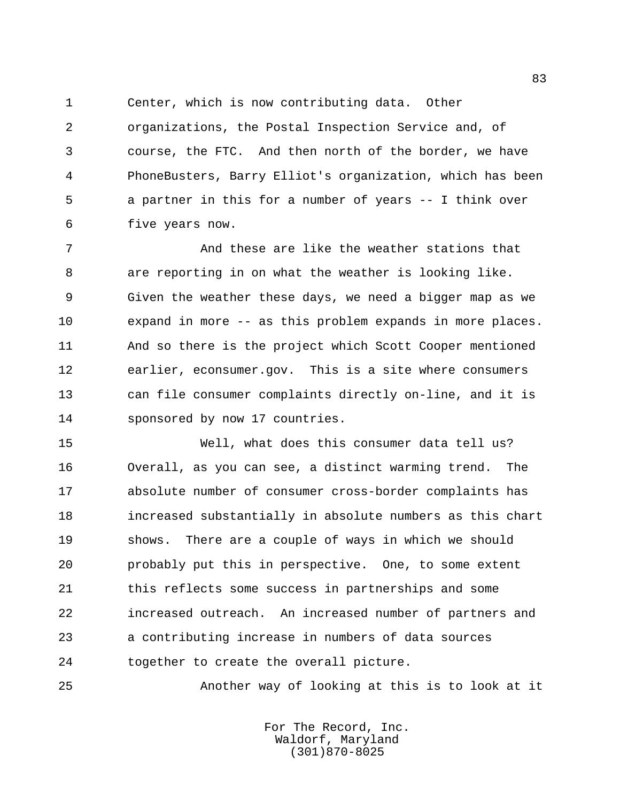Center, which is now contributing data. Other

 organizations, the Postal Inspection Service and, of course, the FTC. And then north of the border, we have PhoneBusters, Barry Elliot's organization, which has been a partner in this for a number of years -- I think over five years now.

 And these are like the weather stations that are reporting in on what the weather is looking like. Given the weather these days, we need a bigger map as we expand in more -- as this problem expands in more places. And so there is the project which Scott Cooper mentioned earlier, econsumer.gov. This is a site where consumers can file consumer complaints directly on-line, and it is sponsored by now 17 countries.

 Well, what does this consumer data tell us? Overall, as you can see, a distinct warming trend. The absolute number of consumer cross-border complaints has increased substantially in absolute numbers as this chart shows. There are a couple of ways in which we should probably put this in perspective. One, to some extent this reflects some success in partnerships and some increased outreach. An increased number of partners and a contributing increase in numbers of data sources together to create the overall picture.

Another way of looking at this is to look at it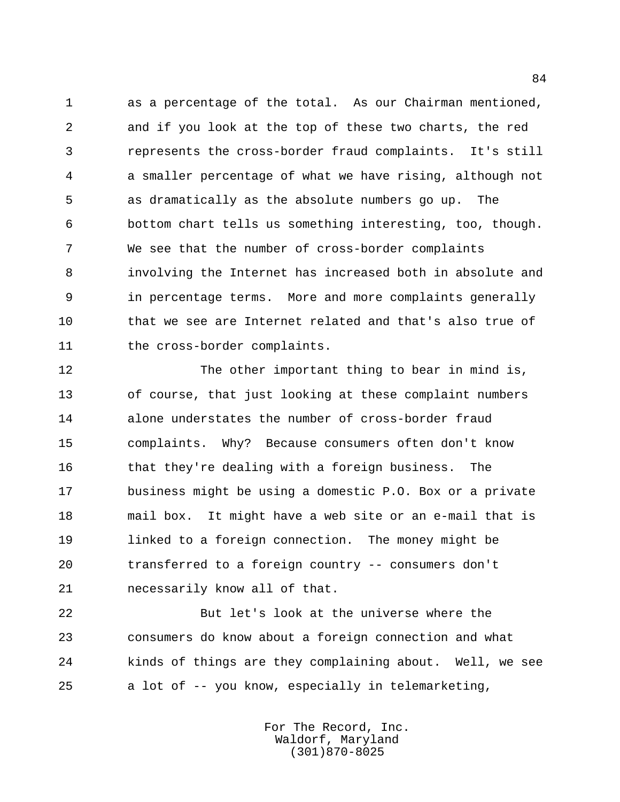as a percentage of the total. As our Chairman mentioned, and if you look at the top of these two charts, the red represents the cross-border fraud complaints. It's still a smaller percentage of what we have rising, although not as dramatically as the absolute numbers go up. The bottom chart tells us something interesting, too, though. We see that the number of cross-border complaints involving the Internet has increased both in absolute and in percentage terms. More and more complaints generally that we see are Internet related and that's also true of 11 the cross-border complaints.

 The other important thing to bear in mind is, of course, that just looking at these complaint numbers alone understates the number of cross-border fraud complaints. Why? Because consumers often don't know that they're dealing with a foreign business. The business might be using a domestic P.O. Box or a private mail box. It might have a web site or an e-mail that is linked to a foreign connection. The money might be transferred to a foreign country -- consumers don't necessarily know all of that.

 But let's look at the universe where the consumers do know about a foreign connection and what kinds of things are they complaining about. Well, we see a lot of -- you know, especially in telemarketing,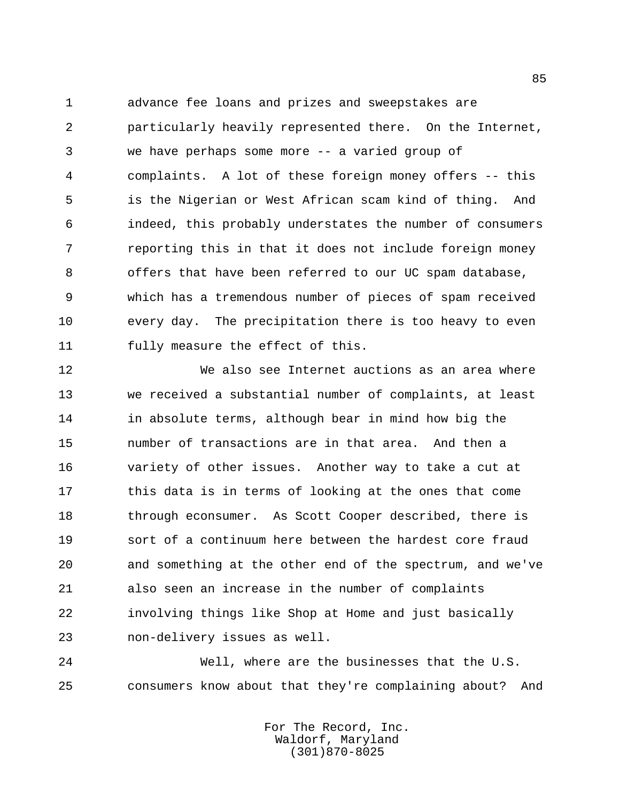advance fee loans and prizes and sweepstakes are particularly heavily represented there. On the Internet, we have perhaps some more -- a varied group of complaints. A lot of these foreign money offers -- this is the Nigerian or West African scam kind of thing. And indeed, this probably understates the number of consumers reporting this in that it does not include foreign money offers that have been referred to our UC spam database, which has a tremendous number of pieces of spam received every day. The precipitation there is too heavy to even fully measure the effect of this.

 We also see Internet auctions as an area where we received a substantial number of complaints, at least in absolute terms, although bear in mind how big the number of transactions are in that area. And then a variety of other issues. Another way to take a cut at this data is in terms of looking at the ones that come 18 through econsumer. As Scott Cooper described, there is sort of a continuum here between the hardest core fraud and something at the other end of the spectrum, and we've also seen an increase in the number of complaints involving things like Shop at Home and just basically non-delivery issues as well.

 Well, where are the businesses that the U.S. consumers know about that they're complaining about? And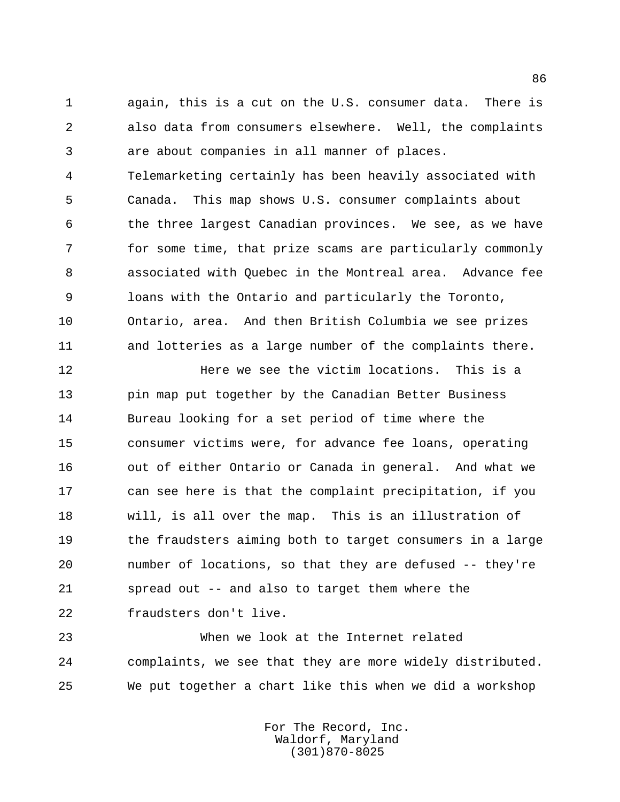again, this is a cut on the U.S. consumer data. There is also data from consumers elsewhere. Well, the complaints are about companies in all manner of places. Telemarketing certainly has been heavily associated with Canada. This map shows U.S. consumer complaints about the three largest Canadian provinces. We see, as we have for some time, that prize scams are particularly commonly associated with Quebec in the Montreal area. Advance fee loans with the Ontario and particularly the Toronto, Ontario, area. And then British Columbia we see prizes and lotteries as a large number of the complaints there.

**Here we see the victim locations.** This is a pin map put together by the Canadian Better Business Bureau looking for a set period of time where the consumer victims were, for advance fee loans, operating out of either Ontario or Canada in general. And what we can see here is that the complaint precipitation, if you will, is all over the map. This is an illustration of 19 the fraudsters aiming both to target consumers in a large number of locations, so that they are defused -- they're spread out -- and also to target them where the fraudsters don't live.

 When we look at the Internet related complaints, we see that they are more widely distributed. We put together a chart like this when we did a workshop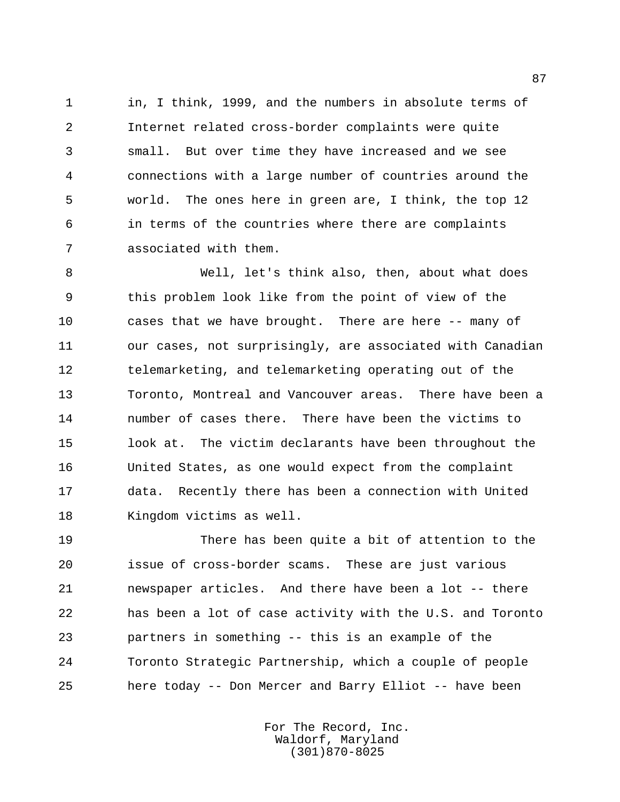in, I think, 1999, and the numbers in absolute terms of Internet related cross-border complaints were quite small. But over time they have increased and we see connections with a large number of countries around the world. The ones here in green are, I think, the top 12 in terms of the countries where there are complaints associated with them.

 Well, let's think also, then, about what does this problem look like from the point of view of the cases that we have brought. There are here -- many of our cases, not surprisingly, are associated with Canadian telemarketing, and telemarketing operating out of the Toronto, Montreal and Vancouver areas. There have been a number of cases there. There have been the victims to look at. The victim declarants have been throughout the United States, as one would expect from the complaint data. Recently there has been a connection with United Kingdom victims as well.

 There has been quite a bit of attention to the issue of cross-border scams. These are just various newspaper articles. And there have been a lot -- there has been a lot of case activity with the U.S. and Toronto partners in something -- this is an example of the Toronto Strategic Partnership, which a couple of people here today -- Don Mercer and Barry Elliot -- have been

> For The Record, Inc. Waldorf, Maryland (301)870-8025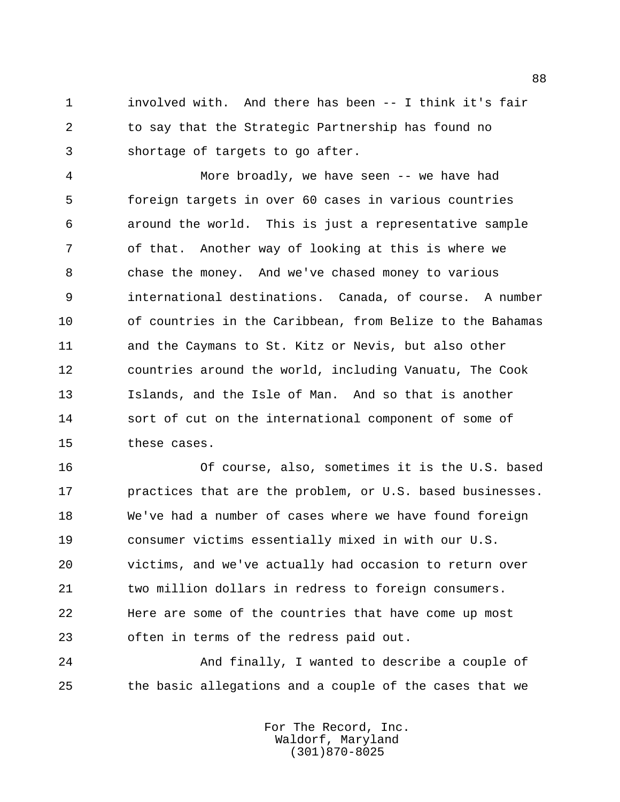involved with. And there has been -- I think it's fair to say that the Strategic Partnership has found no shortage of targets to go after.

 More broadly, we have seen -- we have had foreign targets in over 60 cases in various countries around the world. This is just a representative sample of that. Another way of looking at this is where we chase the money. And we've chased money to various international destinations. Canada, of course. A number of countries in the Caribbean, from Belize to the Bahamas and the Caymans to St. Kitz or Nevis, but also other countries around the world, including Vanuatu, The Cook Islands, and the Isle of Man. And so that is another sort of cut on the international component of some of these cases.

 Of course, also, sometimes it is the U.S. based practices that are the problem, or U.S. based businesses. We've had a number of cases where we have found foreign consumer victims essentially mixed in with our U.S. victims, and we've actually had occasion to return over two million dollars in redress to foreign consumers. Here are some of the countries that have come up most often in terms of the redress paid out.

 And finally, I wanted to describe a couple of the basic allegations and a couple of the cases that we

> For The Record, Inc. Waldorf, Maryland (301)870-8025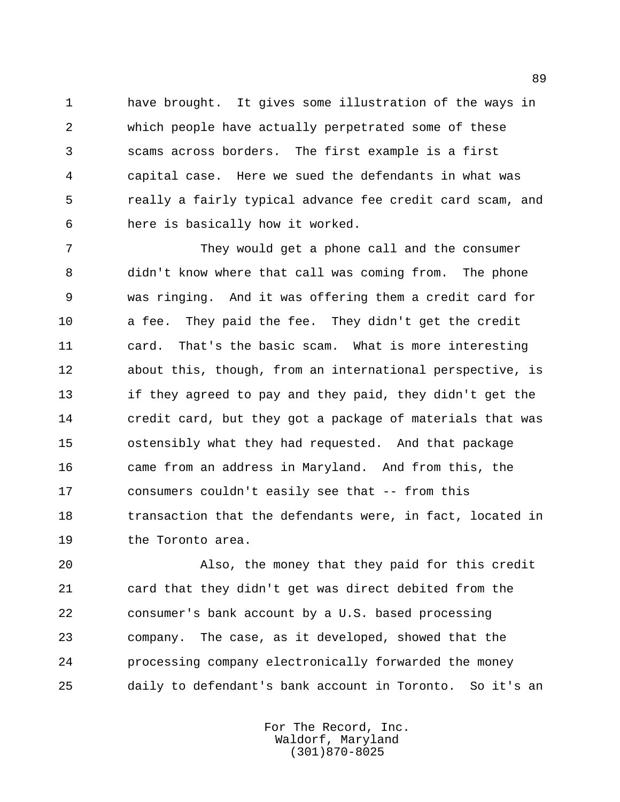have brought. It gives some illustration of the ways in which people have actually perpetrated some of these scams across borders. The first example is a first capital case. Here we sued the defendants in what was really a fairly typical advance fee credit card scam, and here is basically how it worked.

 They would get a phone call and the consumer didn't know where that call was coming from. The phone was ringing. And it was offering them a credit card for a fee. They paid the fee. They didn't get the credit card. That's the basic scam. What is more interesting about this, though, from an international perspective, is if they agreed to pay and they paid, they didn't get the credit card, but they got a package of materials that was ostensibly what they had requested. And that package came from an address in Maryland. And from this, the consumers couldn't easily see that -- from this transaction that the defendants were, in fact, located in 19 the Toronto area.

 Also, the money that they paid for this credit card that they didn't get was direct debited from the consumer's bank account by a U.S. based processing company. The case, as it developed, showed that the processing company electronically forwarded the money daily to defendant's bank account in Toronto. So it's an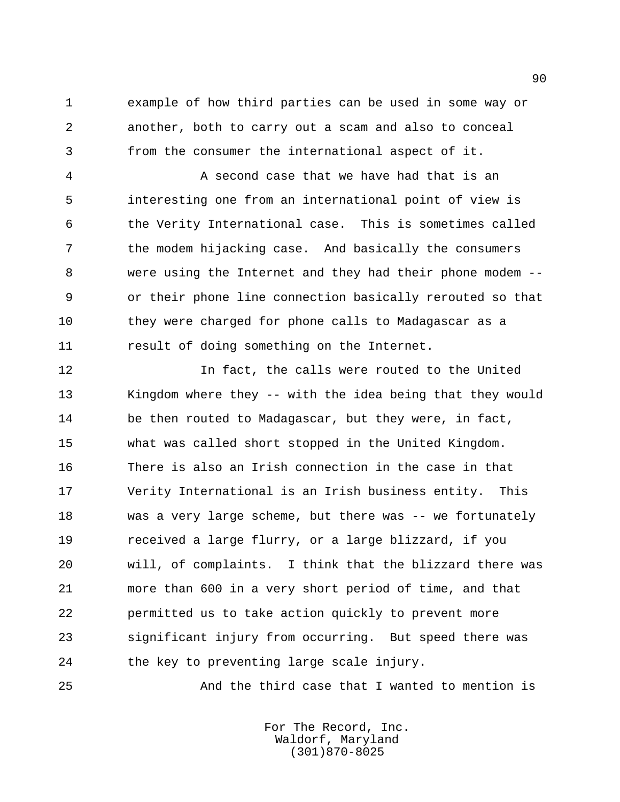example of how third parties can be used in some way or another, both to carry out a scam and also to conceal from the consumer the international aspect of it.

 A second case that we have had that is an interesting one from an international point of view is the Verity International case. This is sometimes called the modem hijacking case. And basically the consumers were using the Internet and they had their phone modem -- or their phone line connection basically rerouted so that they were charged for phone calls to Madagascar as a result of doing something on the Internet.

 In fact, the calls were routed to the United Kingdom where they -- with the idea being that they would 14 be then routed to Madagascar, but they were, in fact, what was called short stopped in the United Kingdom. There is also an Irish connection in the case in that Verity International is an Irish business entity. This was a very large scheme, but there was -- we fortunately received a large flurry, or a large blizzard, if you will, of complaints. I think that the blizzard there was more than 600 in a very short period of time, and that permitted us to take action quickly to prevent more significant injury from occurring. But speed there was 24 the key to preventing large scale injury.

And the third case that I wanted to mention is

For The Record, Inc. Waldorf, Maryland (301)870-8025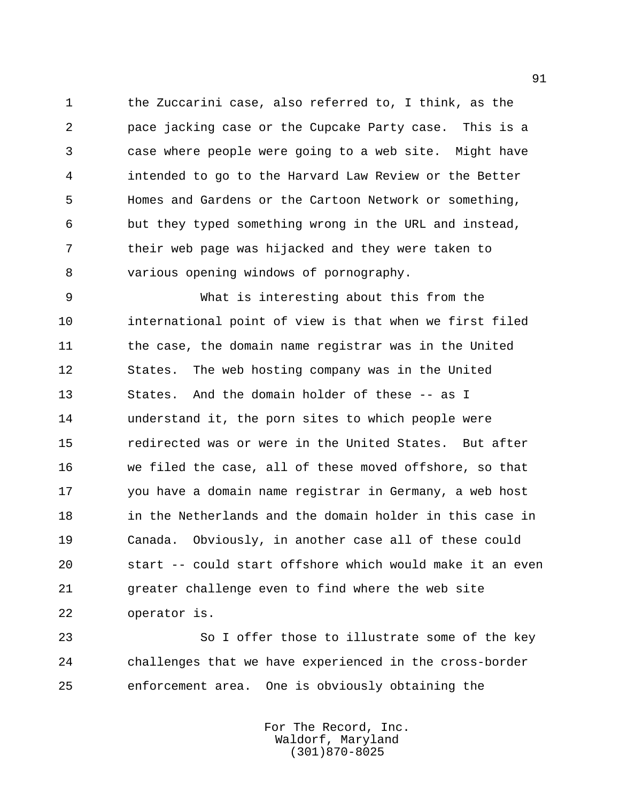the Zuccarini case, also referred to, I think, as the pace jacking case or the Cupcake Party case. This is a case where people were going to a web site. Might have intended to go to the Harvard Law Review or the Better Homes and Gardens or the Cartoon Network or something, but they typed something wrong in the URL and instead, their web page was hijacked and they were taken to various opening windows of pornography.

 What is interesting about this from the international point of view is that when we first filed 11 the case, the domain name registrar was in the United States. The web hosting company was in the United States. And the domain holder of these -- as I understand it, the porn sites to which people were redirected was or were in the United States. But after we filed the case, all of these moved offshore, so that you have a domain name registrar in Germany, a web host in the Netherlands and the domain holder in this case in Canada. Obviously, in another case all of these could start -- could start offshore which would make it an even greater challenge even to find where the web site operator is.

 So I offer those to illustrate some of the key challenges that we have experienced in the cross-border enforcement area. One is obviously obtaining the

> For The Record, Inc. Waldorf, Maryland (301)870-8025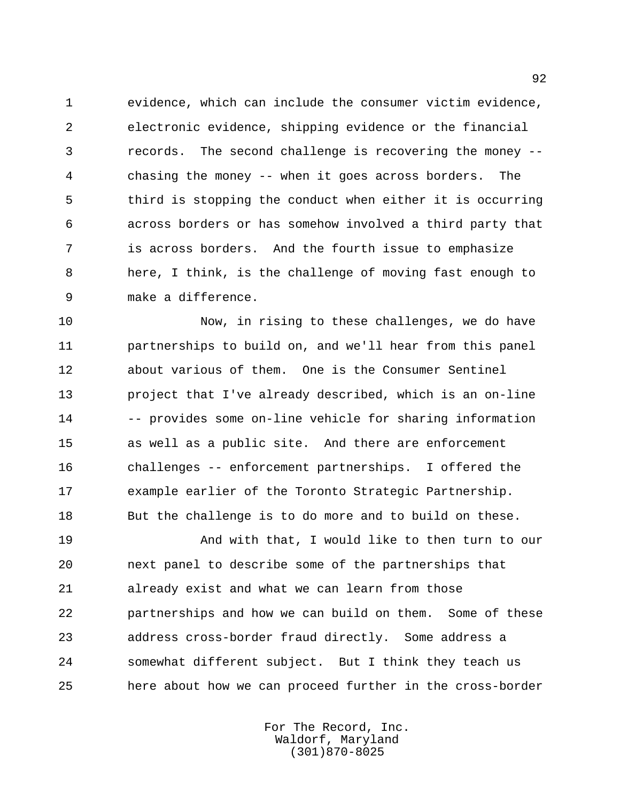evidence, which can include the consumer victim evidence, electronic evidence, shipping evidence or the financial records. The second challenge is recovering the money -- chasing the money -- when it goes across borders. The third is stopping the conduct when either it is occurring across borders or has somehow involved a third party that is across borders. And the fourth issue to emphasize here, I think, is the challenge of moving fast enough to make a difference.

 Now, in rising to these challenges, we do have partnerships to build on, and we'll hear from this panel about various of them. One is the Consumer Sentinel project that I've already described, which is an on-line -- provides some on-line vehicle for sharing information as well as a public site. And there are enforcement challenges -- enforcement partnerships. I offered the example earlier of the Toronto Strategic Partnership. But the challenge is to do more and to build on these.

 And with that, I would like to then turn to our next panel to describe some of the partnerships that already exist and what we can learn from those partnerships and how we can build on them. Some of these address cross-border fraud directly. Some address a somewhat different subject. But I think they teach us here about how we can proceed further in the cross-border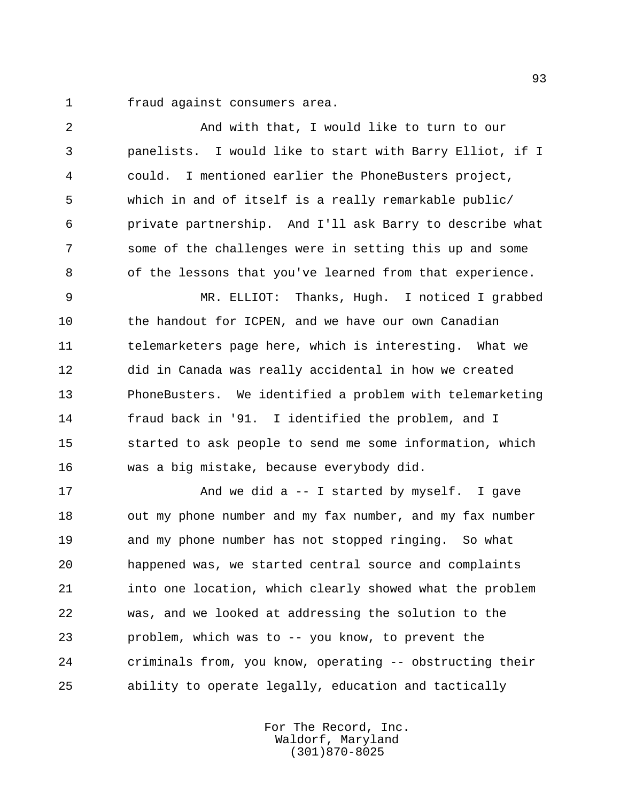fraud against consumers area.

 And with that, I would like to turn to our panelists. I would like to start with Barry Elliot, if I could. I mentioned earlier the PhoneBusters project, which in and of itself is a really remarkable public/ private partnership. And I'll ask Barry to describe what some of the challenges were in setting this up and some of the lessons that you've learned from that experience. MR. ELLIOT: Thanks, Hugh. I noticed I grabbed 10 the handout for ICPEN, and we have our own Canadian telemarketers page here, which is interesting. What we did in Canada was really accidental in how we created PhoneBusters. We identified a problem with telemarketing fraud back in '91. I identified the problem, and I started to ask people to send me some information, which was a big mistake, because everybody did. 17 And we did a -- I started by myself. I gave out my phone number and my fax number, and my fax number and my phone number has not stopped ringing. So what happened was, we started central source and complaints into one location, which clearly showed what the problem

 was, and we looked at addressing the solution to the problem, which was to -- you know, to prevent the criminals from, you know, operating -- obstructing their ability to operate legally, education and tactically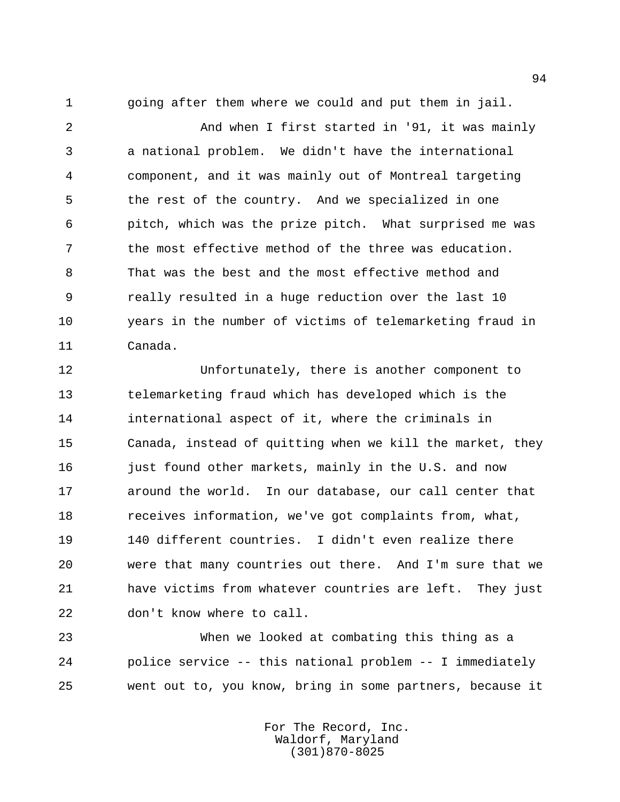going after them where we could and put them in jail.

 And when I first started in '91, it was mainly a national problem. We didn't have the international component, and it was mainly out of Montreal targeting the rest of the country. And we specialized in one pitch, which was the prize pitch. What surprised me was the most effective method of the three was education. That was the best and the most effective method and really resulted in a huge reduction over the last 10 years in the number of victims of telemarketing fraud in Canada.

 Unfortunately, there is another component to telemarketing fraud which has developed which is the international aspect of it, where the criminals in Canada, instead of quitting when we kill the market, they 16 just found other markets, mainly in the U.S. and now around the world. In our database, our call center that receives information, we've got complaints from, what, 140 different countries. I didn't even realize there were that many countries out there. And I'm sure that we have victims from whatever countries are left. They just don't know where to call.

 When we looked at combating this thing as a police service -- this national problem -- I immediately went out to, you know, bring in some partners, because it

> For The Record, Inc. Waldorf, Maryland (301)870-8025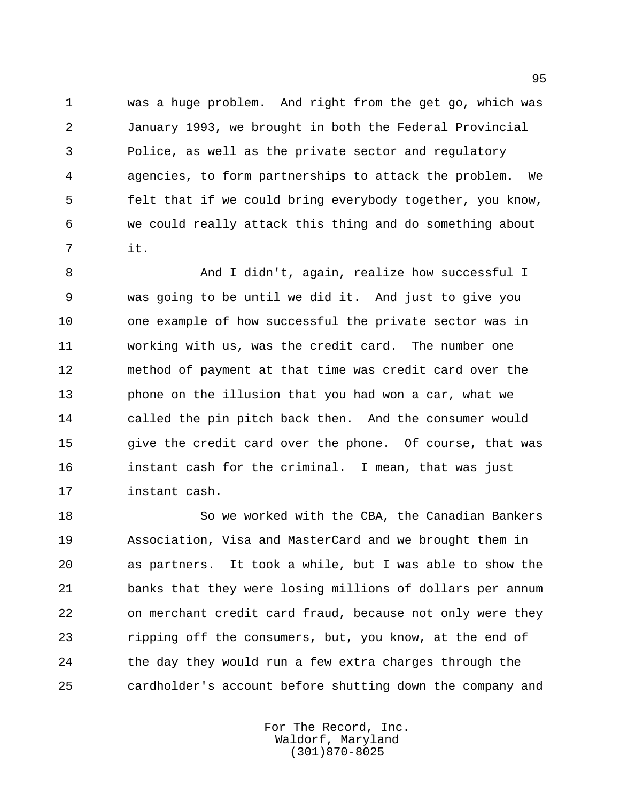was a huge problem. And right from the get go, which was January 1993, we brought in both the Federal Provincial Police, as well as the private sector and regulatory agencies, to form partnerships to attack the problem. We felt that if we could bring everybody together, you know, we could really attack this thing and do something about it.

8 And I didn't, again, realize how successful I was going to be until we did it. And just to give you one example of how successful the private sector was in working with us, was the credit card. The number one method of payment at that time was credit card over the phone on the illusion that you had won a car, what we called the pin pitch back then. And the consumer would give the credit card over the phone. Of course, that was instant cash for the criminal. I mean, that was just instant cash.

 So we worked with the CBA, the Canadian Bankers Association, Visa and MasterCard and we brought them in as partners. It took a while, but I was able to show the banks that they were losing millions of dollars per annum on merchant credit card fraud, because not only were they ripping off the consumers, but, you know, at the end of the day they would run a few extra charges through the cardholder's account before shutting down the company and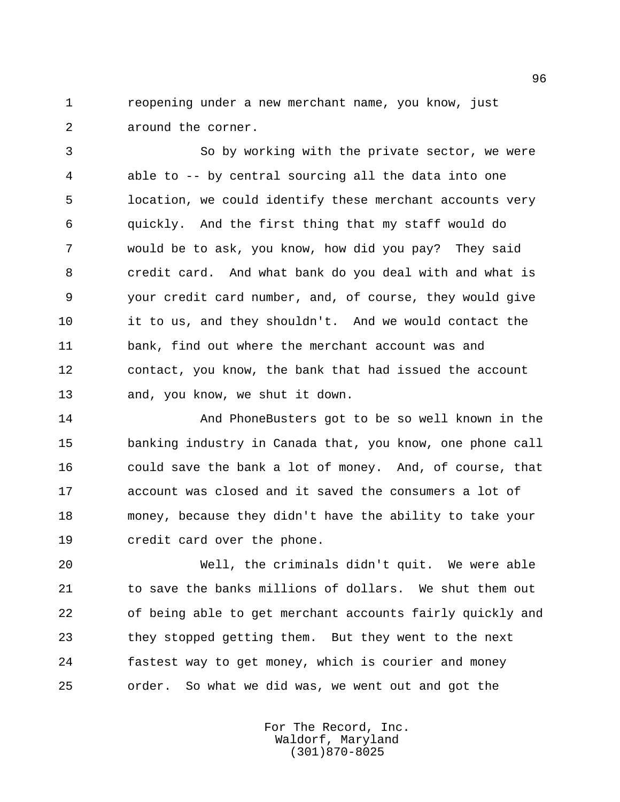reopening under a new merchant name, you know, just around the corner.

 So by working with the private sector, we were able to -- by central sourcing all the data into one location, we could identify these merchant accounts very quickly. And the first thing that my staff would do would be to ask, you know, how did you pay? They said credit card. And what bank do you deal with and what is your credit card number, and, of course, they would give it to us, and they shouldn't. And we would contact the bank, find out where the merchant account was and contact, you know, the bank that had issued the account and, you know, we shut it down.

 And PhoneBusters got to be so well known in the banking industry in Canada that, you know, one phone call could save the bank a lot of money. And, of course, that account was closed and it saved the consumers a lot of money, because they didn't have the ability to take your credit card over the phone.

 Well, the criminals didn't quit. We were able to save the banks millions of dollars. We shut them out of being able to get merchant accounts fairly quickly and they stopped getting them. But they went to the next fastest way to get money, which is courier and money order. So what we did was, we went out and got the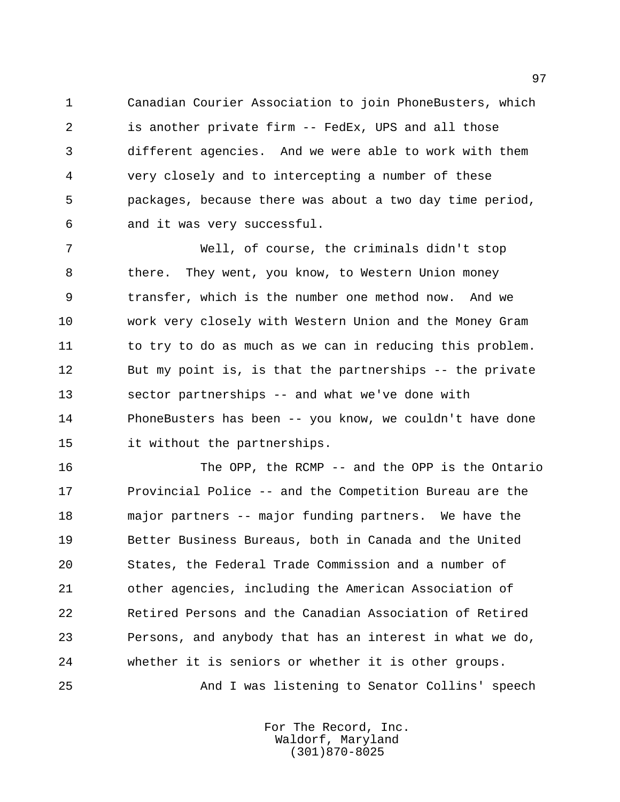Canadian Courier Association to join PhoneBusters, which is another private firm -- FedEx, UPS and all those different agencies. And we were able to work with them very closely and to intercepting a number of these packages, because there was about a two day time period, and it was very successful.

 Well, of course, the criminals didn't stop there. They went, you know, to Western Union money transfer, which is the number one method now. And we work very closely with Western Union and the Money Gram 11 to try to do as much as we can in reducing this problem. But my point is, is that the partnerships -- the private sector partnerships -- and what we've done with PhoneBusters has been -- you know, we couldn't have done it without the partnerships.

 The OPP, the RCMP -- and the OPP is the Ontario Provincial Police -- and the Competition Bureau are the major partners -- major funding partners. We have the Better Business Bureaus, both in Canada and the United States, the Federal Trade Commission and a number of other agencies, including the American Association of Retired Persons and the Canadian Association of Retired Persons, and anybody that has an interest in what we do, whether it is seniors or whether it is other groups. And I was listening to Senator Collins' speech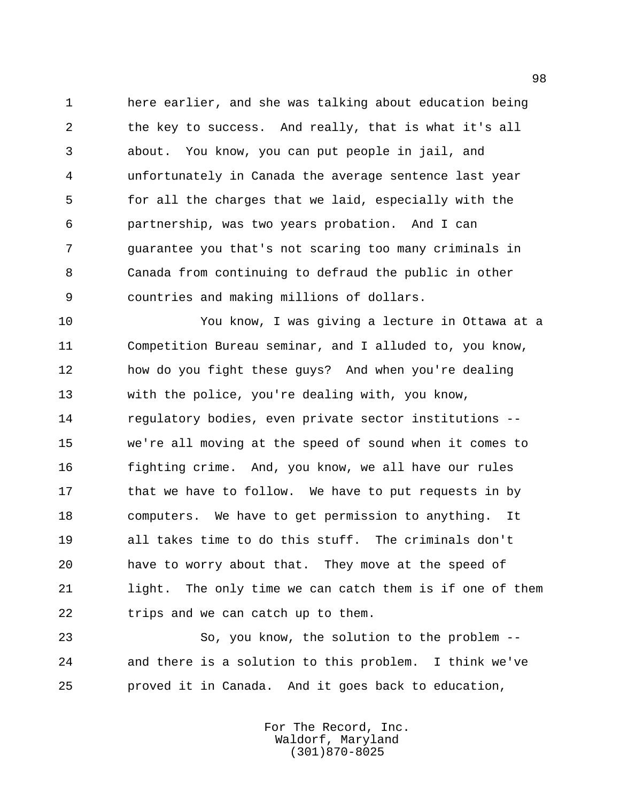here earlier, and she was talking about education being the key to success. And really, that is what it's all about. You know, you can put people in jail, and unfortunately in Canada the average sentence last year for all the charges that we laid, especially with the partnership, was two years probation. And I can guarantee you that's not scaring too many criminals in Canada from continuing to defraud the public in other countries and making millions of dollars.

 You know, I was giving a lecture in Ottawa at a Competition Bureau seminar, and I alluded to, you know, how do you fight these guys? And when you're dealing with the police, you're dealing with, you know, regulatory bodies, even private sector institutions -- we're all moving at the speed of sound when it comes to fighting crime. And, you know, we all have our rules 17 that we have to follow. We have to put requests in by computers. We have to get permission to anything. It all takes time to do this stuff. The criminals don't have to worry about that. They move at the speed of light. The only time we can catch them is if one of them trips and we can catch up to them.

 So, you know, the solution to the problem -- and there is a solution to this problem. I think we've proved it in Canada. And it goes back to education,

> For The Record, Inc. Waldorf, Maryland (301)870-8025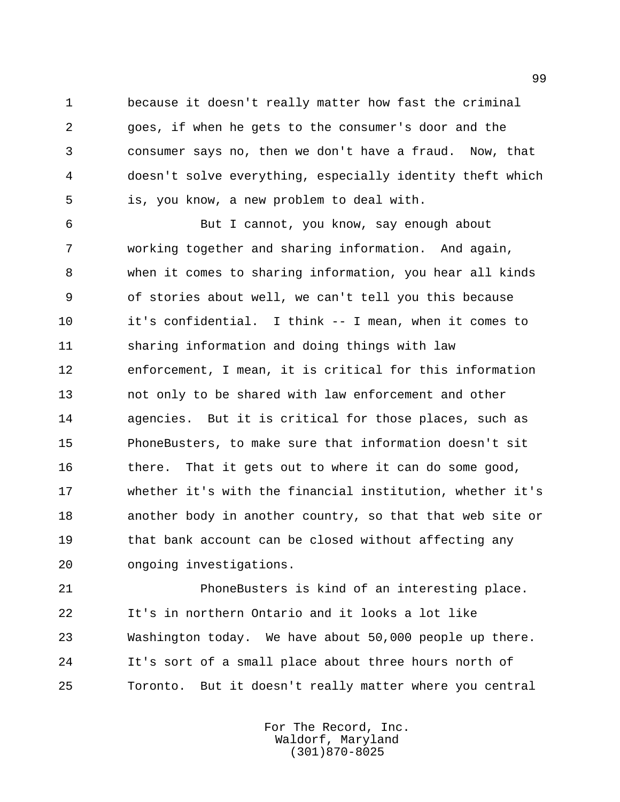because it doesn't really matter how fast the criminal goes, if when he gets to the consumer's door and the consumer says no, then we don't have a fraud. Now, that doesn't solve everything, especially identity theft which is, you know, a new problem to deal with.

 But I cannot, you know, say enough about working together and sharing information. And again, when it comes to sharing information, you hear all kinds of stories about well, we can't tell you this because it's confidential. I think -- I mean, when it comes to sharing information and doing things with law enforcement, I mean, it is critical for this information not only to be shared with law enforcement and other agencies. But it is critical for those places, such as PhoneBusters, to make sure that information doesn't sit there. That it gets out to where it can do some good, whether it's with the financial institution, whether it's another body in another country, so that that web site or that bank account can be closed without affecting any ongoing investigations.

 PhoneBusters is kind of an interesting place. It's in northern Ontario and it looks a lot like Washington today. We have about 50,000 people up there. It's sort of a small place about three hours north of Toronto. But it doesn't really matter where you central

> For The Record, Inc. Waldorf, Maryland (301)870-8025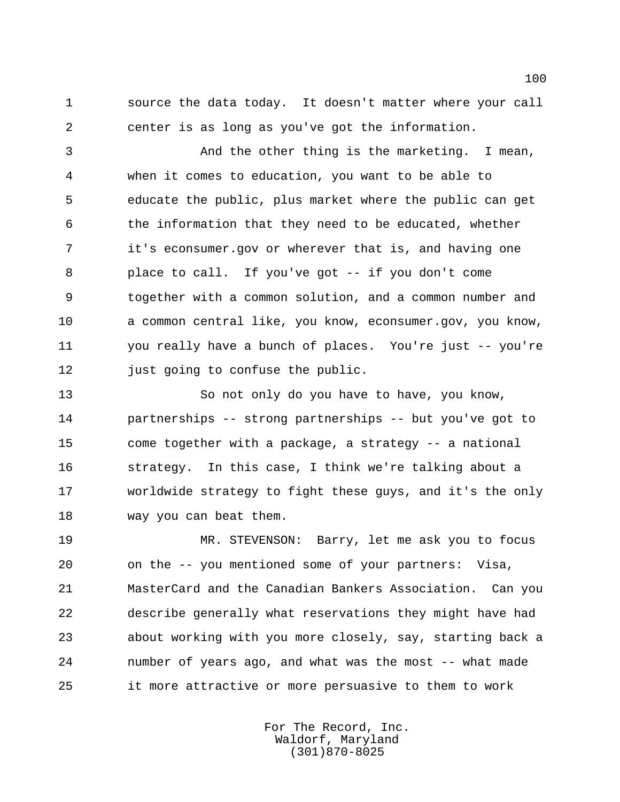source the data today. It doesn't matter where your call center is as long as you've got the information.

 And the other thing is the marketing. I mean, when it comes to education, you want to be able to educate the public, plus market where the public can get the information that they need to be educated, whether it's econsumer.gov or wherever that is, and having one place to call. If you've got -- if you don't come together with a common solution, and a common number and a common central like, you know, econsumer.gov, you know, you really have a bunch of places. You're just -- you're 12 just going to confuse the public.

 So not only do you have to have, you know, partnerships -- strong partnerships -- but you've got to come together with a package, a strategy -- a national strategy. In this case, I think we're talking about a worldwide strategy to fight these guys, and it's the only way you can beat them.

 MR. STEVENSON: Barry, let me ask you to focus on the -- you mentioned some of your partners: Visa, MasterCard and the Canadian Bankers Association. Can you describe generally what reservations they might have had about working with you more closely, say, starting back a number of years ago, and what was the most -- what made it more attractive or more persuasive to them to work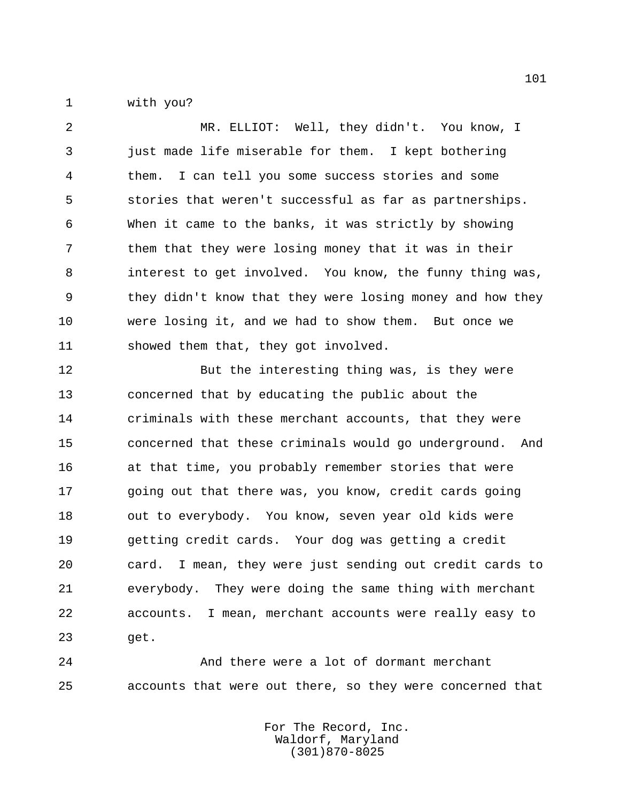with you?

 MR. ELLIOT: Well, they didn't. You know, I just made life miserable for them. I kept bothering them. I can tell you some success stories and some stories that weren't successful as far as partnerships. When it came to the banks, it was strictly by showing them that they were losing money that it was in their interest to get involved. You know, the funny thing was, they didn't know that they were losing money and how they were losing it, and we had to show them. But once we showed them that, they got involved.

 But the interesting thing was, is they were concerned that by educating the public about the criminals with these merchant accounts, that they were concerned that these criminals would go underground. And at that time, you probably remember stories that were going out that there was, you know, credit cards going out to everybody. You know, seven year old kids were getting credit cards. Your dog was getting a credit card. I mean, they were just sending out credit cards to everybody. They were doing the same thing with merchant accounts. I mean, merchant accounts were really easy to get.

 And there were a lot of dormant merchant accounts that were out there, so they were concerned that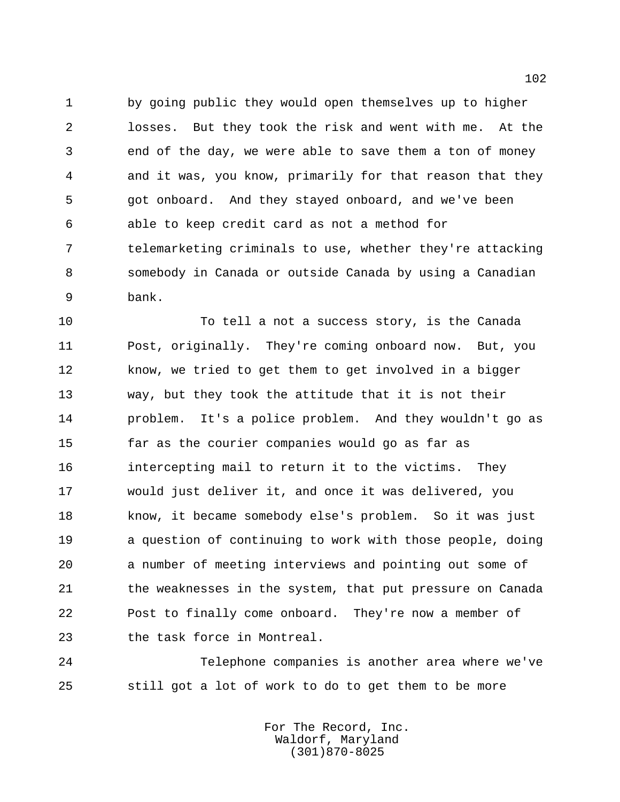by going public they would open themselves up to higher losses. But they took the risk and went with me. At the end of the day, we were able to save them a ton of money and it was, you know, primarily for that reason that they got onboard. And they stayed onboard, and we've been able to keep credit card as not a method for telemarketing criminals to use, whether they're attacking somebody in Canada or outside Canada by using a Canadian bank.

 To tell a not a success story, is the Canada Post, originally. They're coming onboard now. But, you 12 know, we tried to get them to get involved in a bigger way, but they took the attitude that it is not their problem. It's a police problem. And they wouldn't go as far as the courier companies would go as far as intercepting mail to return it to the victims. They would just deliver it, and once it was delivered, you know, it became somebody else's problem. So it was just a question of continuing to work with those people, doing a number of meeting interviews and pointing out some of the weaknesses in the system, that put pressure on Canada Post to finally come onboard. They're now a member of the task force in Montreal.

 Telephone companies is another area where we've still got a lot of work to do to get them to be more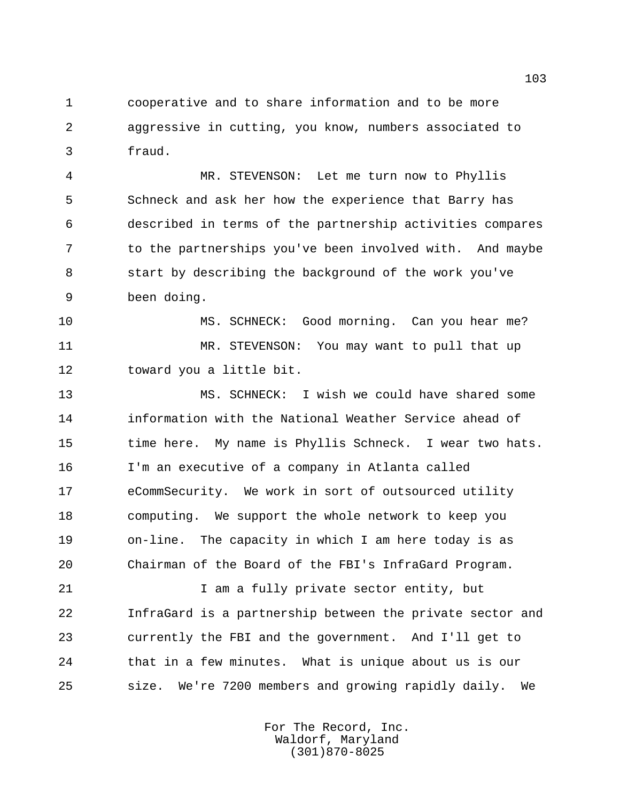cooperative and to share information and to be more aggressive in cutting, you know, numbers associated to fraud.

 MR. STEVENSON: Let me turn now to Phyllis Schneck and ask her how the experience that Barry has described in terms of the partnership activities compares to the partnerships you've been involved with. And maybe start by describing the background of the work you've been doing.

 MS. SCHNECK: Good morning. Can you hear me? MR. STEVENSON: You may want to pull that up toward you a little bit.

 MS. SCHNECK: I wish we could have shared some information with the National Weather Service ahead of time here. My name is Phyllis Schneck. I wear two hats. I'm an executive of a company in Atlanta called eCommSecurity. We work in sort of outsourced utility computing. We support the whole network to keep you on-line. The capacity in which I am here today is as Chairman of the Board of the FBI's InfraGard Program.

21 1 I am a fully private sector entity, but InfraGard is a partnership between the private sector and currently the FBI and the government. And I'll get to that in a few minutes. What is unique about us is our size. We're 7200 members and growing rapidly daily. We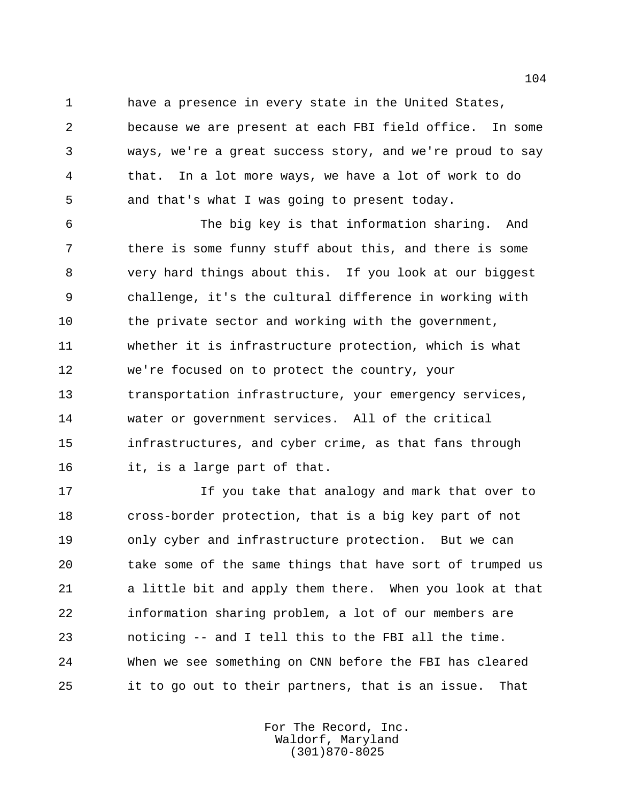have a presence in every state in the United States, because we are present at each FBI field office. In some ways, we're a great success story, and we're proud to say that. In a lot more ways, we have a lot of work to do and that's what I was going to present today.

 The big key is that information sharing. And there is some funny stuff about this, and there is some very hard things about this. If you look at our biggest challenge, it's the cultural difference in working with 10 the private sector and working with the government, whether it is infrastructure protection, which is what we're focused on to protect the country, your transportation infrastructure, your emergency services, water or government services. All of the critical infrastructures, and cyber crime, as that fans through it, is a large part of that.

 If you take that analogy and mark that over to cross-border protection, that is a big key part of not only cyber and infrastructure protection. But we can take some of the same things that have sort of trumped us a little bit and apply them there. When you look at that information sharing problem, a lot of our members are noticing -- and I tell this to the FBI all the time. When we see something on CNN before the FBI has cleared it to go out to their partners, that is an issue. That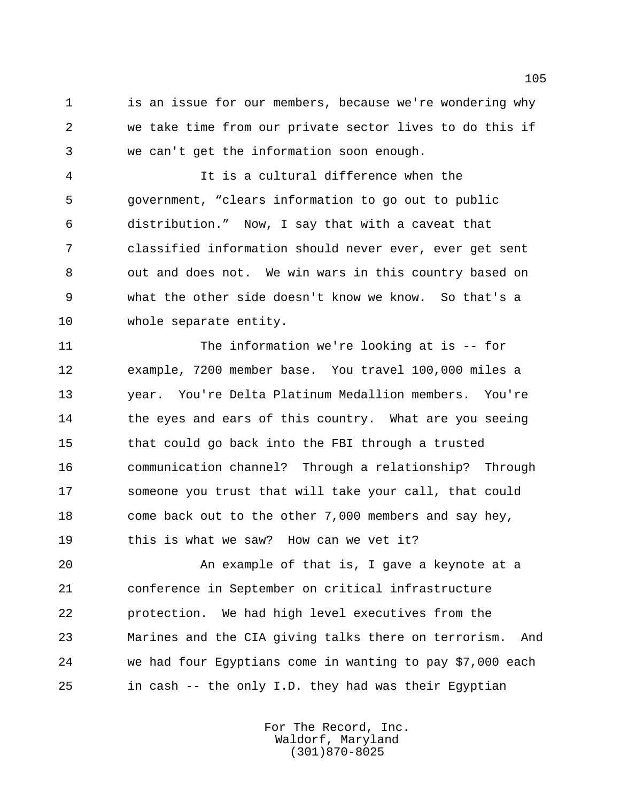is an issue for our members, because we're wondering why we take time from our private sector lives to do this if we can't get the information soon enough.

 It is a cultural difference when the government, "clears information to go out to public distribution." Now, I say that with a caveat that classified information should never ever, ever get sent out and does not. We win wars in this country based on what the other side doesn't know we know. So that's a whole separate entity.

 The information we're looking at is -- for example, 7200 member base. You travel 100,000 miles a year. You're Delta Platinum Medallion members. You're 14 the eyes and ears of this country. What are you seeing that could go back into the FBI through a trusted communication channel? Through a relationship? Through someone you trust that will take your call, that could come back out to the other 7,000 members and say hey, this is what we saw? How can we vet it?

 An example of that is, I gave a keynote at a conference in September on critical infrastructure protection. We had high level executives from the Marines and the CIA giving talks there on terrorism. And we had four Egyptians come in wanting to pay \$7,000 each in cash -- the only I.D. they had was their Egyptian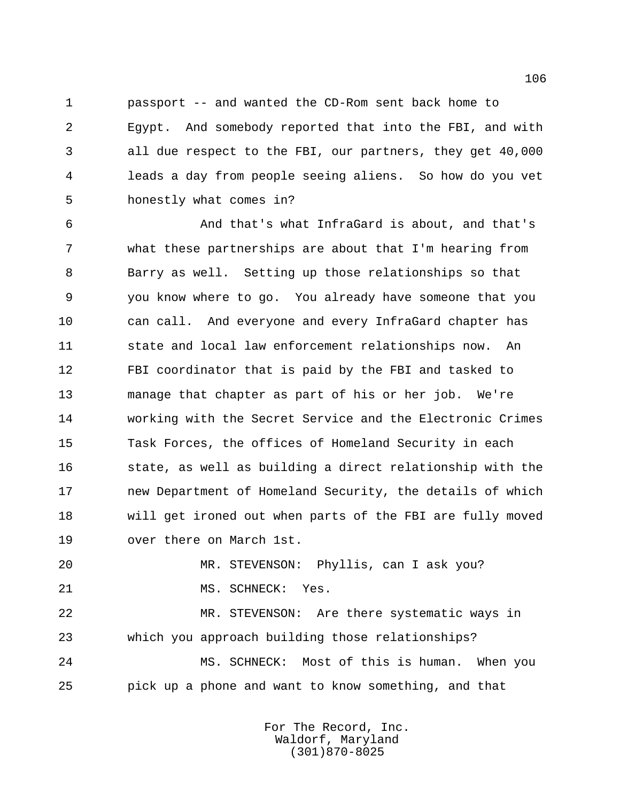passport -- and wanted the CD-Rom sent back home to Egypt. And somebody reported that into the FBI, and with all due respect to the FBI, our partners, they get 40,000 leads a day from people seeing aliens. So how do you vet honestly what comes in?

 And that's what InfraGard is about, and that's what these partnerships are about that I'm hearing from Barry as well. Setting up those relationships so that you know where to go. You already have someone that you can call. And everyone and every InfraGard chapter has state and local law enforcement relationships now. An FBI coordinator that is paid by the FBI and tasked to manage that chapter as part of his or her job. We're working with the Secret Service and the Electronic Crimes Task Forces, the offices of Homeland Security in each 16 state, as well as building a direct relationship with the new Department of Homeland Security, the details of which will get ironed out when parts of the FBI are fully moved over there on March 1st.

 MR. STEVENSON: Phyllis, can I ask you? 21 MS. SCHNECK: Yes.

 MR. STEVENSON: Are there systematic ways in which you approach building those relationships? MS. SCHNECK: Most of this is human. When you

pick up a phone and want to know something, and that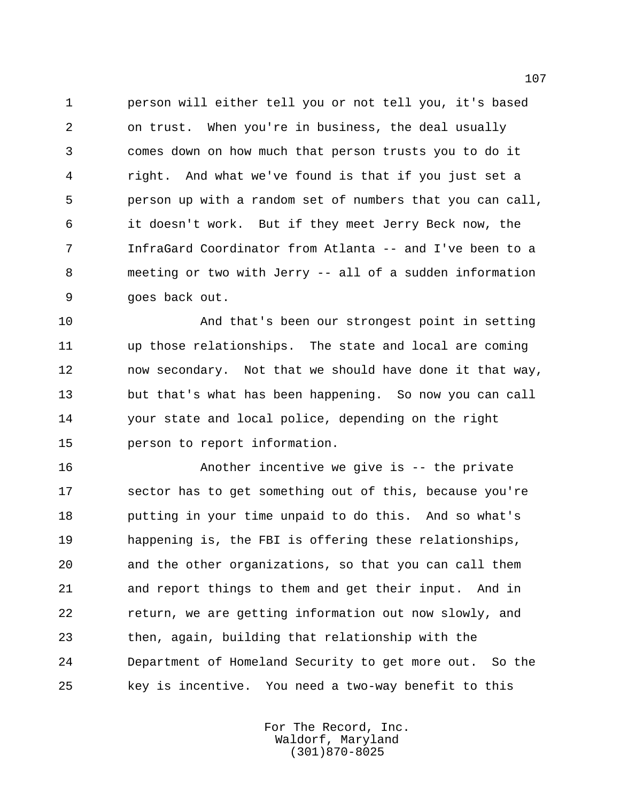person will either tell you or not tell you, it's based on trust. When you're in business, the deal usually comes down on how much that person trusts you to do it right. And what we've found is that if you just set a person up with a random set of numbers that you can call, it doesn't work. But if they meet Jerry Beck now, the InfraGard Coordinator from Atlanta -- and I've been to a meeting or two with Jerry -- all of a sudden information goes back out.

 And that's been our strongest point in setting up those relationships. The state and local are coming now secondary. Not that we should have done it that way, but that's what has been happening. So now you can call your state and local police, depending on the right person to report information.

 Another incentive we give is -- the private sector has to get something out of this, because you're putting in your time unpaid to do this. And so what's happening is, the FBI is offering these relationships, and the other organizations, so that you can call them and report things to them and get their input. And in return, we are getting information out now slowly, and then, again, building that relationship with the Department of Homeland Security to get more out. So the key is incentive. You need a two-way benefit to this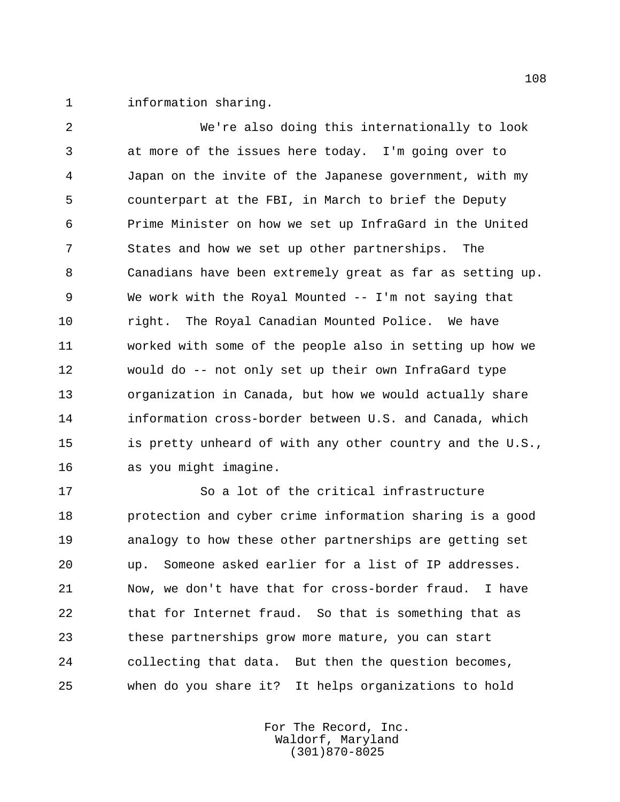information sharing.

 We're also doing this internationally to look at more of the issues here today. I'm going over to Japan on the invite of the Japanese government, with my counterpart at the FBI, in March to brief the Deputy Prime Minister on how we set up InfraGard in the United States and how we set up other partnerships. The Canadians have been extremely great as far as setting up. We work with the Royal Mounted -- I'm not saying that right. The Royal Canadian Mounted Police. We have worked with some of the people also in setting up how we would do -- not only set up their own InfraGard type organization in Canada, but how we would actually share information cross-border between U.S. and Canada, which is pretty unheard of with any other country and the U.S., as you might imagine.

 So a lot of the critical infrastructure protection and cyber crime information sharing is a good analogy to how these other partnerships are getting set up. Someone asked earlier for a list of IP addresses. Now, we don't have that for cross-border fraud. I have that for Internet fraud. So that is something that as these partnerships grow more mature, you can start collecting that data. But then the question becomes, when do you share it? It helps organizations to hold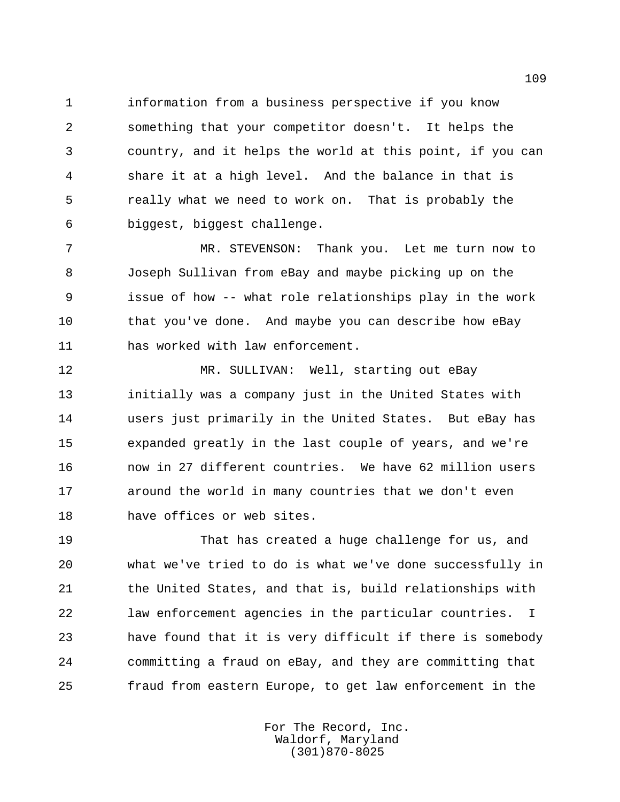information from a business perspective if you know something that your competitor doesn't. It helps the country, and it helps the world at this point, if you can share it at a high level. And the balance in that is really what we need to work on. That is probably the biggest, biggest challenge.

 MR. STEVENSON: Thank you. Let me turn now to Joseph Sullivan from eBay and maybe picking up on the issue of how -- what role relationships play in the work that you've done. And maybe you can describe how eBay has worked with law enforcement.

12 MR. SULLIVAN: Well, starting out eBay initially was a company just in the United States with users just primarily in the United States. But eBay has expanded greatly in the last couple of years, and we're now in 27 different countries. We have 62 million users around the world in many countries that we don't even have offices or web sites.

 That has created a huge challenge for us, and what we've tried to do is what we've done successfully in 21 the United States, and that is, build relationships with law enforcement agencies in the particular countries. I have found that it is very difficult if there is somebody committing a fraud on eBay, and they are committing that fraud from eastern Europe, to get law enforcement in the

> For The Record, Inc. Waldorf, Maryland (301)870-8025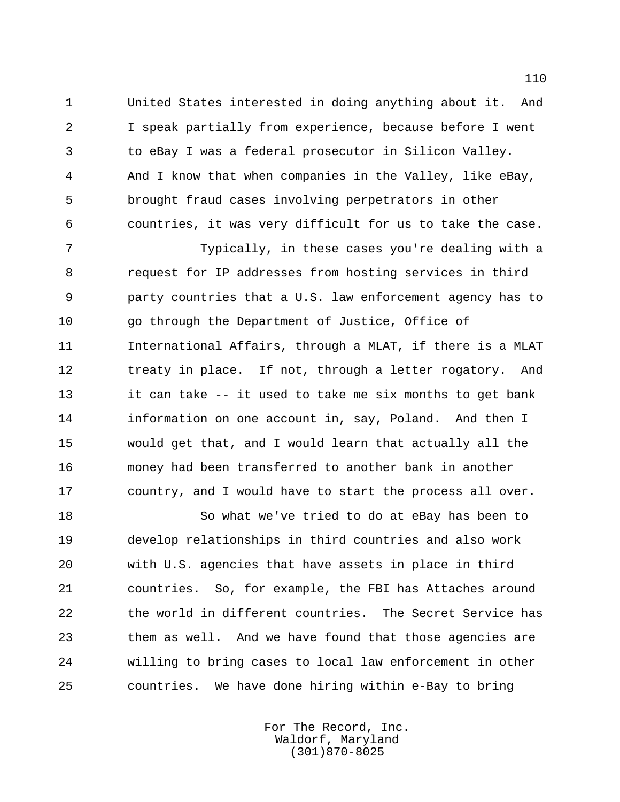United States interested in doing anything about it. And I speak partially from experience, because before I went to eBay I was a federal prosecutor in Silicon Valley. And I know that when companies in the Valley, like eBay, brought fraud cases involving perpetrators in other countries, it was very difficult for us to take the case.

 Typically, in these cases you're dealing with a request for IP addresses from hosting services in third party countries that a U.S. law enforcement agency has to go through the Department of Justice, Office of International Affairs, through a MLAT, if there is a MLAT 12 treaty in place. If not, through a letter rogatory. And it can take -- it used to take me six months to get bank information on one account in, say, Poland. And then I would get that, and I would learn that actually all the money had been transferred to another bank in another country, and I would have to start the process all over.

 So what we've tried to do at eBay has been to develop relationships in third countries and also work with U.S. agencies that have assets in place in third countries. So, for example, the FBI has Attaches around the world in different countries. The Secret Service has them as well. And we have found that those agencies are willing to bring cases to local law enforcement in other countries. We have done hiring within e-Bay to bring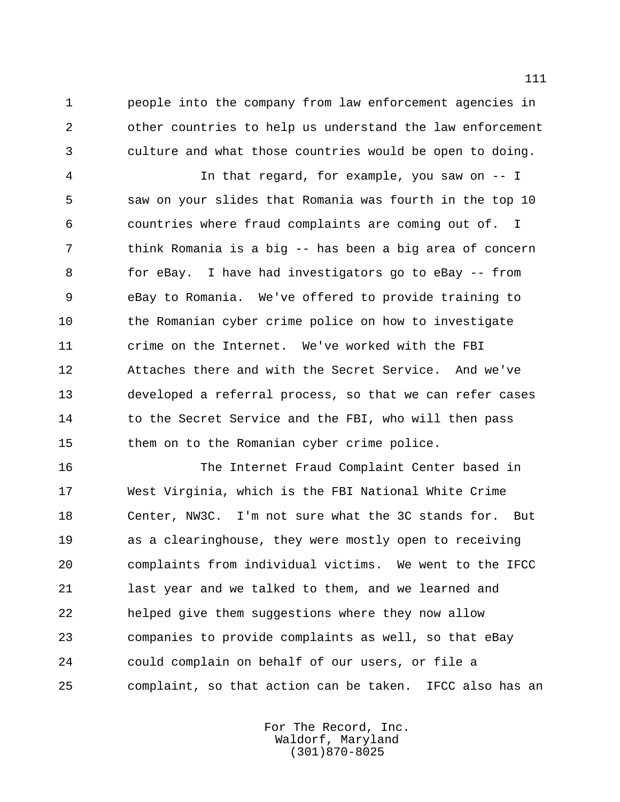people into the company from law enforcement agencies in other countries to help us understand the law enforcement culture and what those countries would be open to doing.

 In that regard, for example, you saw on -- I saw on your slides that Romania was fourth in the top 10 countries where fraud complaints are coming out of. I think Romania is a big -- has been a big area of concern for eBay. I have had investigators go to eBay -- from eBay to Romania. We've offered to provide training to the Romanian cyber crime police on how to investigate crime on the Internet. We've worked with the FBI Attaches there and with the Secret Service. And we've developed a referral process, so that we can refer cases 14 to the Secret Service and the FBI, who will then pass them on to the Romanian cyber crime police.

 The Internet Fraud Complaint Center based in West Virginia, which is the FBI National White Crime Center, NW3C. I'm not sure what the 3C stands for. But as a clearinghouse, they were mostly open to receiving complaints from individual victims. We went to the IFCC last year and we talked to them, and we learned and helped give them suggestions where they now allow companies to provide complaints as well, so that eBay could complain on behalf of our users, or file a complaint, so that action can be taken. IFCC also has an

> For The Record, Inc. Waldorf, Maryland (301)870-8025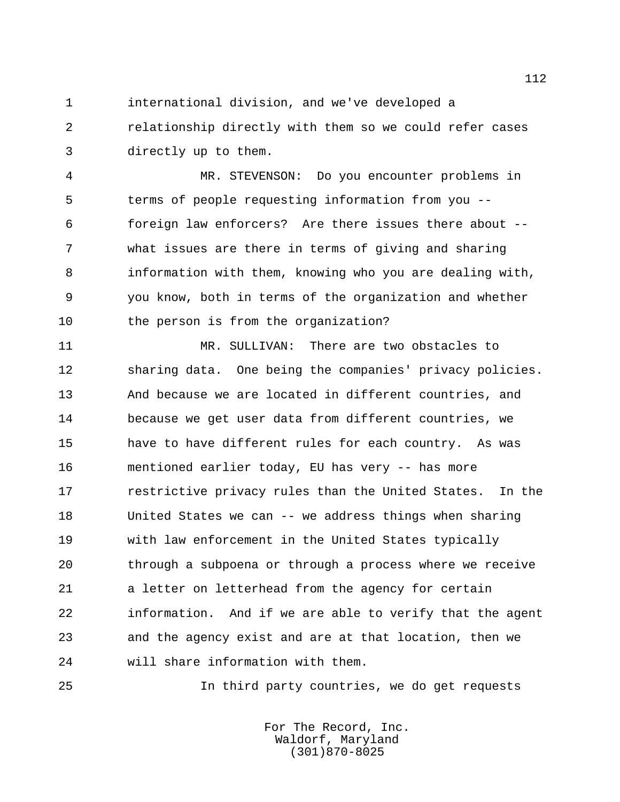international division, and we've developed a relationship directly with them so we could refer cases directly up to them.

 MR. STEVENSON: Do you encounter problems in terms of people requesting information from you -- foreign law enforcers? Are there issues there about -- what issues are there in terms of giving and sharing information with them, knowing who you are dealing with, you know, both in terms of the organization and whether the person is from the organization?

11 MR. SULLIVAN: There are two obstacles to sharing data. One being the companies' privacy policies. And because we are located in different countries, and because we get user data from different countries, we have to have different rules for each country. As was mentioned earlier today, EU has very -- has more **restrictive privacy rules than the United States.** In the United States we can -- we address things when sharing with law enforcement in the United States typically through a subpoena or through a process where we receive a letter on letterhead from the agency for certain information. And if we are able to verify that the agent and the agency exist and are at that location, then we will share information with them.

In third party countries, we do get requests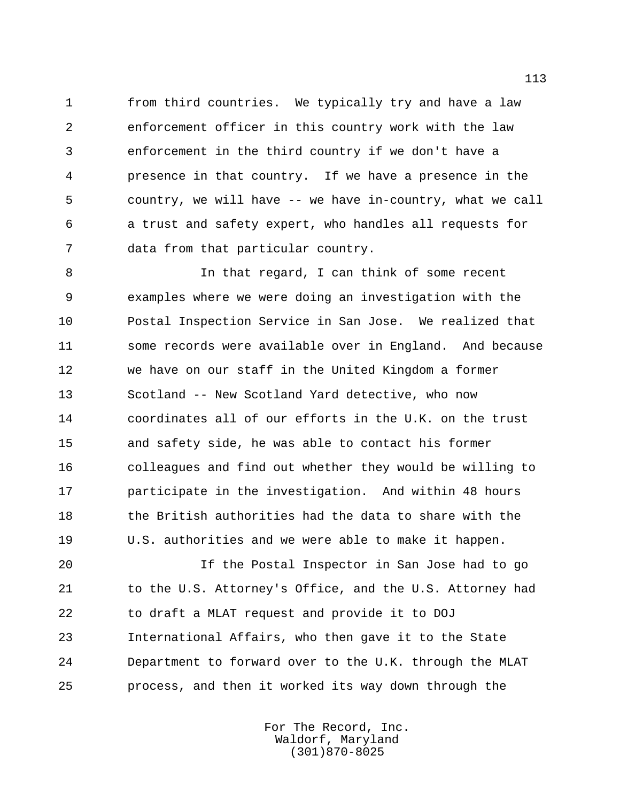from third countries. We typically try and have a law enforcement officer in this country work with the law enforcement in the third country if we don't have a presence in that country. If we have a presence in the country, we will have -- we have in-country, what we call a trust and safety expert, who handles all requests for data from that particular country.

 In that regard, I can think of some recent examples where we were doing an investigation with the Postal Inspection Service in San Jose. We realized that some records were available over in England. And because we have on our staff in the United Kingdom a former Scotland -- New Scotland Yard detective, who now coordinates all of our efforts in the U.K. on the trust and safety side, he was able to contact his former colleagues and find out whether they would be willing to participate in the investigation. And within 48 hours 18 the British authorities had the data to share with the U.S. authorities and we were able to make it happen.

 If the Postal Inspector in San Jose had to go 21 to the U.S. Attorney's Office, and the U.S. Attorney had to draft a MLAT request and provide it to DOJ International Affairs, who then gave it to the State Department to forward over to the U.K. through the MLAT process, and then it worked its way down through the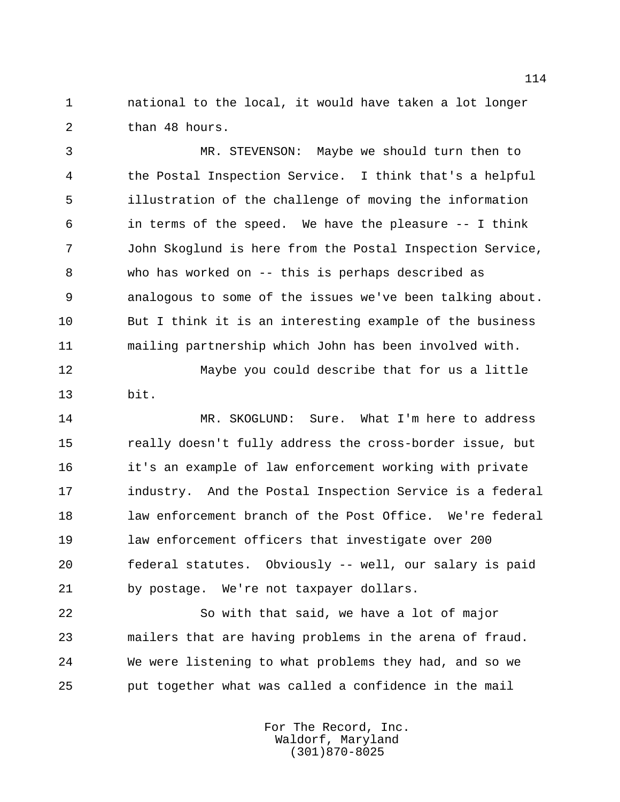national to the local, it would have taken a lot longer than 48 hours.

 MR. STEVENSON: Maybe we should turn then to the Postal Inspection Service. I think that's a helpful illustration of the challenge of moving the information in terms of the speed. We have the pleasure -- I think John Skoglund is here from the Postal Inspection Service, who has worked on -- this is perhaps described as analogous to some of the issues we've been talking about. But I think it is an interesting example of the business mailing partnership which John has been involved with.

 Maybe you could describe that for us a little bit.

14 MR. SKOGLUND: Sure. What I'm here to address really doesn't fully address the cross-border issue, but it's an example of law enforcement working with private industry. And the Postal Inspection Service is a federal law enforcement branch of the Post Office. We're federal law enforcement officers that investigate over 200 federal statutes. Obviously -- well, our salary is paid by postage. We're not taxpayer dollars.

 So with that said, we have a lot of major mailers that are having problems in the arena of fraud. We were listening to what problems they had, and so we put together what was called a confidence in the mail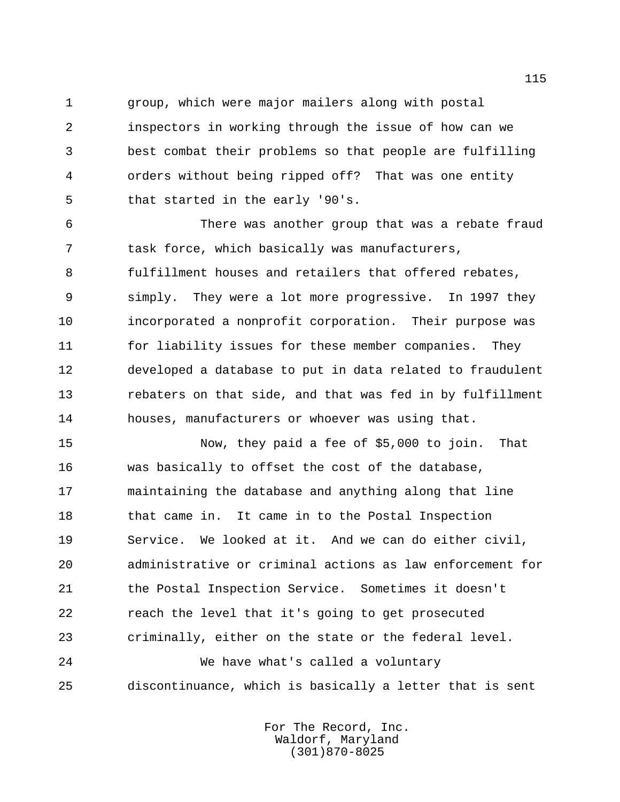group, which were major mailers along with postal

 inspectors in working through the issue of how can we best combat their problems so that people are fulfilling orders without being ripped off? That was one entity that started in the early '90's.

 There was another group that was a rebate fraud task force, which basically was manufacturers, fulfillment houses and retailers that offered rebates, simply. They were a lot more progressive. In 1997 they incorporated a nonprofit corporation. Their purpose was for liability issues for these member companies. They developed a database to put in data related to fraudulent rebaters on that side, and that was fed in by fulfillment houses, manufacturers or whoever was using that.

 Now, they paid a fee of \$5,000 to join. That was basically to offset the cost of the database, maintaining the database and anything along that line 18 that came in. It came in to the Postal Inspection Service. We looked at it. And we can do either civil, administrative or criminal actions as law enforcement for the Postal Inspection Service. Sometimes it doesn't reach the level that it's going to get prosecuted criminally, either on the state or the federal level.

 We have what's called a voluntary discontinuance, which is basically a letter that is sent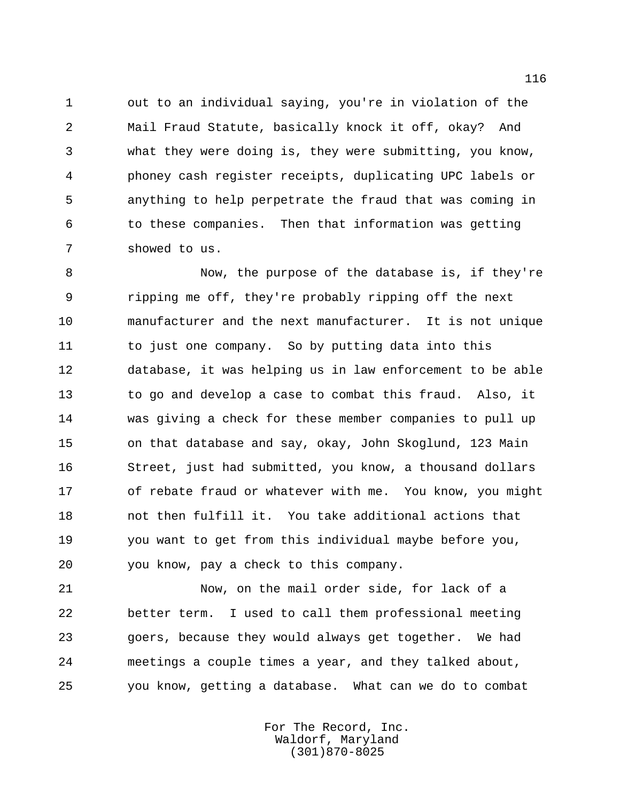out to an individual saying, you're in violation of the Mail Fraud Statute, basically knock it off, okay? And what they were doing is, they were submitting, you know, phoney cash register receipts, duplicating UPC labels or anything to help perpetrate the fraud that was coming in to these companies. Then that information was getting showed to us.

 Now, the purpose of the database is, if they're ripping me off, they're probably ripping off the next manufacturer and the next manufacturer. It is not unique 11 to just one company. So by putting data into this database, it was helping us in law enforcement to be able to go and develop a case to combat this fraud. Also, it was giving a check for these member companies to pull up on that database and say, okay, John Skoglund, 123 Main Street, just had submitted, you know, a thousand dollars of rebate fraud or whatever with me. You know, you might not then fulfill it. You take additional actions that you want to get from this individual maybe before you, you know, pay a check to this company.

 Now, on the mail order side, for lack of a better term. I used to call them professional meeting goers, because they would always get together. We had meetings a couple times a year, and they talked about, you know, getting a database. What can we do to combat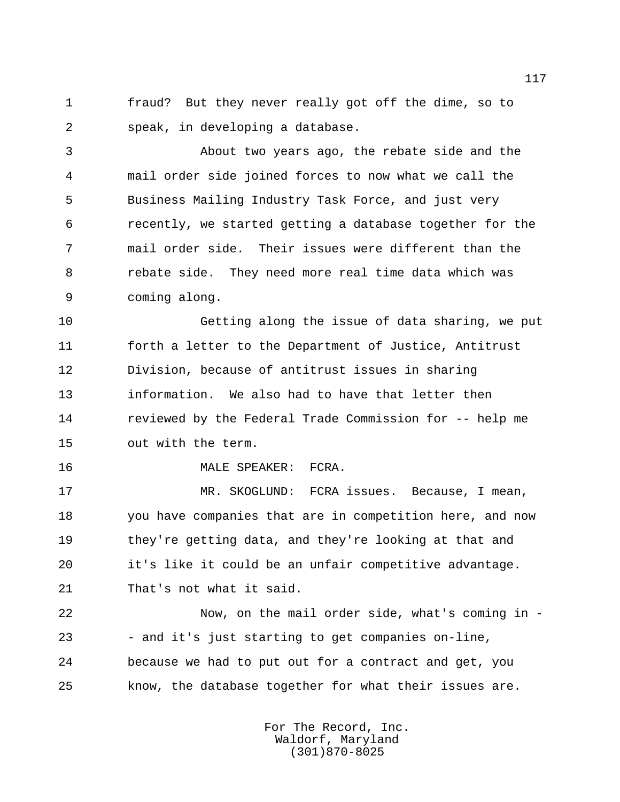fraud? But they never really got off the dime, so to speak, in developing a database.

 About two years ago, the rebate side and the mail order side joined forces to now what we call the Business Mailing Industry Task Force, and just very recently, we started getting a database together for the mail order side. Their issues were different than the rebate side. They need more real time data which was coming along.

 Getting along the issue of data sharing, we put forth a letter to the Department of Justice, Antitrust Division, because of antitrust issues in sharing information. We also had to have that letter then reviewed by the Federal Trade Commission for -- help me out with the term.

MALE SPEAKER: FCRA.

 MR. SKOGLUND: FCRA issues. Because, I mean, you have companies that are in competition here, and now they're getting data, and they're looking at that and it's like it could be an unfair competitive advantage. That's not what it said.

 Now, on the mail order side, what's coming in - - and it's just starting to get companies on-line, because we had to put out for a contract and get, you know, the database together for what their issues are.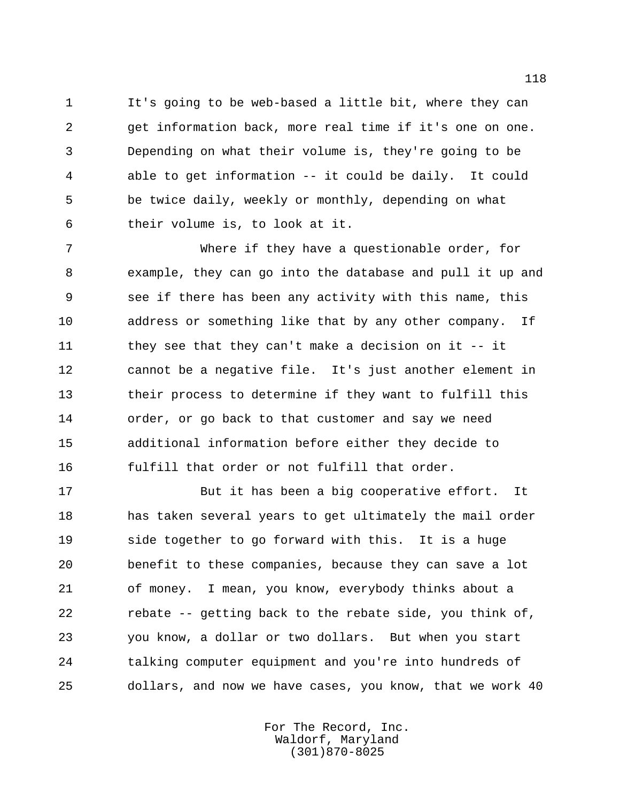It's going to be web-based a little bit, where they can get information back, more real time if it's one on one. Depending on what their volume is, they're going to be able to get information -- it could be daily. It could be twice daily, weekly or monthly, depending on what their volume is, to look at it.

 Where if they have a questionable order, for example, they can go into the database and pull it up and see if there has been any activity with this name, this address or something like that by any other company. If 11 they see that they can't make a decision on it -- it cannot be a negative file. It's just another element in their process to determine if they want to fulfill this order, or go back to that customer and say we need additional information before either they decide to fulfill that order or not fulfill that order.

 But it has been a big cooperative effort. It has taken several years to get ultimately the mail order side together to go forward with this. It is a huge benefit to these companies, because they can save a lot of money. I mean, you know, everybody thinks about a rebate -- getting back to the rebate side, you think of, you know, a dollar or two dollars. But when you start talking computer equipment and you're into hundreds of dollars, and now we have cases, you know, that we work 40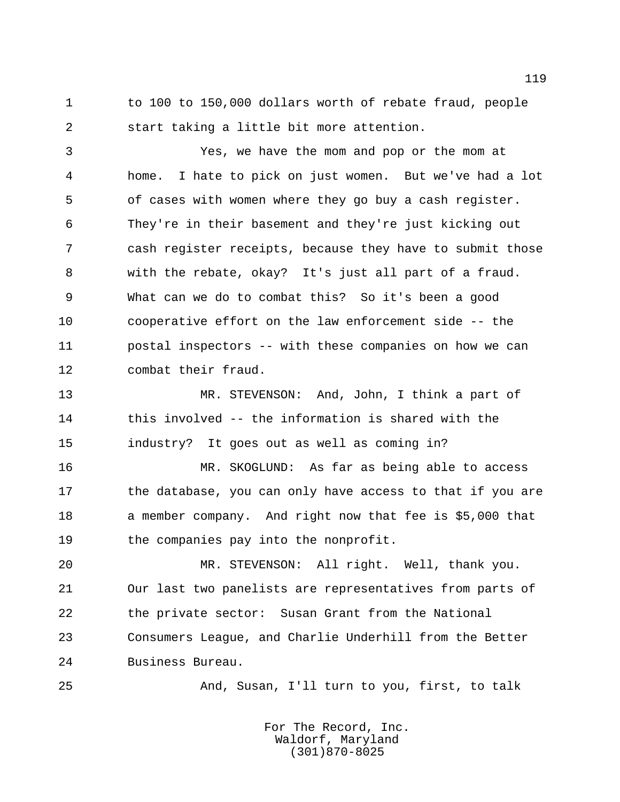1 to 100 to 150,000 dollars worth of rebate fraud, people start taking a little bit more attention.

 Yes, we have the mom and pop or the mom at home. I hate to pick on just women. But we've had a lot of cases with women where they go buy a cash register. They're in their basement and they're just kicking out cash register receipts, because they have to submit those with the rebate, okay? It's just all part of a fraud. What can we do to combat this? So it's been a good cooperative effort on the law enforcement side -- the postal inspectors -- with these companies on how we can combat their fraud.

 MR. STEVENSON: And, John, I think a part of this involved -- the information is shared with the industry? It goes out as well as coming in?

 MR. SKOGLUND: As far as being able to access 17 the database, you can only have access to that if you are 18 a member company. And right now that fee is \$5,000 that the companies pay into the nonprofit.

 MR. STEVENSON: All right. Well, thank you. Our last two panelists are representatives from parts of 22 the private sector: Susan Grant from the National Consumers League, and Charlie Underhill from the Better Business Bureau.

And, Susan, I'll turn to you, first, to talk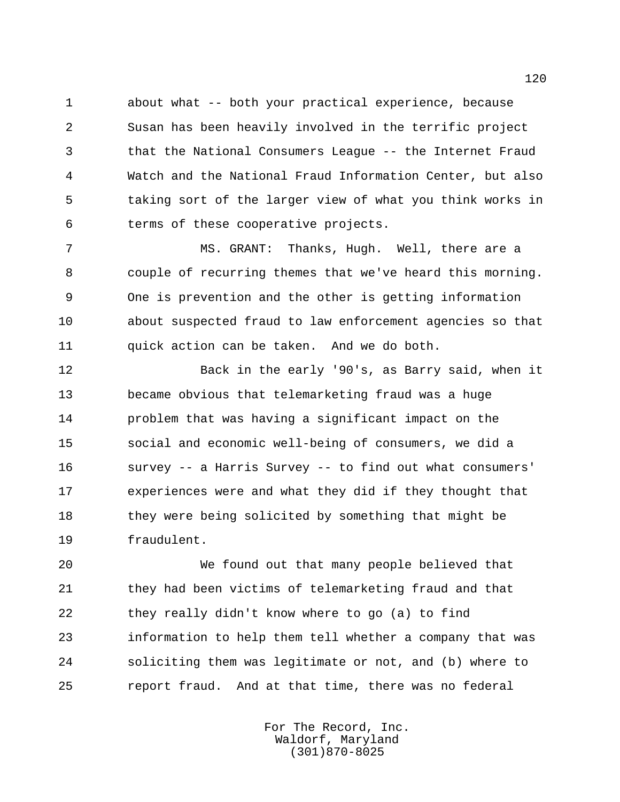about what -- both your practical experience, because Susan has been heavily involved in the terrific project that the National Consumers League -- the Internet Fraud Watch and the National Fraud Information Center, but also taking sort of the larger view of what you think works in terms of these cooperative projects.

 MS. GRANT: Thanks, Hugh. Well, there are a couple of recurring themes that we've heard this morning. One is prevention and the other is getting information about suspected fraud to law enforcement agencies so that quick action can be taken. And we do both.

 Back in the early '90's, as Barry said, when it became obvious that telemarketing fraud was a huge problem that was having a significant impact on the social and economic well-being of consumers, we did a survey -- a Harris Survey -- to find out what consumers' experiences were and what they did if they thought that 18 they were being solicited by something that might be fraudulent.

 We found out that many people believed that they had been victims of telemarketing fraud and that they really didn't know where to go (a) to find information to help them tell whether a company that was soliciting them was legitimate or not, and (b) where to report fraud. And at that time, there was no federal

> For The Record, Inc. Waldorf, Maryland (301)870-8025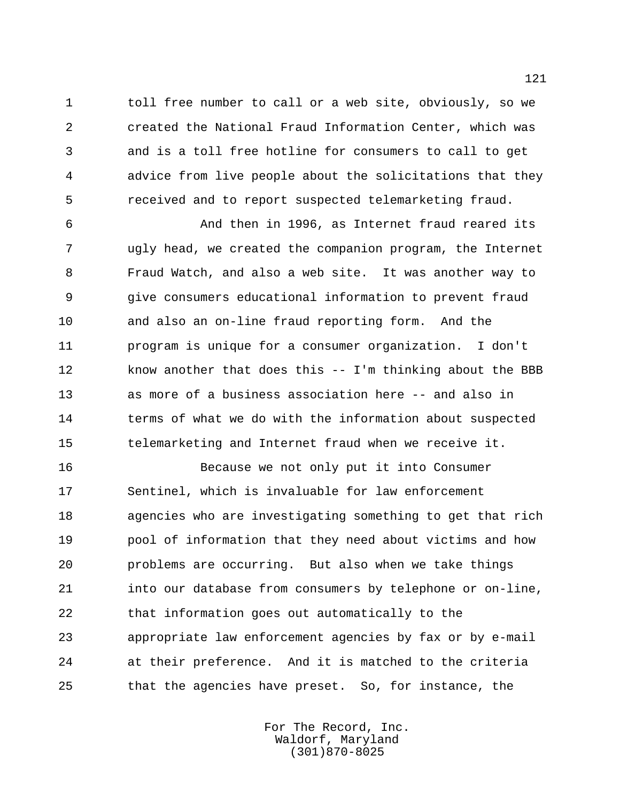toll free number to call or a web site, obviously, so we created the National Fraud Information Center, which was and is a toll free hotline for consumers to call to get advice from live people about the solicitations that they received and to report suspected telemarketing fraud.

 And then in 1996, as Internet fraud reared its ugly head, we created the companion program, the Internet Fraud Watch, and also a web site. It was another way to give consumers educational information to prevent fraud and also an on-line fraud reporting form. And the program is unique for a consumer organization. I don't know another that does this -- I'm thinking about the BBB as more of a business association here -- and also in terms of what we do with the information about suspected telemarketing and Internet fraud when we receive it.

 Because we not only put it into Consumer Sentinel, which is invaluable for law enforcement agencies who are investigating something to get that rich pool of information that they need about victims and how problems are occurring. But also when we take things into our database from consumers by telephone or on-line, that information goes out automatically to the appropriate law enforcement agencies by fax or by e-mail at their preference. And it is matched to the criteria that the agencies have preset. So, for instance, the

> For The Record, Inc. Waldorf, Maryland (301)870-8025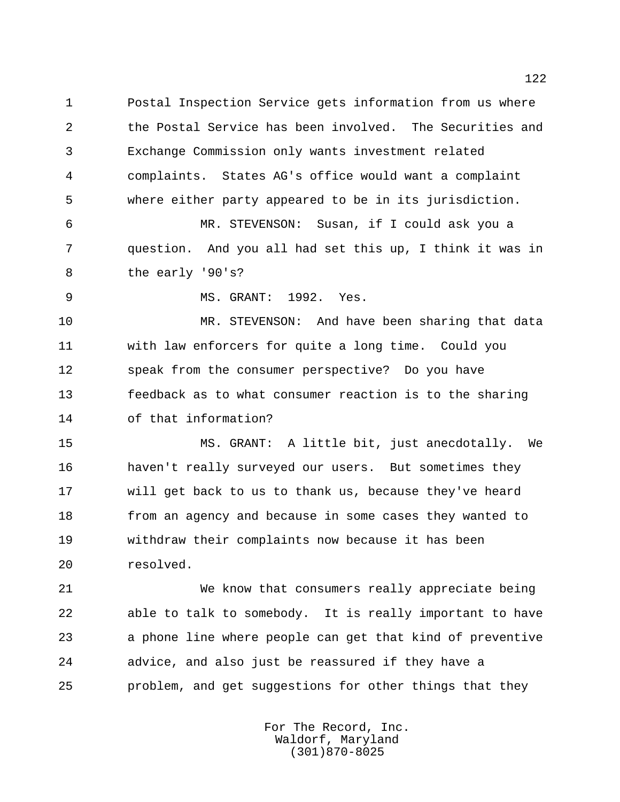Postal Inspection Service gets information from us where the Postal Service has been involved. The Securities and Exchange Commission only wants investment related complaints. States AG's office would want a complaint where either party appeared to be in its jurisdiction.

 MR. STEVENSON: Susan, if I could ask you a question. And you all had set this up, I think it was in the early '90's?

MS. GRANT: 1992. Yes.

 MR. STEVENSON: And have been sharing that data with law enforcers for quite a long time. Could you speak from the consumer perspective? Do you have feedback as to what consumer reaction is to the sharing of that information?

 MS. GRANT: A little bit, just anecdotally. We haven't really surveyed our users. But sometimes they will get back to us to thank us, because they've heard from an agency and because in some cases they wanted to withdraw their complaints now because it has been resolved.

 We know that consumers really appreciate being able to talk to somebody. It is really important to have a phone line where people can get that kind of preventive advice, and also just be reassured if they have a problem, and get suggestions for other things that they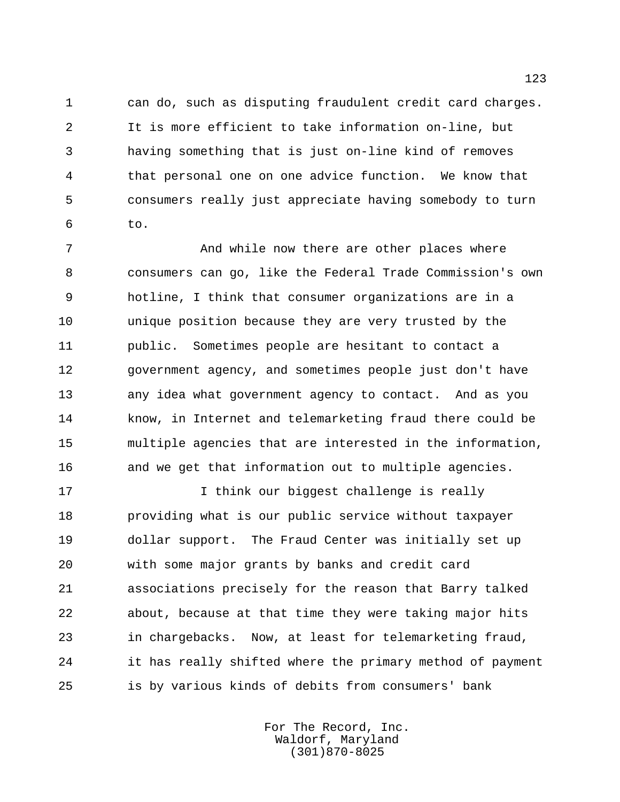can do, such as disputing fraudulent credit card charges. It is more efficient to take information on-line, but having something that is just on-line kind of removes that personal one on one advice function. We know that consumers really just appreciate having somebody to turn to.

 And while now there are other places where consumers can go, like the Federal Trade Commission's own hotline, I think that consumer organizations are in a unique position because they are very trusted by the public. Sometimes people are hesitant to contact a government agency, and sometimes people just don't have any idea what government agency to contact. And as you know, in Internet and telemarketing fraud there could be multiple agencies that are interested in the information, and we get that information out to multiple agencies.

 I think our biggest challenge is really providing what is our public service without taxpayer dollar support. The Fraud Center was initially set up with some major grants by banks and credit card associations precisely for the reason that Barry talked about, because at that time they were taking major hits in chargebacks. Now, at least for telemarketing fraud, it has really shifted where the primary method of payment is by various kinds of debits from consumers' bank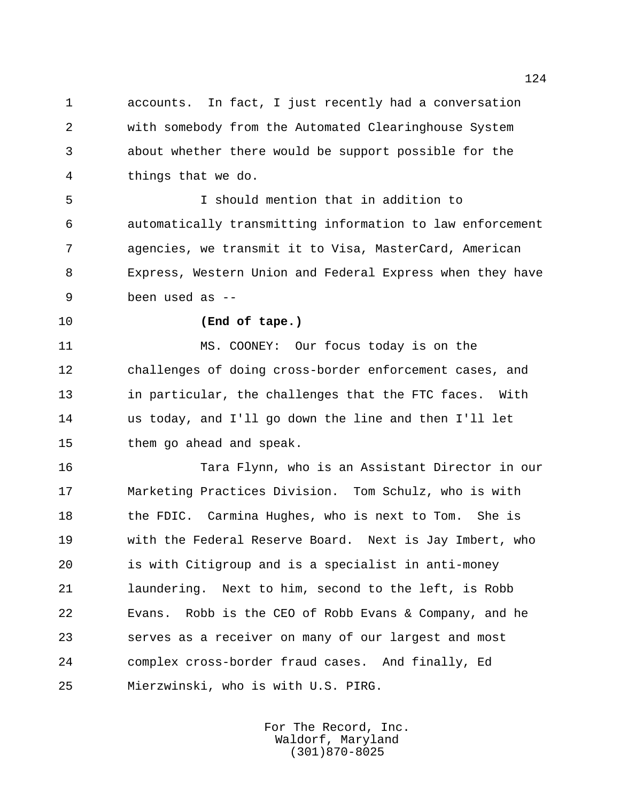accounts. In fact, I just recently had a conversation with somebody from the Automated Clearinghouse System about whether there would be support possible for the things that we do.

 I should mention that in addition to automatically transmitting information to law enforcement agencies, we transmit it to Visa, MasterCard, American Express, Western Union and Federal Express when they have been used as --

## **(End of tape.)**

 MS. COONEY: Our focus today is on the challenges of doing cross-border enforcement cases, and in particular, the challenges that the FTC faces. With us today, and I'll go down the line and then I'll let them go ahead and speak.

 Tara Flynn, who is an Assistant Director in our Marketing Practices Division. Tom Schulz, who is with 18 the FDIC. Carmina Hughes, who is next to Tom. She is with the Federal Reserve Board. Next is Jay Imbert, who is with Citigroup and is a specialist in anti-money laundering. Next to him, second to the left, is Robb Evans. Robb is the CEO of Robb Evans & Company, and he serves as a receiver on many of our largest and most complex cross-border fraud cases. And finally, Ed Mierzwinski, who is with U.S. PIRG.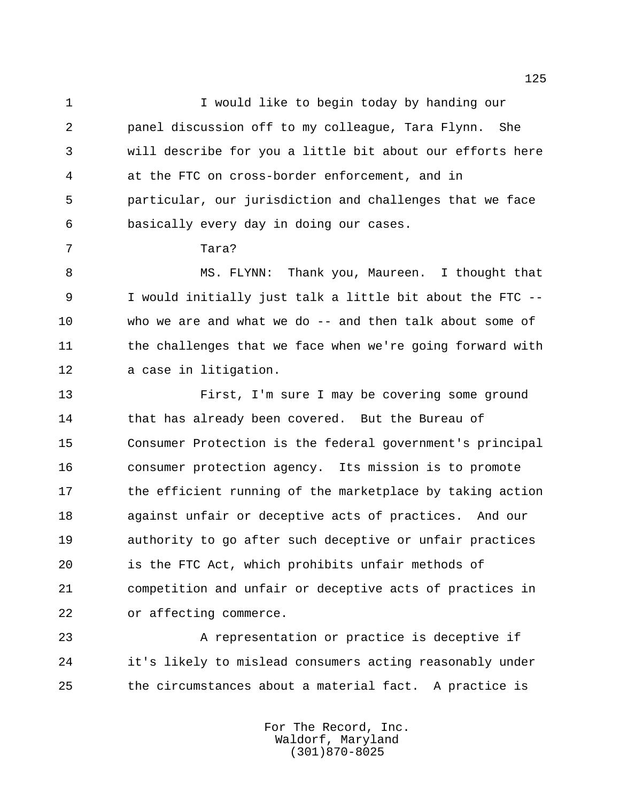1 1 I would like to begin today by handing our panel discussion off to my colleague, Tara Flynn. She will describe for you a little bit about our efforts here at the FTC on cross-border enforcement, and in particular, our jurisdiction and challenges that we face basically every day in doing our cases.

Tara?

 MS. FLYNN: Thank you, Maureen. I thought that I would initially just talk a little bit about the FTC -- who we are and what we do -- and then talk about some of 11 the challenges that we face when we're going forward with a case in litigation.

 First, I'm sure I may be covering some ground 14 that has already been covered. But the Bureau of Consumer Protection is the federal government's principal consumer protection agency. Its mission is to promote 17 the efficient running of the marketplace by taking action against unfair or deceptive acts of practices. And our authority to go after such deceptive or unfair practices is the FTC Act, which prohibits unfair methods of competition and unfair or deceptive acts of practices in or affecting commerce.

 A representation or practice is deceptive if it's likely to mislead consumers acting reasonably under the circumstances about a material fact. A practice is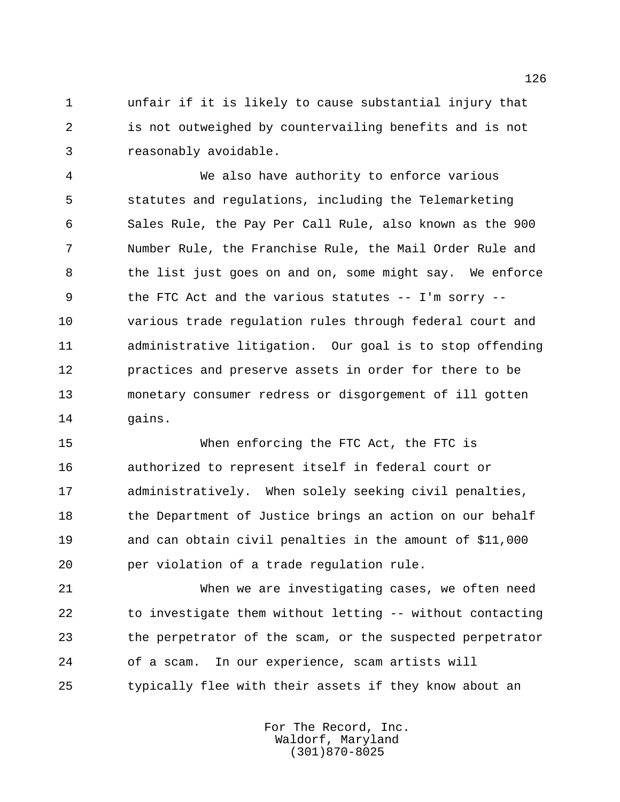unfair if it is likely to cause substantial injury that is not outweighed by countervailing benefits and is not reasonably avoidable.

 We also have authority to enforce various statutes and regulations, including the Telemarketing Sales Rule, the Pay Per Call Rule, also known as the 900 Number Rule, the Franchise Rule, the Mail Order Rule and the list just goes on and on, some might say. We enforce the FTC Act and the various statutes -- I'm sorry -- various trade regulation rules through federal court and administrative litigation. Our goal is to stop offending practices and preserve assets in order for there to be monetary consumer redress or disgorgement of ill gotten gains.

 When enforcing the FTC Act, the FTC is authorized to represent itself in federal court or administratively. When solely seeking civil penalties, 18 the Department of Justice brings an action on our behalf and can obtain civil penalties in the amount of \$11,000 per violation of a trade regulation rule.

 When we are investigating cases, we often need to investigate them without letting -- without contacting the perpetrator of the scam, or the suspected perpetrator of a scam. In our experience, scam artists will typically flee with their assets if they know about an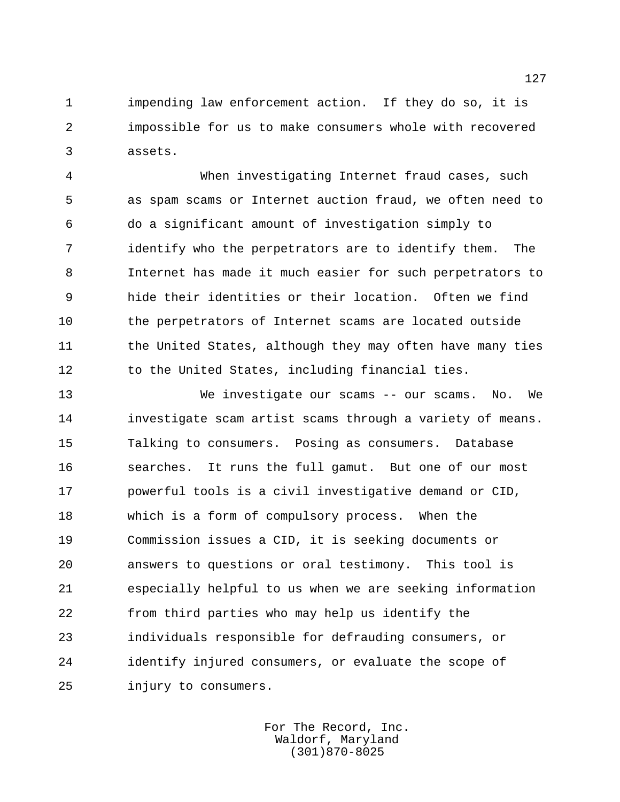impending law enforcement action. If they do so, it is impossible for us to make consumers whole with recovered assets.

 When investigating Internet fraud cases, such as spam scams or Internet auction fraud, we often need to do a significant amount of investigation simply to identify who the perpetrators are to identify them. The Internet has made it much easier for such perpetrators to hide their identities or their location. Often we find the perpetrators of Internet scams are located outside 11 the United States, although they may often have many ties 12 to the United States, including financial ties.

 We investigate our scams -- our scams. No. We investigate scam artist scams through a variety of means. Talking to consumers. Posing as consumers. Database searches. It runs the full gamut. But one of our most powerful tools is a civil investigative demand or CID, which is a form of compulsory process. When the Commission issues a CID, it is seeking documents or answers to questions or oral testimony. This tool is especially helpful to us when we are seeking information from third parties who may help us identify the individuals responsible for defrauding consumers, or identify injured consumers, or evaluate the scope of injury to consumers.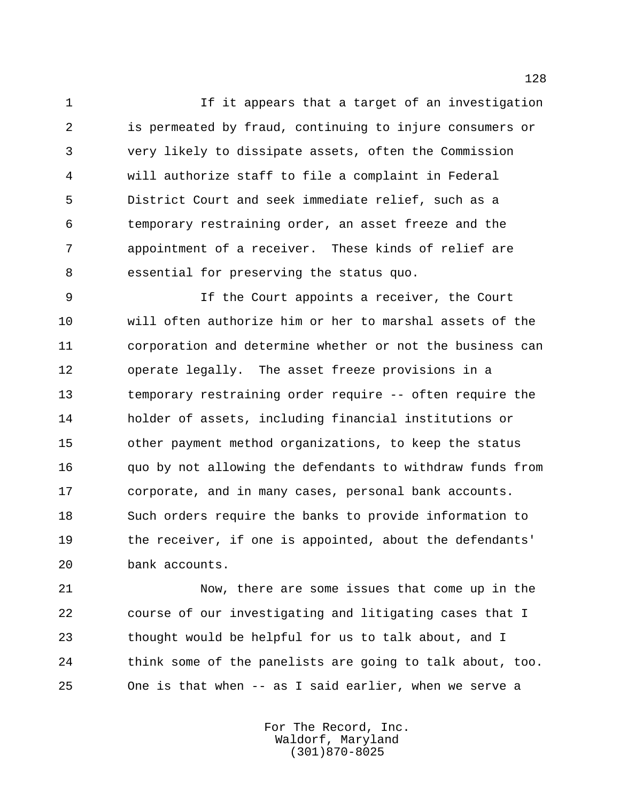If it appears that a target of an investigation is permeated by fraud, continuing to injure consumers or very likely to dissipate assets, often the Commission will authorize staff to file a complaint in Federal District Court and seek immediate relief, such as a temporary restraining order, an asset freeze and the appointment of a receiver. These kinds of relief are essential for preserving the status quo.

 If the Court appoints a receiver, the Court will often authorize him or her to marshal assets of the corporation and determine whether or not the business can operate legally. The asset freeze provisions in a temporary restraining order require -- often require the holder of assets, including financial institutions or other payment method organizations, to keep the status quo by not allowing the defendants to withdraw funds from corporate, and in many cases, personal bank accounts. Such orders require the banks to provide information to the receiver, if one is appointed, about the defendants' bank accounts.

 Now, there are some issues that come up in the course of our investigating and litigating cases that I thought would be helpful for us to talk about, and I think some of the panelists are going to talk about, too. One is that when -- as I said earlier, when we serve a

> For The Record, Inc. Waldorf, Maryland (301)870-8025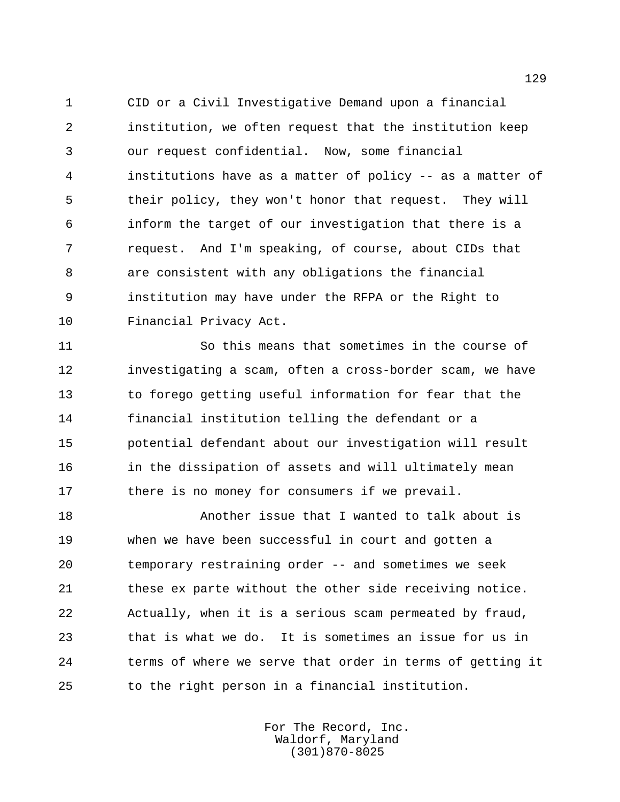CID or a Civil Investigative Demand upon a financial institution, we often request that the institution keep our request confidential. Now, some financial institutions have as a matter of policy -- as a matter of their policy, they won't honor that request. They will inform the target of our investigation that there is a request. And I'm speaking, of course, about CIDs that are consistent with any obligations the financial institution may have under the RFPA or the Right to Financial Privacy Act.

 So this means that sometimes in the course of investigating a scam, often a cross-border scam, we have to forego getting useful information for fear that the financial institution telling the defendant or a potential defendant about our investigation will result in the dissipation of assets and will ultimately mean 17 there is no money for consumers if we prevail.

 Another issue that I wanted to talk about is when we have been successful in court and gotten a temporary restraining order -- and sometimes we seek 21 these ex parte without the other side receiving notice. Actually, when it is a serious scam permeated by fraud, that is what we do. It is sometimes an issue for us in terms of where we serve that order in terms of getting it to the right person in a financial institution.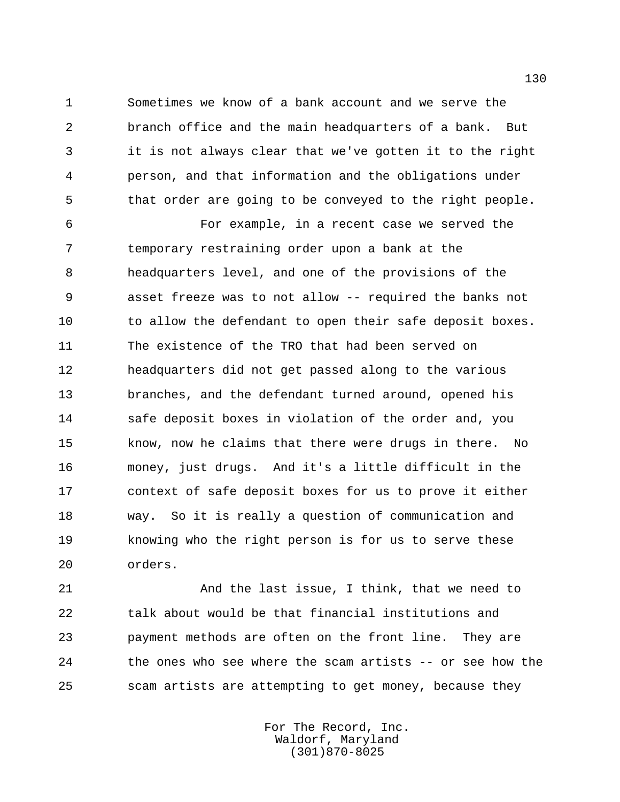Sometimes we know of a bank account and we serve the branch office and the main headquarters of a bank. But it is not always clear that we've gotten it to the right person, and that information and the obligations under that order are going to be conveyed to the right people.

 For example, in a recent case we served the temporary restraining order upon a bank at the headquarters level, and one of the provisions of the asset freeze was to not allow -- required the banks not 10 to allow the defendant to open their safe deposit boxes. The existence of the TRO that had been served on headquarters did not get passed along to the various branches, and the defendant turned around, opened his safe deposit boxes in violation of the order and, you know, now he claims that there were drugs in there. No money, just drugs. And it's a little difficult in the context of safe deposit boxes for us to prove it either way. So it is really a question of communication and knowing who the right person is for us to serve these orders.

 And the last issue, I think, that we need to talk about would be that financial institutions and payment methods are often on the front line. They are the ones who see where the scam artists -- or see how the scam artists are attempting to get money, because they

> For The Record, Inc. Waldorf, Maryland (301)870-8025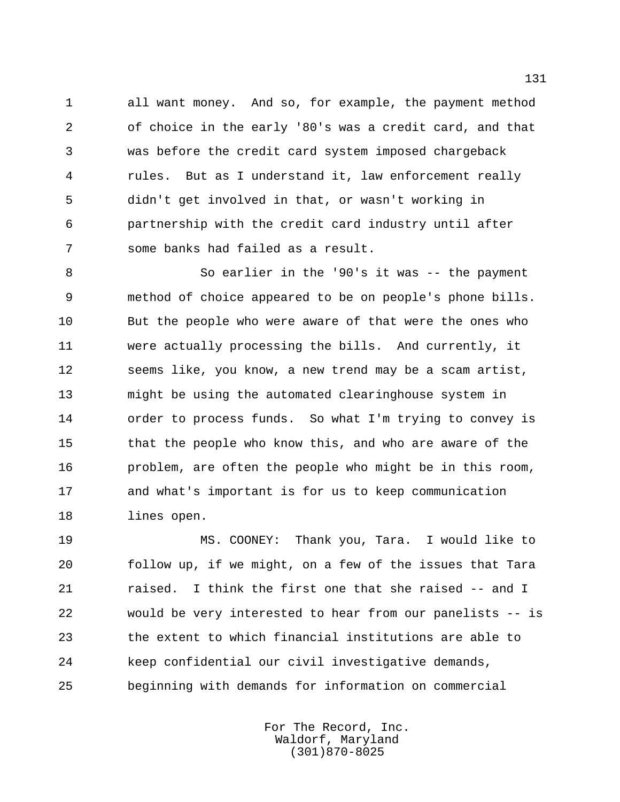all want money. And so, for example, the payment method of choice in the early '80's was a credit card, and that was before the credit card system imposed chargeback rules. But as I understand it, law enforcement really didn't get involved in that, or wasn't working in partnership with the credit card industry until after some banks had failed as a result.

 So earlier in the '90's it was -- the payment method of choice appeared to be on people's phone bills. But the people who were aware of that were the ones who were actually processing the bills. And currently, it seems like, you know, a new trend may be a scam artist, might be using the automated clearinghouse system in order to process funds. So what I'm trying to convey is that the people who know this, and who are aware of the problem, are often the people who might be in this room, and what's important is for us to keep communication lines open.

 MS. COONEY: Thank you, Tara. I would like to follow up, if we might, on a few of the issues that Tara raised. I think the first one that she raised -- and I would be very interested to hear from our panelists -- is the extent to which financial institutions are able to keep confidential our civil investigative demands, beginning with demands for information on commercial

> For The Record, Inc. Waldorf, Maryland (301)870-8025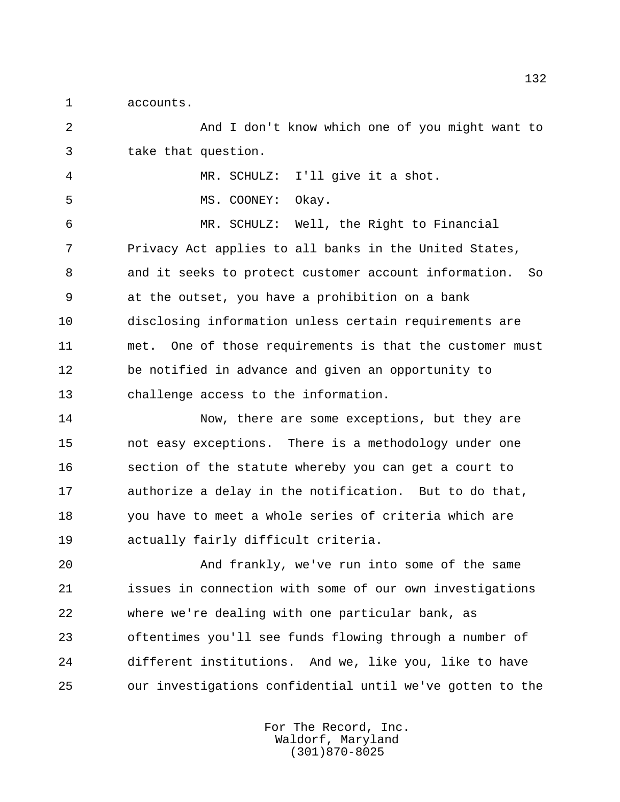accounts.

 And I don't know which one of you might want to take that question. MR. SCHULZ: I'll give it a shot. 5 MS. COONEY: Okay. MR. SCHULZ: Well, the Right to Financial Privacy Act applies to all banks in the United States, and it seeks to protect customer account information. So at the outset, you have a prohibition on a bank disclosing information unless certain requirements are met. One of those requirements is that the customer must be notified in advance and given an opportunity to challenge access to the information. 14 Now, there are some exceptions, but they are not easy exceptions. There is a methodology under one section of the statute whereby you can get a court to authorize a delay in the notification. But to do that, you have to meet a whole series of criteria which are actually fairly difficult criteria. And frankly, we've run into some of the same issues in connection with some of our own investigations where we're dealing with one particular bank, as oftentimes you'll see funds flowing through a number of

our investigations confidential until we've gotten to the

For The Record, Inc. Waldorf, Maryland (301)870-8025

different institutions. And we, like you, like to have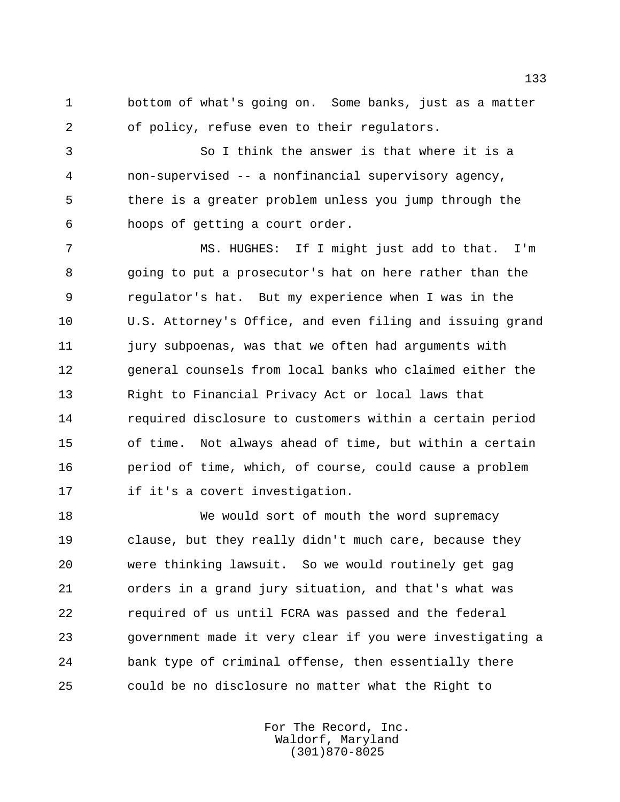bottom of what's going on. Some banks, just as a matter of policy, refuse even to their regulators.

 So I think the answer is that where it is a non-supervised -- a nonfinancial supervisory agency, there is a greater problem unless you jump through the hoops of getting a court order.

 MS. HUGHES: If I might just add to that. I'm going to put a prosecutor's hat on here rather than the regulator's hat. But my experience when I was in the U.S. Attorney's Office, and even filing and issuing grand jury subpoenas, was that we often had arguments with general counsels from local banks who claimed either the Right to Financial Privacy Act or local laws that required disclosure to customers within a certain period of time. Not always ahead of time, but within a certain period of time, which, of course, could cause a problem if it's a covert investigation.

18 We would sort of mouth the word supremacy clause, but they really didn't much care, because they were thinking lawsuit. So we would routinely get gag orders in a grand jury situation, and that's what was required of us until FCRA was passed and the federal government made it very clear if you were investigating a bank type of criminal offense, then essentially there could be no disclosure no matter what the Right to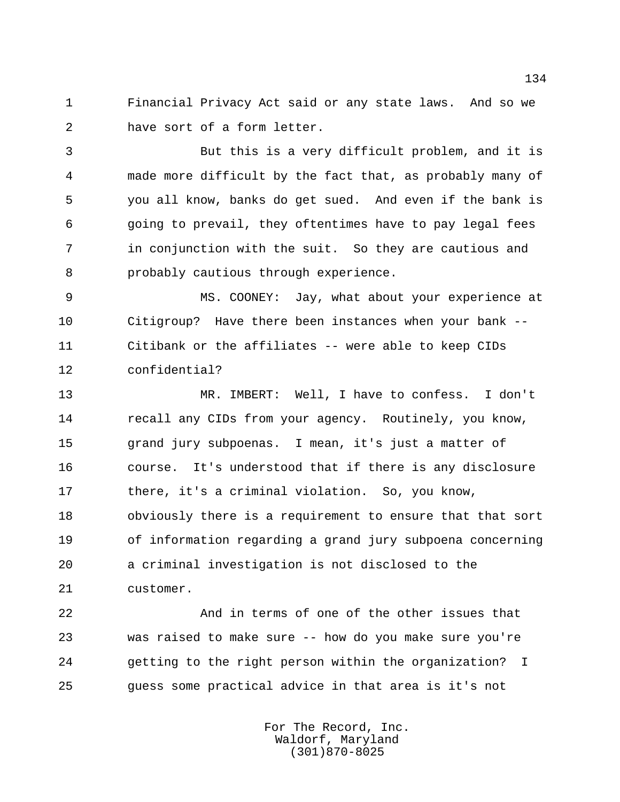Financial Privacy Act said or any state laws. And so we have sort of a form letter.

 But this is a very difficult problem, and it is made more difficult by the fact that, as probably many of you all know, banks do get sued. And even if the bank is going to prevail, they oftentimes have to pay legal fees in conjunction with the suit. So they are cautious and probably cautious through experience.

 MS. COONEY: Jay, what about your experience at Citigroup? Have there been instances when your bank -- Citibank or the affiliates -- were able to keep CIDs confidential?

 MR. IMBERT: Well, I have to confess. I don't 14 recall any CIDs from your agency. Routinely, you know, grand jury subpoenas. I mean, it's just a matter of course. It's understood that if there is any disclosure there, it's a criminal violation. So, you know, obviously there is a requirement to ensure that that sort of information regarding a grand jury subpoena concerning a criminal investigation is not disclosed to the customer.

 And in terms of one of the other issues that was raised to make sure -- how do you make sure you're getting to the right person within the organization? I guess some practical advice in that area is it's not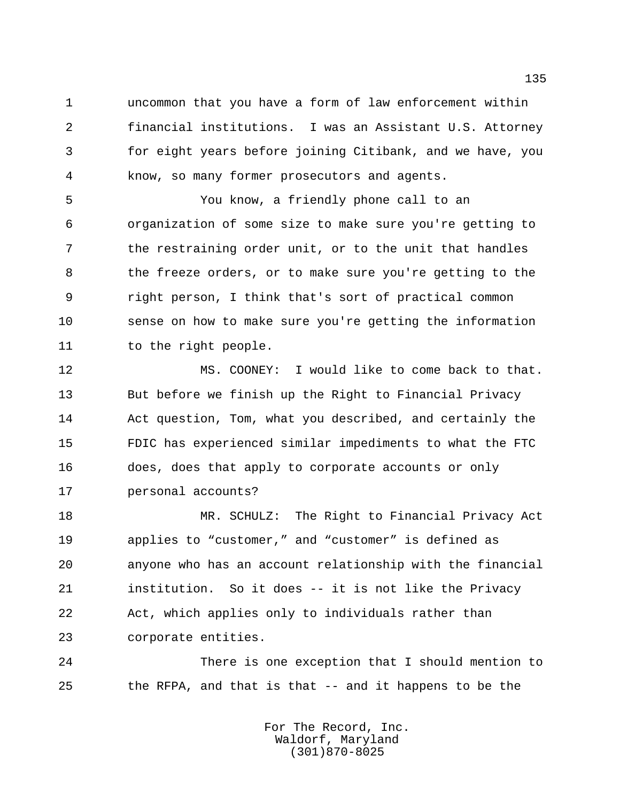uncommon that you have a form of law enforcement within financial institutions. I was an Assistant U.S. Attorney for eight years before joining Citibank, and we have, you know, so many former prosecutors and agents.

 You know, a friendly phone call to an organization of some size to make sure you're getting to the restraining order unit, or to the unit that handles the freeze orders, or to make sure you're getting to the right person, I think that's sort of practical common sense on how to make sure you're getting the information 11 to the right people.

 MS. COONEY: I would like to come back to that. But before we finish up the Right to Financial Privacy Act question, Tom, what you described, and certainly the FDIC has experienced similar impediments to what the FTC does, does that apply to corporate accounts or only personal accounts?

 MR. SCHULZ: The Right to Financial Privacy Act applies to "customer," and "customer" is defined as anyone who has an account relationship with the financial institution. So it does -- it is not like the Privacy Act, which applies only to individuals rather than corporate entities.

 There is one exception that I should mention to the RFPA, and that is that -- and it happens to be the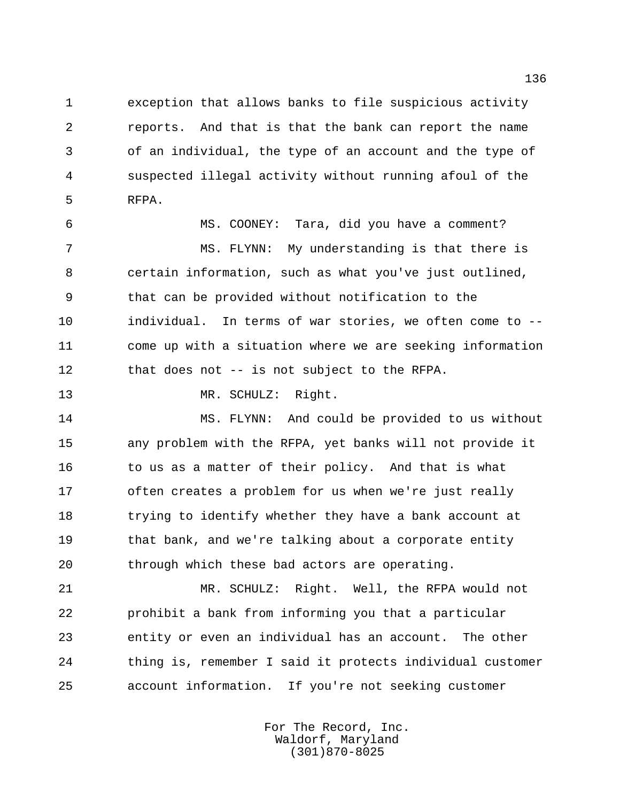exception that allows banks to file suspicious activity reports. And that is that the bank can report the name of an individual, the type of an account and the type of suspected illegal activity without running afoul of the RFPA.

 MS. COONEY: Tara, did you have a comment? MS. FLYNN: My understanding is that there is certain information, such as what you've just outlined, that can be provided without notification to the individual. In terms of war stories, we often come to -- come up with a situation where we are seeking information that does not -- is not subject to the RFPA.

13 MR. SCHULZ: Right.

 MS. FLYNN: And could be provided to us without any problem with the RFPA, yet banks will not provide it 16 to us as a matter of their policy. And that is what often creates a problem for us when we're just really trying to identify whether they have a bank account at that bank, and we're talking about a corporate entity through which these bad actors are operating.

 MR. SCHULZ: Right. Well, the RFPA would not prohibit a bank from informing you that a particular entity or even an individual has an account. The other thing is, remember I said it protects individual customer account information. If you're not seeking customer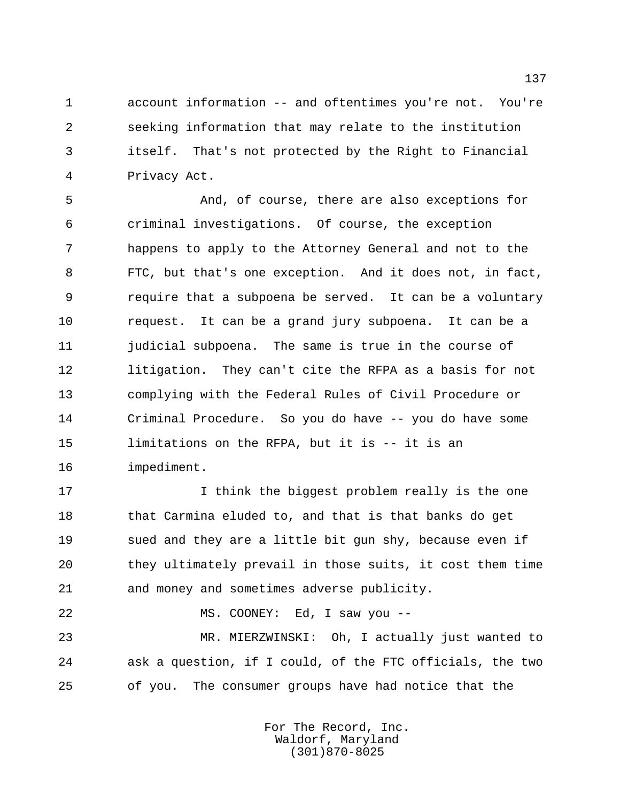account information -- and oftentimes you're not. You're seeking information that may relate to the institution itself. That's not protected by the Right to Financial Privacy Act.

 And, of course, there are also exceptions for criminal investigations. Of course, the exception happens to apply to the Attorney General and not to the FTC, but that's one exception. And it does not, in fact, require that a subpoena be served. It can be a voluntary request. It can be a grand jury subpoena. It can be a judicial subpoena. The same is true in the course of litigation. They can't cite the RFPA as a basis for not complying with the Federal Rules of Civil Procedure or Criminal Procedure. So you do have -- you do have some limitations on the RFPA, but it is -- it is an impediment.

 I think the biggest problem really is the one that Carmina eluded to, and that is that banks do get sued and they are a little bit gun shy, because even if they ultimately prevail in those suits, it cost them time and money and sometimes adverse publicity.

MS. COONEY: Ed, I saw you --

 MR. MIERZWINSKI: Oh, I actually just wanted to ask a question, if I could, of the FTC officials, the two of you. The consumer groups have had notice that the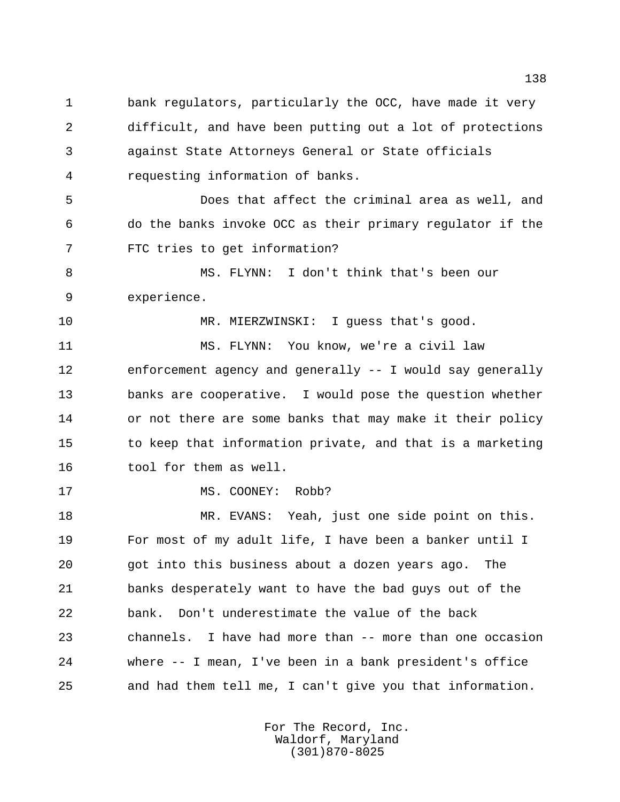bank regulators, particularly the OCC, have made it very difficult, and have been putting out a lot of protections against State Attorneys General or State officials requesting information of banks.

 Does that affect the criminal area as well, and do the banks invoke OCC as their primary regulator if the FTC tries to get information?

 MS. FLYNN: I don't think that's been our experience.

MR. MIERZWINSKI: I guess that's good.

 MS. FLYNN: You know, we're a civil law enforcement agency and generally -- I would say generally banks are cooperative. I would pose the question whether or not there are some banks that may make it their policy to keep that information private, and that is a marketing tool for them as well.

17 MS. COONEY: Robb?

 MR. EVANS: Yeah, just one side point on this. For most of my adult life, I have been a banker until I got into this business about a dozen years ago. The banks desperately want to have the bad guys out of the bank. Don't underestimate the value of the back channels. I have had more than -- more than one occasion where -- I mean, I've been in a bank president's office and had them tell me, I can't give you that information.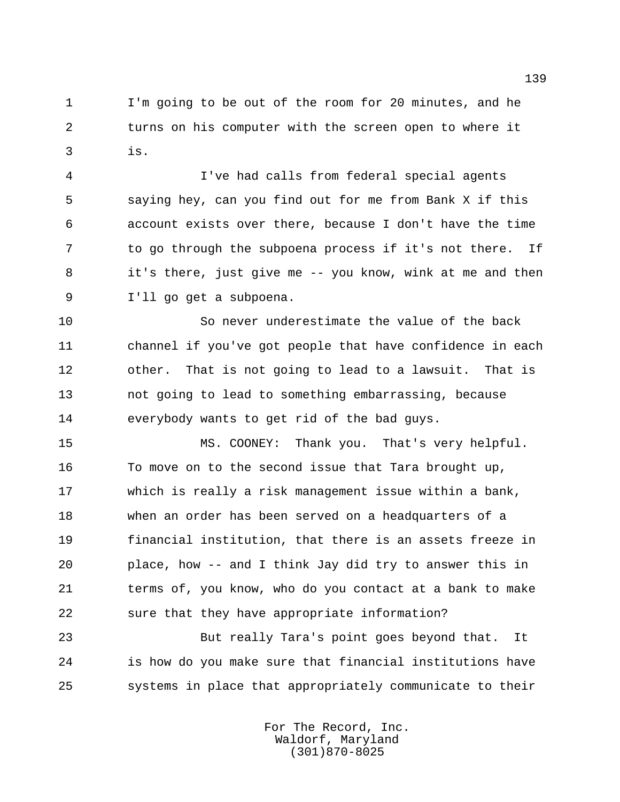I'm going to be out of the room for 20 minutes, and he turns on his computer with the screen open to where it is.

 I've had calls from federal special agents saying hey, can you find out for me from Bank X if this account exists over there, because I don't have the time to go through the subpoena process if it's not there. If it's there, just give me -- you know, wink at me and then I'll go get a subpoena.

 So never underestimate the value of the back channel if you've got people that have confidence in each other. That is not going to lead to a lawsuit. That is not going to lead to something embarrassing, because everybody wants to get rid of the bad guys.

 MS. COONEY: Thank you. That's very helpful. To move on to the second issue that Tara brought up, which is really a risk management issue within a bank, when an order has been served on a headquarters of a financial institution, that there is an assets freeze in place, how -- and I think Jay did try to answer this in 21 terms of, you know, who do you contact at a bank to make sure that they have appropriate information?

 But really Tara's point goes beyond that. It is how do you make sure that financial institutions have systems in place that appropriately communicate to their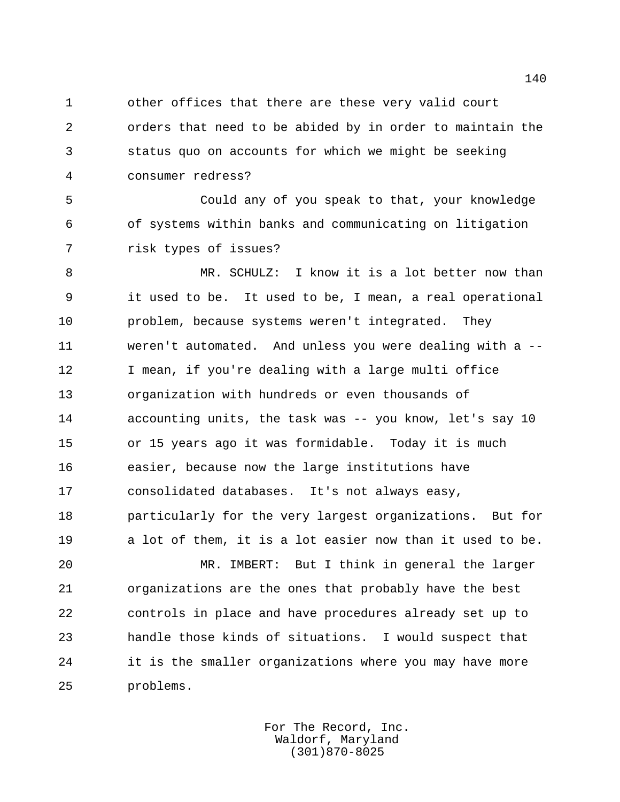other offices that there are these very valid court orders that need to be abided by in order to maintain the status quo on accounts for which we might be seeking consumer redress?

 Could any of you speak to that, your knowledge of systems within banks and communicating on litigation risk types of issues?

 MR. SCHULZ: I know it is a lot better now than it used to be. It used to be, I mean, a real operational problem, because systems weren't integrated. They weren't automated. And unless you were dealing with a -- I mean, if you're dealing with a large multi office organization with hundreds or even thousands of accounting units, the task was -- you know, let's say 10 or 15 years ago it was formidable. Today it is much easier, because now the large institutions have consolidated databases. It's not always easy, particularly for the very largest organizations. But for a lot of them, it is a lot easier now than it used to be.

 MR. IMBERT: But I think in general the larger organizations are the ones that probably have the best controls in place and have procedures already set up to handle those kinds of situations. I would suspect that it is the smaller organizations where you may have more problems.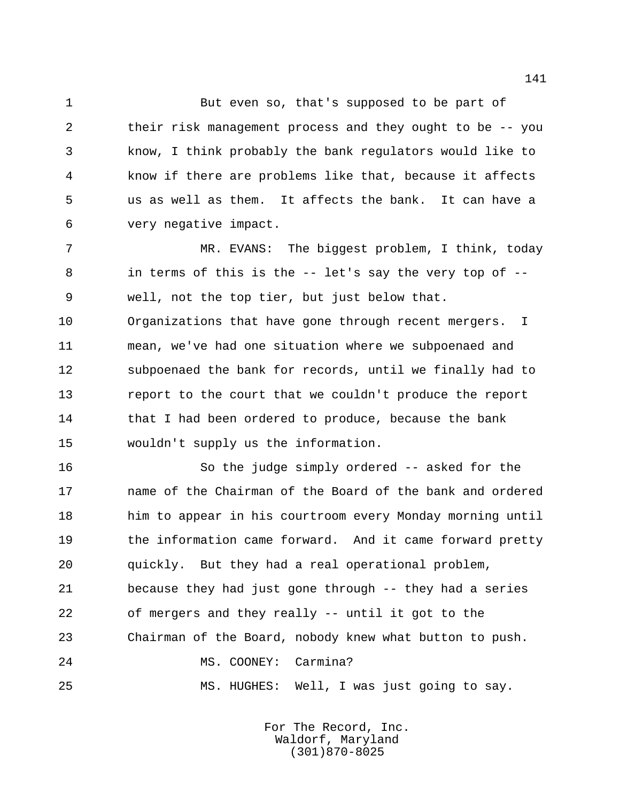But even so, that's supposed to be part of their risk management process and they ought to be -- you know, I think probably the bank regulators would like to know if there are problems like that, because it affects us as well as them. It affects the bank. It can have a very negative impact.

 MR. EVANS: The biggest problem, I think, today in terms of this is the -- let's say the very top of -- well, not the top tier, but just below that. Organizations that have gone through recent mergers. I mean, we've had one situation where we subpoenaed and subpoenaed the bank for records, until we finally had to report to the court that we couldn't produce the report 14 that I had been ordered to produce, because the bank wouldn't supply us the information.

 So the judge simply ordered -- asked for the name of the Chairman of the Board of the bank and ordered him to appear in his courtroom every Monday morning until 19 the information came forward. And it came forward pretty quickly. But they had a real operational problem, because they had just gone through -- they had a series of mergers and they really -- until it got to the Chairman of the Board, nobody knew what button to push. 24 MS. COONEY: Carmina?

MS. HUGHES: Well, I was just going to say.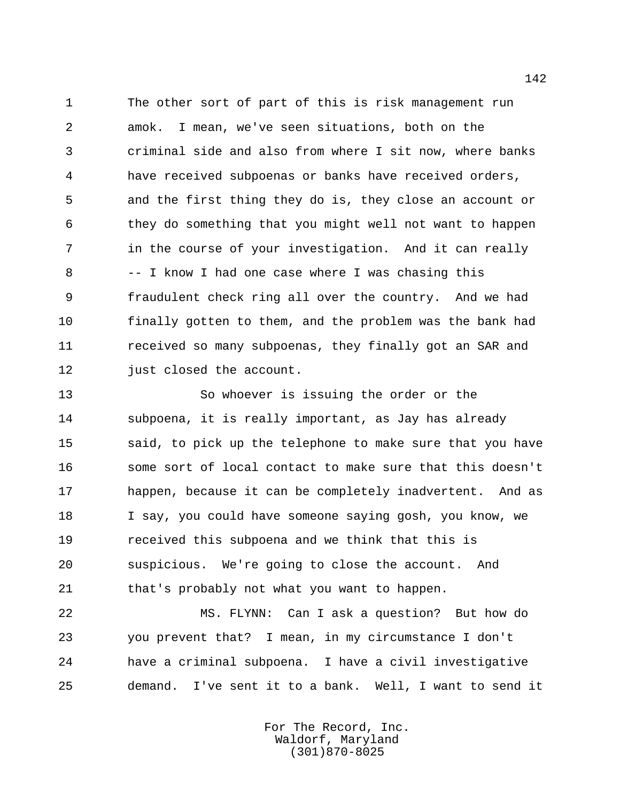The other sort of part of this is risk management run amok. I mean, we've seen situations, both on the criminal side and also from where I sit now, where banks have received subpoenas or banks have received orders, and the first thing they do is, they close an account or they do something that you might well not want to happen in the course of your investigation. And it can really -- I know I had one case where I was chasing this fraudulent check ring all over the country. And we had finally gotten to them, and the problem was the bank had received so many subpoenas, they finally got an SAR and just closed the account.

 So whoever is issuing the order or the subpoena, it is really important, as Jay has already said, to pick up the telephone to make sure that you have some sort of local contact to make sure that this doesn't happen, because it can be completely inadvertent. And as I say, you could have someone saying gosh, you know, we received this subpoena and we think that this is suspicious. We're going to close the account. And that's probably not what you want to happen.

 MS. FLYNN: Can I ask a question? But how do you prevent that? I mean, in my circumstance I don't have a criminal subpoena. I have a civil investigative demand. I've sent it to a bank. Well, I want to send it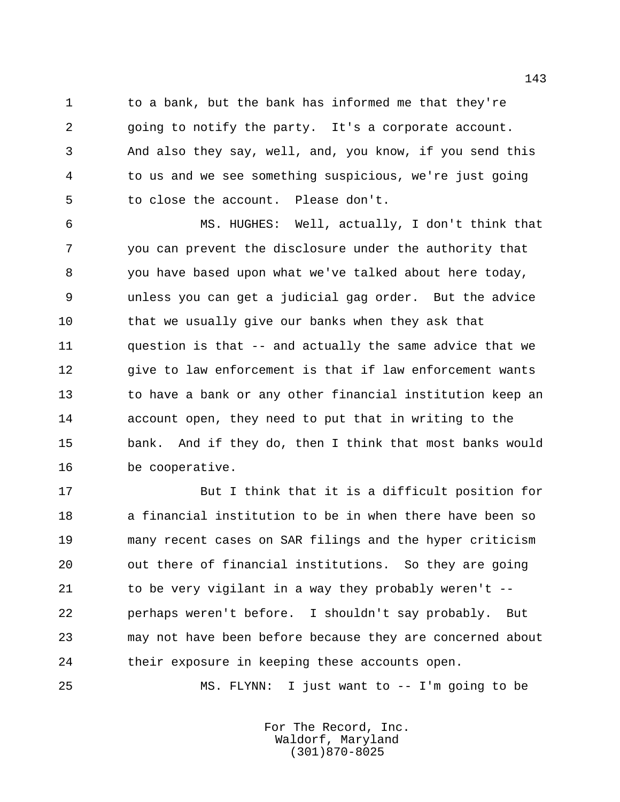to a bank, but the bank has informed me that they're going to notify the party. It's a corporate account. And also they say, well, and, you know, if you send this to us and we see something suspicious, we're just going to close the account. Please don't.

 MS. HUGHES: Well, actually, I don't think that you can prevent the disclosure under the authority that you have based upon what we've talked about here today, unless you can get a judicial gag order. But the advice that we usually give our banks when they ask that question is that -- and actually the same advice that we give to law enforcement is that if law enforcement wants to have a bank or any other financial institution keep an account open, they need to put that in writing to the bank. And if they do, then I think that most banks would be cooperative.

 But I think that it is a difficult position for a financial institution to be in when there have been so many recent cases on SAR filings and the hyper criticism out there of financial institutions. So they are going 21 to be very vigilant in a way they probably weren't -- perhaps weren't before. I shouldn't say probably. But may not have been before because they are concerned about their exposure in keeping these accounts open.

MS. FLYNN: I just want to -- I'm going to be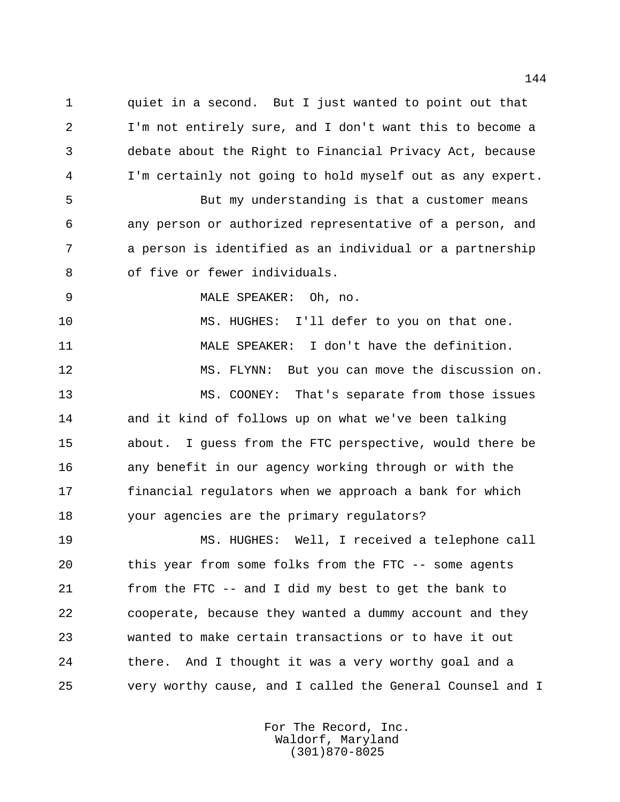quiet in a second. But I just wanted to point out that I'm not entirely sure, and I don't want this to become a debate about the Right to Financial Privacy Act, because I'm certainly not going to hold myself out as any expert.

 But my understanding is that a customer means any person or authorized representative of a person, and a person is identified as an individual or a partnership of five or fewer individuals.

MALE SPEAKER: Oh, no.

 MS. HUGHES: I'll defer to you on that one. MALE SPEAKER: I don't have the definition. MS. FLYNN: But you can move the discussion on. MS. COONEY: That's separate from those issues and it kind of follows up on what we've been talking about. I guess from the FTC perspective, would there be any benefit in our agency working through or with the financial regulators when we approach a bank for which your agencies are the primary regulators?

 MS. HUGHES: Well, I received a telephone call this year from some folks from the FTC -- some agents from the FTC -- and I did my best to get the bank to cooperate, because they wanted a dummy account and they wanted to make certain transactions or to have it out there. And I thought it was a very worthy goal and a very worthy cause, and I called the General Counsel and I

> For The Record, Inc. Waldorf, Maryland (301)870-8025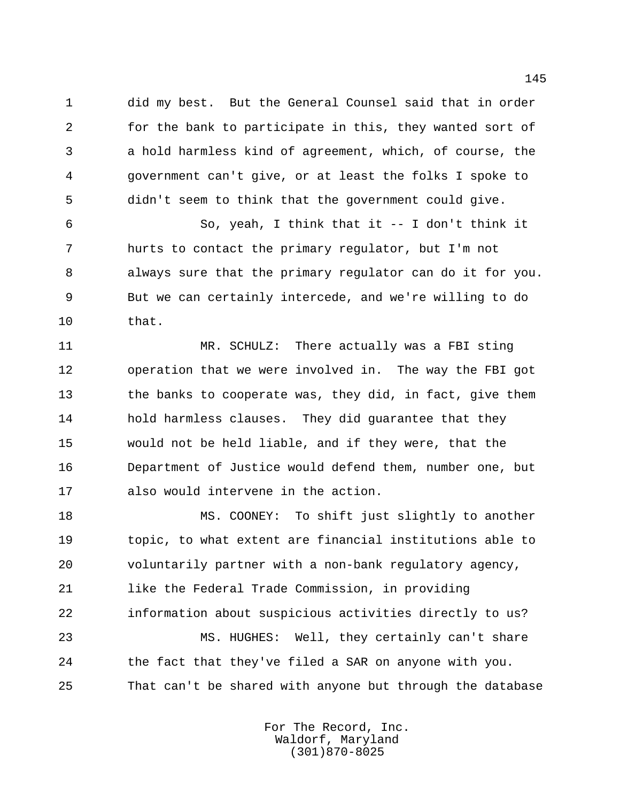did my best. But the General Counsel said that in order for the bank to participate in this, they wanted sort of a hold harmless kind of agreement, which, of course, the government can't give, or at least the folks I spoke to didn't seem to think that the government could give.

 So, yeah, I think that it -- I don't think it hurts to contact the primary regulator, but I'm not always sure that the primary regulator can do it for you. But we can certainly intercede, and we're willing to do that.

 MR. SCHULZ: There actually was a FBI sting operation that we were involved in. The way the FBI got 13 the banks to cooperate was, they did, in fact, give them hold harmless clauses. They did guarantee that they would not be held liable, and if they were, that the Department of Justice would defend them, number one, but also would intervene in the action.

 MS. COONEY: To shift just slightly to another topic, to what extent are financial institutions able to voluntarily partner with a non-bank regulatory agency, like the Federal Trade Commission, in providing information about suspicious activities directly to us?

 MS. HUGHES: Well, they certainly can't share the fact that they've filed a SAR on anyone with you. That can't be shared with anyone but through the database

> For The Record, Inc. Waldorf, Maryland (301)870-8025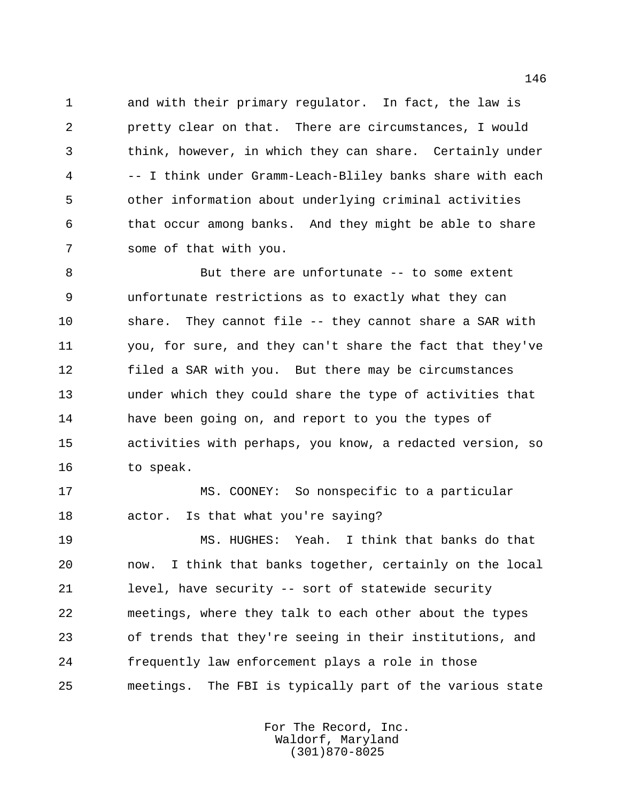and with their primary regulator. In fact, the law is pretty clear on that. There are circumstances, I would think, however, in which they can share. Certainly under -- I think under Gramm-Leach-Bliley banks share with each other information about underlying criminal activities that occur among banks. And they might be able to share some of that with you.

 But there are unfortunate -- to some extent unfortunate restrictions as to exactly what they can share. They cannot file -- they cannot share a SAR with you, for sure, and they can't share the fact that they've filed a SAR with you. But there may be circumstances under which they could share the type of activities that have been going on, and report to you the types of activities with perhaps, you know, a redacted version, so to speak.

 MS. COONEY: So nonspecific to a particular actor. Is that what you're saying?

 MS. HUGHES: Yeah. I think that banks do that now. I think that banks together, certainly on the local level, have security -- sort of statewide security meetings, where they talk to each other about the types of trends that they're seeing in their institutions, and frequently law enforcement plays a role in those meetings. The FBI is typically part of the various state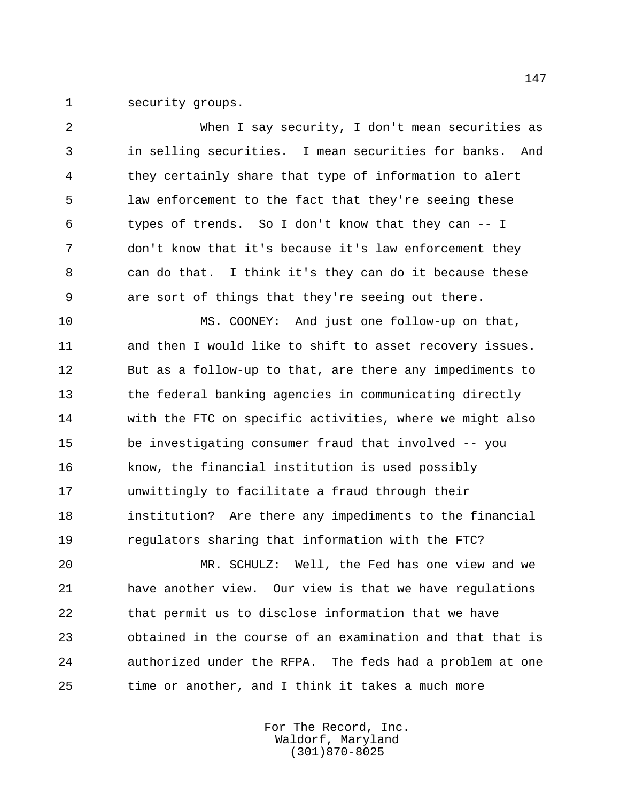security groups.

 When I say security, I don't mean securities as in selling securities. I mean securities for banks. And they certainly share that type of information to alert law enforcement to the fact that they're seeing these types of trends. So I don't know that they can -- I don't know that it's because it's law enforcement they can do that. I think it's they can do it because these are sort of things that they're seeing out there. MS. COONEY: And just one follow-up on that, and then I would like to shift to asset recovery issues. But as a follow-up to that, are there any impediments to the federal banking agencies in communicating directly with the FTC on specific activities, where we might also be investigating consumer fraud that involved -- you know, the financial institution is used possibly unwittingly to facilitate a fraud through their institution? Are there any impediments to the financial regulators sharing that information with the FTC? MR. SCHULZ: Well, the Fed has one view and we have another view. Our view is that we have regulations that permit us to disclose information that we have obtained in the course of an examination and that that is

time or another, and I think it takes a much more

For The Record, Inc. Waldorf, Maryland (301)870-8025

authorized under the RFPA. The feds had a problem at one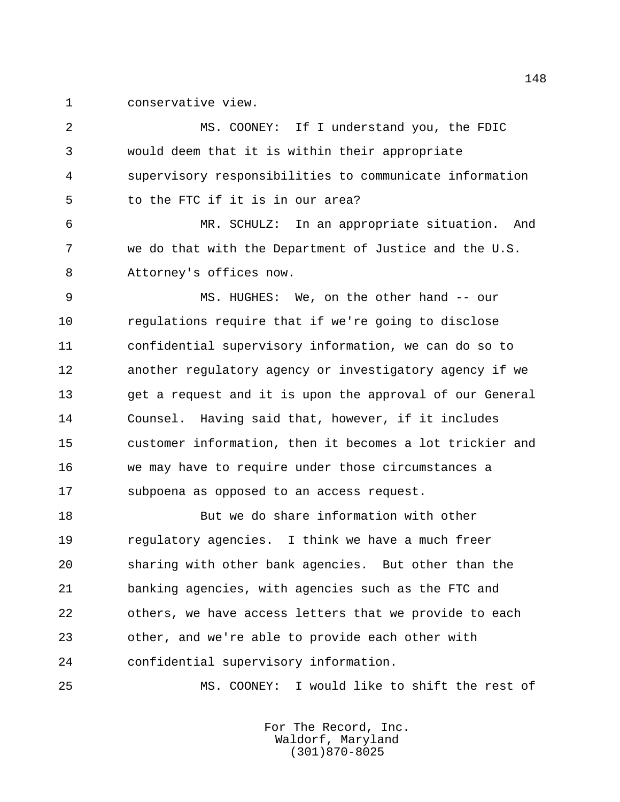conservative view.

 MS. COONEY: If I understand you, the FDIC would deem that it is within their appropriate supervisory responsibilities to communicate information to the FTC if it is in our area? MR. SCHULZ: In an appropriate situation. And we do that with the Department of Justice and the U.S. Attorney's offices now. MS. HUGHES: We, on the other hand -- our regulations require that if we're going to disclose confidential supervisory information, we can do so to another regulatory agency or investigatory agency if we get a request and it is upon the approval of our General Counsel. Having said that, however, if it includes customer information, then it becomes a lot trickier and we may have to require under those circumstances a subpoena as opposed to an access request. But we do share information with other regulatory agencies. I think we have a much freer sharing with other bank agencies. But other than the banking agencies, with agencies such as the FTC and others, we have access letters that we provide to each other, and we're able to provide each other with confidential supervisory information.

MS. COONEY: I would like to shift the rest of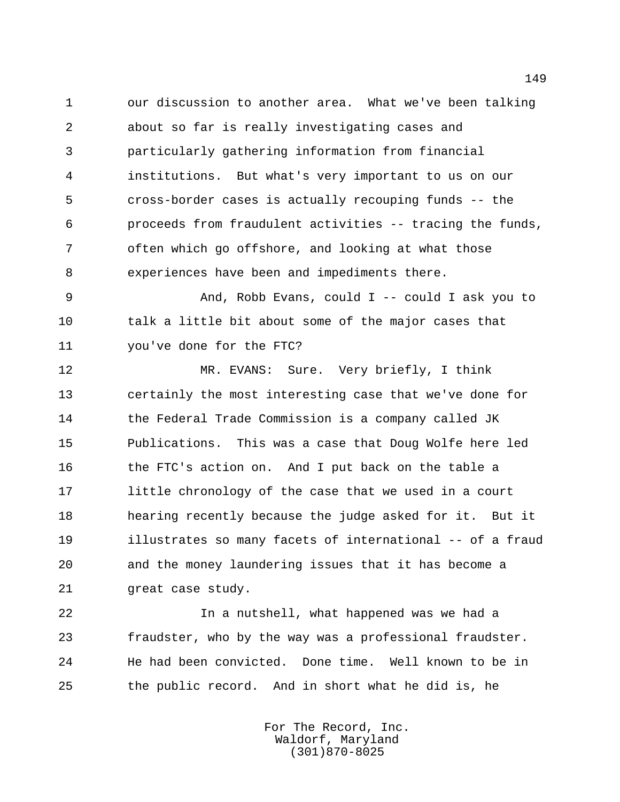our discussion to another area. What we've been talking about so far is really investigating cases and particularly gathering information from financial institutions. But what's very important to us on our cross-border cases is actually recouping funds -- the proceeds from fraudulent activities -- tracing the funds, often which go offshore, and looking at what those experiences have been and impediments there.

 And, Robb Evans, could I -- could I ask you to talk a little bit about some of the major cases that you've done for the FTC?

 MR. EVANS: Sure. Very briefly, I think certainly the most interesting case that we've done for the Federal Trade Commission is a company called JK Publications. This was a case that Doug Wolfe here led the FTC's action on. And I put back on the table a little chronology of the case that we used in a court hearing recently because the judge asked for it. But it illustrates so many facets of international -- of a fraud and the money laundering issues that it has become a great case study.

 In a nutshell, what happened was we had a fraudster, who by the way was a professional fraudster. He had been convicted. Done time. Well known to be in the public record. And in short what he did is, he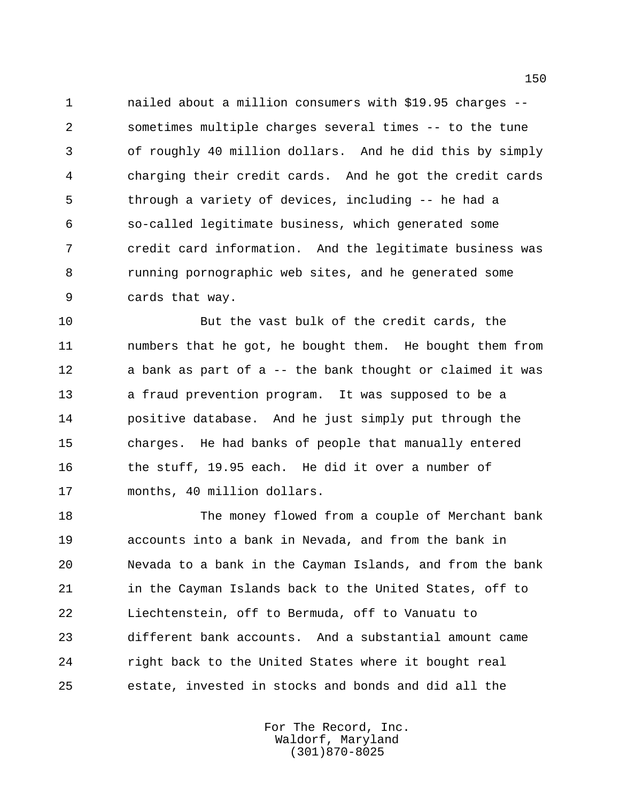nailed about a million consumers with \$19.95 charges -- sometimes multiple charges several times -- to the tune of roughly 40 million dollars. And he did this by simply charging their credit cards. And he got the credit cards through a variety of devices, including -- he had a so-called legitimate business, which generated some credit card information. And the legitimate business was running pornographic web sites, and he generated some cards that way.

 But the vast bulk of the credit cards, the numbers that he got, he bought them. He bought them from a bank as part of a -- the bank thought or claimed it was a fraud prevention program. It was supposed to be a positive database. And he just simply put through the charges. He had banks of people that manually entered the stuff, 19.95 each. He did it over a number of months, 40 million dollars.

 The money flowed from a couple of Merchant bank accounts into a bank in Nevada, and from the bank in Nevada to a bank in the Cayman Islands, and from the bank in the Cayman Islands back to the United States, off to Liechtenstein, off to Bermuda, off to Vanuatu to different bank accounts. And a substantial amount came right back to the United States where it bought real estate, invested in stocks and bonds and did all the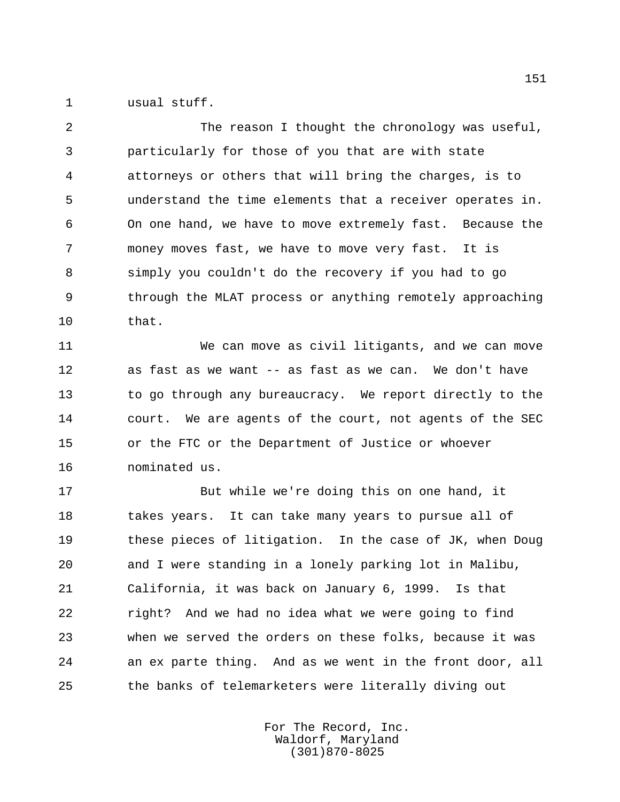usual stuff.

2 The reason I thought the chronology was useful, particularly for those of you that are with state attorneys or others that will bring the charges, is to understand the time elements that a receiver operates in. On one hand, we have to move extremely fast. Because the money moves fast, we have to move very fast. It is simply you couldn't do the recovery if you had to go through the MLAT process or anything remotely approaching that.

 We can move as civil litigants, and we can move as fast as we want -- as fast as we can. We don't have to go through any bureaucracy. We report directly to the court. We are agents of the court, not agents of the SEC or the FTC or the Department of Justice or whoever nominated us.

 But while we're doing this on one hand, it 18 takes years. It can take many years to pursue all of these pieces of litigation. In the case of JK, when Doug and I were standing in a lonely parking lot in Malibu, California, it was back on January 6, 1999. Is that right? And we had no idea what we were going to find when we served the orders on these folks, because it was an ex parte thing. And as we went in the front door, all the banks of telemarketers were literally diving out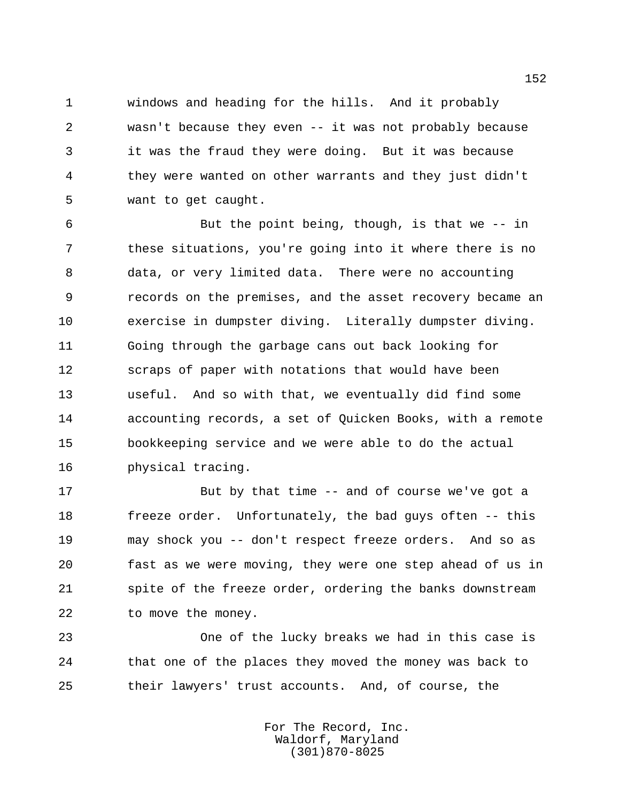windows and heading for the hills. And it probably wasn't because they even -- it was not probably because it was the fraud they were doing. But it was because they were wanted on other warrants and they just didn't want to get caught.

 But the point being, though, is that we -- in these situations, you're going into it where there is no data, or very limited data. There were no accounting records on the premises, and the asset recovery became an exercise in dumpster diving. Literally dumpster diving. Going through the garbage cans out back looking for scraps of paper with notations that would have been useful. And so with that, we eventually did find some accounting records, a set of Quicken Books, with a remote bookkeeping service and we were able to do the actual physical tracing.

 But by that time -- and of course we've got a freeze order. Unfortunately, the bad guys often -- this may shock you -- don't respect freeze orders. And so as fast as we were moving, they were one step ahead of us in 21 spite of the freeze order, ordering the banks downstream to move the money.

 One of the lucky breaks we had in this case is that one of the places they moved the money was back to their lawyers' trust accounts. And, of course, the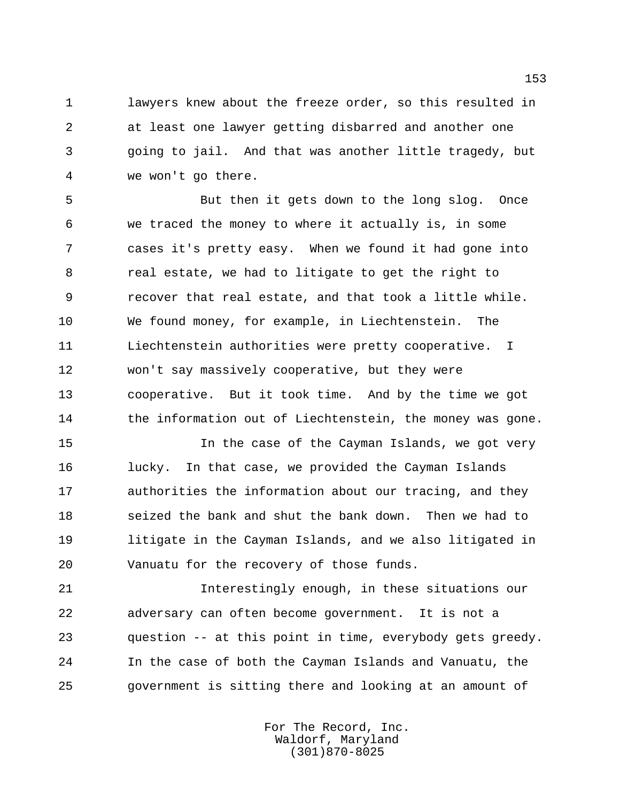lawyers knew about the freeze order, so this resulted in at least one lawyer getting disbarred and another one going to jail. And that was another little tragedy, but we won't go there.

 But then it gets down to the long slog. Once we traced the money to where it actually is, in some cases it's pretty easy. When we found it had gone into real estate, we had to litigate to get the right to recover that real estate, and that took a little while. We found money, for example, in Liechtenstein. The Liechtenstein authorities were pretty cooperative. I won't say massively cooperative, but they were cooperative. But it took time. And by the time we got 14 the information out of Liechtenstein, the money was gone.

 In the case of the Cayman Islands, we got very lucky. In that case, we provided the Cayman Islands authorities the information about our tracing, and they seized the bank and shut the bank down. Then we had to litigate in the Cayman Islands, and we also litigated in Vanuatu for the recovery of those funds.

 Interestingly enough, in these situations our adversary can often become government. It is not a question -- at this point in time, everybody gets greedy. In the case of both the Cayman Islands and Vanuatu, the government is sitting there and looking at an amount of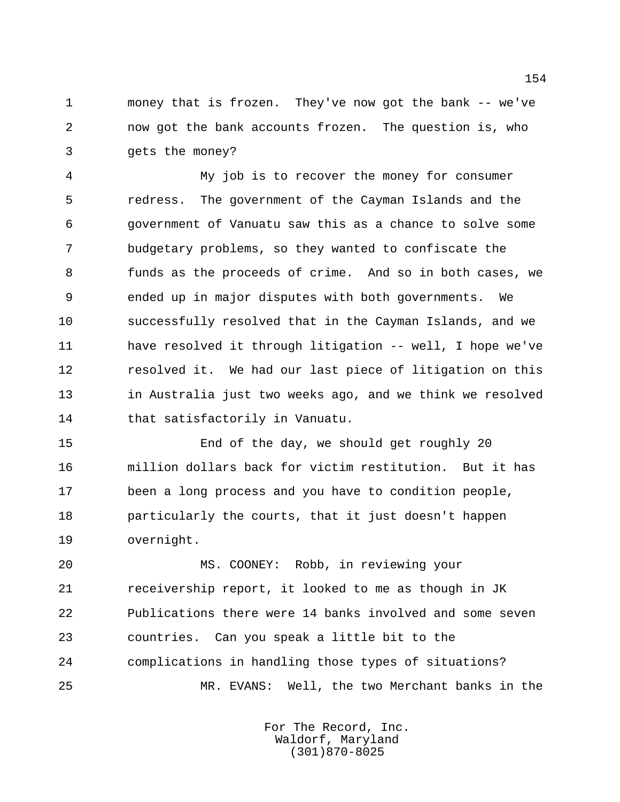money that is frozen. They've now got the bank -- we've now got the bank accounts frozen. The question is, who gets the money?

 My job is to recover the money for consumer redress. The government of the Cayman Islands and the government of Vanuatu saw this as a chance to solve some budgetary problems, so they wanted to confiscate the funds as the proceeds of crime. And so in both cases, we ended up in major disputes with both governments. We successfully resolved that in the Cayman Islands, and we have resolved it through litigation -- well, I hope we've resolved it. We had our last piece of litigation on this in Australia just two weeks ago, and we think we resolved that satisfactorily in Vanuatu.

 End of the day, we should get roughly 20 million dollars back for victim restitution. But it has been a long process and you have to condition people, particularly the courts, that it just doesn't happen overnight.

 MS. COONEY: Robb, in reviewing your receivership report, it looked to me as though in JK Publications there were 14 banks involved and some seven countries. Can you speak a little bit to the complications in handling those types of situations? MR. EVANS: Well, the two Merchant banks in the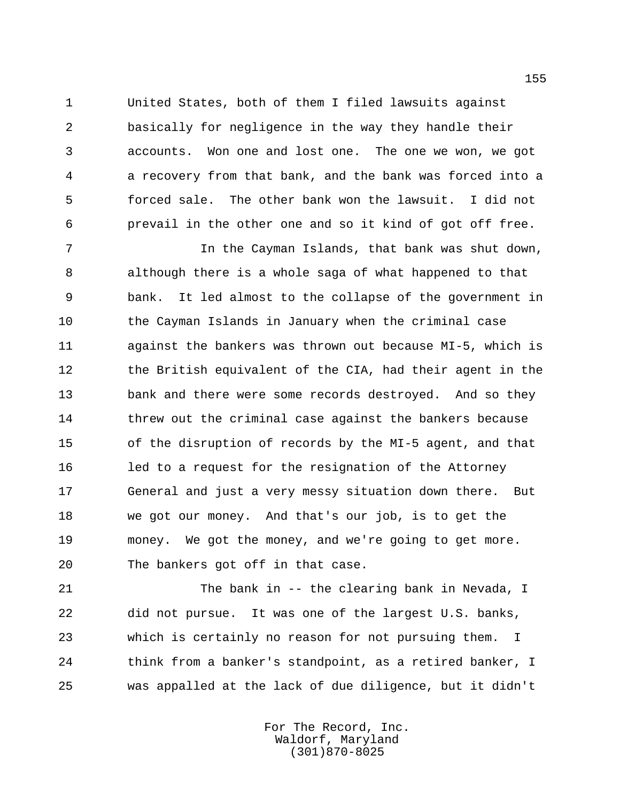United States, both of them I filed lawsuits against basically for negligence in the way they handle their accounts. Won one and lost one. The one we won, we got a recovery from that bank, and the bank was forced into a forced sale. The other bank won the lawsuit. I did not prevail in the other one and so it kind of got off free.

 In the Cayman Islands, that bank was shut down, although there is a whole saga of what happened to that bank. It led almost to the collapse of the government in the Cayman Islands in January when the criminal case against the bankers was thrown out because MI-5, which is the British equivalent of the CIA, had their agent in the bank and there were some records destroyed. And so they threw out the criminal case against the bankers because of the disruption of records by the MI-5 agent, and that led to a request for the resignation of the Attorney General and just a very messy situation down there. But we got our money. And that's our job, is to get the money. We got the money, and we're going to get more. The bankers got off in that case.

 The bank in -- the clearing bank in Nevada, I did not pursue. It was one of the largest U.S. banks, which is certainly no reason for not pursuing them. I think from a banker's standpoint, as a retired banker, I was appalled at the lack of due diligence, but it didn't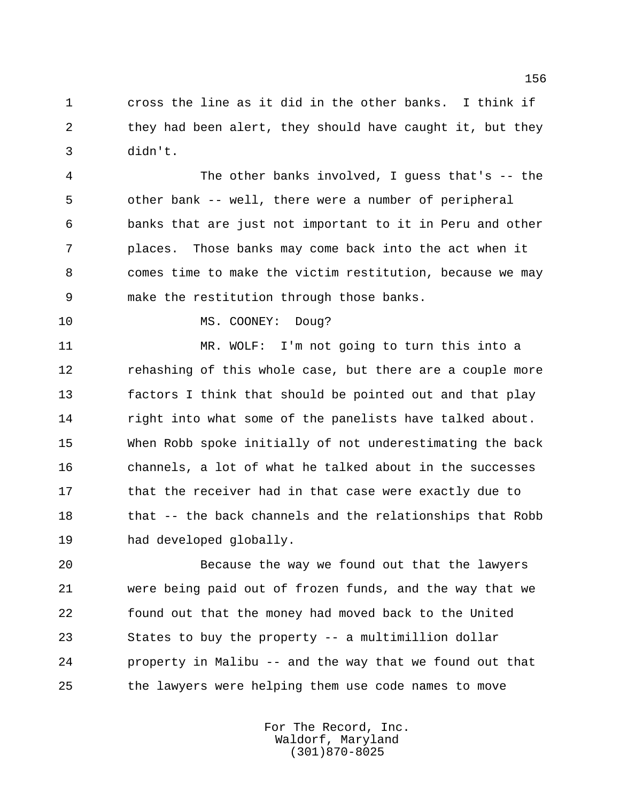cross the line as it did in the other banks. I think if they had been alert, they should have caught it, but they didn't.

 The other banks involved, I guess that's -- the other bank -- well, there were a number of peripheral banks that are just not important to it in Peru and other places. Those banks may come back into the act when it comes time to make the victim restitution, because we may make the restitution through those banks.

10 MS. COONEY: Doug?

 MR. WOLF: I'm not going to turn this into a rehashing of this whole case, but there are a couple more factors I think that should be pointed out and that play right into what some of the panelists have talked about. When Robb spoke initially of not underestimating the back channels, a lot of what he talked about in the successes 17 that the receiver had in that case were exactly due to that -- the back channels and the relationships that Robb had developed globally.

 Because the way we found out that the lawyers were being paid out of frozen funds, and the way that we found out that the money had moved back to the United States to buy the property -- a multimillion dollar property in Malibu -- and the way that we found out that the lawyers were helping them use code names to move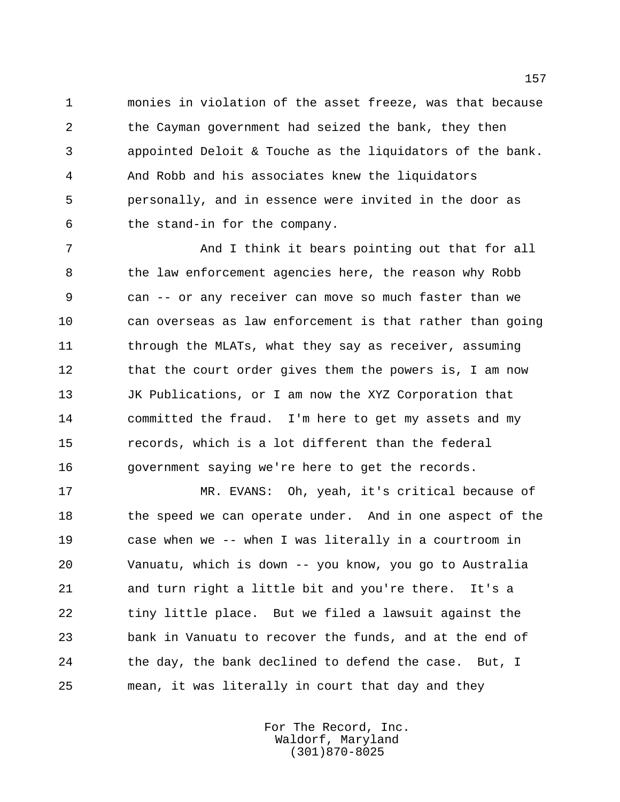monies in violation of the asset freeze, was that because the Cayman government had seized the bank, they then appointed Deloit & Touche as the liquidators of the bank. And Robb and his associates knew the liquidators personally, and in essence were invited in the door as the stand-in for the company.

 And I think it bears pointing out that for all the law enforcement agencies here, the reason why Robb can -- or any receiver can move so much faster than we can overseas as law enforcement is that rather than going 11 through the MLATs, what they say as receiver, assuming 12 that the court order gives them the powers is, I am now JK Publications, or I am now the XYZ Corporation that committed the fraud. I'm here to get my assets and my records, which is a lot different than the federal government saying we're here to get the records.

 MR. EVANS: Oh, yeah, it's critical because of 18 the speed we can operate under. And in one aspect of the case when we -- when I was literally in a courtroom in Vanuatu, which is down -- you know, you go to Australia and turn right a little bit and you're there. It's a tiny little place. But we filed a lawsuit against the bank in Vanuatu to recover the funds, and at the end of the day, the bank declined to defend the case. But, I mean, it was literally in court that day and they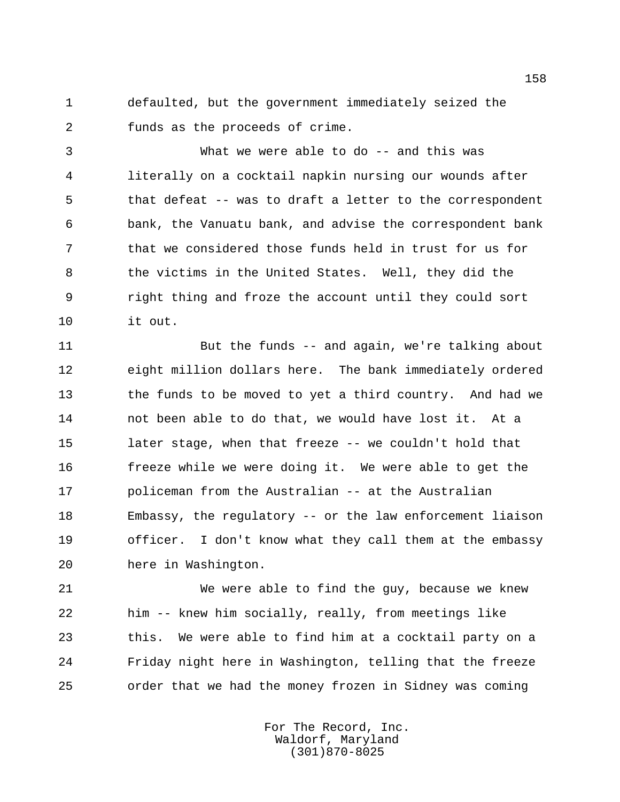defaulted, but the government immediately seized the funds as the proceeds of crime.

 What we were able to do -- and this was literally on a cocktail napkin nursing our wounds after that defeat -- was to draft a letter to the correspondent bank, the Vanuatu bank, and advise the correspondent bank that we considered those funds held in trust for us for the victims in the United States. Well, they did the right thing and froze the account until they could sort it out.

 But the funds -- and again, we're talking about eight million dollars here. The bank immediately ordered the funds to be moved to yet a third country. And had we not been able to do that, we would have lost it. At a later stage, when that freeze -- we couldn't hold that freeze while we were doing it. We were able to get the policeman from the Australian -- at the Australian Embassy, the regulatory -- or the law enforcement liaison officer. I don't know what they call them at the embassy here in Washington.

 We were able to find the guy, because we knew him -- knew him socially, really, from meetings like this. We were able to find him at a cocktail party on a Friday night here in Washington, telling that the freeze order that we had the money frozen in Sidney was coming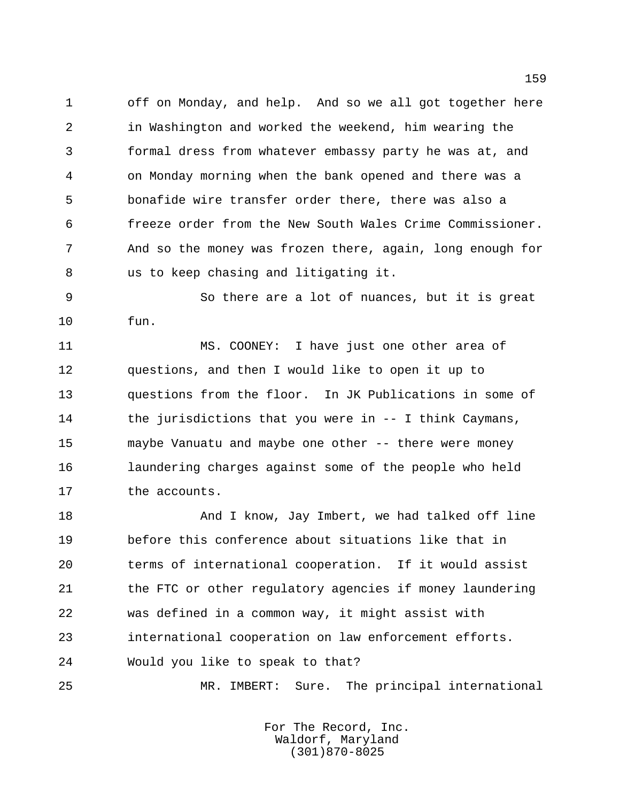off on Monday, and help. And so we all got together here in Washington and worked the weekend, him wearing the formal dress from whatever embassy party he was at, and on Monday morning when the bank opened and there was a bonafide wire transfer order there, there was also a freeze order from the New South Wales Crime Commissioner. And so the money was frozen there, again, long enough for us to keep chasing and litigating it.

 So there are a lot of nuances, but it is great fun.

 MS. COONEY: I have just one other area of questions, and then I would like to open it up to questions from the floor. In JK Publications in some of the jurisdictions that you were in -- I think Caymans, maybe Vanuatu and maybe one other -- there were money laundering charges against some of the people who held the accounts.

18 And I know, Jay Imbert, we had talked off line before this conference about situations like that in terms of international cooperation. If it would assist the FTC or other regulatory agencies if money laundering was defined in a common way, it might assist with international cooperation on law enforcement efforts. Would you like to speak to that?

MR. IMBERT: Sure. The principal international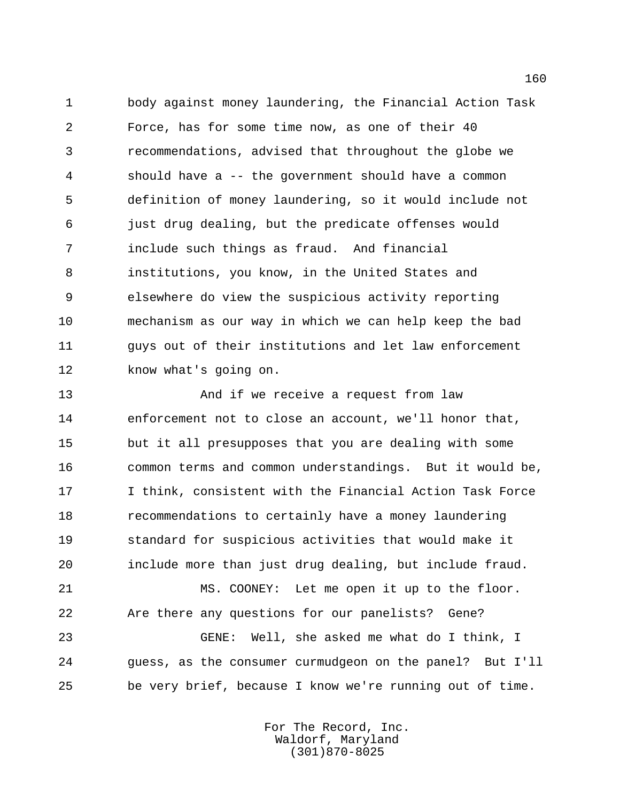body against money laundering, the Financial Action Task Force, has for some time now, as one of their 40 recommendations, advised that throughout the globe we should have a -- the government should have a common definition of money laundering, so it would include not just drug dealing, but the predicate offenses would include such things as fraud. And financial institutions, you know, in the United States and elsewhere do view the suspicious activity reporting mechanism as our way in which we can help keep the bad guys out of their institutions and let law enforcement know what's going on.

 And if we receive a request from law enforcement not to close an account, we'll honor that, but it all presupposes that you are dealing with some common terms and common understandings. But it would be, I think, consistent with the Financial Action Task Force recommendations to certainly have a money laundering standard for suspicious activities that would make it include more than just drug dealing, but include fraud.

 MS. COONEY: Let me open it up to the floor. Are there any questions for our panelists? Gene?

 GENE: Well, she asked me what do I think, I guess, as the consumer curmudgeon on the panel? But I'll be very brief, because I know we're running out of time.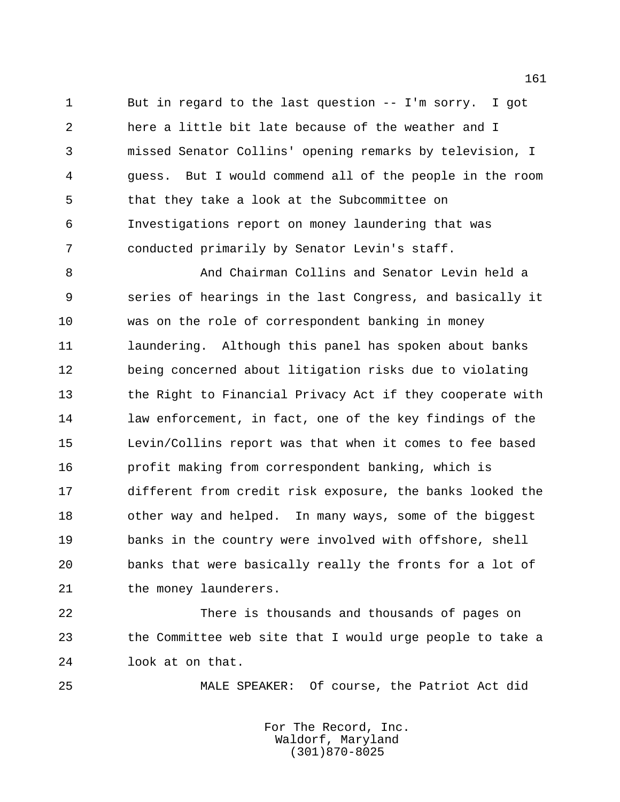But in regard to the last question -- I'm sorry. I got here a little bit late because of the weather and I missed Senator Collins' opening remarks by television, I guess. But I would commend all of the people in the room that they take a look at the Subcommittee on Investigations report on money laundering that was conducted primarily by Senator Levin's staff.

 And Chairman Collins and Senator Levin held a series of hearings in the last Congress, and basically it was on the role of correspondent banking in money 11 laundering. Although this panel has spoken about banks being concerned about litigation risks due to violating the Right to Financial Privacy Act if they cooperate with law enforcement, in fact, one of the key findings of the Levin/Collins report was that when it comes to fee based profit making from correspondent banking, which is different from credit risk exposure, the banks looked the other way and helped. In many ways, some of the biggest banks in the country were involved with offshore, shell banks that were basically really the fronts for a lot of 21 the money launderers.

 There is thousands and thousands of pages on the Committee web site that I would urge people to take a look at on that.

MALE SPEAKER: Of course, the Patriot Act did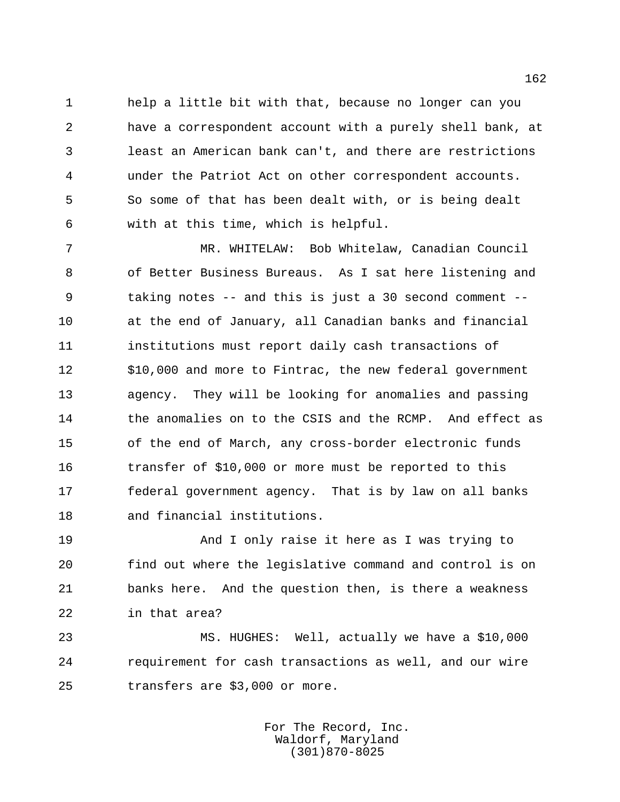help a little bit with that, because no longer can you have a correspondent account with a purely shell bank, at least an American bank can't, and there are restrictions under the Patriot Act on other correspondent accounts. So some of that has been dealt with, or is being dealt with at this time, which is helpful.

 MR. WHITELAW: Bob Whitelaw, Canadian Council of Better Business Bureaus. As I sat here listening and taking notes -- and this is just a 30 second comment -- at the end of January, all Canadian banks and financial institutions must report daily cash transactions of \$10,000 and more to Fintrac, the new federal government agency. They will be looking for anomalies and passing 14 the anomalies on to the CSIS and the RCMP. And effect as of the end of March, any cross-border electronic funds transfer of \$10,000 or more must be reported to this federal government agency. That is by law on all banks and financial institutions.

 And I only raise it here as I was trying to find out where the legislative command and control is on banks here. And the question then, is there a weakness in that area?

 MS. HUGHES: Well, actually we have a \$10,000 requirement for cash transactions as well, and our wire transfers are \$3,000 or more.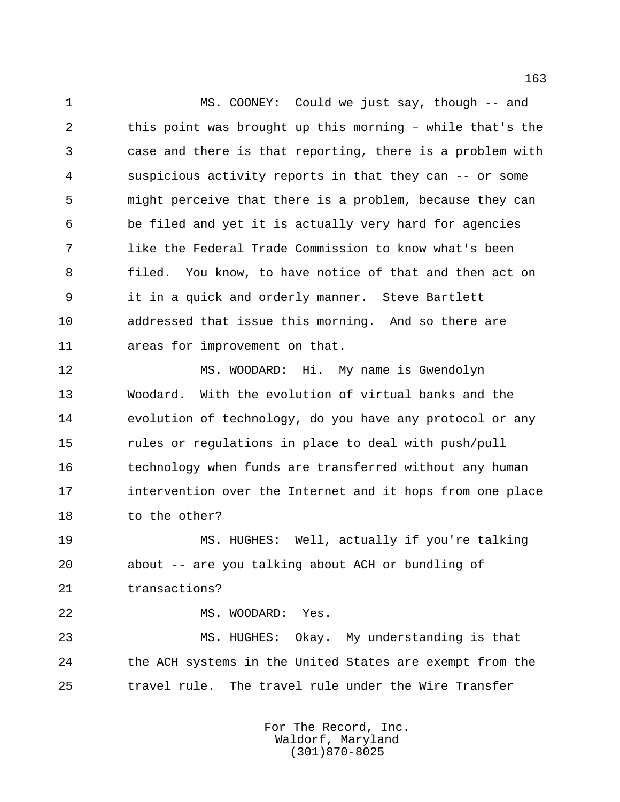MS. COONEY: Could we just say, though -- and this point was brought up this morning – while that's the case and there is that reporting, there is a problem with suspicious activity reports in that they can -- or some might perceive that there is a problem, because they can be filed and yet it is actually very hard for agencies like the Federal Trade Commission to know what's been filed. You know, to have notice of that and then act on it in a quick and orderly manner. Steve Bartlett addressed that issue this morning. And so there are areas for improvement on that.

 MS. WOODARD: Hi. My name is Gwendolyn Woodard. With the evolution of virtual banks and the evolution of technology, do you have any protocol or any rules or regulations in place to deal with push/pull technology when funds are transferred without any human intervention over the Internet and it hops from one place 18 to the other?

 MS. HUGHES: Well, actually if you're talking about -- are you talking about ACH or bundling of transactions?

MS. WOODARD: Yes.

 MS. HUGHES: Okay. My understanding is that the ACH systems in the United States are exempt from the travel rule. The travel rule under the Wire Transfer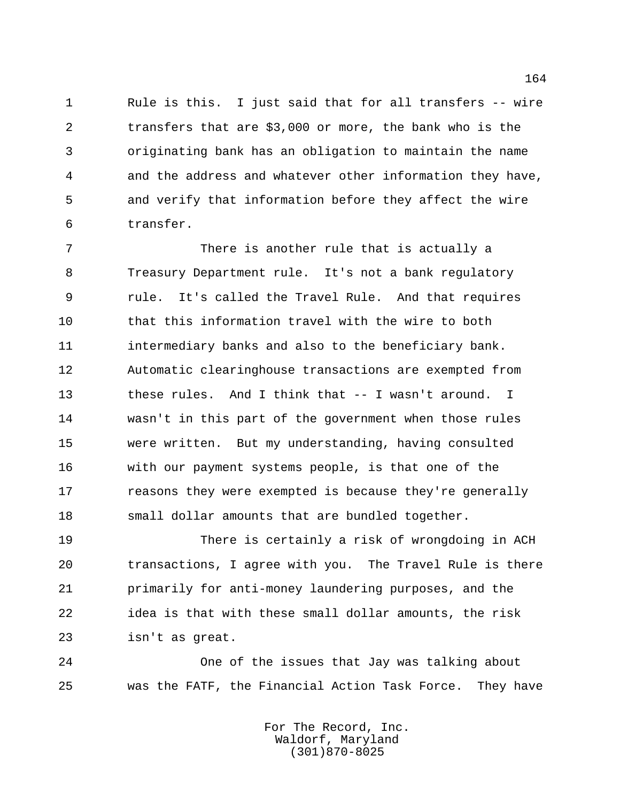Rule is this. I just said that for all transfers -- wire transfers that are \$3,000 or more, the bank who is the originating bank has an obligation to maintain the name and the address and whatever other information they have, and verify that information before they affect the wire transfer.

 There is another rule that is actually a Treasury Department rule. It's not a bank regulatory rule. It's called the Travel Rule. And that requires that this information travel with the wire to both intermediary banks and also to the beneficiary bank. Automatic clearinghouse transactions are exempted from these rules. And I think that -- I wasn't around. I wasn't in this part of the government when those rules were written. But my understanding, having consulted with our payment systems people, is that one of the **reasons they were exempted is because they're generally** 18 small dollar amounts that are bundled together.

 There is certainly a risk of wrongdoing in ACH transactions, I agree with you. The Travel Rule is there primarily for anti-money laundering purposes, and the idea is that with these small dollar amounts, the risk isn't as great.

 One of the issues that Jay was talking about was the FATF, the Financial Action Task Force. They have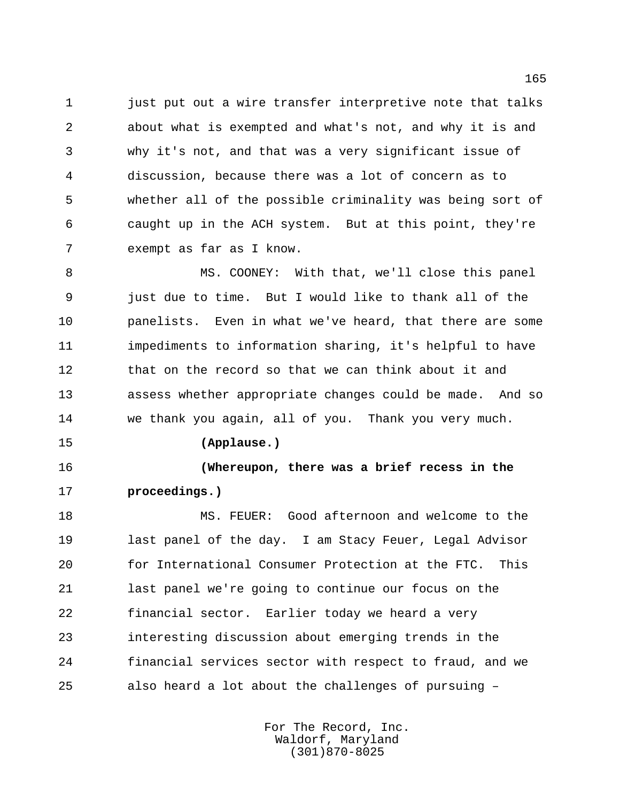1 just put out a wire transfer interpretive note that talks about what is exempted and what's not, and why it is and why it's not, and that was a very significant issue of discussion, because there was a lot of concern as to whether all of the possible criminality was being sort of caught up in the ACH system. But at this point, they're exempt as far as I know.

 MS. COONEY: With that, we'll close this panel just due to time. But I would like to thank all of the panelists. Even in what we've heard, that there are some impediments to information sharing, it's helpful to have 12 that on the record so that we can think about it and assess whether appropriate changes could be made. And so we thank you again, all of you. Thank you very much.

**(Applause.)**

 **(Whereupon, there was a brief recess in the proceedings.)**

 MS. FEUER: Good afternoon and welcome to the last panel of the day. I am Stacy Feuer, Legal Advisor for International Consumer Protection at the FTC. This last panel we're going to continue our focus on the financial sector. Earlier today we heard a very interesting discussion about emerging trends in the financial services sector with respect to fraud, and we also heard a lot about the challenges of pursuing –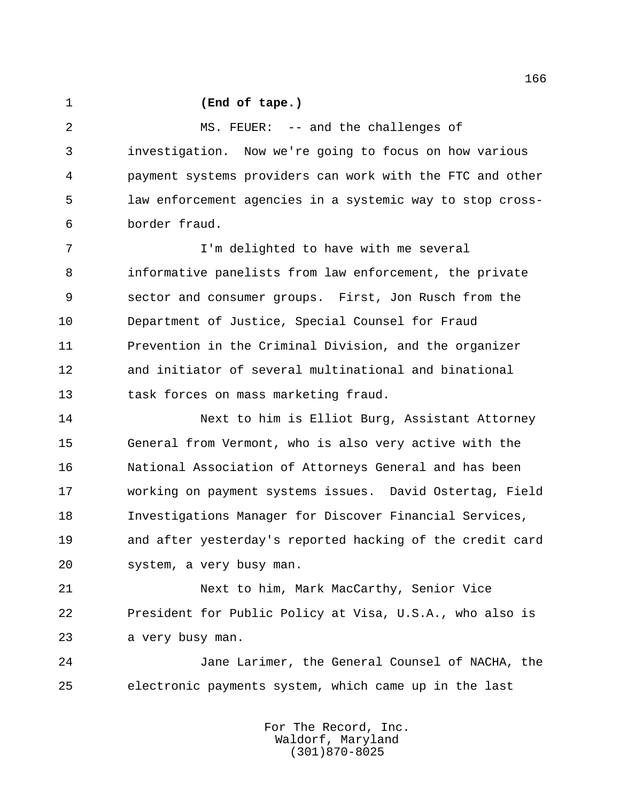## **(End of tape.)**

 MS. FEUER: -- and the challenges of investigation. Now we're going to focus on how various payment systems providers can work with the FTC and other law enforcement agencies in a systemic way to stop cross-border fraud.

 I'm delighted to have with me several informative panelists from law enforcement, the private sector and consumer groups. First, Jon Rusch from the Department of Justice, Special Counsel for Fraud Prevention in the Criminal Division, and the organizer and initiator of several multinational and binational task forces on mass marketing fraud.

 Next to him is Elliot Burg, Assistant Attorney General from Vermont, who is also very active with the National Association of Attorneys General and has been working on payment systems issues. David Ostertag, Field Investigations Manager for Discover Financial Services, and after yesterday's reported hacking of the credit card system, a very busy man.

 Next to him, Mark MacCarthy, Senior Vice President for Public Policy at Visa, U.S.A., who also is a very busy man.

 Jane Larimer, the General Counsel of NACHA, the electronic payments system, which came up in the last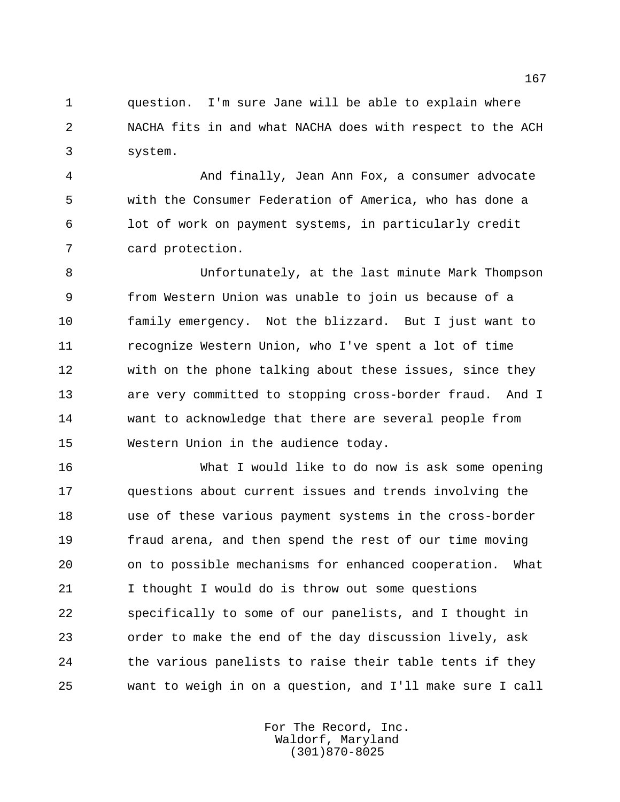question. I'm sure Jane will be able to explain where NACHA fits in and what NACHA does with respect to the ACH system.

 And finally, Jean Ann Fox, a consumer advocate with the Consumer Federation of America, who has done a lot of work on payment systems, in particularly credit card protection.

 Unfortunately, at the last minute Mark Thompson from Western Union was unable to join us because of a family emergency. Not the blizzard. But I just want to recognize Western Union, who I've spent a lot of time with on the phone talking about these issues, since they are very committed to stopping cross-border fraud. And I want to acknowledge that there are several people from Western Union in the audience today.

 What I would like to do now is ask some opening questions about current issues and trends involving the use of these various payment systems in the cross-border fraud arena, and then spend the rest of our time moving on to possible mechanisms for enhanced cooperation. What I thought I would do is throw out some questions specifically to some of our panelists, and I thought in order to make the end of the day discussion lively, ask 24 the various panelists to raise their table tents if they want to weigh in on a question, and I'll make sure I call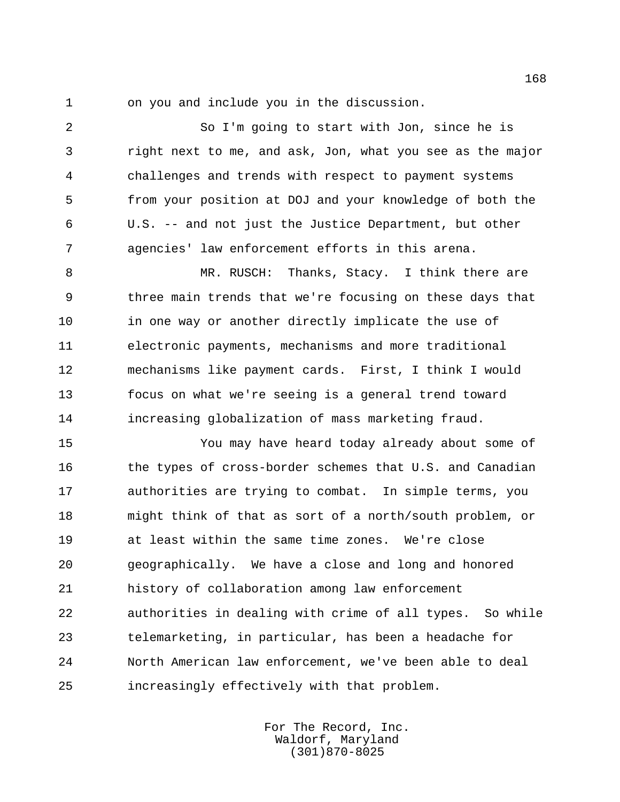on you and include you in the discussion.

 So I'm going to start with Jon, since he is right next to me, and ask, Jon, what you see as the major challenges and trends with respect to payment systems from your position at DOJ and your knowledge of both the U.S. -- and not just the Justice Department, but other agencies' law enforcement efforts in this arena.

 MR. RUSCH: Thanks, Stacy. I think there are three main trends that we're focusing on these days that 10 in one way or another directly implicate the use of electronic payments, mechanisms and more traditional mechanisms like payment cards. First, I think I would focus on what we're seeing is a general trend toward increasing globalization of mass marketing fraud.

 You may have heard today already about some of 16 the types of cross-border schemes that U.S. and Canadian authorities are trying to combat. In simple terms, you might think of that as sort of a north/south problem, or at least within the same time zones. We're close geographically. We have a close and long and honored history of collaboration among law enforcement authorities in dealing with crime of all types. So while telemarketing, in particular, has been a headache for North American law enforcement, we've been able to deal increasingly effectively with that problem.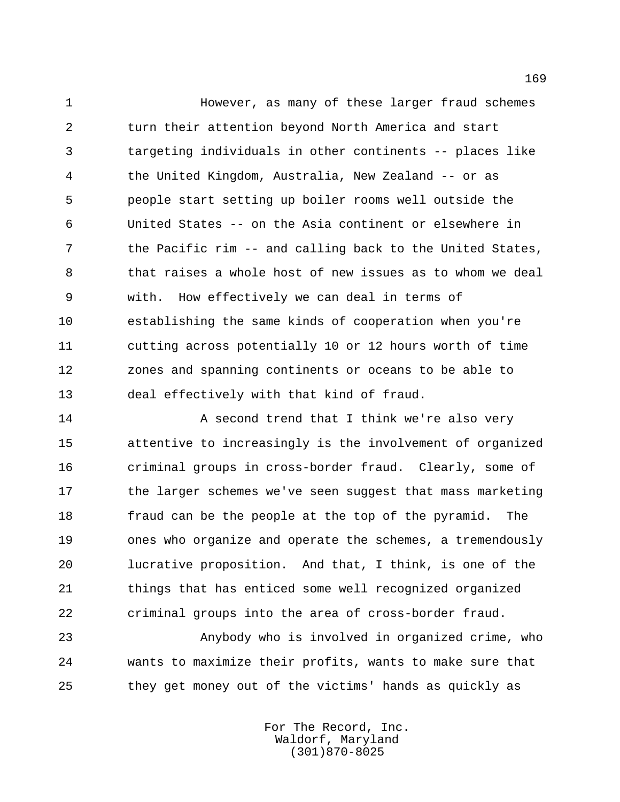However, as many of these larger fraud schemes turn their attention beyond North America and start targeting individuals in other continents -- places like the United Kingdom, Australia, New Zealand -- or as people start setting up boiler rooms well outside the United States -- on the Asia continent or elsewhere in the Pacific rim -- and calling back to the United States, that raises a whole host of new issues as to whom we deal with. How effectively we can deal in terms of establishing the same kinds of cooperation when you're cutting across potentially 10 or 12 hours worth of time zones and spanning continents or oceans to be able to deal effectively with that kind of fraud.

14 A second trend that I think we're also very attentive to increasingly is the involvement of organized criminal groups in cross-border fraud. Clearly, some of 17 the larger schemes we've seen suggest that mass marketing fraud can be the people at the top of the pyramid. The ones who organize and operate the schemes, a tremendously lucrative proposition. And that, I think, is one of the things that has enticed some well recognized organized criminal groups into the area of cross-border fraud.

 Anybody who is involved in organized crime, who wants to maximize their profits, wants to make sure that they get money out of the victims' hands as quickly as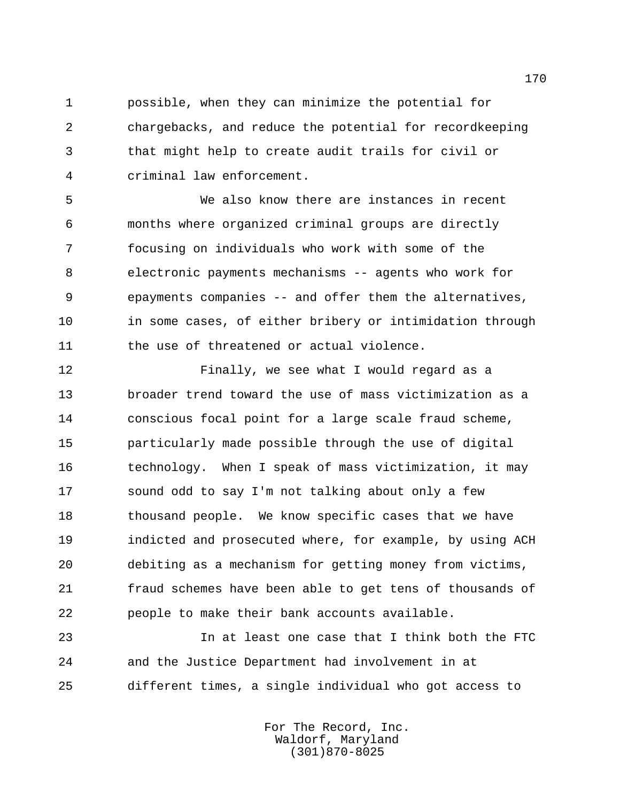possible, when they can minimize the potential for chargebacks, and reduce the potential for recordkeeping that might help to create audit trails for civil or criminal law enforcement.

 We also know there are instances in recent months where organized criminal groups are directly focusing on individuals who work with some of the electronic payments mechanisms -- agents who work for epayments companies -- and offer them the alternatives, 10 in some cases, of either bribery or intimidation through the use of threatened or actual violence.

 Finally, we see what I would regard as a broader trend toward the use of mass victimization as a conscious focal point for a large scale fraud scheme, particularly made possible through the use of digital technology. When I speak of mass victimization, it may sound odd to say I'm not talking about only a few thousand people. We know specific cases that we have indicted and prosecuted where, for example, by using ACH debiting as a mechanism for getting money from victims, fraud schemes have been able to get tens of thousands of people to make their bank accounts available.

 In at least one case that I think both the FTC and the Justice Department had involvement in at different times, a single individual who got access to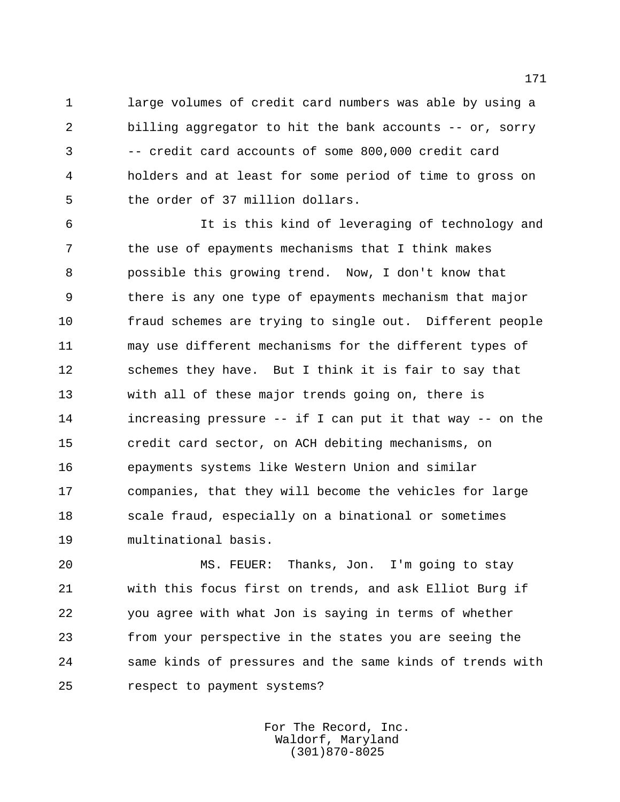large volumes of credit card numbers was able by using a billing aggregator to hit the bank accounts -- or, sorry -- credit card accounts of some 800,000 credit card holders and at least for some period of time to gross on the order of 37 million dollars.

 It is this kind of leveraging of technology and the use of epayments mechanisms that I think makes possible this growing trend. Now, I don't know that there is any one type of epayments mechanism that major fraud schemes are trying to single out. Different people may use different mechanisms for the different types of schemes they have. But I think it is fair to say that with all of these major trends going on, there is increasing pressure -- if I can put it that way -- on the credit card sector, on ACH debiting mechanisms, on epayments systems like Western Union and similar companies, that they will become the vehicles for large scale fraud, especially on a binational or sometimes multinational basis.

 MS. FEUER: Thanks, Jon. I'm going to stay with this focus first on trends, and ask Elliot Burg if you agree with what Jon is saying in terms of whether from your perspective in the states you are seeing the same kinds of pressures and the same kinds of trends with respect to payment systems?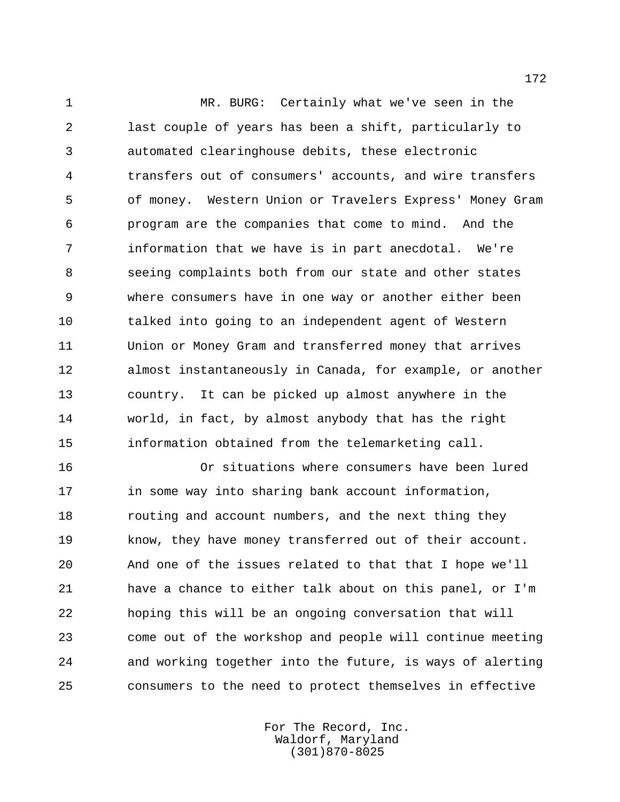MR. BURG: Certainly what we've seen in the last couple of years has been a shift, particularly to automated clearinghouse debits, these electronic transfers out of consumers' accounts, and wire transfers of money. Western Union or Travelers Express' Money Gram program are the companies that come to mind. And the information that we have is in part anecdotal. We're seeing complaints both from our state and other states where consumers have in one way or another either been talked into going to an independent agent of Western Union or Money Gram and transferred money that arrives almost instantaneously in Canada, for example, or another country. It can be picked up almost anywhere in the world, in fact, by almost anybody that has the right information obtained from the telemarketing call.

 Or situations where consumers have been lured 17 in some way into sharing bank account information, **routing and account numbers, and the next thing they**  know, they have money transferred out of their account. And one of the issues related to that that I hope we'll have a chance to either talk about on this panel, or I'm hoping this will be an ongoing conversation that will come out of the workshop and people will continue meeting and working together into the future, is ways of alerting consumers to the need to protect themselves in effective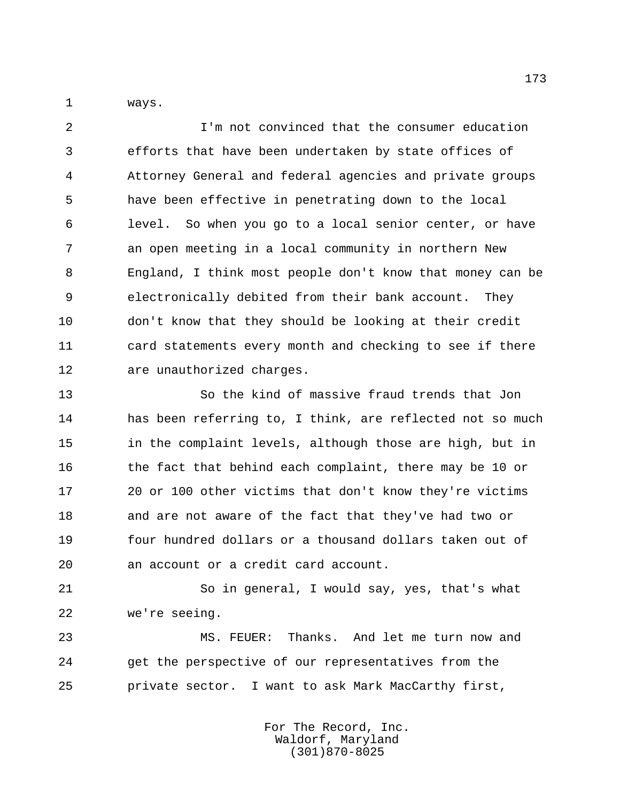ways.

 I'm not convinced that the consumer education efforts that have been undertaken by state offices of Attorney General and federal agencies and private groups have been effective in penetrating down to the local level. So when you go to a local senior center, or have an open meeting in a local community in northern New England, I think most people don't know that money can be electronically debited from their bank account. They don't know that they should be looking at their credit card statements every month and checking to see if there are unauthorized charges.

 So the kind of massive fraud trends that Jon has been referring to, I think, are reflected not so much in the complaint levels, although those are high, but in 16 the fact that behind each complaint, there may be 10 or 20 or 100 other victims that don't know they're victims and are not aware of the fact that they've had two or four hundred dollars or a thousand dollars taken out of an account or a credit card account.

 So in general, I would say, yes, that's what we're seeing.

 MS. FEUER: Thanks. And let me turn now and get the perspective of our representatives from the private sector. I want to ask Mark MacCarthy first,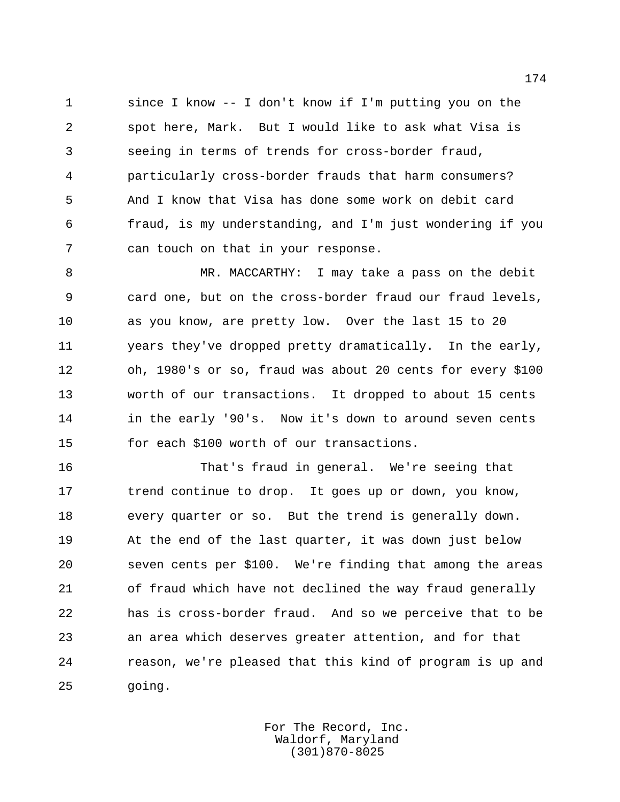since I know -- I don't know if I'm putting you on the spot here, Mark. But I would like to ask what Visa is seeing in terms of trends for cross-border fraud, particularly cross-border frauds that harm consumers? And I know that Visa has done some work on debit card fraud, is my understanding, and I'm just wondering if you can touch on that in your response.

 MR. MACCARTHY: I may take a pass on the debit card one, but on the cross-border fraud our fraud levels, as you know, are pretty low. Over the last 15 to 20 years they've dropped pretty dramatically. In the early, oh, 1980's or so, fraud was about 20 cents for every \$100 worth of our transactions. It dropped to about 15 cents in the early '90's. Now it's down to around seven cents for each \$100 worth of our transactions.

 That's fraud in general. We're seeing that 17 trend continue to drop. It goes up or down, you know, every quarter or so. But the trend is generally down. At the end of the last quarter, it was down just below seven cents per \$100. We're finding that among the areas of fraud which have not declined the way fraud generally has is cross-border fraud. And so we perceive that to be an area which deserves greater attention, and for that reason, we're pleased that this kind of program is up and going.

> For The Record, Inc. Waldorf, Maryland (301)870-8025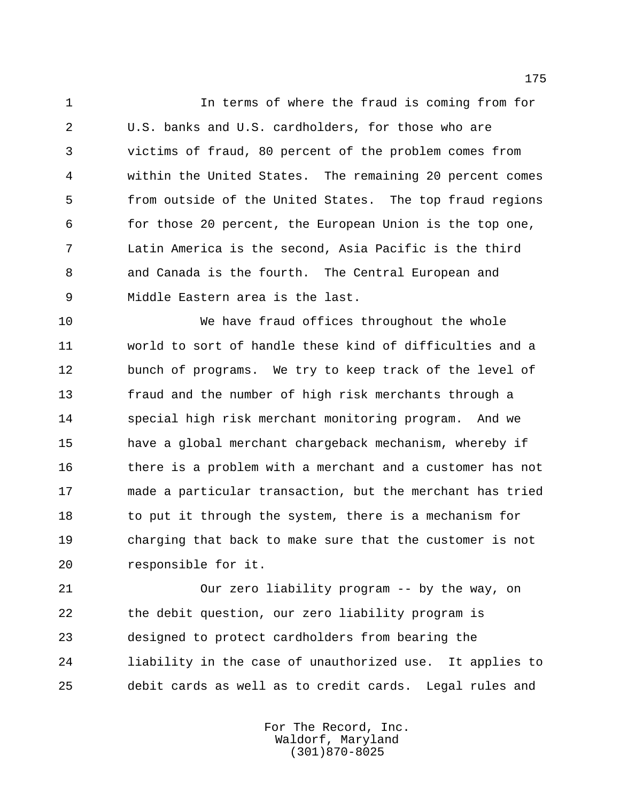In terms of where the fraud is coming from for U.S. banks and U.S. cardholders, for those who are victims of fraud, 80 percent of the problem comes from within the United States. The remaining 20 percent comes from outside of the United States. The top fraud regions for those 20 percent, the European Union is the top one, Latin America is the second, Asia Pacific is the third and Canada is the fourth. The Central European and Middle Eastern area is the last.

 We have fraud offices throughout the whole world to sort of handle these kind of difficulties and a bunch of programs. We try to keep track of the level of fraud and the number of high risk merchants through a special high risk merchant monitoring program. And we have a global merchant chargeback mechanism, whereby if there is a problem with a merchant and a customer has not made a particular transaction, but the merchant has tried 18 to put it through the system, there is a mechanism for charging that back to make sure that the customer is not responsible for it.

 Our zero liability program -- by the way, on the debit question, our zero liability program is designed to protect cardholders from bearing the liability in the case of unauthorized use. It applies to debit cards as well as to credit cards. Legal rules and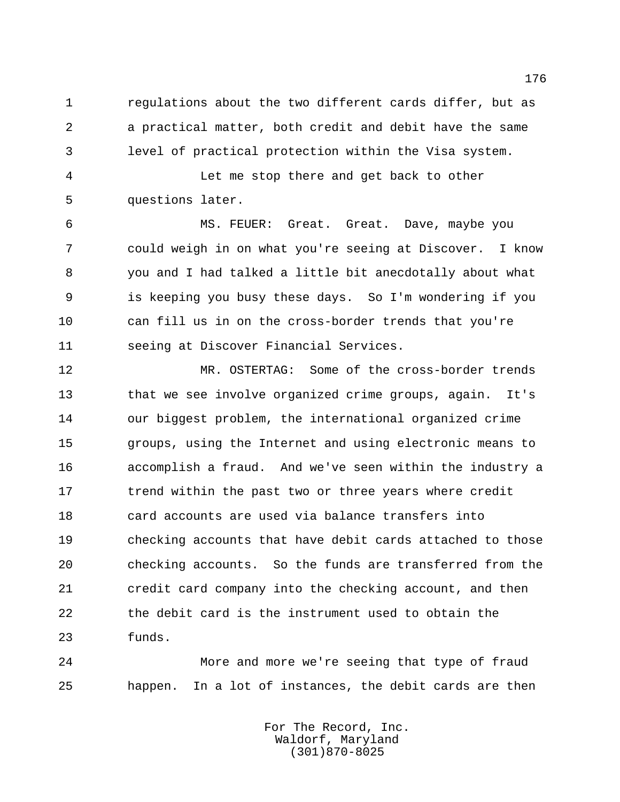regulations about the two different cards differ, but as a practical matter, both credit and debit have the same level of practical protection within the Visa system.

 Let me stop there and get back to other questions later.

 MS. FEUER: Great. Great. Dave, maybe you could weigh in on what you're seeing at Discover. I know you and I had talked a little bit anecdotally about what is keeping you busy these days. So I'm wondering if you can fill us in on the cross-border trends that you're seeing at Discover Financial Services.

 MR. OSTERTAG: Some of the cross-border trends that we see involve organized crime groups, again. It's our biggest problem, the international organized crime groups, using the Internet and using electronic means to accomplish a fraud. And we've seen within the industry a 17 trend within the past two or three years where credit card accounts are used via balance transfers into checking accounts that have debit cards attached to those checking accounts. So the funds are transferred from the credit card company into the checking account, and then the debit card is the instrument used to obtain the funds.

 More and more we're seeing that type of fraud happen. In a lot of instances, the debit cards are then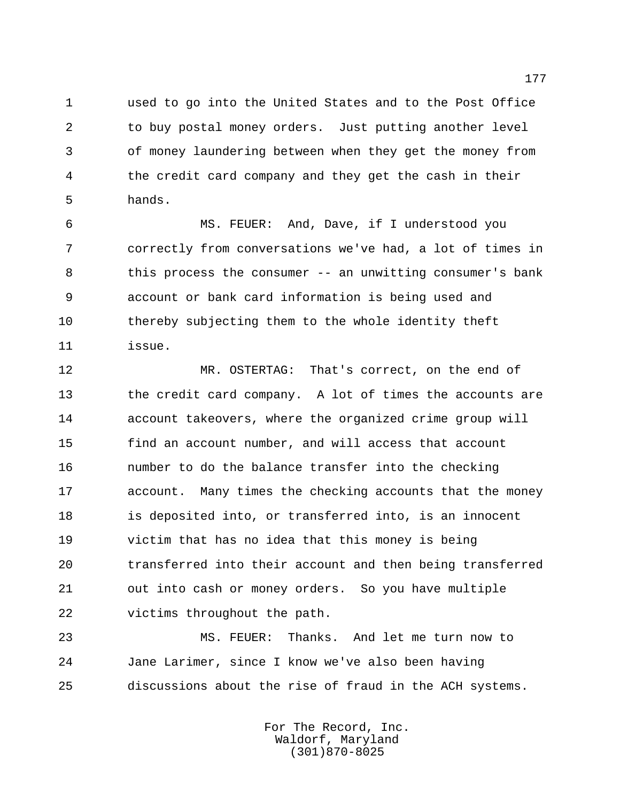used to go into the United States and to the Post Office to buy postal money orders. Just putting another level of money laundering between when they get the money from the credit card company and they get the cash in their hands.

 MS. FEUER: And, Dave, if I understood you correctly from conversations we've had, a lot of times in this process the consumer -- an unwitting consumer's bank account or bank card information is being used and thereby subjecting them to the whole identity theft issue.

 MR. OSTERTAG: That's correct, on the end of the credit card company. A lot of times the accounts are account takeovers, where the organized crime group will find an account number, and will access that account number to do the balance transfer into the checking account. Many times the checking accounts that the money is deposited into, or transferred into, is an innocent victim that has no idea that this money is being transferred into their account and then being transferred out into cash or money orders. So you have multiple victims throughout the path.

 MS. FEUER: Thanks. And let me turn now to Jane Larimer, since I know we've also been having discussions about the rise of fraud in the ACH systems.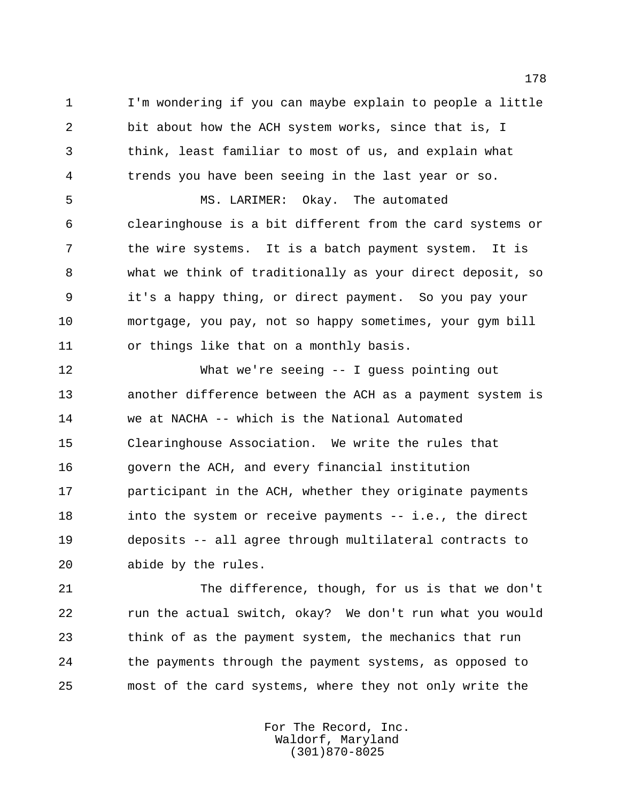I'm wondering if you can maybe explain to people a little bit about how the ACH system works, since that is, I think, least familiar to most of us, and explain what trends you have been seeing in the last year or so.

 MS. LARIMER: Okay. The automated clearinghouse is a bit different from the card systems or the wire systems. It is a batch payment system. It is what we think of traditionally as your direct deposit, so it's a happy thing, or direct payment. So you pay your mortgage, you pay, not so happy sometimes, your gym bill or things like that on a monthly basis.

 What we're seeing -- I guess pointing out another difference between the ACH as a payment system is we at NACHA -- which is the National Automated Clearinghouse Association. We write the rules that govern the ACH, and every financial institution participant in the ACH, whether they originate payments 18 into the system or receive payments -- i.e., the direct deposits -- all agree through multilateral contracts to abide by the rules.

 The difference, though, for us is that we don't run the actual switch, okay? We don't run what you would think of as the payment system, the mechanics that run the payments through the payment systems, as opposed to most of the card systems, where they not only write the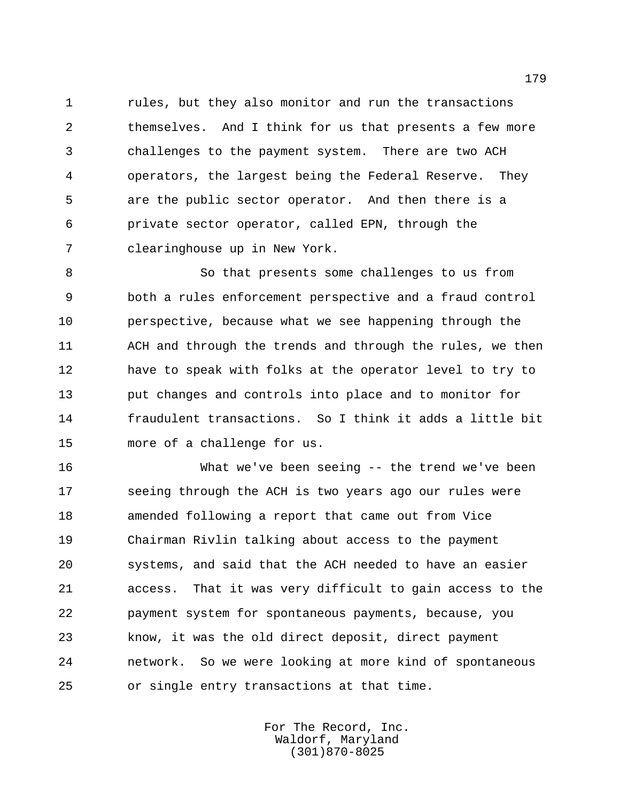rules, but they also monitor and run the transactions themselves. And I think for us that presents a few more challenges to the payment system. There are two ACH operators, the largest being the Federal Reserve. They are the public sector operator. And then there is a private sector operator, called EPN, through the clearinghouse up in New York.

 So that presents some challenges to us from both a rules enforcement perspective and a fraud control perspective, because what we see happening through the ACH and through the trends and through the rules, we then have to speak with folks at the operator level to try to put changes and controls into place and to monitor for fraudulent transactions. So I think it adds a little bit more of a challenge for us.

 What we've been seeing -- the trend we've been seeing through the ACH is two years ago our rules were amended following a report that came out from Vice Chairman Rivlin talking about access to the payment systems, and said that the ACH needed to have an easier access. That it was very difficult to gain access to the payment system for spontaneous payments, because, you know, it was the old direct deposit, direct payment network. So we were looking at more kind of spontaneous or single entry transactions at that time.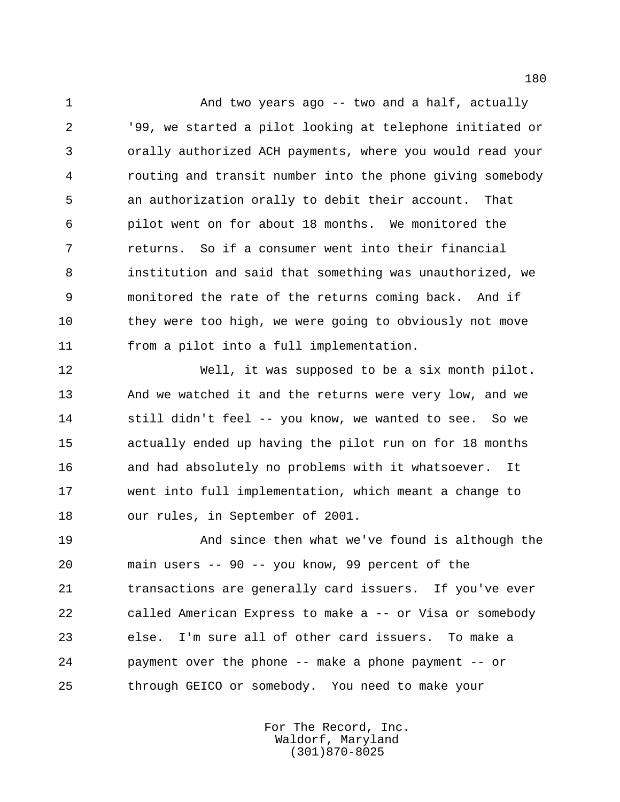And two years ago -- two and a half, actually '99, we started a pilot looking at telephone initiated or orally authorized ACH payments, where you would read your routing and transit number into the phone giving somebody an authorization orally to debit their account. That pilot went on for about 18 months. We monitored the returns. So if a consumer went into their financial institution and said that something was unauthorized, we monitored the rate of the returns coming back. And if they were too high, we were going to obviously not move from a pilot into a full implementation.

 Well, it was supposed to be a six month pilot. And we watched it and the returns were very low, and we still didn't feel -- you know, we wanted to see. So we actually ended up having the pilot run on for 18 months and had absolutely no problems with it whatsoever. It went into full implementation, which meant a change to our rules, in September of 2001.

 And since then what we've found is although the main users -- 90 -- you know, 99 percent of the transactions are generally card issuers. If you've ever called American Express to make a -- or Visa or somebody else. I'm sure all of other card issuers. To make a payment over the phone -- make a phone payment -- or through GEICO or somebody. You need to make your

> For The Record, Inc. Waldorf, Maryland (301)870-8025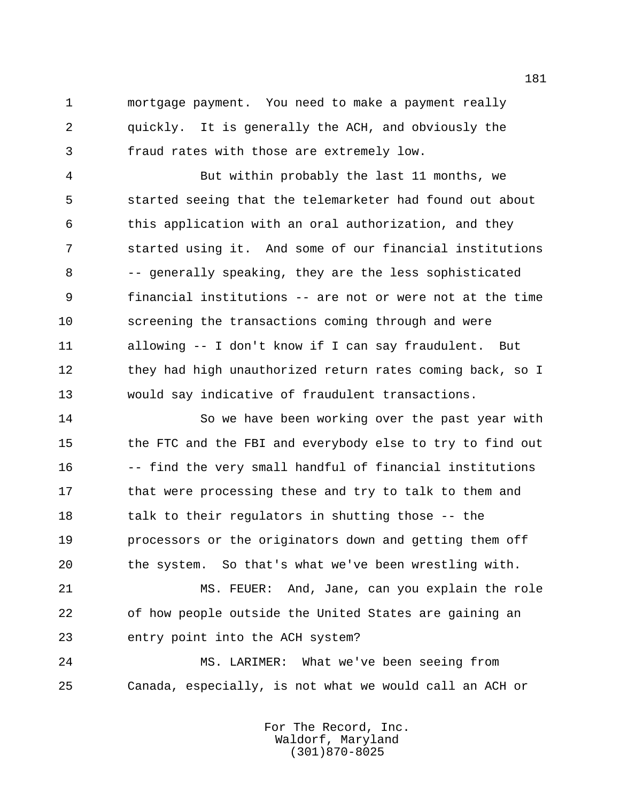mortgage payment. You need to make a payment really quickly. It is generally the ACH, and obviously the fraud rates with those are extremely low.

 But within probably the last 11 months, we started seeing that the telemarketer had found out about this application with an oral authorization, and they started using it. And some of our financial institutions -- generally speaking, they are the less sophisticated financial institutions -- are not or were not at the time screening the transactions coming through and were allowing -- I don't know if I can say fraudulent. But 12 they had high unauthorized return rates coming back, so I would say indicative of fraudulent transactions.

 So we have been working over the past year with 15 the FTC and the FBI and everybody else to try to find out -- find the very small handful of financial institutions 17 that were processing these and try to talk to them and 18 talk to their regulators in shutting those -- the processors or the originators down and getting them off the system. So that's what we've been wrestling with.

 MS. FEUER: And, Jane, can you explain the role of how people outside the United States are gaining an entry point into the ACH system?

 MS. LARIMER: What we've been seeing from Canada, especially, is not what we would call an ACH or

> For The Record, Inc. Waldorf, Maryland (301)870-8025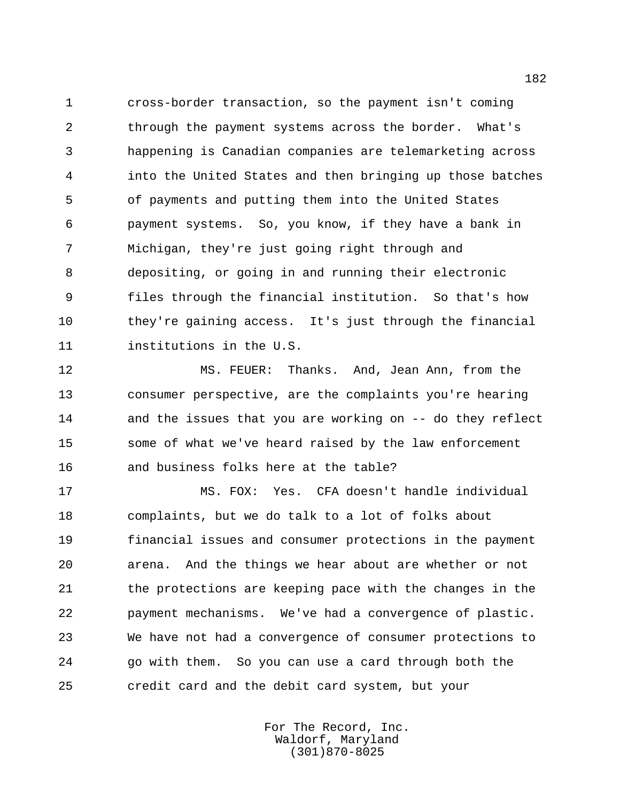cross-border transaction, so the payment isn't coming through the payment systems across the border. What's happening is Canadian companies are telemarketing across into the United States and then bringing up those batches of payments and putting them into the United States payment systems. So, you know, if they have a bank in Michigan, they're just going right through and depositing, or going in and running their electronic files through the financial institution. So that's how they're gaining access. It's just through the financial institutions in the U.S.

 MS. FEUER: Thanks. And, Jean Ann, from the consumer perspective, are the complaints you're hearing and the issues that you are working on -- do they reflect some of what we've heard raised by the law enforcement and business folks here at the table?

 MS. FOX: Yes. CFA doesn't handle individual complaints, but we do talk to a lot of folks about financial issues and consumer protections in the payment arena. And the things we hear about are whether or not the protections are keeping pace with the changes in the payment mechanisms. We've had a convergence of plastic. We have not had a convergence of consumer protections to go with them. So you can use a card through both the credit card and the debit card system, but your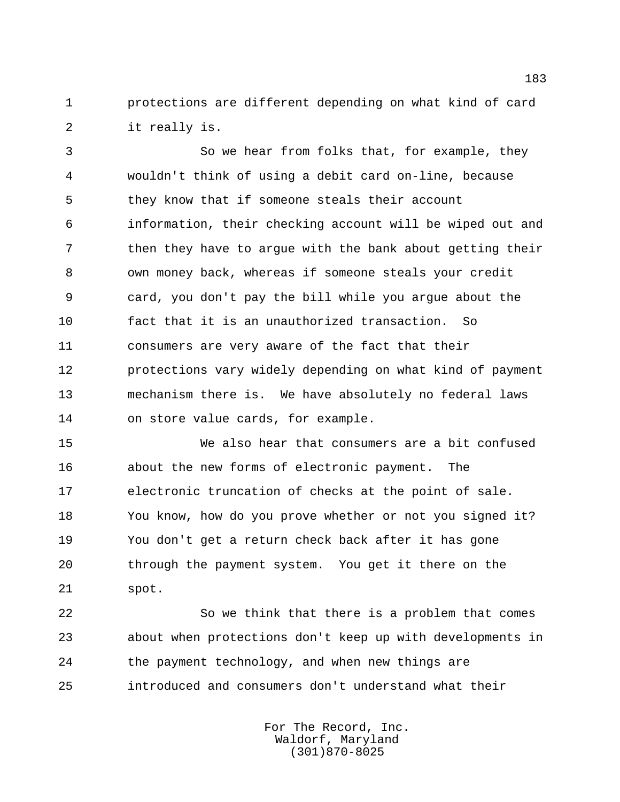protections are different depending on what kind of card it really is.

 So we hear from folks that, for example, they wouldn't think of using a debit card on-line, because they know that if someone steals their account information, their checking account will be wiped out and 7 then they have to argue with the bank about getting their own money back, whereas if someone steals your credit card, you don't pay the bill while you argue about the fact that it is an unauthorized transaction. So consumers are very aware of the fact that their protections vary widely depending on what kind of payment mechanism there is. We have absolutely no federal laws on store value cards, for example.

 We also hear that consumers are a bit confused about the new forms of electronic payment. The electronic truncation of checks at the point of sale. You know, how do you prove whether or not you signed it? You don't get a return check back after it has gone through the payment system. You get it there on the spot.

 So we think that there is a problem that comes about when protections don't keep up with developments in the payment technology, and when new things are introduced and consumers don't understand what their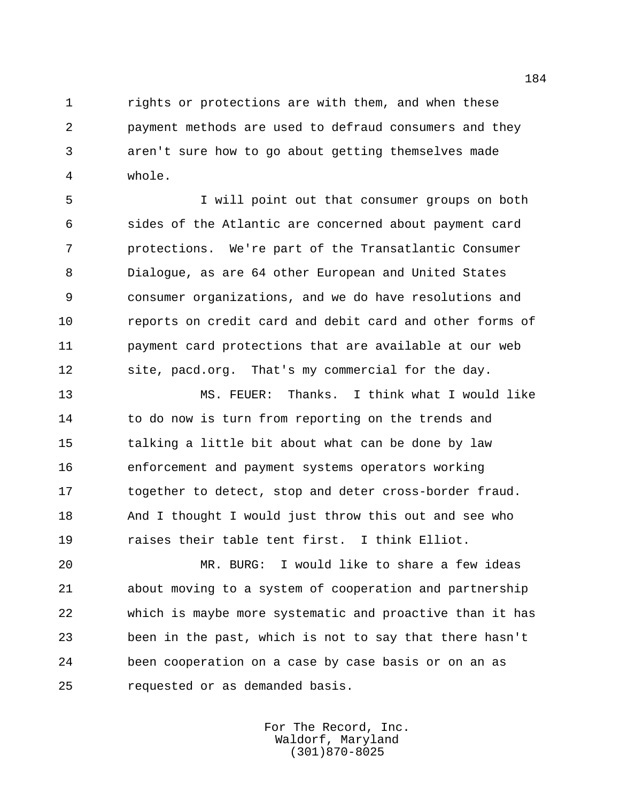rights or protections are with them, and when these payment methods are used to defraud consumers and they aren't sure how to go about getting themselves made whole.

 I will point out that consumer groups on both sides of the Atlantic are concerned about payment card protections. We're part of the Transatlantic Consumer Dialogue, as are 64 other European and United States consumer organizations, and we do have resolutions and reports on credit card and debit card and other forms of payment card protections that are available at our web site, pacd.org. That's my commercial for the day.

 MS. FEUER: Thanks. I think what I would like 14 to do now is turn from reporting on the trends and talking a little bit about what can be done by law enforcement and payment systems operators working together to detect, stop and deter cross-border fraud. And I thought I would just throw this out and see who raises their table tent first. I think Elliot.

 MR. BURG: I would like to share a few ideas about moving to a system of cooperation and partnership which is maybe more systematic and proactive than it has been in the past, which is not to say that there hasn't been cooperation on a case by case basis or on an as requested or as demanded basis.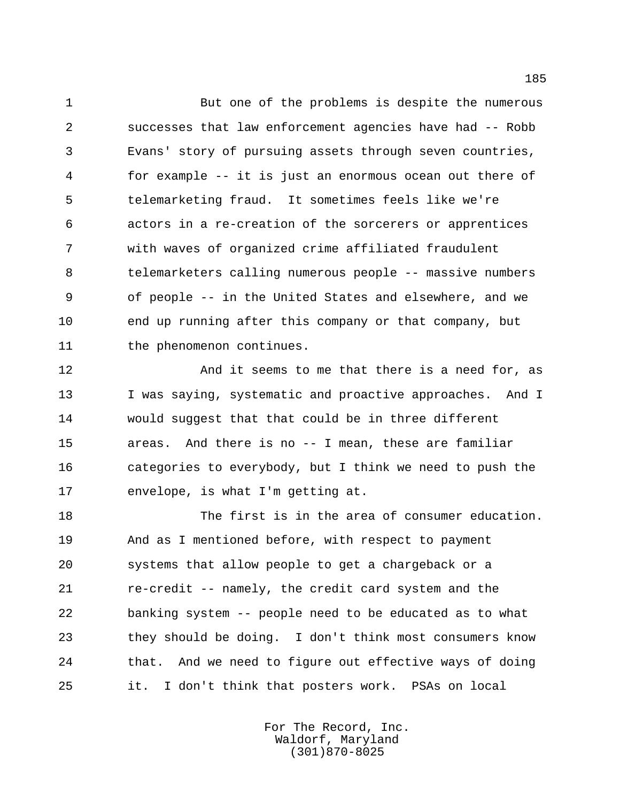But one of the problems is despite the numerous successes that law enforcement agencies have had -- Robb Evans' story of pursuing assets through seven countries, for example -- it is just an enormous ocean out there of telemarketing fraud. It sometimes feels like we're actors in a re-creation of the sorcerers or apprentices with waves of organized crime affiliated fraudulent telemarketers calling numerous people -- massive numbers of people -- in the United States and elsewhere, and we end up running after this company or that company, but 11 the phenomenon continues.

 And it seems to me that there is a need for, as 13 I was saying, systematic and proactive approaches. And I would suggest that that could be in three different areas. And there is no -- I mean, these are familiar categories to everybody, but I think we need to push the envelope, is what I'm getting at.

 The first is in the area of consumer education. And as I mentioned before, with respect to payment systems that allow people to get a chargeback or a re-credit -- namely, the credit card system and the banking system -- people need to be educated as to what they should be doing. I don't think most consumers know that. And we need to figure out effective ways of doing it. I don't think that posters work. PSAs on local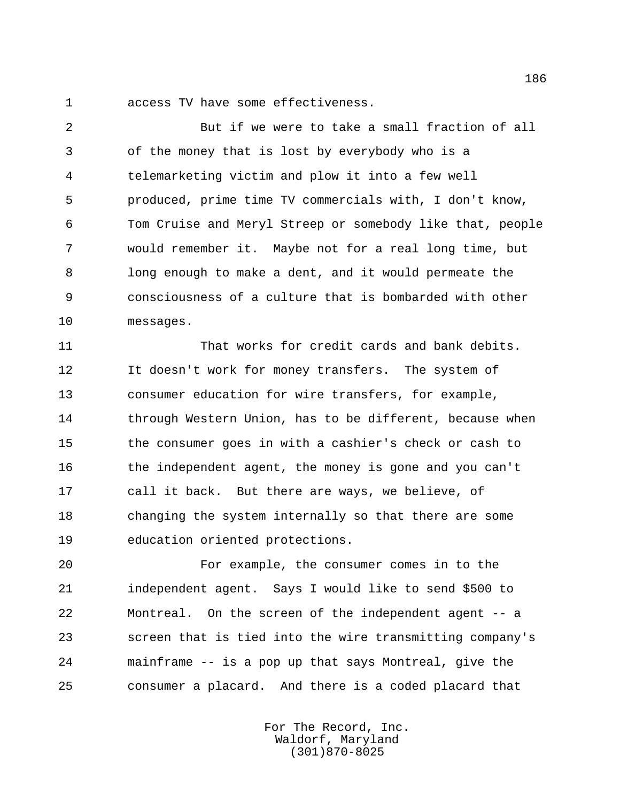access TV have some effectiveness.

 But if we were to take a small fraction of all of the money that is lost by everybody who is a telemarketing victim and plow it into a few well produced, prime time TV commercials with, I don't know, Tom Cruise and Meryl Streep or somebody like that, people would remember it. Maybe not for a real long time, but long enough to make a dent, and it would permeate the consciousness of a culture that is bombarded with other messages.

 That works for credit cards and bank debits. 12 It doesn't work for money transfers. The system of consumer education for wire transfers, for example, 14 through Western Union, has to be different, because when the consumer goes in with a cashier's check or cash to the independent agent, the money is gone and you can't call it back. But there are ways, we believe, of changing the system internally so that there are some education oriented protections.

 For example, the consumer comes in to the independent agent. Says I would like to send \$500 to Montreal. On the screen of the independent agent -- a screen that is tied into the wire transmitting company's mainframe -- is a pop up that says Montreal, give the consumer a placard. And there is a coded placard that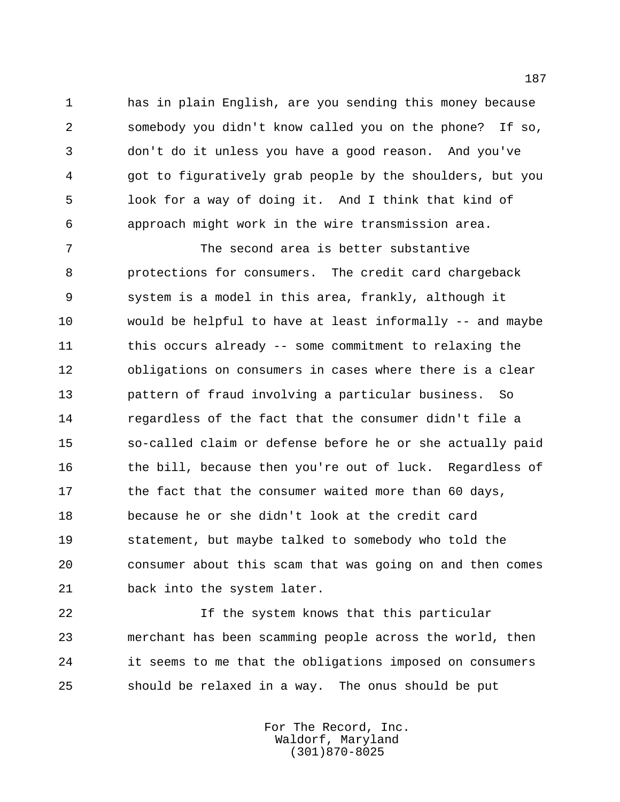has in plain English, are you sending this money because somebody you didn't know called you on the phone? If so, don't do it unless you have a good reason. And you've got to figuratively grab people by the shoulders, but you look for a way of doing it. And I think that kind of approach might work in the wire transmission area.

 The second area is better substantive protections for consumers. The credit card chargeback system is a model in this area, frankly, although it would be helpful to have at least informally -- and maybe this occurs already -- some commitment to relaxing the obligations on consumers in cases where there is a clear pattern of fraud involving a particular business. So regardless of the fact that the consumer didn't file a so-called claim or defense before he or she actually paid the bill, because then you're out of luck. Regardless of 17 the fact that the consumer waited more than 60 days, because he or she didn't look at the credit card statement, but maybe talked to somebody who told the consumer about this scam that was going on and then comes back into the system later.

 If the system knows that this particular merchant has been scamming people across the world, then it seems to me that the obligations imposed on consumers should be relaxed in a way. The onus should be put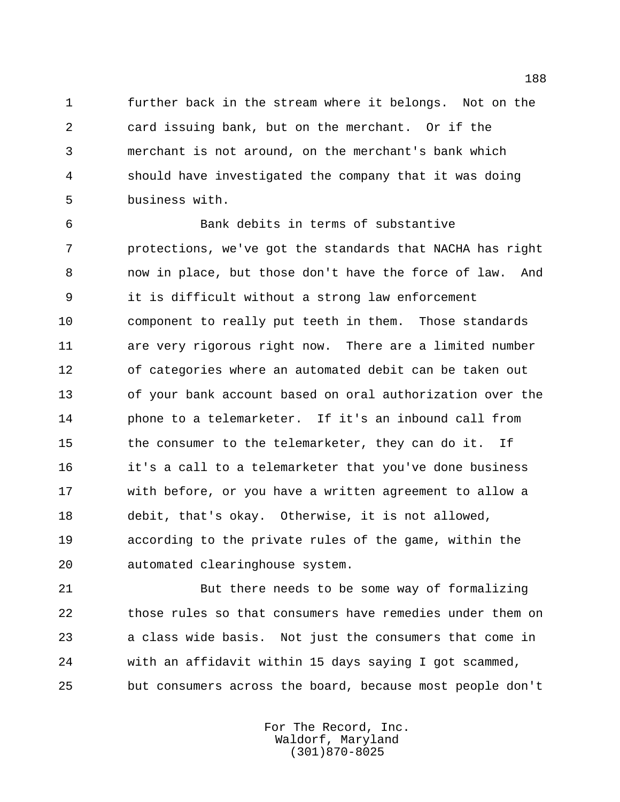further back in the stream where it belongs. Not on the card issuing bank, but on the merchant. Or if the merchant is not around, on the merchant's bank which should have investigated the company that it was doing business with.

 Bank debits in terms of substantive protections, we've got the standards that NACHA has right now in place, but those don't have the force of law. And it is difficult without a strong law enforcement component to really put teeth in them. Those standards are very rigorous right now. There are a limited number of categories where an automated debit can be taken out of your bank account based on oral authorization over the phone to a telemarketer. If it's an inbound call from 15 the consumer to the telemarketer, they can do it. If it's a call to a telemarketer that you've done business with before, or you have a written agreement to allow a debit, that's okay. Otherwise, it is not allowed, according to the private rules of the game, within the automated clearinghouse system.

 But there needs to be some way of formalizing those rules so that consumers have remedies under them on a class wide basis. Not just the consumers that come in with an affidavit within 15 days saying I got scammed, but consumers across the board, because most people don't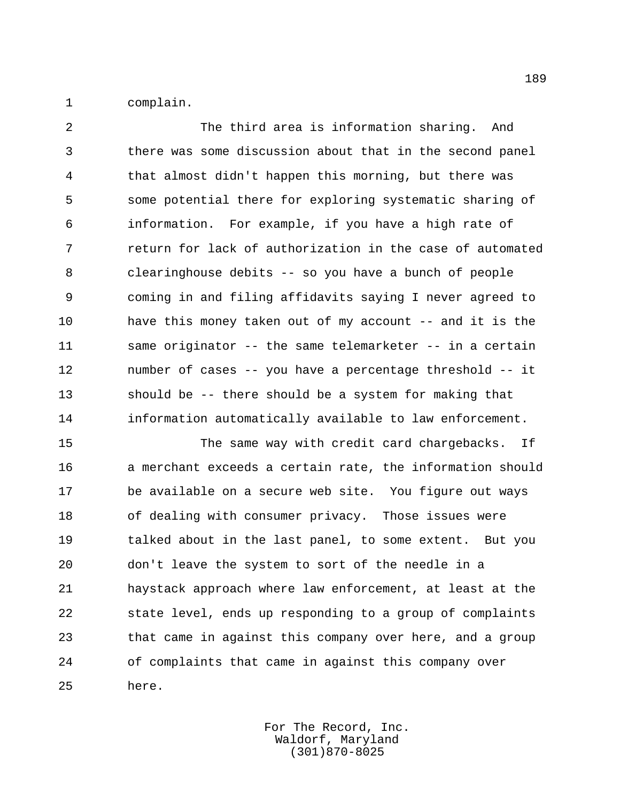complain.

 The third area is information sharing. And there was some discussion about that in the second panel that almost didn't happen this morning, but there was some potential there for exploring systematic sharing of information. For example, if you have a high rate of return for lack of authorization in the case of automated clearinghouse debits -- so you have a bunch of people coming in and filing affidavits saying I never agreed to 10 have this money taken out of my account -- and it is the same originator -- the same telemarketer -- in a certain number of cases -- you have a percentage threshold -- it should be -- there should be a system for making that information automatically available to law enforcement.

 The same way with credit card chargebacks. If a merchant exceeds a certain rate, the information should be available on a secure web site. You figure out ways of dealing with consumer privacy. Those issues were talked about in the last panel, to some extent. But you don't leave the system to sort of the needle in a haystack approach where law enforcement, at least at the state level, ends up responding to a group of complaints that came in against this company over here, and a group of complaints that came in against this company over here.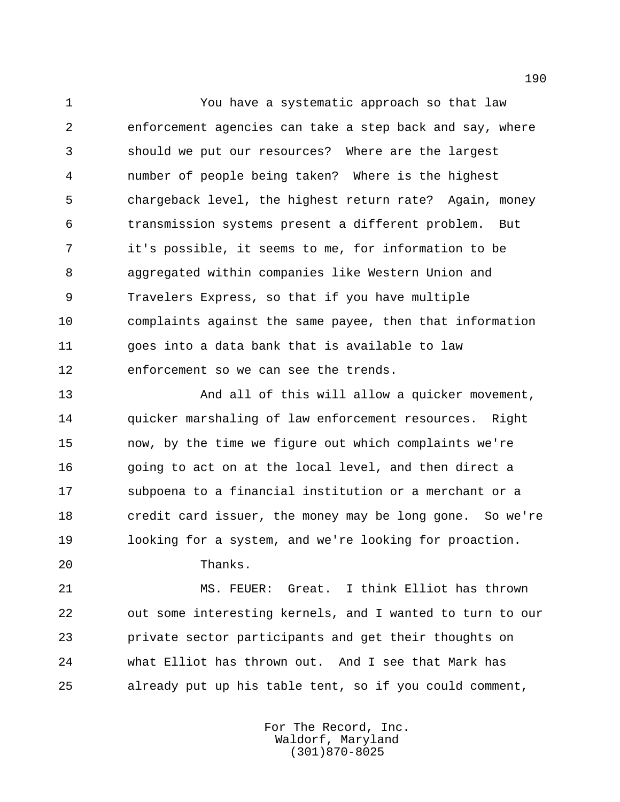You have a systematic approach so that law enforcement agencies can take a step back and say, where should we put our resources? Where are the largest number of people being taken? Where is the highest chargeback level, the highest return rate? Again, money transmission systems present a different problem. But it's possible, it seems to me, for information to be aggregated within companies like Western Union and Travelers Express, so that if you have multiple complaints against the same payee, then that information goes into a data bank that is available to law enforcement so we can see the trends.

 And all of this will allow a quicker movement, quicker marshaling of law enforcement resources. Right now, by the time we figure out which complaints we're going to act on at the local level, and then direct a subpoena to a financial institution or a merchant or a credit card issuer, the money may be long gone. So we're looking for a system, and we're looking for proaction.

Thanks.

 MS. FEUER: Great. I think Elliot has thrown out some interesting kernels, and I wanted to turn to our private sector participants and get their thoughts on what Elliot has thrown out. And I see that Mark has already put up his table tent, so if you could comment,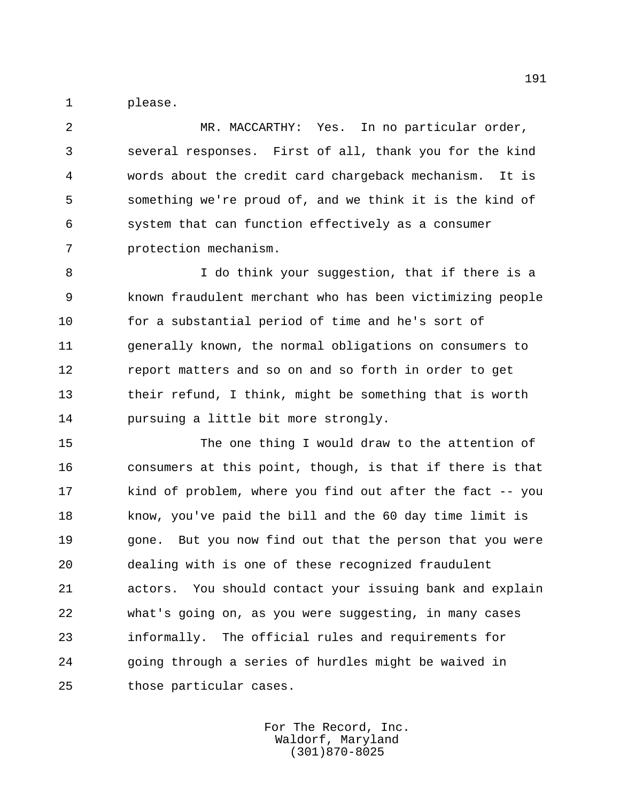please.

 MR. MACCARTHY: Yes. In no particular order, several responses. First of all, thank you for the kind words about the credit card chargeback mechanism. It is something we're proud of, and we think it is the kind of system that can function effectively as a consumer protection mechanism.

 I do think your suggestion, that if there is a known fraudulent merchant who has been victimizing people for a substantial period of time and he's sort of generally known, the normal obligations on consumers to report matters and so on and so forth in order to get their refund, I think, might be something that is worth pursuing a little bit more strongly.

 The one thing I would draw to the attention of consumers at this point, though, is that if there is that kind of problem, where you find out after the fact -- you know, you've paid the bill and the 60 day time limit is gone. But you now find out that the person that you were dealing with is one of these recognized fraudulent actors. You should contact your issuing bank and explain what's going on, as you were suggesting, in many cases informally. The official rules and requirements for going through a series of hurdles might be waived in those particular cases.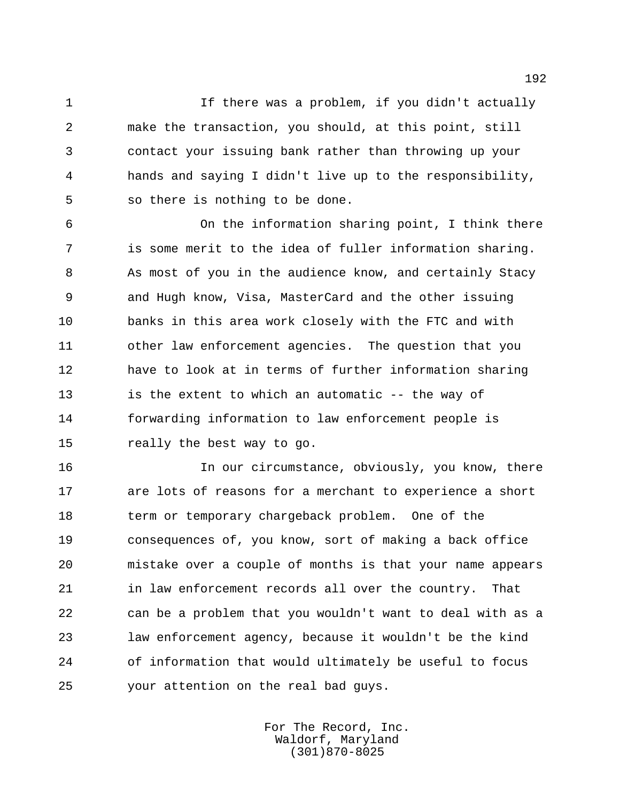1 1 If there was a problem, if you didn't actually make the transaction, you should, at this point, still contact your issuing bank rather than throwing up your hands and saying I didn't live up to the responsibility, so there is nothing to be done.

 On the information sharing point, I think there is some merit to the idea of fuller information sharing. As most of you in the audience know, and certainly Stacy and Hugh know, Visa, MasterCard and the other issuing banks in this area work closely with the FTC and with other law enforcement agencies. The question that you have to look at in terms of further information sharing is the extent to which an automatic -- the way of forwarding information to law enforcement people is really the best way to go.

 In our circumstance, obviously, you know, there are lots of reasons for a merchant to experience a short term or temporary chargeback problem. One of the consequences of, you know, sort of making a back office mistake over a couple of months is that your name appears in law enforcement records all over the country. That can be a problem that you wouldn't want to deal with as a law enforcement agency, because it wouldn't be the kind of information that would ultimately be useful to focus your attention on the real bad guys.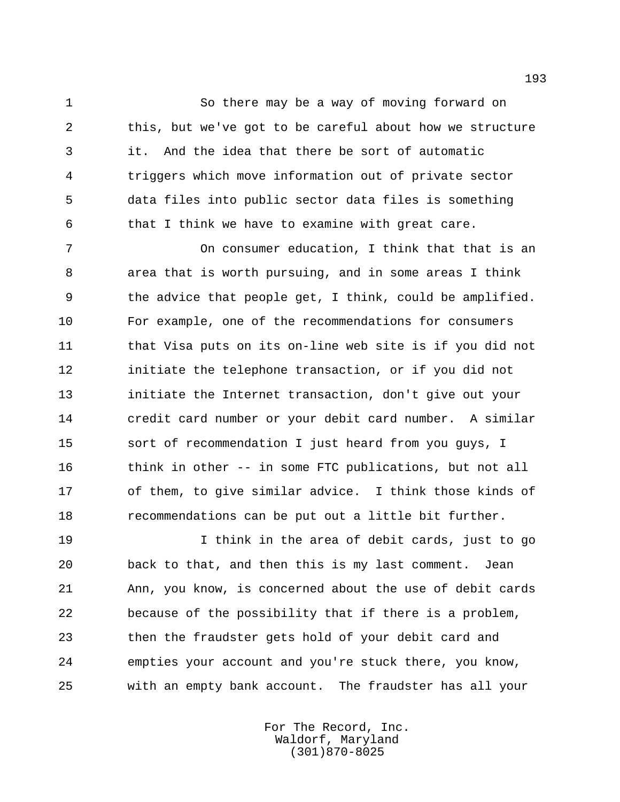So there may be a way of moving forward on this, but we've got to be careful about how we structure it. And the idea that there be sort of automatic triggers which move information out of private sector data files into public sector data files is something that I think we have to examine with great care.

 On consumer education, I think that that is an area that is worth pursuing, and in some areas I think the advice that people get, I think, could be amplified. For example, one of the recommendations for consumers 11 that Visa puts on its on-line web site is if you did not 12 initiate the telephone transaction, or if you did not initiate the Internet transaction, don't give out your credit card number or your debit card number. A similar sort of recommendation I just heard from you guys, I 16 think in other -- in some FTC publications, but not all of them, to give similar advice. I think those kinds of recommendations can be put out a little bit further.

 I think in the area of debit cards, just to go back to that, and then this is my last comment. Jean Ann, you know, is concerned about the use of debit cards because of the possibility that if there is a problem, then the fraudster gets hold of your debit card and empties your account and you're stuck there, you know, with an empty bank account. The fraudster has all your

> For The Record, Inc. Waldorf, Maryland (301)870-8025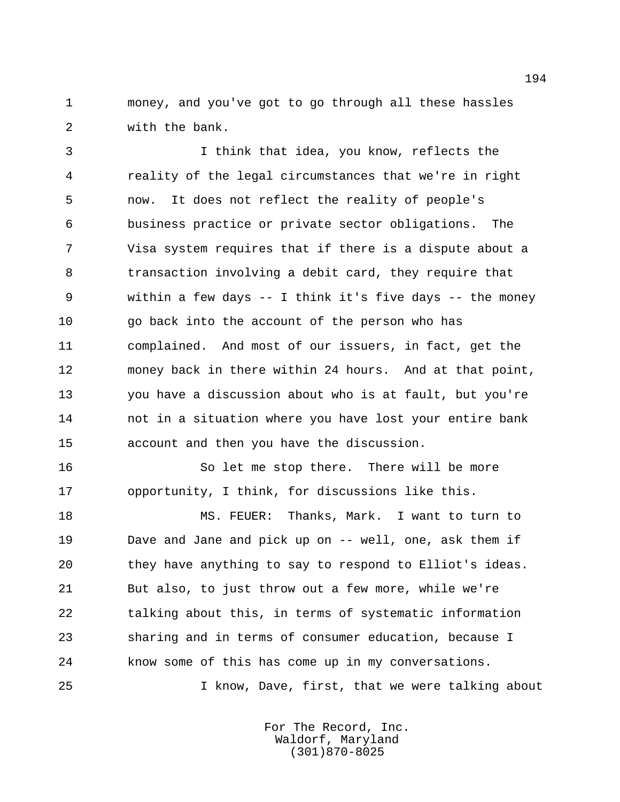money, and you've got to go through all these hassles with the bank.

 I think that idea, you know, reflects the reality of the legal circumstances that we're in right now. It does not reflect the reality of people's business practice or private sector obligations. The Visa system requires that if there is a dispute about a transaction involving a debit card, they require that within a few days -- I think it's five days -- the money go back into the account of the person who has complained. And most of our issuers, in fact, get the money back in there within 24 hours. And at that point, you have a discussion about who is at fault, but you're not in a situation where you have lost your entire bank account and then you have the discussion.

16 So let me stop there. There will be more opportunity, I think, for discussions like this.

 MS. FEUER: Thanks, Mark. I want to turn to Dave and Jane and pick up on -- well, one, ask them if they have anything to say to respond to Elliot's ideas. But also, to just throw out a few more, while we're talking about this, in terms of systematic information sharing and in terms of consumer education, because I know some of this has come up in my conversations. I know, Dave, first, that we were talking about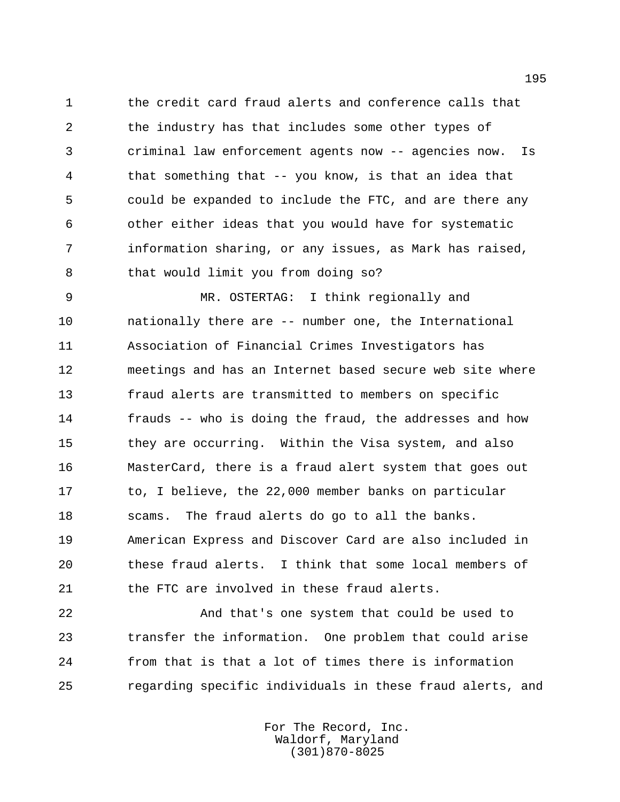the credit card fraud alerts and conference calls that the industry has that includes some other types of criminal law enforcement agents now -- agencies now. Is that something that -- you know, is that an idea that could be expanded to include the FTC, and are there any other either ideas that you would have for systematic information sharing, or any issues, as Mark has raised, that would limit you from doing so?

 MR. OSTERTAG: I think regionally and nationally there are -- number one, the International Association of Financial Crimes Investigators has meetings and has an Internet based secure web site where fraud alerts are transmitted to members on specific frauds -- who is doing the fraud, the addresses and how they are occurring. Within the Visa system, and also MasterCard, there is a fraud alert system that goes out 17 to, I believe, the 22,000 member banks on particular scams. The fraud alerts do go to all the banks. American Express and Discover Card are also included in these fraud alerts. I think that some local members of the FTC are involved in these fraud alerts.

 And that's one system that could be used to transfer the information. One problem that could arise from that is that a lot of times there is information regarding specific individuals in these fraud alerts, and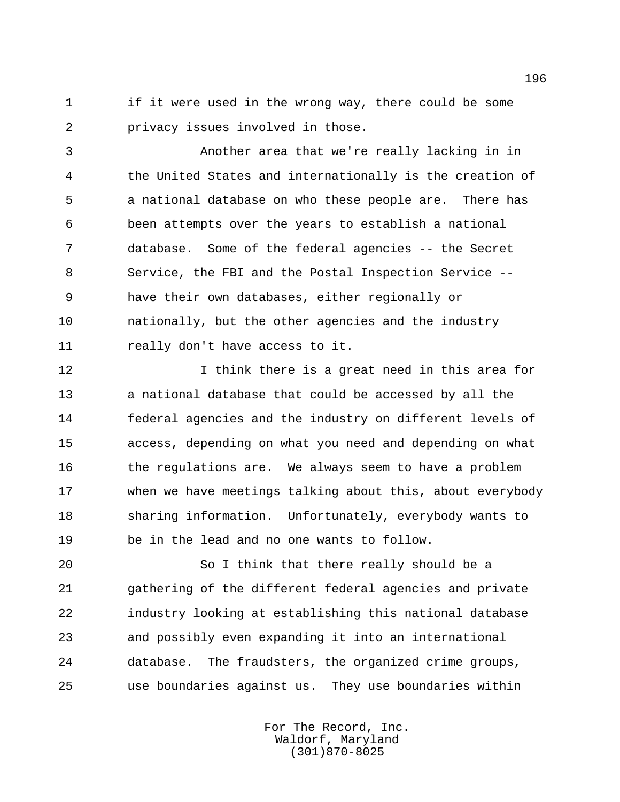if it were used in the wrong way, there could be some privacy issues involved in those.

 Another area that we're really lacking in in the United States and internationally is the creation of a national database on who these people are. There has been attempts over the years to establish a national database. Some of the federal agencies -- the Secret Service, the FBI and the Postal Inspection Service -- have their own databases, either regionally or nationally, but the other agencies and the industry really don't have access to it.

 I think there is a great need in this area for a national database that could be accessed by all the federal agencies and the industry on different levels of access, depending on what you need and depending on what 16 the regulations are. We always seem to have a problem when we have meetings talking about this, about everybody sharing information. Unfortunately, everybody wants to be in the lead and no one wants to follow.

 So I think that there really should be a gathering of the different federal agencies and private industry looking at establishing this national database and possibly even expanding it into an international database. The fraudsters, the organized crime groups, use boundaries against us. They use boundaries within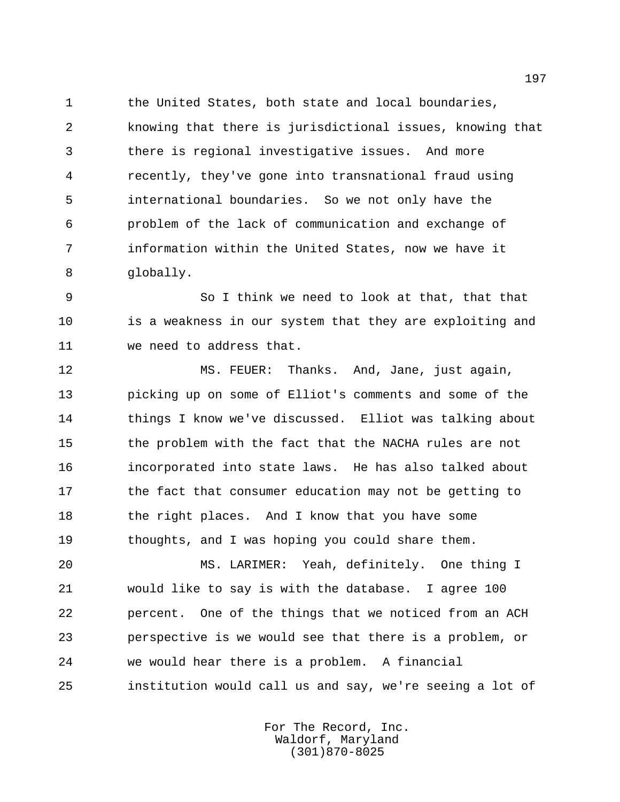the United States, both state and local boundaries, knowing that there is jurisdictional issues, knowing that there is regional investigative issues. And more recently, they've gone into transnational fraud using international boundaries. So we not only have the problem of the lack of communication and exchange of information within the United States, now we have it globally.

 So I think we need to look at that, that that 10 is a weakness in our system that they are exploiting and we need to address that.

 MS. FEUER: Thanks. And, Jane, just again, picking up on some of Elliot's comments and some of the things I know we've discussed. Elliot was talking about 15 the problem with the fact that the NACHA rules are not incorporated into state laws. He has also talked about 17 the fact that consumer education may not be getting to 18 the right places. And I know that you have some thoughts, and I was hoping you could share them.

 MS. LARIMER: Yeah, definitely. One thing I would like to say is with the database. I agree 100 percent. One of the things that we noticed from an ACH perspective is we would see that there is a problem, or we would hear there is a problem. A financial institution would call us and say, we're seeing a lot of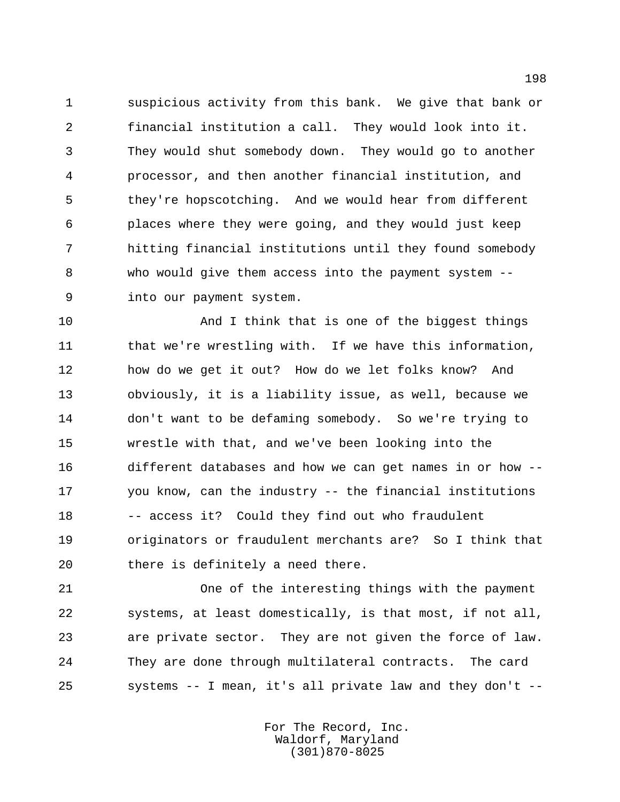suspicious activity from this bank. We give that bank or financial institution a call. They would look into it. They would shut somebody down. They would go to another processor, and then another financial institution, and they're hopscotching. And we would hear from different places where they were going, and they would just keep hitting financial institutions until they found somebody who would give them access into the payment system -- into our payment system.

 And I think that is one of the biggest things 11 that we're wrestling with. If we have this information, how do we get it out? How do we let folks know? And obviously, it is a liability issue, as well, because we don't want to be defaming somebody. So we're trying to wrestle with that, and we've been looking into the different databases and how we can get names in or how -- you know, can the industry -- the financial institutions 18 -- access it? Could they find out who fraudulent originators or fraudulent merchants are? So I think that there is definitely a need there.

 One of the interesting things with the payment systems, at least domestically, is that most, if not all, are private sector. They are not given the force of law. They are done through multilateral contracts. The card systems -- I mean, it's all private law and they don't --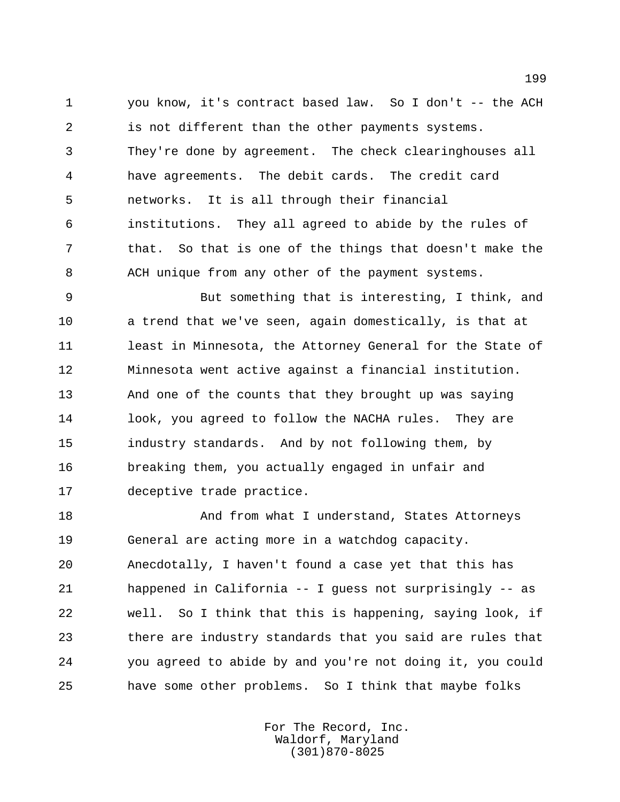you know, it's contract based law. So I don't -- the ACH is not different than the other payments systems. They're done by agreement. The check clearinghouses all have agreements. The debit cards. The credit card networks. It is all through their financial institutions. They all agreed to abide by the rules of that. So that is one of the things that doesn't make the ACH unique from any other of the payment systems.

 But something that is interesting, I think, and a trend that we've seen, again domestically, is that at 11 least in Minnesota, the Attorney General for the State of Minnesota went active against a financial institution. And one of the counts that they brought up was saying 14 look, you agreed to follow the NACHA rules. They are industry standards. And by not following them, by breaking them, you actually engaged in unfair and deceptive trade practice.

18 And from what I understand, States Attorneys General are acting more in a watchdog capacity. Anecdotally, I haven't found a case yet that this has happened in California -- I guess not surprisingly -- as well. So I think that this is happening, saying look, if there are industry standards that you said are rules that you agreed to abide by and you're not doing it, you could have some other problems. So I think that maybe folks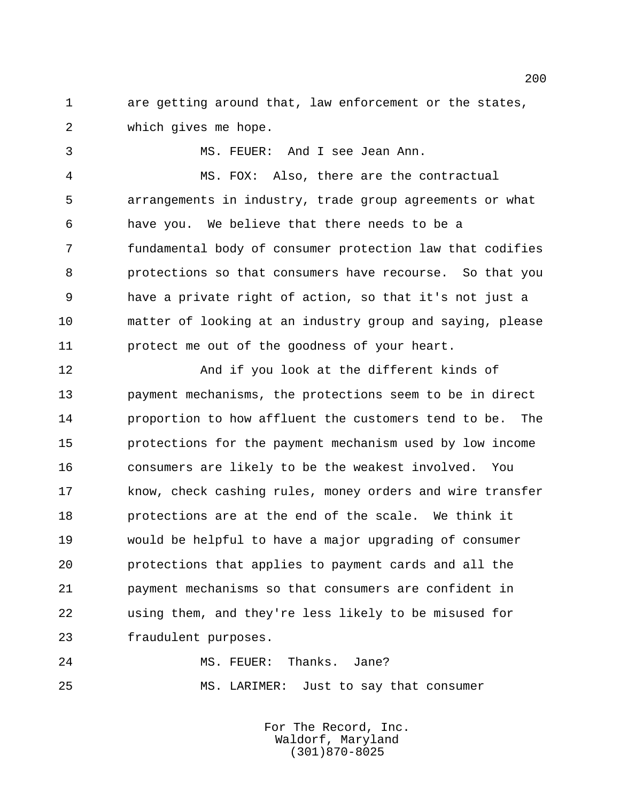are getting around that, law enforcement or the states, which gives me hope.

MS. FEUER: And I see Jean Ann.

 MS. FOX: Also, there are the contractual arrangements in industry, trade group agreements or what have you. We believe that there needs to be a fundamental body of consumer protection law that codifies protections so that consumers have recourse. So that you have a private right of action, so that it's not just a matter of looking at an industry group and saying, please protect me out of the goodness of your heart.

 And if you look at the different kinds of payment mechanisms, the protections seem to be in direct proportion to how affluent the customers tend to be. The protections for the payment mechanism used by low income consumers are likely to be the weakest involved. You know, check cashing rules, money orders and wire transfer protections are at the end of the scale. We think it would be helpful to have a major upgrading of consumer protections that applies to payment cards and all the payment mechanisms so that consumers are confident in using them, and they're less likely to be misused for fraudulent purposes.

24 MS. FEUER: Thanks. Jane? MS. LARIMER: Just to say that consumer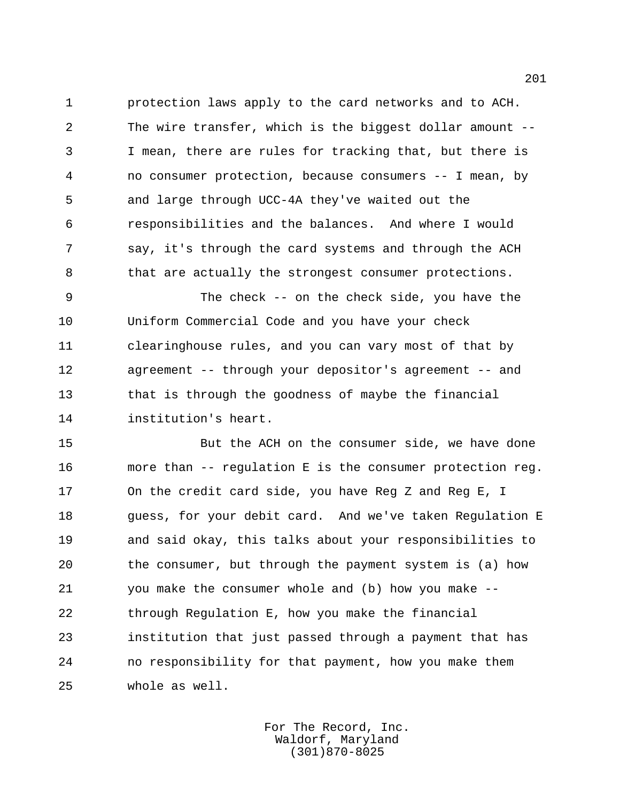protection laws apply to the card networks and to ACH. The wire transfer, which is the biggest dollar amount -- I mean, there are rules for tracking that, but there is no consumer protection, because consumers -- I mean, by and large through UCC-4A they've waited out the responsibilities and the balances. And where I would say, it's through the card systems and through the ACH that are actually the strongest consumer protections.

 The check -- on the check side, you have the Uniform Commercial Code and you have your check clearinghouse rules, and you can vary most of that by agreement -- through your depositor's agreement -- and 13 that is through the goodness of maybe the financial institution's heart.

 But the ACH on the consumer side, we have done more than -- regulation E is the consumer protection reg. On the credit card side, you have Reg Z and Reg E, I guess, for your debit card. And we've taken Regulation E and said okay, this talks about your responsibilities to the consumer, but through the payment system is (a) how you make the consumer whole and (b) how you make -- through Regulation E, how you make the financial institution that just passed through a payment that has no responsibility for that payment, how you make them whole as well.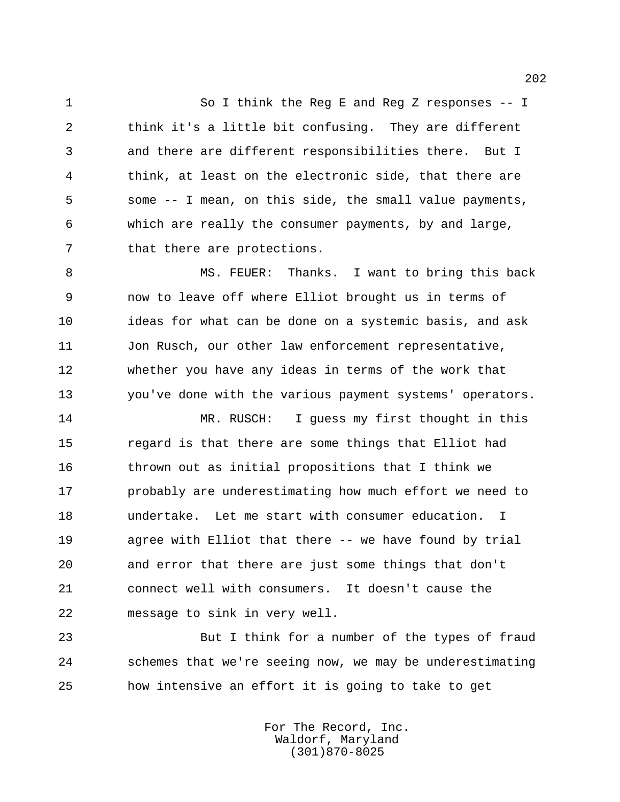So I think the Reg E and Reg Z responses -- I think it's a little bit confusing. They are different and there are different responsibilities there. But I think, at least on the electronic side, that there are some -- I mean, on this side, the small value payments, which are really the consumer payments, by and large, 7 that there are protections.

8 MS. FEUER: Thanks. I want to bring this back now to leave off where Elliot brought us in terms of ideas for what can be done on a systemic basis, and ask Jon Rusch, our other law enforcement representative, whether you have any ideas in terms of the work that you've done with the various payment systems' operators.

 MR. RUSCH: I guess my first thought in this regard is that there are some things that Elliot had thrown out as initial propositions that I think we probably are underestimating how much effort we need to undertake. Let me start with consumer education. I agree with Elliot that there -- we have found by trial and error that there are just some things that don't connect well with consumers. It doesn't cause the message to sink in very well.

 But I think for a number of the types of fraud schemes that we're seeing now, we may be underestimating how intensive an effort it is going to take to get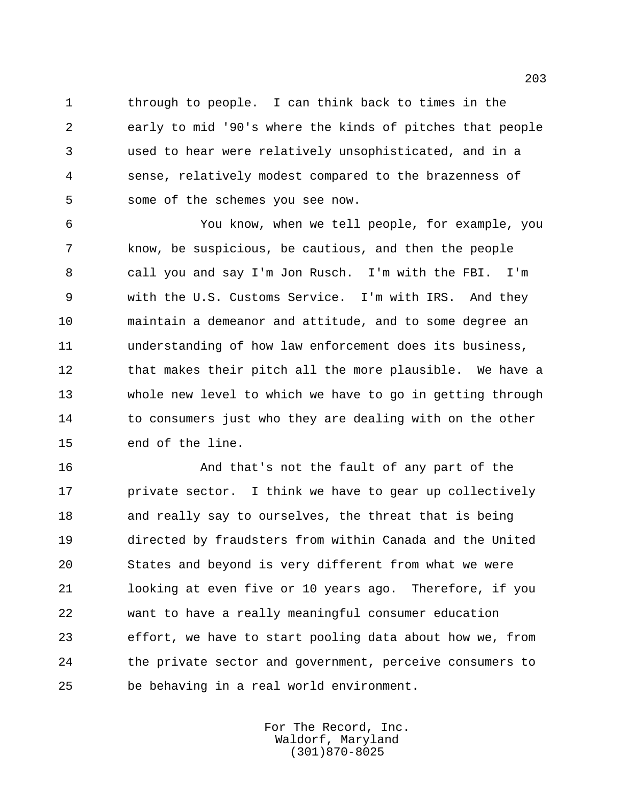through to people. I can think back to times in the early to mid '90's where the kinds of pitches that people used to hear were relatively unsophisticated, and in a sense, relatively modest compared to the brazenness of some of the schemes you see now.

 You know, when we tell people, for example, you know, be suspicious, be cautious, and then the people call you and say I'm Jon Rusch. I'm with the FBI. I'm with the U.S. Customs Service. I'm with IRS. And they maintain a demeanor and attitude, and to some degree an understanding of how law enforcement does its business, 12 that makes their pitch all the more plausible. We have a whole new level to which we have to go in getting through 14 to consumers just who they are dealing with on the other end of the line.

 And that's not the fault of any part of the private sector. I think we have to gear up collectively and really say to ourselves, the threat that is being directed by fraudsters from within Canada and the United States and beyond is very different from what we were looking at even five or 10 years ago. Therefore, if you want to have a really meaningful consumer education effort, we have to start pooling data about how we, from the private sector and government, perceive consumers to be behaving in a real world environment.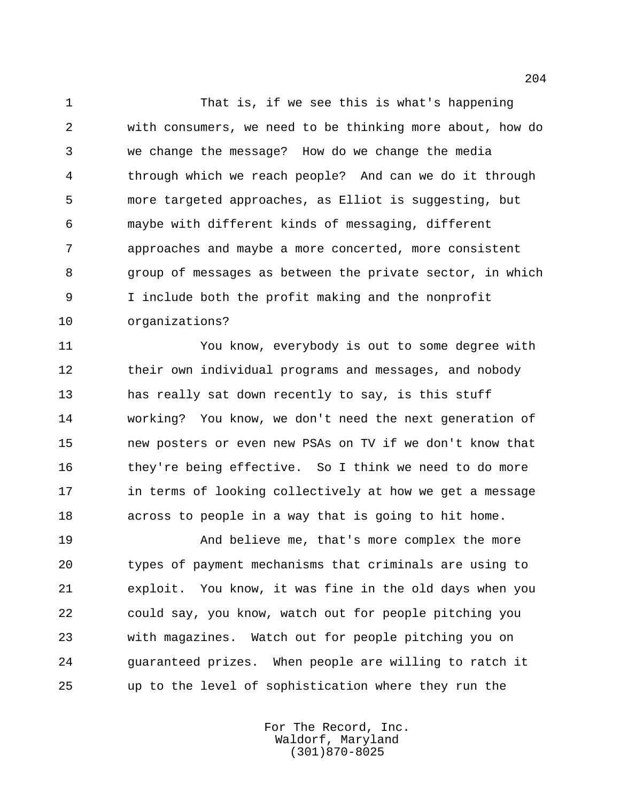That is, if we see this is what's happening with consumers, we need to be thinking more about, how do we change the message? How do we change the media through which we reach people? And can we do it through more targeted approaches, as Elliot is suggesting, but maybe with different kinds of messaging, different approaches and maybe a more concerted, more consistent group of messages as between the private sector, in which I include both the profit making and the nonprofit organizations?

 You know, everybody is out to some degree with their own individual programs and messages, and nobody has really sat down recently to say, is this stuff working? You know, we don't need the next generation of new posters or even new PSAs on TV if we don't know that they're being effective. So I think we need to do more in terms of looking collectively at how we get a message across to people in a way that is going to hit home.

 And believe me, that's more complex the more types of payment mechanisms that criminals are using to exploit. You know, it was fine in the old days when you could say, you know, watch out for people pitching you with magazines. Watch out for people pitching you on guaranteed prizes. When people are willing to ratch it up to the level of sophistication where they run the

> For The Record, Inc. Waldorf, Maryland (301)870-8025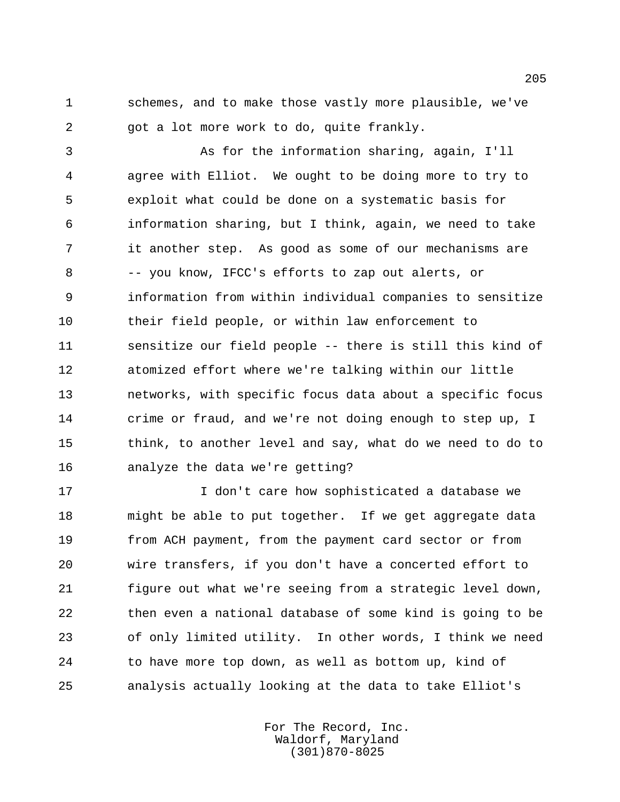schemes, and to make those vastly more plausible, we've got a lot more work to do, quite frankly.

 As for the information sharing, again, I'll agree with Elliot. We ought to be doing more to try to exploit what could be done on a systematic basis for information sharing, but I think, again, we need to take it another step. As good as some of our mechanisms are -- you know, IFCC's efforts to zap out alerts, or information from within individual companies to sensitize their field people, or within law enforcement to sensitize our field people -- there is still this kind of atomized effort where we're talking within our little networks, with specific focus data about a specific focus crime or fraud, and we're not doing enough to step up, I think, to another level and say, what do we need to do to analyze the data we're getting?

 I don't care how sophisticated a database we might be able to put together. If we get aggregate data from ACH payment, from the payment card sector or from wire transfers, if you don't have a concerted effort to figure out what we're seeing from a strategic level down, then even a national database of some kind is going to be of only limited utility. In other words, I think we need to have more top down, as well as bottom up, kind of analysis actually looking at the data to take Elliot's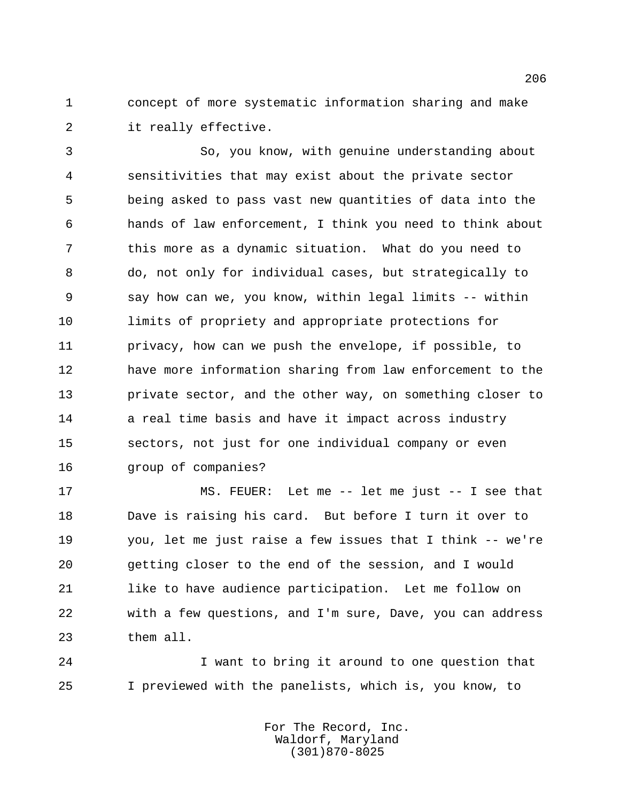concept of more systematic information sharing and make it really effective.

 So, you know, with genuine understanding about sensitivities that may exist about the private sector being asked to pass vast new quantities of data into the hands of law enforcement, I think you need to think about this more as a dynamic situation. What do you need to do, not only for individual cases, but strategically to say how can we, you know, within legal limits -- within limits of propriety and appropriate protections for privacy, how can we push the envelope, if possible, to have more information sharing from law enforcement to the private sector, and the other way, on something closer to 14 a real time basis and have it impact across industry sectors, not just for one individual company or even group of companies?

 MS. FEUER: Let me -- let me just -- I see that Dave is raising his card. But before I turn it over to you, let me just raise a few issues that I think -- we're getting closer to the end of the session, and I would 21 like to have audience participation. Let me follow on with a few questions, and I'm sure, Dave, you can address them all.

 I want to bring it around to one question that I previewed with the panelists, which is, you know, to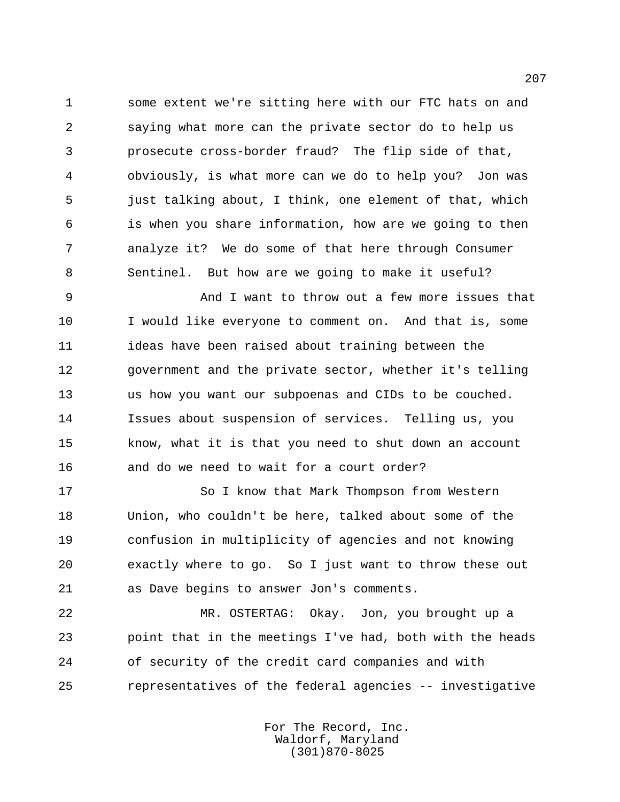some extent we're sitting here with our FTC hats on and saying what more can the private sector do to help us prosecute cross-border fraud? The flip side of that, obviously, is what more can we do to help you? Jon was just talking about, I think, one element of that, which is when you share information, how are we going to then analyze it? We do some of that here through Consumer Sentinel. But how are we going to make it useful?

 And I want to throw out a few more issues that 10 I would like everyone to comment on. And that is, some ideas have been raised about training between the government and the private sector, whether it's telling us how you want our subpoenas and CIDs to be couched. Issues about suspension of services. Telling us, you know, what it is that you need to shut down an account and do we need to wait for a court order?

17 So I know that Mark Thompson from Western Union, who couldn't be here, talked about some of the confusion in multiplicity of agencies and not knowing exactly where to go. So I just want to throw these out as Dave begins to answer Jon's comments.

 MR. OSTERTAG: Okay. Jon, you brought up a point that in the meetings I've had, both with the heads of security of the credit card companies and with representatives of the federal agencies -- investigative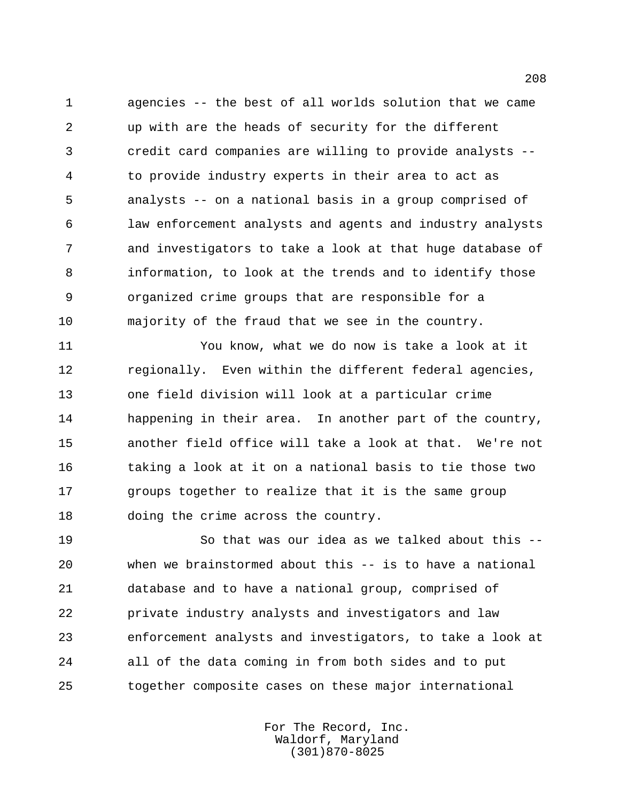agencies -- the best of all worlds solution that we came up with are the heads of security for the different credit card companies are willing to provide analysts -- to provide industry experts in their area to act as analysts -- on a national basis in a group comprised of law enforcement analysts and agents and industry analysts and investigators to take a look at that huge database of information, to look at the trends and to identify those organized crime groups that are responsible for a majority of the fraud that we see in the country.

 You know, what we do now is take a look at it regionally. Even within the different federal agencies, one field division will look at a particular crime happening in their area. In another part of the country, another field office will take a look at that. We're not taking a look at it on a national basis to tie those two groups together to realize that it is the same group doing the crime across the country.

 So that was our idea as we talked about this -- when we brainstormed about this -- is to have a national database and to have a national group, comprised of private industry analysts and investigators and law enforcement analysts and investigators, to take a look at all of the data coming in from both sides and to put together composite cases on these major international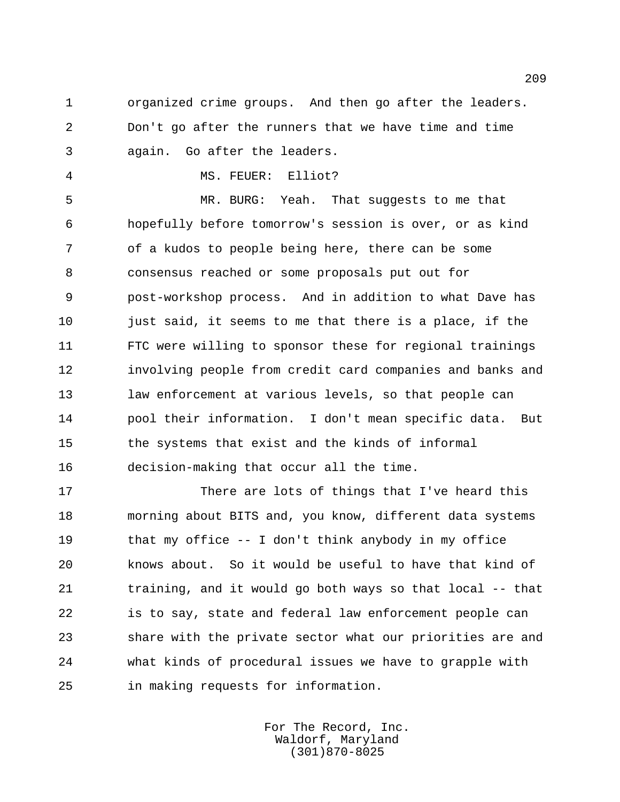organized crime groups. And then go after the leaders. Don't go after the runners that we have time and time again. Go after the leaders.

MS. FEUER: Elliot?

 MR. BURG: Yeah. That suggests to me that hopefully before tomorrow's session is over, or as kind of a kudos to people being here, there can be some consensus reached or some proposals put out for post-workshop process. And in addition to what Dave has just said, it seems to me that there is a place, if the FTC were willing to sponsor these for regional trainings involving people from credit card companies and banks and law enforcement at various levels, so that people can pool their information. I don't mean specific data. But the systems that exist and the kinds of informal decision-making that occur all the time.

 There are lots of things that I've heard this morning about BITS and, you know, different data systems that my office -- I don't think anybody in my office knows about. So it would be useful to have that kind of training, and it would go both ways so that local -- that is to say, state and federal law enforcement people can share with the private sector what our priorities are and what kinds of procedural issues we have to grapple with in making requests for information.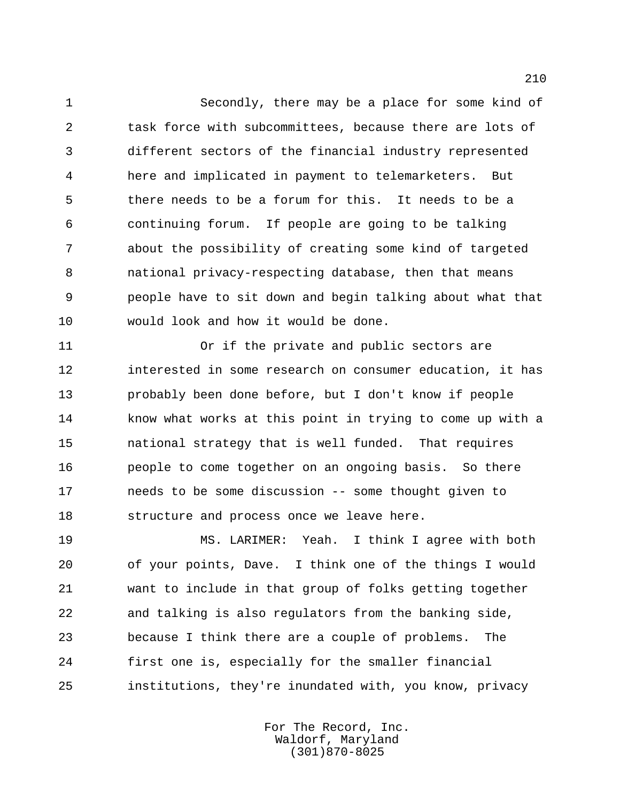Secondly, there may be a place for some kind of task force with subcommittees, because there are lots of different sectors of the financial industry represented here and implicated in payment to telemarketers. But there needs to be a forum for this. It needs to be a continuing forum. If people are going to be talking about the possibility of creating some kind of targeted national privacy-respecting database, then that means people have to sit down and begin talking about what that would look and how it would be done.

 Or if the private and public sectors are interested in some research on consumer education, it has probably been done before, but I don't know if people know what works at this point in trying to come up with a national strategy that is well funded. That requires people to come together on an ongoing basis. So there needs to be some discussion -- some thought given to structure and process once we leave here.

 MS. LARIMER: Yeah. I think I agree with both of your points, Dave. I think one of the things I would want to include in that group of folks getting together and talking is also regulators from the banking side, because I think there are a couple of problems. The first one is, especially for the smaller financial institutions, they're inundated with, you know, privacy

> For The Record, Inc. Waldorf, Maryland (301)870-8025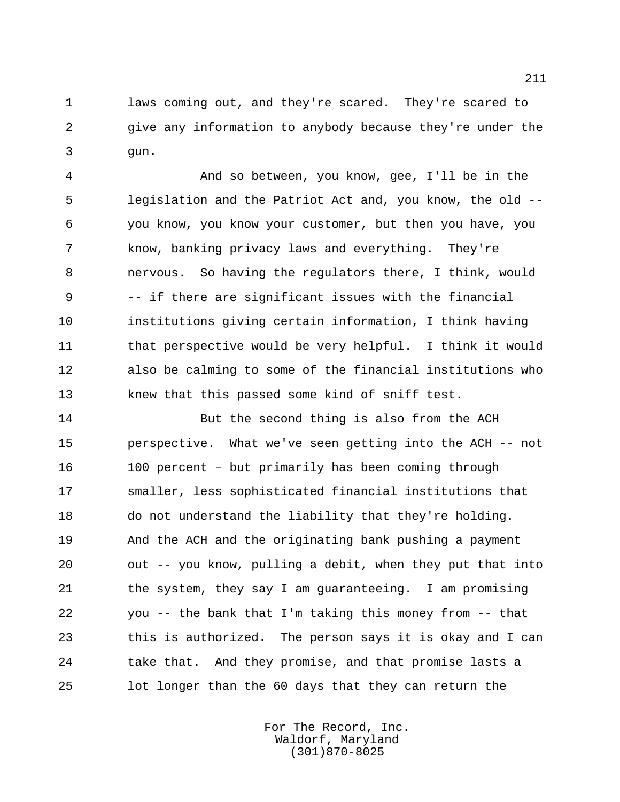laws coming out, and they're scared. They're scared to give any information to anybody because they're under the gun.

 And so between, you know, gee, I'll be in the legislation and the Patriot Act and, you know, the old -- you know, you know your customer, but then you have, you know, banking privacy laws and everything. They're nervous. So having the regulators there, I think, would -- if there are significant issues with the financial institutions giving certain information, I think having that perspective would be very helpful. I think it would also be calming to some of the financial institutions who knew that this passed some kind of sniff test.

14 But the second thing is also from the ACH perspective. What we've seen getting into the ACH -- not 100 percent – but primarily has been coming through smaller, less sophisticated financial institutions that do not understand the liability that they're holding. And the ACH and the originating bank pushing a payment out -- you know, pulling a debit, when they put that into the system, they say I am guaranteeing. I am promising you -- the bank that I'm taking this money from -- that this is authorized. The person says it is okay and I can take that. And they promise, and that promise lasts a lot longer than the 60 days that they can return the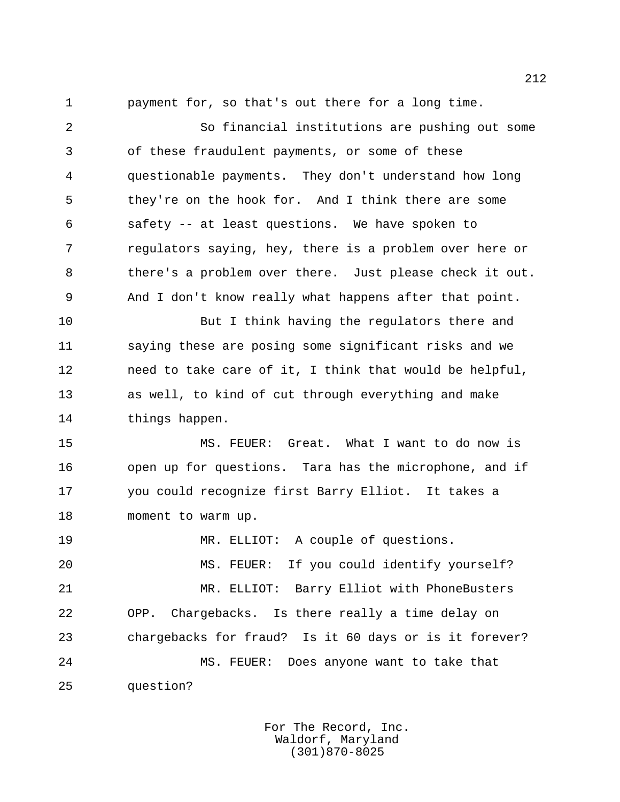payment for, so that's out there for a long time.

 So financial institutions are pushing out some of these fraudulent payments, or some of these questionable payments. They don't understand how long they're on the hook for. And I think there are some safety -- at least questions. We have spoken to regulators saying, hey, there is a problem over here or there's a problem over there. Just please check it out. And I don't know really what happens after that point. But I think having the regulators there and

 saying these are posing some significant risks and we need to take care of it, I think that would be helpful, as well, to kind of cut through everything and make things happen.

 MS. FEUER: Great. What I want to do now is open up for questions. Tara has the microphone, and if you could recognize first Barry Elliot. It takes a moment to warm up.

 MR. ELLIOT: A couple of questions. MS. FEUER: If you could identify yourself? MR. ELLIOT: Barry Elliot with PhoneBusters OPP. Chargebacks. Is there really a time delay on chargebacks for fraud? Is it 60 days or is it forever? MS. FEUER: Does anyone want to take that question?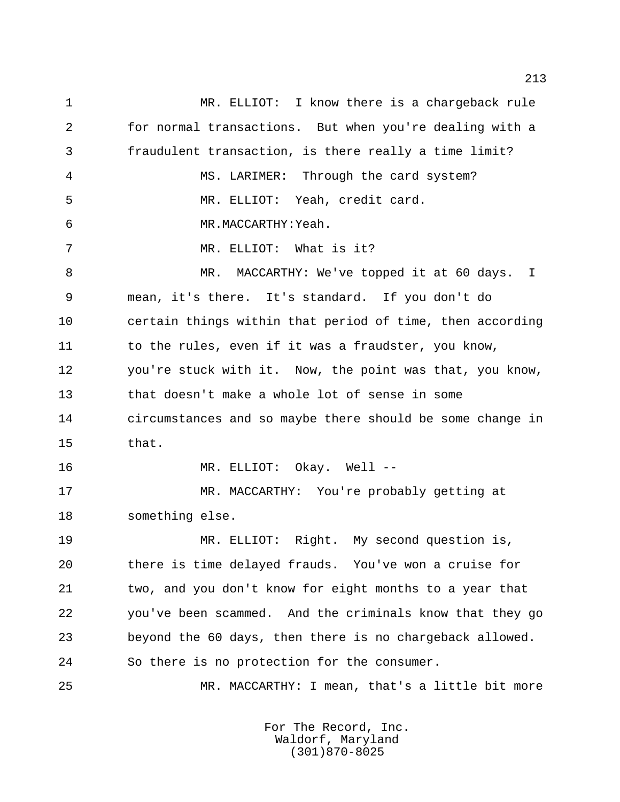MR. ELLIOT: I know there is a chargeback rule for normal transactions. But when you're dealing with a fraudulent transaction, is there really a time limit? MS. LARIMER: Through the card system? MR. ELLIOT: Yeah, credit card. MR.MACCARTHY:Yeah. MR. ELLIOT: What is it? 8 MR. MACCARTHY: We've topped it at 60 days. I mean, it's there. It's standard. If you don't do certain things within that period of time, then according 11 to the rules, even if it was a fraudster, you know, you're stuck with it. Now, the point was that, you know, that doesn't make a whole lot of sense in some circumstances and so maybe there should be some change in that. 16 MR. ELLIOT: Okay. Well -- MR. MACCARTHY: You're probably getting at something else. MR. ELLIOT: Right. My second question is, there is time delayed frauds. You've won a cruise for two, and you don't know for eight months to a year that you've been scammed. And the criminals know that they go beyond the 60 days, then there is no chargeback allowed. So there is no protection for the consumer. MR. MACCARTHY: I mean, that's a little bit more

> For The Record, Inc. Waldorf, Maryland (301)870-8025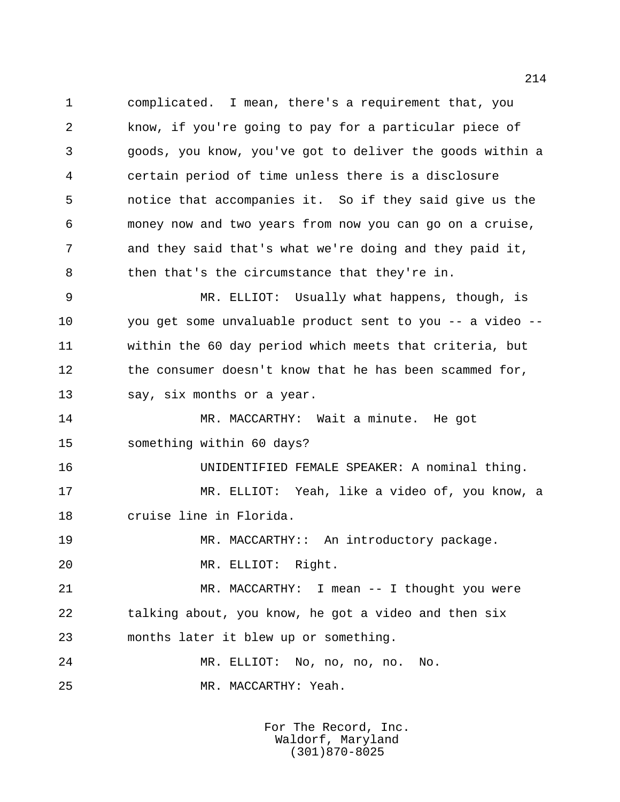complicated. I mean, there's a requirement that, you know, if you're going to pay for a particular piece of goods, you know, you've got to deliver the goods within a certain period of time unless there is a disclosure notice that accompanies it. So if they said give us the money now and two years from now you can go on a cruise, and they said that's what we're doing and they paid it, then that's the circumstance that they're in.

 MR. ELLIOT: Usually what happens, though, is you get some unvaluable product sent to you -- a video -- within the 60 day period which meets that criteria, but 12 the consumer doesn't know that he has been scammed for, 13 say, six months or a year.

 MR. MACCARTHY: Wait a minute. He got something within 60 days?

 UNIDENTIFIED FEMALE SPEAKER: A nominal thing. MR. ELLIOT: Yeah, like a video of, you know, a cruise line in Florida.

19 MR. MACCARTHY: An introductory package.

MR. ELLIOT: Right.

 MR. MACCARTHY: I mean -- I thought you were talking about, you know, he got a video and then six months later it blew up or something.

 MR. ELLIOT: No, no, no, no. No. MR. MACCARTHY: Yeah.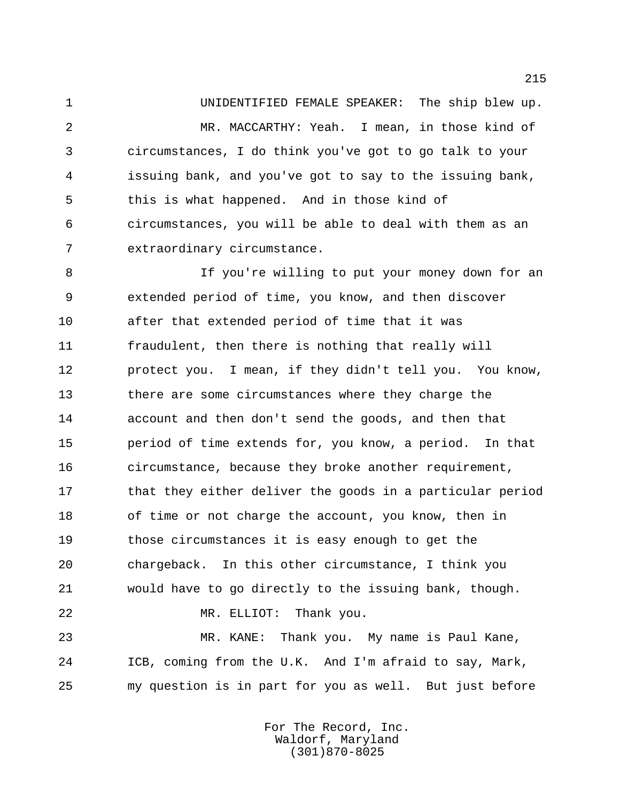UNIDENTIFIED FEMALE SPEAKER: The ship blew up. MR. MACCARTHY: Yeah. I mean, in those kind of circumstances, I do think you've got to go talk to your issuing bank, and you've got to say to the issuing bank, this is what happened. And in those kind of circumstances, you will be able to deal with them as an extraordinary circumstance.

 If you're willing to put your money down for an extended period of time, you know, and then discover after that extended period of time that it was fraudulent, then there is nothing that really will protect you. I mean, if they didn't tell you. You know, there are some circumstances where they charge the account and then don't send the goods, and then that period of time extends for, you know, a period. In that circumstance, because they broke another requirement, 17 that they either deliver the goods in a particular period 18 of time or not charge the account, you know, then in those circumstances it is easy enough to get the chargeback. In this other circumstance, I think you would have to go directly to the issuing bank, though. MR. ELLIOT: Thank you. MR. KANE: Thank you. My name is Paul Kane,

 ICB, coming from the U.K. And I'm afraid to say, Mark, my question is in part for you as well. But just before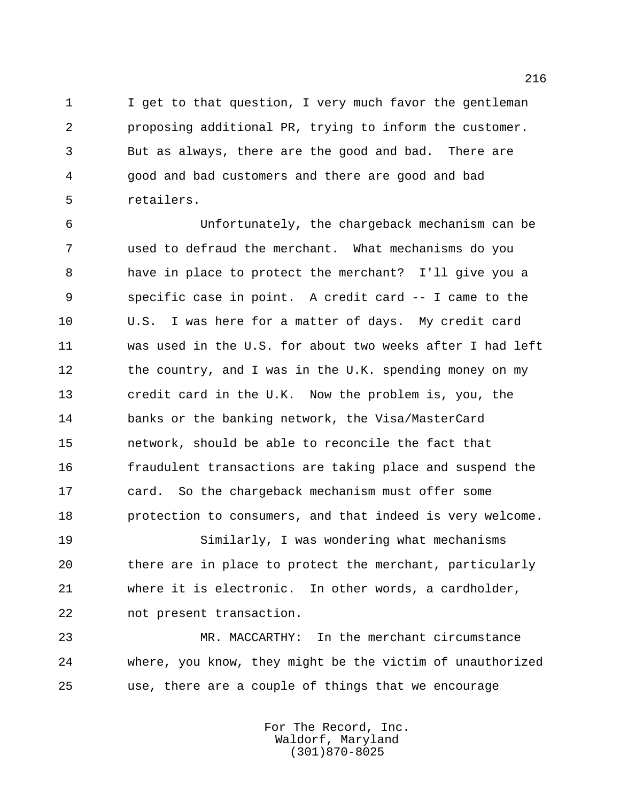I get to that question, I very much favor the gentleman proposing additional PR, trying to inform the customer. But as always, there are the good and bad. There are good and bad customers and there are good and bad retailers.

 Unfortunately, the chargeback mechanism can be used to defraud the merchant. What mechanisms do you have in place to protect the merchant? I'll give you a specific case in point. A credit card -- I came to the U.S. I was here for a matter of days. My credit card was used in the U.S. for about two weeks after I had left 12 the country, and I was in the U.K. spending money on my credit card in the U.K. Now the problem is, you, the banks or the banking network, the Visa/MasterCard network, should be able to reconcile the fact that fraudulent transactions are taking place and suspend the card. So the chargeback mechanism must offer some protection to consumers, and that indeed is very welcome.

 Similarly, I was wondering what mechanisms there are in place to protect the merchant, particularly where it is electronic. In other words, a cardholder, not present transaction.

 MR. MACCARTHY: In the merchant circumstance where, you know, they might be the victim of unauthorized use, there are a couple of things that we encourage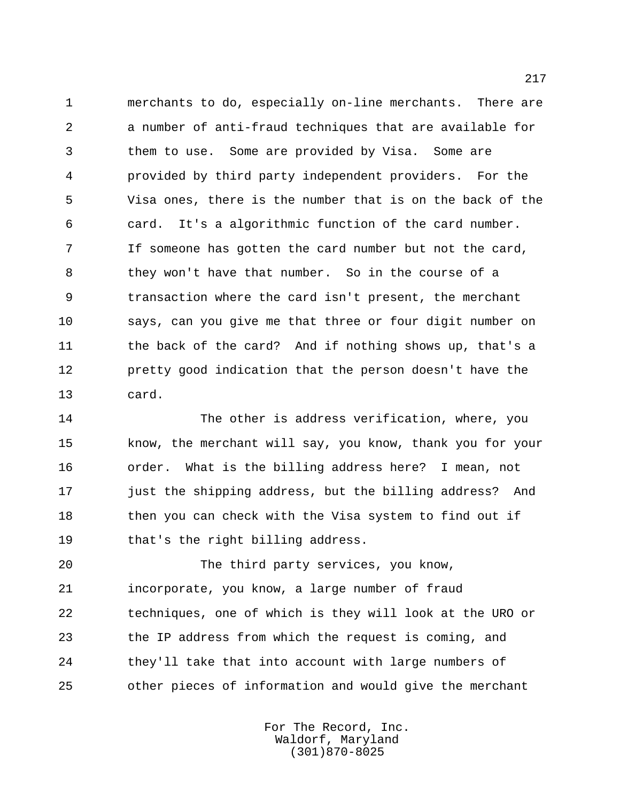merchants to do, especially on-line merchants. There are a number of anti-fraud techniques that are available for them to use. Some are provided by Visa. Some are provided by third party independent providers. For the Visa ones, there is the number that is on the back of the card. It's a algorithmic function of the card number. If someone has gotten the card number but not the card, they won't have that number. So in the course of a transaction where the card isn't present, the merchant says, can you give me that three or four digit number on 11 the back of the card? And if nothing shows up, that's a pretty good indication that the person doesn't have the card.

 The other is address verification, where, you know, the merchant will say, you know, thank you for your order. What is the billing address here? I mean, not just the shipping address, but the billing address? And 18 then you can check with the Visa system to find out if that's the right billing address.

 The third party services, you know, incorporate, you know, a large number of fraud techniques, one of which is they will look at the URO or the IP address from which the request is coming, and they'll take that into account with large numbers of other pieces of information and would give the merchant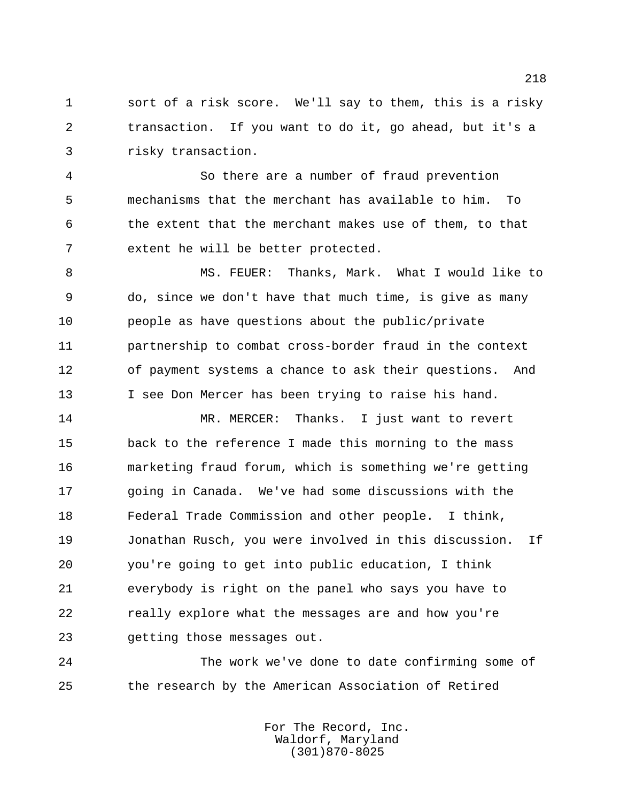sort of a risk score. We'll say to them, this is a risky transaction. If you want to do it, go ahead, but it's a risky transaction.

 So there are a number of fraud prevention mechanisms that the merchant has available to him. To the extent that the merchant makes use of them, to that extent he will be better protected.

 MS. FEUER: Thanks, Mark. What I would like to do, since we don't have that much time, is give as many people as have questions about the public/private partnership to combat cross-border fraud in the context of payment systems a chance to ask their questions. And 13 I see Don Mercer has been trying to raise his hand.

 MR. MERCER: Thanks. I just want to revert back to the reference I made this morning to the mass marketing fraud forum, which is something we're getting going in Canada. We've had some discussions with the Federal Trade Commission and other people. I think, Jonathan Rusch, you were involved in this discussion. If you're going to get into public education, I think everybody is right on the panel who says you have to really explore what the messages are and how you're getting those messages out.

 The work we've done to date confirming some of the research by the American Association of Retired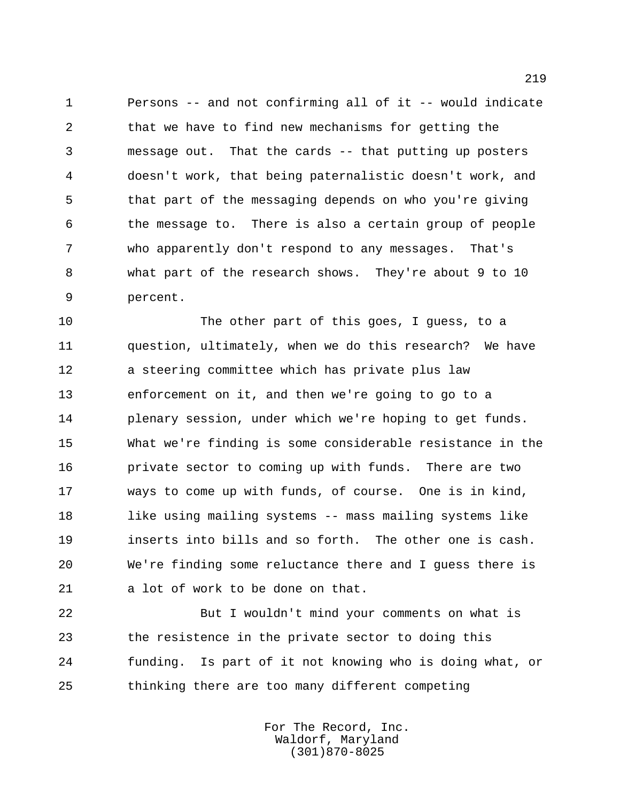Persons -- and not confirming all of it -- would indicate that we have to find new mechanisms for getting the message out. That the cards -- that putting up posters doesn't work, that being paternalistic doesn't work, and that part of the messaging depends on who you're giving the message to. There is also a certain group of people who apparently don't respond to any messages. That's what part of the research shows. They're about 9 to 10 percent.

 The other part of this goes, I guess, to a question, ultimately, when we do this research? We have a steering committee which has private plus law enforcement on it, and then we're going to go to a plenary session, under which we're hoping to get funds. What we're finding is some considerable resistance in the private sector to coming up with funds. There are two ways to come up with funds, of course. One is in kind, like using mailing systems -- mass mailing systems like inserts into bills and so forth. The other one is cash. We're finding some reluctance there and I guess there is a lot of work to be done on that.

 But I wouldn't mind your comments on what is the resistence in the private sector to doing this funding. Is part of it not knowing who is doing what, or thinking there are too many different competing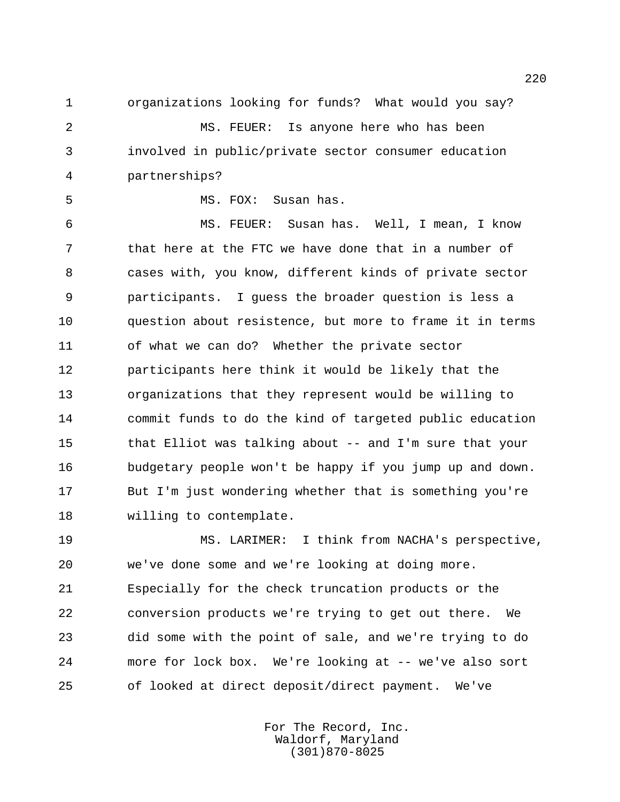organizations looking for funds? What would you say?

 MS. FEUER: Is anyone here who has been involved in public/private sector consumer education partnerships?

MS. FOX: Susan has.

 MS. FEUER: Susan has. Well, I mean, I know that here at the FTC we have done that in a number of cases with, you know, different kinds of private sector participants. I guess the broader question is less a question about resistence, but more to frame it in terms of what we can do? Whether the private sector participants here think it would be likely that the organizations that they represent would be willing to commit funds to do the kind of targeted public education that Elliot was talking about -- and I'm sure that your budgetary people won't be happy if you jump up and down. But I'm just wondering whether that is something you're willing to contemplate.

 MS. LARIMER: I think from NACHA's perspective, we've done some and we're looking at doing more. Especially for the check truncation products or the conversion products we're trying to get out there. We did some with the point of sale, and we're trying to do more for lock box. We're looking at -- we've also sort of looked at direct deposit/direct payment. We've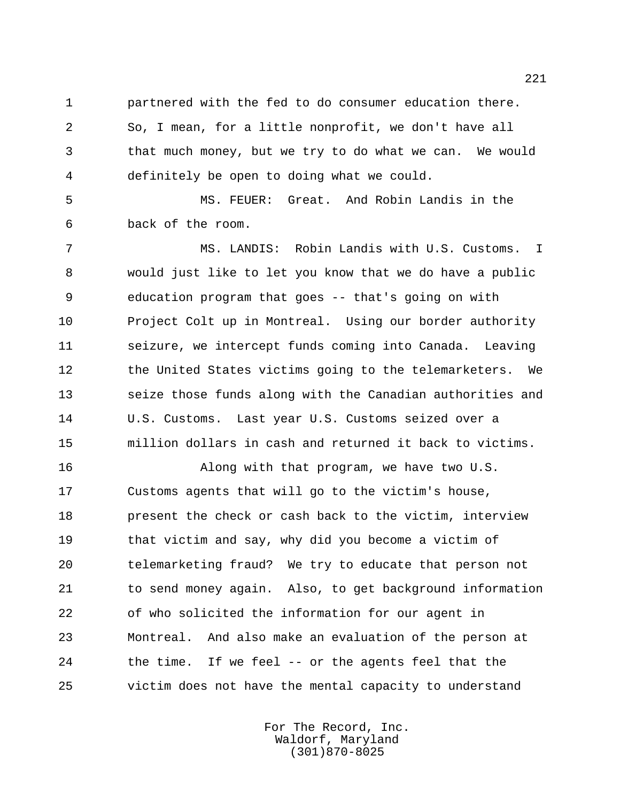partnered with the fed to do consumer education there. So, I mean, for a little nonprofit, we don't have all

 that much money, but we try to do what we can. We would definitely be open to doing what we could.

 MS. FEUER: Great. And Robin Landis in the back of the room.

 MS. LANDIS: Robin Landis with U.S. Customs. I would just like to let you know that we do have a public education program that goes -- that's going on with Project Colt up in Montreal. Using our border authority seizure, we intercept funds coming into Canada. Leaving 12 the United States victims going to the telemarketers. We seize those funds along with the Canadian authorities and U.S. Customs. Last year U.S. Customs seized over a million dollars in cash and returned it back to victims.

 Along with that program, we have two U.S. Customs agents that will go to the victim's house, present the check or cash back to the victim, interview that victim and say, why did you become a victim of telemarketing fraud? We try to educate that person not to send money again. Also, to get background information of who solicited the information for our agent in Montreal. And also make an evaluation of the person at the time. If we feel -- or the agents feel that the victim does not have the mental capacity to understand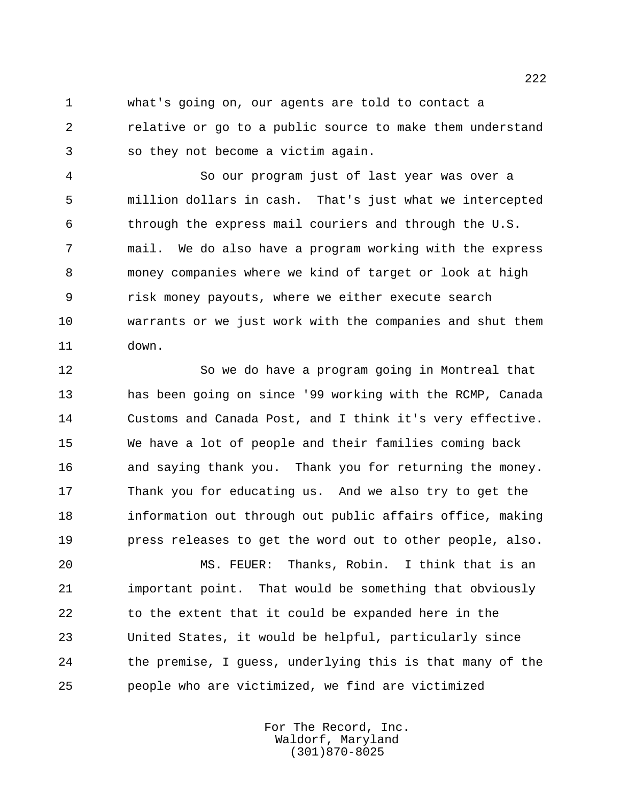what's going on, our agents are told to contact a relative or go to a public source to make them understand so they not become a victim again.

 So our program just of last year was over a million dollars in cash. That's just what we intercepted through the express mail couriers and through the U.S. mail. We do also have a program working with the express money companies where we kind of target or look at high risk money payouts, where we either execute search warrants or we just work with the companies and shut them down.

 So we do have a program going in Montreal that has been going on since '99 working with the RCMP, Canada Customs and Canada Post, and I think it's very effective. We have a lot of people and their families coming back and saying thank you. Thank you for returning the money. Thank you for educating us. And we also try to get the information out through out public affairs office, making press releases to get the word out to other people, also.

 MS. FEUER: Thanks, Robin. I think that is an important point. That would be something that obviously to the extent that it could be expanded here in the United States, it would be helpful, particularly since the premise, I guess, underlying this is that many of the people who are victimized, we find are victimized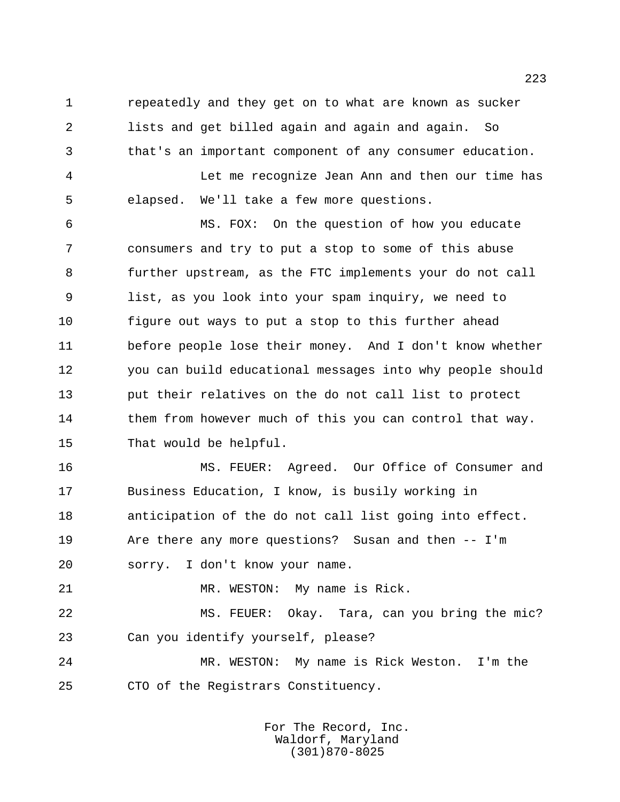repeatedly and they get on to what are known as sucker lists and get billed again and again and again. So that's an important component of any consumer education.

 Let me recognize Jean Ann and then our time has elapsed. We'll take a few more questions.

 MS. FOX: On the question of how you educate consumers and try to put a stop to some of this abuse further upstream, as the FTC implements your do not call list, as you look into your spam inquiry, we need to figure out ways to put a stop to this further ahead before people lose their money. And I don't know whether you can build educational messages into why people should put their relatives on the do not call list to protect 14 them from however much of this you can control that way. That would be helpful.

 MS. FEUER: Agreed. Our Office of Consumer and Business Education, I know, is busily working in anticipation of the do not call list going into effect. Are there any more questions? Susan and then -- I'm sorry. I don't know your name.

21 MR. WESTON: My name is Rick.

 MS. FEUER: Okay. Tara, can you bring the mic? Can you identify yourself, please?

 MR. WESTON: My name is Rick Weston. I'm the CTO of the Registrars Constituency.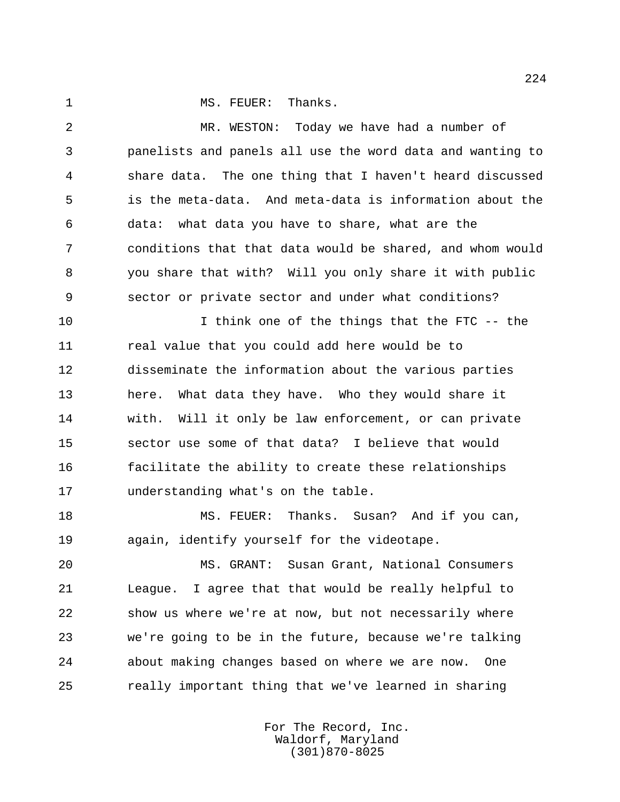1 MS. FEUER: Thanks.

 MR. WESTON: Today we have had a number of panelists and panels all use the word data and wanting to share data. The one thing that I haven't heard discussed is the meta-data. And meta-data is information about the data: what data you have to share, what are the conditions that that data would be shared, and whom would you share that with? Will you only share it with public sector or private sector and under what conditions?

 I think one of the things that the FTC -- the real value that you could add here would be to disseminate the information about the various parties here. What data they have. Who they would share it with. Will it only be law enforcement, or can private sector use some of that data? I believe that would facilitate the ability to create these relationships understanding what's on the table.

18 MS. FEUER: Thanks. Susan? And if you can, again, identify yourself for the videotape.

 MS. GRANT: Susan Grant, National Consumers League. I agree that that would be really helpful to show us where we're at now, but not necessarily where we're going to be in the future, because we're talking about making changes based on where we are now. One really important thing that we've learned in sharing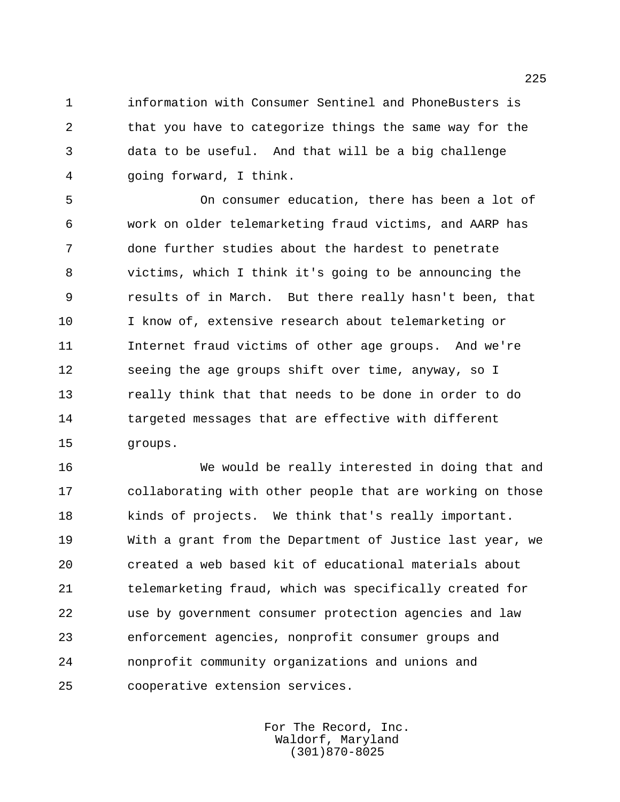information with Consumer Sentinel and PhoneBusters is that you have to categorize things the same way for the data to be useful. And that will be a big challenge going forward, I think.

 On consumer education, there has been a lot of work on older telemarketing fraud victims, and AARP has done further studies about the hardest to penetrate victims, which I think it's going to be announcing the results of in March. But there really hasn't been, that I know of, extensive research about telemarketing or Internet fraud victims of other age groups. And we're seeing the age groups shift over time, anyway, so I really think that that needs to be done in order to do 14 targeted messages that are effective with different groups.

 We would be really interested in doing that and collaborating with other people that are working on those kinds of projects. We think that's really important. With a grant from the Department of Justice last year, we created a web based kit of educational materials about telemarketing fraud, which was specifically created for use by government consumer protection agencies and law enforcement agencies, nonprofit consumer groups and nonprofit community organizations and unions and cooperative extension services.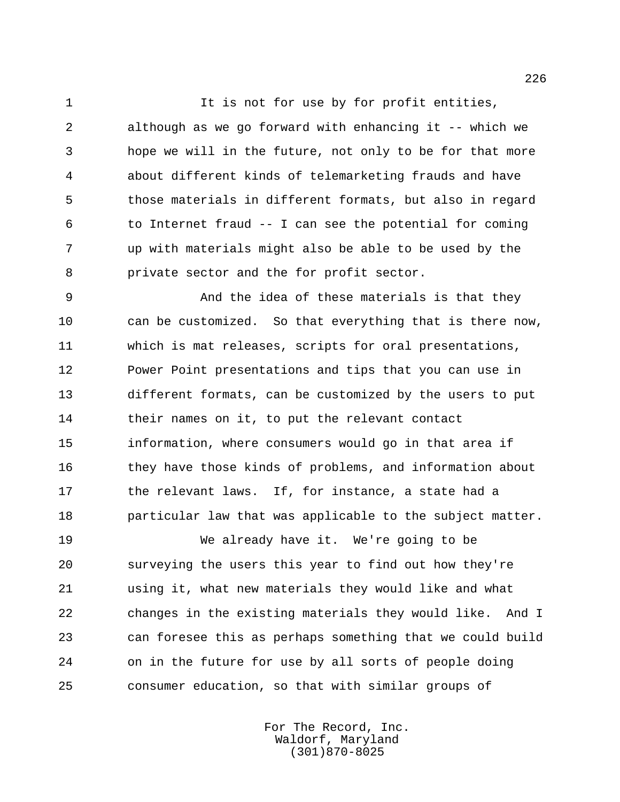1 1 It is not for use by for profit entities, although as we go forward with enhancing it -- which we hope we will in the future, not only to be for that more about different kinds of telemarketing frauds and have those materials in different formats, but also in regard to Internet fraud -- I can see the potential for coming up with materials might also be able to be used by the private sector and the for profit sector.

 And the idea of these materials is that they can be customized. So that everything that is there now, which is mat releases, scripts for oral presentations, Power Point presentations and tips that you can use in different formats, can be customized by the users to put their names on it, to put the relevant contact information, where consumers would go in that area if they have those kinds of problems, and information about 17 the relevant laws. If, for instance, a state had a particular law that was applicable to the subject matter.

 We already have it. We're going to be surveying the users this year to find out how they're using it, what new materials they would like and what changes in the existing materials they would like. And I can foresee this as perhaps something that we could build on in the future for use by all sorts of people doing consumer education, so that with similar groups of

> For The Record, Inc. Waldorf, Maryland (301)870-8025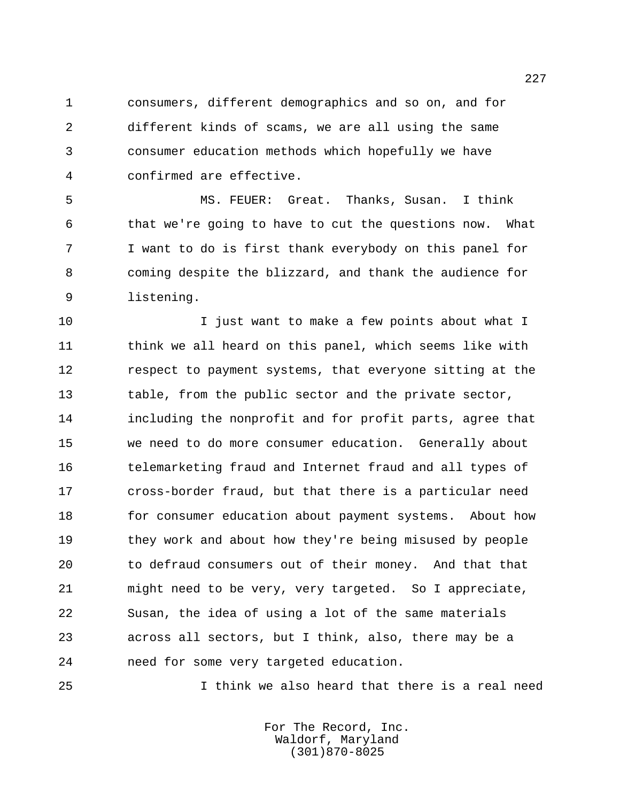consumers, different demographics and so on, and for different kinds of scams, we are all using the same consumer education methods which hopefully we have confirmed are effective.

 MS. FEUER: Great. Thanks, Susan. I think that we're going to have to cut the questions now. What I want to do is first thank everybody on this panel for coming despite the blizzard, and thank the audience for listening.

**I** just want to make a few points about what I 11 think we all heard on this panel, which seems like with respect to payment systems, that everyone sitting at the table, from the public sector and the private sector, including the nonprofit and for profit parts, agree that we need to do more consumer education. Generally about telemarketing fraud and Internet fraud and all types of cross-border fraud, but that there is a particular need for consumer education about payment systems. About how they work and about how they're being misused by people to defraud consumers out of their money. And that that might need to be very, very targeted. So I appreciate, Susan, the idea of using a lot of the same materials across all sectors, but I think, also, there may be a need for some very targeted education.

I think we also heard that there is a real need